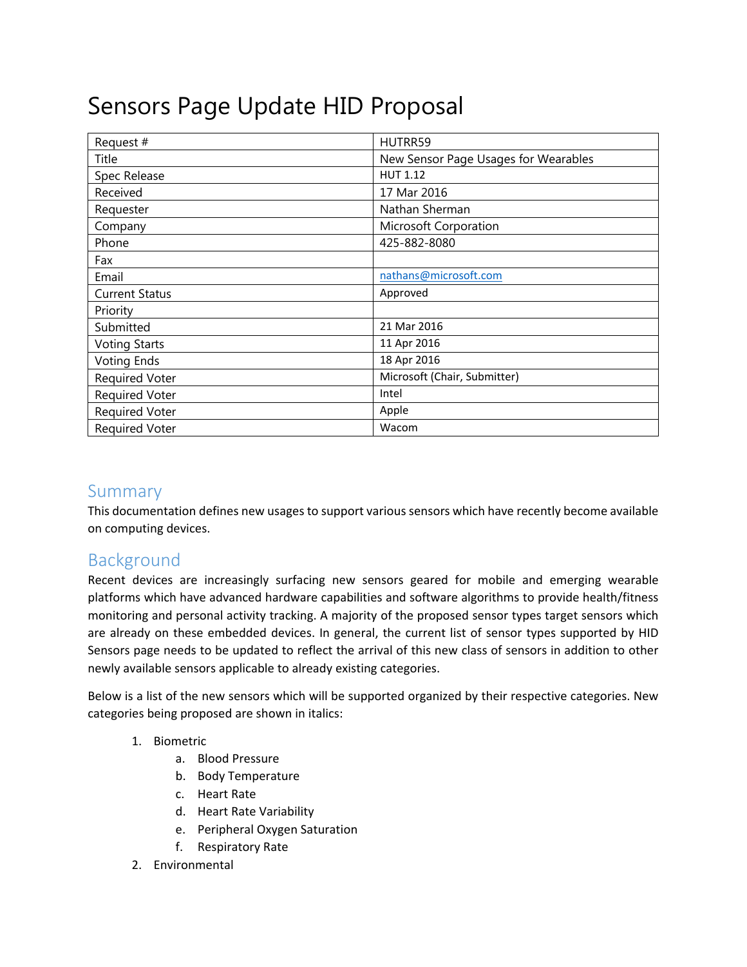# Sensors Page Update HID Proposal

| Request #             | HUTRR59                              |
|-----------------------|--------------------------------------|
| Title                 | New Sensor Page Usages for Wearables |
| Spec Release          | <b>HUT 1.12</b>                      |
| Received              | 17 Mar 2016                          |
| Requester             | Nathan Sherman                       |
| Company               | Microsoft Corporation                |
| Phone                 | 425-882-8080                         |
| Fax                   |                                      |
| Email                 | nathans@microsoft.com                |
| <b>Current Status</b> | Approved                             |
| Priority              |                                      |
| Submitted             | 21 Mar 2016                          |
| <b>Voting Starts</b>  | 11 Apr 2016                          |
| <b>Voting Ends</b>    | 18 Apr 2016                          |
| <b>Required Voter</b> | Microsoft (Chair, Submitter)         |
| <b>Required Voter</b> | Intel                                |
| <b>Required Voter</b> | Apple                                |
| <b>Required Voter</b> | Wacom                                |

### Summary

This documentation defines new usages to support various sensors which have recently become available on computing devices.

# Background

Recent devices are increasingly surfacing new sensors geared for mobile and emerging wearable platforms which have advanced hardware capabilities and software algorithms to provide health/fitness monitoring and personal activity tracking. A majority of the proposed sensor types target sensors which are already on these embedded devices. In general, the current list of sensor types supported by HID Sensors page needs to be updated to reflect the arrival of this new class of sensors in addition to other newly available sensors applicable to already existing categories.

Below is a list of the new sensors which will be supported organized by their respective categories. New categories being proposed are shown in italics:

- 1. Biometric
	- a. Blood Pressure
	- b. Body Temperature
	- c. Heart Rate
	- d. Heart Rate Variability
	- e. Peripheral Oxygen Saturation
	- f. Respiratory Rate
- 2. Environmental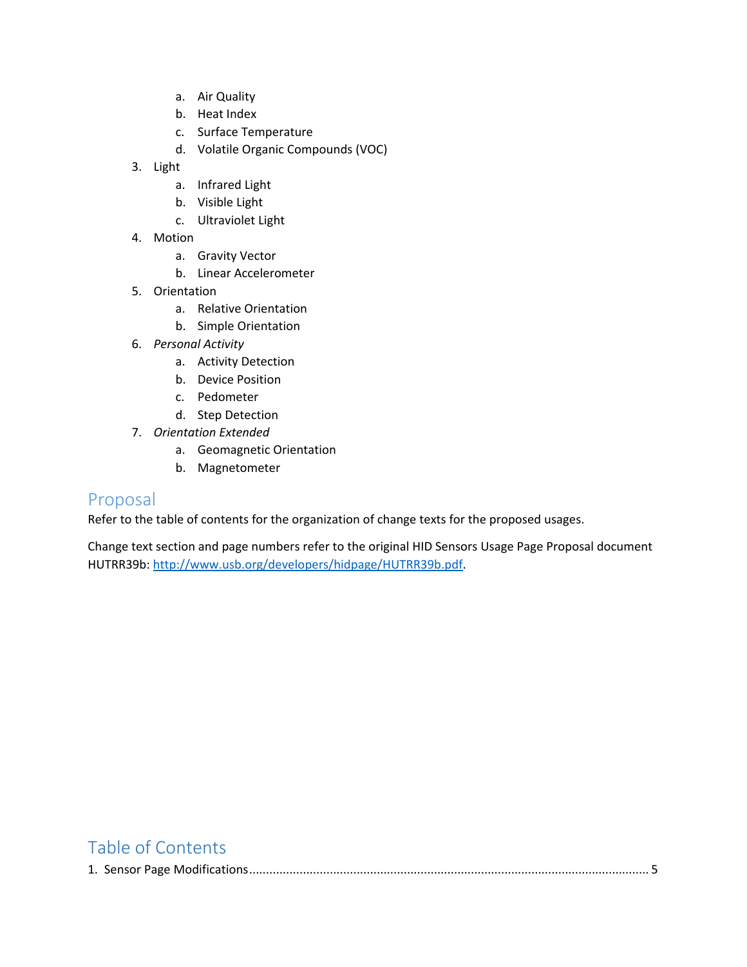- a. Air Quality
- b. Heat Index
- c. Surface Temperature
- d. Volatile Organic Compounds (VOC)
- 3. Light
	- a. Infrared Light
	- b. Visible Light
	- c. Ultraviolet Light
- 4. Motion
	- a. Gravity Vector
	- b. Linear Accelerometer
- 5. Orientation
	- a. Relative Orientation
	- b. Simple Orientation
- 6. *Personal Activity*
	- a. Activity Detection
	- b. Device Position
	- c. Pedometer
	- d. Step Detection
- 7. *Orientation Extended* 
	- a. Geomagnetic Orientation
	- b. Magnetometer

### Proposal

Refer to the table of contents for the organization of change texts for the proposed usages.

Change text section and page numbers refer to the original HID Sensors Usage Page Proposal document HUTRR39b: http://www.usb.org/developers/hidpage/HUTRR39b.pdf.

# Table of Contents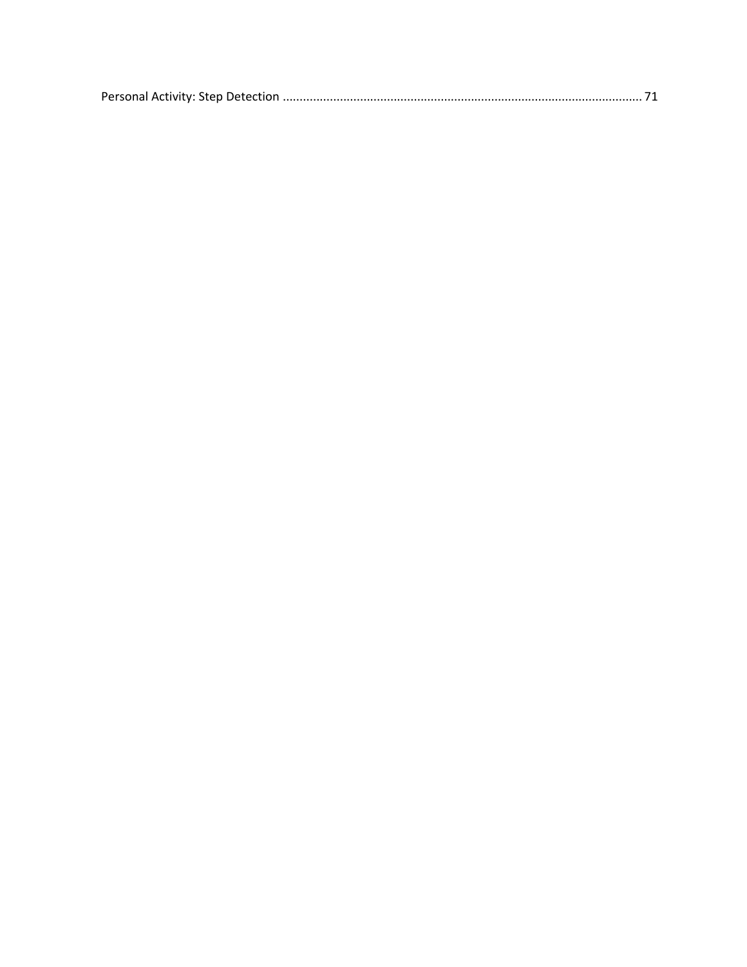|--|--|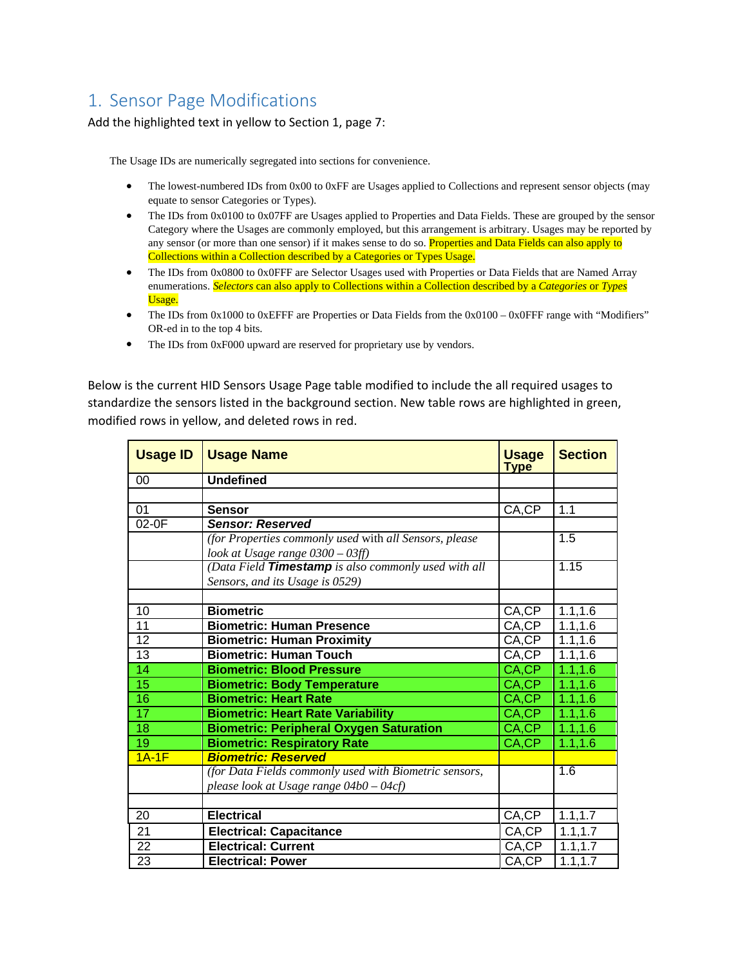# 1. Sensor Page Modifications

Add the highlighted text in yellow to Section 1, page 7:

The Usage IDs are numerically segregated into sections for convenience.

- The lowest-numbered IDs from 0x00 to 0xFF are Usages applied to Collections and represent sensor objects (may equate to sensor Categories or Types).
- The IDs from 0x0100 to 0x07FF are Usages applied to Properties and Data Fields. These are grouped by the sensor Category where the Usages are commonly employed, but this arrangement is arbitrary. Usages may be reported by any sensor (or more than one sensor) if it makes sense to do so. Properties and Data Fields can also apply to Collections within a Collection described by a Categories or Types Usage.
- The IDs from 0x0800 to 0x0FFF are Selector Usages used with Properties or Data Fields that are Named Array enumerations. *Selectors* can also apply to Collections within a Collection described by a *Categories* or *Types*  Usage.
- The IDs from 0x1000 to 0xEFFF are Properties or Data Fields from the 0x0100 0x0FFF range with "Modifiers" OR-ed in to the top 4 bits.
- The IDs from 0xF000 upward are reserved for proprietary use by vendors.

Below is the current HID Sensors Usage Page table modified to include the all required usages to standardize the sensors listed in the background section. New table rows are highlighted in green, modified rows in yellow, and deleted rows in red.

| <b>Usage ID</b> | <b>Usage Name</b>                                      | <b>Usage</b><br><b>Type</b> | <b>Section</b>        |
|-----------------|--------------------------------------------------------|-----------------------------|-----------------------|
| 00              | <b>Undefined</b>                                       |                             |                       |
|                 |                                                        |                             |                       |
| 01              | <b>Sensor</b>                                          | CA,CP                       | 1.1                   |
| 02-0F           | <b>Sensor: Reserved</b>                                |                             |                       |
|                 | (for Properties commonly used with all Sensors, please |                             | 1.5                   |
|                 | look at Usage range $0300 - 03$ ff)                    |                             |                       |
|                 | (Data Field Timestamp is also commonly used with all   |                             | 1.15                  |
|                 | Sensors, and its Usage is 0529)                        |                             |                       |
|                 |                                                        |                             |                       |
| 10              | <b>Biometric</b>                                       | CA,CP                       | 1.1, 1.6              |
| $\overline{11}$ | <b>Biometric: Human Presence</b>                       | CA,CP                       | 1.1, 1.6              |
| $\overline{12}$ | <b>Biometric: Human Proximity</b>                      | CA,CP                       | $1.\overline{1,1.6}$  |
| $\overline{13}$ | <b>Biometric: Human Touch</b>                          | CA,CP                       | 1.1, 1.6              |
| 14              | <b>Biometric: Blood Pressure</b>                       | CA,CP                       | 1.1, 1.6              |
| $\overline{15}$ | <b>Biometric: Body Temperature</b>                     | CA,CP                       | 1.1, 1.6              |
| 16              | <b>Biometric: Heart Rate</b>                           | CA,CP                       | 1.1, 1.6              |
| 17              | <b>Biometric: Heart Rate Variability</b>               | CA,CP                       | $1.1, 1.\overline{6}$ |
| 18              | <b>Biometric: Peripheral Oxygen Saturation</b>         | CA,CP                       | 1.1, 1.6              |
| $\overline{19}$ | <b>Biometric: Respiratory Rate</b>                     | CA,CP                       | 1.1, 1.6              |
| $1A-1F$         | <b>Biometric: Reserved</b>                             |                             |                       |
|                 | (for Data Fields commonly used with Biometric sensors, |                             | 1.6                   |
|                 | please look at Usage range 04b0 - 04cf)                |                             |                       |
|                 |                                                        |                             |                       |
| 20              | <b>Electrical</b>                                      | CA,CP                       | 1.1, 1.7              |
| 21              | <b>Electrical: Capacitance</b>                         | CA,CP                       | 1.1, 1.7              |
| $\overline{22}$ | <b>Electrical: Current</b>                             | CA,CP                       | 1.1, 1.7              |
| $\overline{23}$ | <b>Electrical: Power</b>                               | CA,CP                       | 1.1, 1.7              |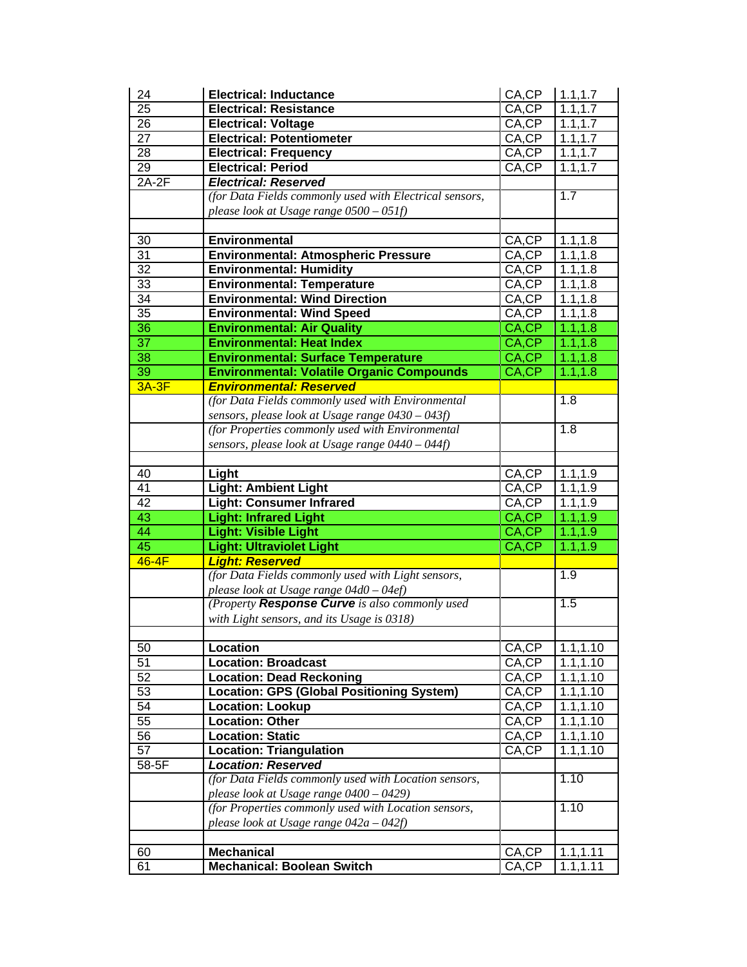| 24              | <b>Electrical: Inductance</b>                                                                   | CA,CP  | 1.1, 1.7               |
|-----------------|-------------------------------------------------------------------------------------------------|--------|------------------------|
| 25              | <b>Electrical: Resistance</b>                                                                   | CA,CP  | 1.1, 1.7               |
| 26              | <b>Electrical: Voltage</b>                                                                      | CA,CP  | 1.1, 1.7               |
| 27              | <b>Electrical: Potentiometer</b>                                                                | CA,CP  | 1.1, 1.7               |
| 28              | <b>Electrical: Frequency</b>                                                                    | CA,CP  | 1.1, 1.7               |
| 29              | <b>Electrical: Period</b>                                                                       | CA,CP  | 1.1, 1.7               |
| $2A-2F$         | <b>Electrical: Reserved</b>                                                                     |        |                        |
|                 | (for Data Fields commonly used with Electrical sensors,                                         |        | 1.7                    |
|                 | please look at Usage range 0500 - 051f)                                                         |        |                        |
|                 |                                                                                                 |        |                        |
| 30              | <b>Environmental</b>                                                                            | CA,CP  | 1.1, 1.8               |
| 31              | <b>Environmental: Atmospheric Pressure</b>                                                      | CA,CP  | 1.1, 1.8               |
| $\overline{32}$ | <b>Environmental: Humidity</b>                                                                  | CA,CP  | 1.1, 1.8               |
| 33              | <b>Environmental: Temperature</b>                                                               | CA,CP  | 1.1, 1.8               |
| 34              | <b>Environmental: Wind Direction</b>                                                            | CA,CP  | 1.1, 1.8               |
| 35              | <b>Environmental: Wind Speed</b>                                                                | CA,CP  | 1.1, 1.8               |
| 36              | <b>Environmental: Air Quality</b>                                                               | CA,CP  | 1.1, 1.8               |
| $\overline{37}$ | <b>Environmental: Heat Index</b>                                                                | CA,CP  | 1.1, 1.8               |
| $\overline{38}$ | <b>Environmental: Surface Temperature</b>                                                       | CA,CP  | 1.1, 1.8               |
| 39              | <b>Environmental: Volatile Organic Compounds</b>                                                | CA,CP  | 1.1, 1.8               |
| $3A-3F$         | <b>Environmental: Reserved</b>                                                                  |        |                        |
|                 | (for Data Fields commonly used with Environmental                                               |        | 1.8                    |
|                 | sensors, please look at Usage range 0430 - 043f)                                                |        |                        |
|                 | (for Properties commonly used with Environmental                                                |        | 1.8                    |
|                 | sensors, please look at Usage range 0440 - 044f)                                                |        |                        |
|                 |                                                                                                 |        |                        |
| 40              | Light                                                                                           | CA,CP  | 1.1, 1.9               |
|                 |                                                                                                 |        |                        |
| 41              | <b>Light: Ambient Light</b>                                                                     | CA, CP | 1.1, 1.9               |
| $\overline{42}$ | <b>Light: Consumer Infrared</b>                                                                 | CA,CP  | 1.1, 1.9               |
| 43              | <b>Light: Infrared Light</b>                                                                    | CA,CP  | 1.1, 1.9               |
| 44              | <b>Light: Visible Light</b>                                                                     | CA,CP  | 1.1, 1.9               |
| 45              | <b>Light: Ultraviolet Light</b>                                                                 | CA,CP  | 1.1, 1.9               |
| $46 - 4F$       | <b>Light: Reserved</b>                                                                          |        |                        |
|                 | (for Data Fields commonly used with Light sensors,                                              |        | 1.9                    |
|                 | please look at Usage range 04d0 - 04ef)                                                         |        |                        |
|                 | (Property Response Curve is also commonly used                                                  |        | $\overline{1.5}$       |
|                 | with Light sensors, and its Usage is 0318)                                                      |        |                        |
|                 |                                                                                                 |        |                        |
| 50              | Location                                                                                        | CA,CP  | 1.1, 1.10              |
| 51              | <b>Location: Broadcast</b>                                                                      | CA, CP | 1.1, 1.10              |
| 52              | <b>Location: Dead Reckoning</b>                                                                 | CA,CP  | 1.1, 1.10              |
| 53              | <b>Location: GPS (Global Positioning System)</b>                                                | CA,CP  | 1.1, 1.10              |
| $\overline{54}$ | <b>Location: Lookup</b>                                                                         | CA,CP  | 1.1, 1.10              |
| 55              | <b>Location: Other</b>                                                                          | CA,CP  | 1.1, 1.10              |
| $\overline{56}$ | <b>Location: Static</b>                                                                         | CA,CP  | 1.1, 1.10              |
| 57              | <b>Location: Triangulation</b>                                                                  | CA,CP  | 1.1, 1.10              |
| 58-5F           | <b>Location: Reserved</b>                                                                       |        | 1.10                   |
|                 | (for Data Fields commonly used with Location sensors,                                           |        |                        |
|                 | please look at Usage range 0400 - 0429)<br>(for Properties commonly used with Location sensors, |        | 1.10                   |
|                 | please look at Usage range $042a - 042f$                                                        |        |                        |
|                 |                                                                                                 |        |                        |
| 60              | <b>Mechanical</b><br><b>Mechanical: Boolean Switch</b>                                          | CA,CP  | 1.1, 1.11<br>1.1, 1.11 |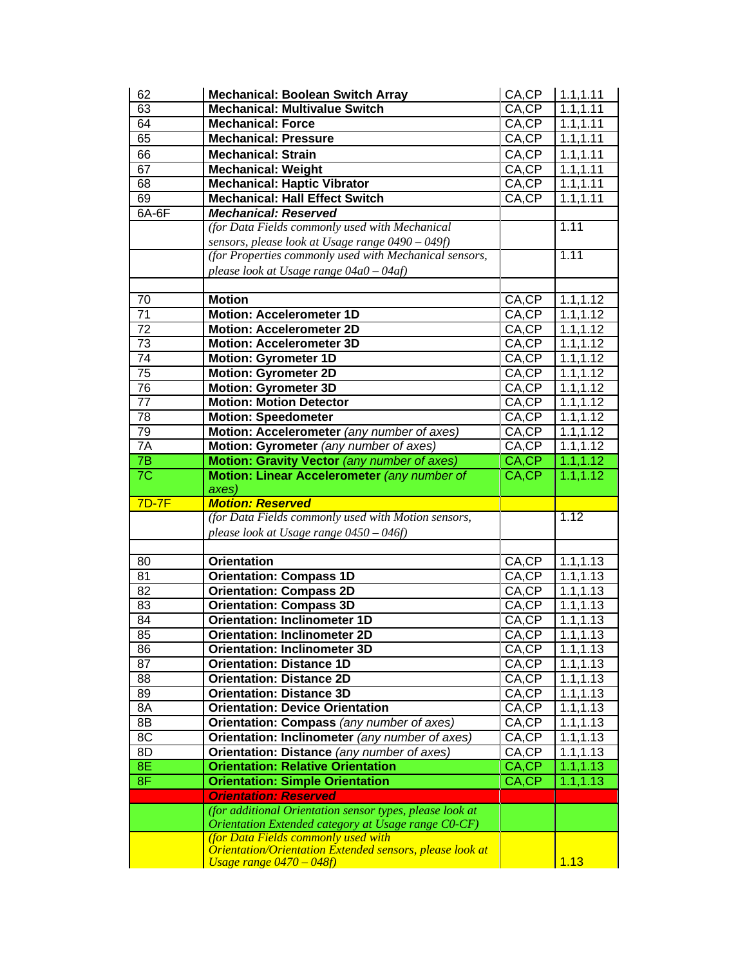| 62              | <b>Mechanical: Boolean Switch Array</b>                                                                | CA,CP       | 1.1, 1.11 |
|-----------------|--------------------------------------------------------------------------------------------------------|-------------|-----------|
| 63              | <b>Mechanical: Multivalue Switch</b>                                                                   | CA,CP       | 1.1, 1.11 |
| 64              | <b>Mechanical: Force</b>                                                                               | CA,CP       | 1.1, 1.11 |
| 65              | <b>Mechanical: Pressure</b>                                                                            | CA,CP       | 1.1, 1.11 |
| 66              | <b>Mechanical: Strain</b>                                                                              | CA,CP       | 1.1, 1.11 |
| 67              | <b>Mechanical: Weight</b>                                                                              | CA,CP       | 1.1, 1.11 |
| 68              | <b>Mechanical: Haptic Vibrator</b>                                                                     | CA,CP       | 1.1, 1.11 |
| 69              | <b>Mechanical: Hall Effect Switch</b>                                                                  | CA,CP       | 1.1, 1.11 |
| 6A-6F           | <b>Mechanical: Reserved</b>                                                                            |             |           |
|                 | (for Data Fields commonly used with Mechanical                                                         |             | 1.11      |
|                 | sensors, please look at Usage range 0490 - 049f)                                                       |             |           |
|                 | (for Properties commonly used with Mechanical sensors,                                                 |             | 1.11      |
|                 | please look at Usage range 04a0 - 04af)                                                                |             |           |
|                 |                                                                                                        |             |           |
| 70              | <b>Motion</b>                                                                                          | CA,CP       | 1.1, 1.12 |
| $\overline{71}$ | <b>Motion: Accelerometer 1D</b>                                                                        | CA,CP       | 1.1, 1.12 |
| $\overline{72}$ | <b>Motion: Accelerometer 2D</b>                                                                        | CA,CP       | 1.1, 1.12 |
| $\overline{73}$ | <b>Motion: Accelerometer 3D</b>                                                                        | CA,CP       | 1.1, 1.12 |
| $\overline{74}$ | <b>Motion: Gyrometer 1D</b>                                                                            | CA,CP       | 1.1, 1.12 |
| $\overline{75}$ | <b>Motion: Gyrometer 2D</b>                                                                            | CA,CP       | 1.1, 1.12 |
| 76              | <b>Motion: Gyrometer 3D</b>                                                                            | CA,CP       | 1.1, 1.12 |
| $\overline{77}$ | <b>Motion: Motion Detector</b>                                                                         | CA,CP       | 1.1, 1.12 |
| 78              | <b>Motion: Speedometer</b>                                                                             | CA,CP       | 1.1, 1.12 |
| 79              | Motion: Accelerometer (any number of axes)                                                             | CA,CP       | 1.1, 1.12 |
| 7A              | Motion: Gyrometer (any number of axes)                                                                 | CA,CP       | 1.1, 1.12 |
| 7B              | Motion: Gravity Vector (any number of axes)                                                            | CA,CP       | 1.1, 1.12 |
| $\overline{7C}$ | Motion: Linear Accelerometer (any number of<br>axes)                                                   | CA,CP       | 1.1, 1.12 |
| $7D-7F$         | <b>Motion: Reserved</b>                                                                                |             |           |
|                 | (for Data Fields commonly used with Motion sensors,                                                    |             | 1.12      |
|                 | please look at Usage range 0450 - 046f)                                                                |             |           |
|                 |                                                                                                        |             |           |
| 80              | <b>Orientation</b>                                                                                     | CA,CP       | 1.1, 1.13 |
| 81              | <b>Orientation: Compass 1D</b>                                                                         | CA,CP       | 1.1,1.13  |
| $\overline{82}$ | <b>Orientation: Compass 2D</b>                                                                         | CA,CP       | 1.1,1.13  |
| 83              | <b>Orientation: Compass 3D</b>                                                                         | CA,CP       | 1.1, 1.13 |
| $\overline{84}$ | <b>Orientation: Inclinometer 1D</b>                                                                    | CA,CP       | 1.1, 1.13 |
| 85              | <b>Orientation: Inclinometer 2D</b>                                                                    | CA,CP       | 1.1, 1.13 |
| 86              | <b>Orientation: Inclinometer 3D</b>                                                                    | CA,CP       | 1.1, 1.13 |
| 87              | <b>Orientation: Distance 1D</b>                                                                        | CA,CP       | 1.1, 1.13 |
| 88              | <b>Orientation: Distance 2D</b>                                                                        | CA,CP       | 1.1, 1.13 |
| 89              | <b>Orientation: Distance 3D</b>                                                                        | CA,CP       | 1.1, 1.13 |
| 8A              | <b>Orientation: Device Orientation</b>                                                                 | CA,CP       | 1.1, 1.13 |
| 8B              | Orientation: Compass (any number of axes)                                                              | CA,CP       | 1.1, 1.13 |
| 8C              | Orientation: Inclinometer (any number of axes)                                                         | CA,CP       | 1.1, 1.13 |
| 8D              | Orientation: Distance (any number of axes)                                                             | CA,CP       | 1.1, 1.13 |
| 8E              | <b>Orientation: Relative Orientation</b>                                                               | $CA,$ C $P$ | 1.1, 1.13 |
| 8F              | <b>Orientation: Simple Orientation</b>                                                                 | CA,CP       | 1.1, 1.13 |
|                 | <b>Orientation: Reserved</b>                                                                           |             |           |
|                 | (for additional Orientation sensor types, please look at                                               |             |           |
|                 | Orientation Extended category at Usage range CO-CF)                                                    |             |           |
|                 | (for Data Fields commonly used with<br><b>Orientation/Orientation Extended sensors, please look at</b> |             |           |
|                 |                                                                                                        |             |           |
|                 | Usage range $0470 - 048f$                                                                              |             | 1.13      |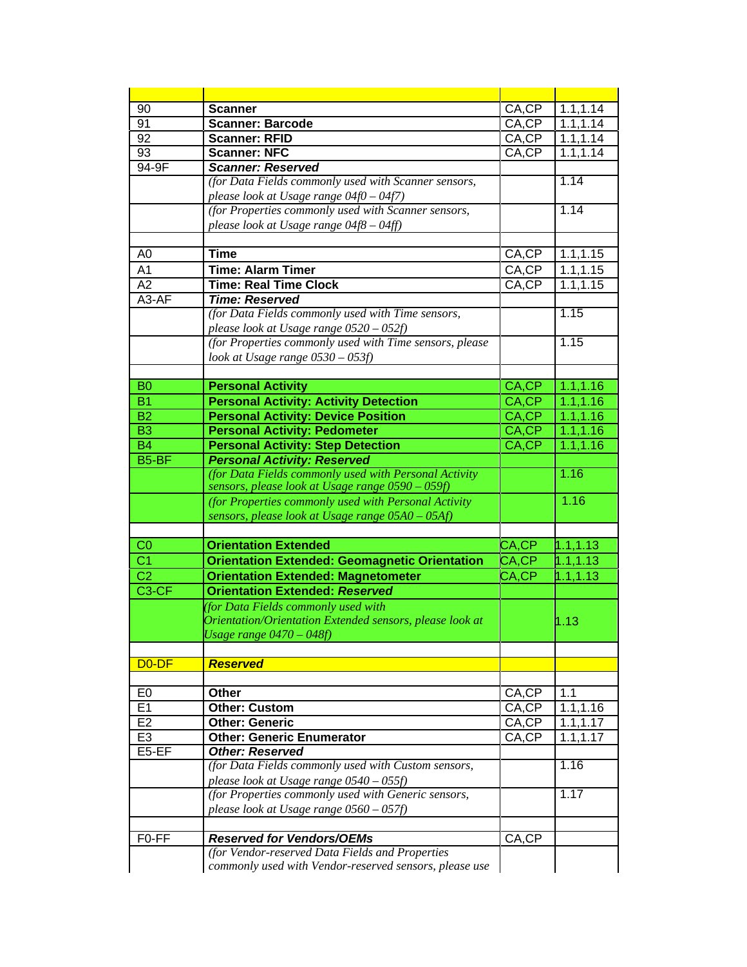| 90                                | <b>Scanner</b>                                                                       | CA,CP               | 1.1, 1.14 |
|-----------------------------------|--------------------------------------------------------------------------------------|---------------------|-----------|
| 91                                | Scanner: Barcode                                                                     | CA,CP               | 1.1, 1.14 |
| 92                                | Scanner: RFID                                                                        | CA,CP               | 1.1, 1.14 |
| 93                                | <b>Scanner: NFC</b>                                                                  | CA,CP               | 1.1, 1.14 |
| 94-9F                             | <b>Scanner: Reserved</b>                                                             |                     |           |
|                                   | (for Data Fields commonly used with Scanner sensors,                                 |                     | 1.14      |
|                                   | please look at Usage range 04f0 - 04f7)                                              |                     |           |
|                                   | (for Properties commonly used with Scanner sensors,                                  |                     | 1.14      |
|                                   | please look at Usage range 04f8 - 04ff)                                              |                     |           |
|                                   |                                                                                      |                     |           |
| A <sub>0</sub>                    | <b>Time</b>                                                                          | $C\overline{A,CP}$  | 1.1, 1.15 |
| A <sub>1</sub>                    | <b>Time: Alarm Timer</b>                                                             | CA,CP               | 1.1, 1.15 |
| $\overline{A2}$                   | <b>Time: Real Time Clock</b>                                                         | CA,CP               | 1.1, 1.15 |
| A <sub>3</sub> -AF                | <b>Time: Reserved</b>                                                                |                     |           |
|                                   | (for Data Fields commonly used with Time sensors,                                    |                     | 1.15      |
|                                   | please look at Usage range 0520 - 052f)                                              |                     |           |
|                                   | (for Properties commonly used with Time sensors, please                              |                     | 1.15      |
|                                   | look at Usage range $0530 - 053f$                                                    |                     |           |
|                                   |                                                                                      |                     |           |
| B <sub>0</sub>                    | <b>Personal Activity</b>                                                             | CA,CP               | 1.1, 1.16 |
| <b>B1</b>                         | <b>Personal Activity: Activity Detection</b>                                         | CA,CP               | 1.1, 1.16 |
| <b>B2</b>                         | <b>Personal Activity: Device Position</b>                                            | CA,CP               | 1.1, 1.16 |
| <b>B3</b><br><b>B4</b>            | <b>Personal Activity: Pedometer</b>                                                  | CA,CP               | 1.1, 1.16 |
| B5-BF                             | <b>Personal Activity: Step Detection</b><br><b>Personal Activity: Reserved</b>       | CA,CP               | 1.1, 1.16 |
|                                   | (for Data Fields commonly used with Personal Activity                                |                     | 1.16      |
|                                   | sensors, please look at Usage range 0590 - 059f)                                     |                     |           |
|                                   | (for Properties commonly used with Personal Activity                                 |                     | 1.16      |
|                                   | sensors, please look at Usage range 05A0 - 05Af)                                     |                     |           |
|                                   |                                                                                      |                     |           |
| $\overline{C}0$                   | <b>Orientation Extended</b>                                                          | CA,CP               | 1.1, 1.13 |
| C <sub>1</sub><br>$\overline{C2}$ | <b>Orientation Extended: Geomagnetic Orientation</b>                                 | CA,CP               | 1.1, 1.13 |
| $C3-CF$                           | <b>Orientation Extended: Magnetometer</b>                                            | CA,CP               | 1.1, 1.13 |
|                                   | <b>Orientation Extended: Reserved</b>                                                |                     |           |
|                                   | for Data Fields commonly used with                                                   |                     |           |
|                                   | Orientation/Orientation Extended sensors, please look at<br>Usage range 0470 – 048f) |                     | 1.13      |
|                                   |                                                                                      |                     |           |
| D <sub>0</sub> -DF                | <b>Reserved</b>                                                                      |                     |           |
|                                   |                                                                                      |                     |           |
| E <sub>0</sub>                    | Other                                                                                | $CA, \overline{CP}$ | 1.1       |
| E1                                | <b>Other: Custom</b>                                                                 | CA,CP               | 1.1, 1.16 |
| E2                                | <b>Other: Generic</b>                                                                | CA,CP               | 1.1, 1.17 |
| E3                                | <b>Other: Generic Enumerator</b>                                                     | CA,CP               | 1.1, 1.17 |
| $E5-EF$                           | <b>Other: Reserved</b>                                                               |                     |           |
|                                   | (for Data Fields commonly used with Custom sensors,                                  |                     | 1.16      |
|                                   | please look at Usage range $0540 - 055f$                                             |                     |           |
|                                   | (for Properties commonly used with Generic sensors,                                  |                     | 1.17      |
|                                   | please look at Usage range 0560 - 057f)                                              |                     |           |
|                                   |                                                                                      |                     |           |
| $FO-FF$                           | <b>Reserved for Vendors/OEMs</b>                                                     | CA,CP               |           |
|                                   | (for Vendor-reserved Data Fields and Properties                                      |                     |           |
|                                   | commonly used with Vendor-reserved sensors, please use                               |                     |           |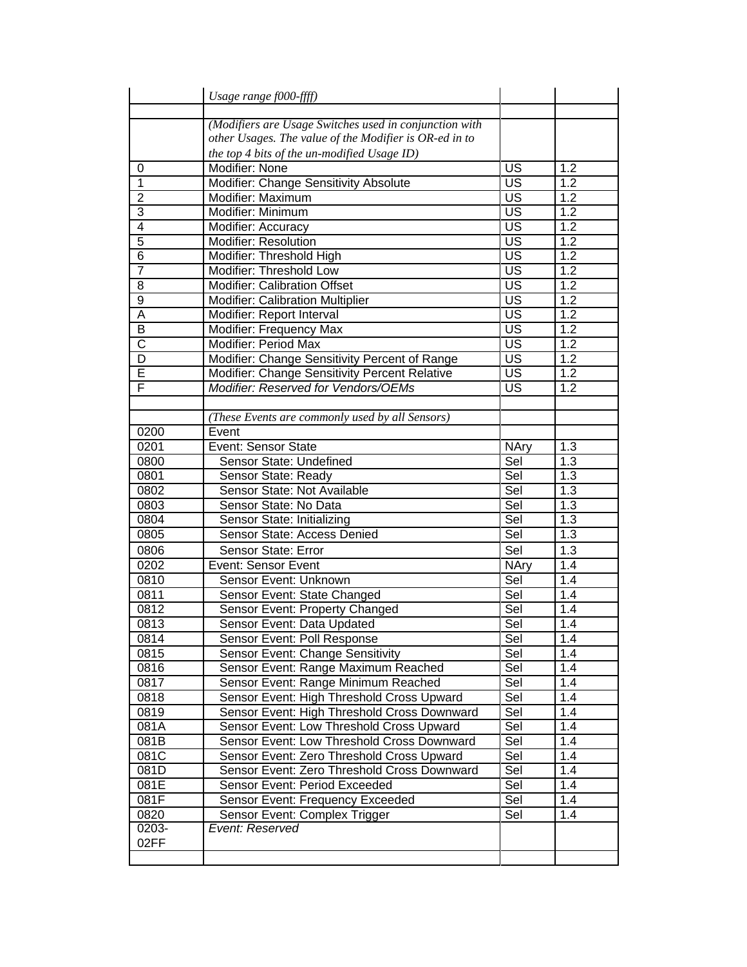|                         | Usage range f000-ffff)                                   |             |            |
|-------------------------|----------------------------------------------------------|-------------|------------|
|                         |                                                          |             |            |
|                         | (Modifiers are Usage Switches used in conjunction with   |             |            |
|                         | other Usages. The value of the Modifier is OR-ed in to   |             |            |
|                         | the top 4 bits of the un-modified Usage ID)              |             |            |
| 0                       | Modifier: None                                           | US          | 1.2        |
| 1                       | Modifier: Change Sensitivity Absolute                    | US          | 1.2        |
| $\overline{2}$          | Modifier: Maximum                                        | US          | 1.2        |
| $\overline{3}$<br>4     | Modifier: Minimum                                        | US          | 1.2        |
| 5                       | Modifier: Accuracy                                       | US          | 1.2<br>1.2 |
| $\overline{6}$          | Modifier: Resolution                                     | US<br>US    | 1.2        |
| $\overline{7}$          | Modifier: Threshold High                                 | US          | 1.2        |
| $\overline{8}$          | Modifier: Threshold Low                                  | US          | 1.2        |
| $\overline{9}$          | Modifier: Calibration Offset                             | US          | 1.2        |
| $\overline{\mathsf{A}}$ | <b>Modifier: Calibration Multiplier</b>                  | US          | 1.2        |
| $\overline{B}$          | Modifier: Report Interval                                | US          | 1.2        |
| $\overline{\text{c}}$   | Modifier: Frequency Max                                  | US          | 1.2        |
| $\overline{\mathsf{D}}$ | Modifier: Period Max                                     | US          | 1.2        |
| Ē                       | Modifier: Change Sensitivity Percent of Range            | US          | 1.2        |
| F                       | Modifier: Change Sensitivity Percent Relative            | US          | 1.2        |
|                         | Modifier: Reserved for Vendors/OEMs                      |             |            |
|                         |                                                          |             |            |
| 0200                    | (These Events are commonly used by all Sensors)<br>Event |             |            |
| 0201                    | Event: Sensor State                                      | <b>NAry</b> | 1.3        |
| 0800                    | Sensor State: Undefined                                  | Sel         | 1.3        |
| 0801                    |                                                          | Sel         | 1.3        |
| 0802                    | Sensor State: Ready<br>Sensor State: Not Available       | Sel         | 1.3        |
| 0803                    | Sensor State: No Data                                    | Sel         | 1.3        |
| 0804                    | Sensor State: Initializing                               | Sel         | 1.3        |
| 0805                    | Sensor State: Access Denied                              | Sel         | 1.3        |
| 0806                    | Sensor State: Error                                      | Sel         | 1.3        |
| 0202                    | Event: Sensor Event                                      | <b>NAry</b> | 1.4        |
| 0810                    | Sensor Event: Unknown                                    | Sel         | 1.4        |
| 0811                    | Sensor Event: State Changed                              | Sel         | 1.4        |
| 0812                    | Sensor Event: Property Changed                           | Sel         | 1.4        |
| 0813                    | Sensor Event: Data Updated                               | Sel         | 1.4        |
| 0814                    | Sensor Event: Poll Response                              | Sel         | 1.4        |
| 0815                    | Sensor Event: Change Sensitivity                         | Sel         | 1.4        |
| 0816                    | Sensor Event: Range Maximum Reached                      | Sel         | 1.4        |
| 0817                    | Sensor Event: Range Minimum Reached                      | Sel         | 1.4        |
| 0818                    | Sensor Event: High Threshold Cross Upward                | Sel         | 1.4        |
| 0819                    | Sensor Event: High Threshold Cross Downward              | Sel         | 1.4        |
| 081A                    | Sensor Event: Low Threshold Cross Upward                 | Sel         | 1.4        |
| 081B                    | Sensor Event: Low Threshold Cross Downward               | Sel         | 1.4        |
| 081C                    | Sensor Event: Zero Threshold Cross Upward                | Sel         | 1.4        |
| 081D                    | Sensor Event: Zero Threshold Cross Downward              | Sel         | 1.4        |
| 081E                    | Sensor Event: Period Exceeded                            | Sel         | 1.4        |
| 081F                    | Sensor Event: Frequency Exceeded                         | Sel         | 1.4        |
| 0820                    | Sensor Event: Complex Trigger                            | Sel         | 1.4        |
| $0203 -$                | Event: Reserved                                          |             |            |
| 02FF                    |                                                          |             |            |
|                         |                                                          |             |            |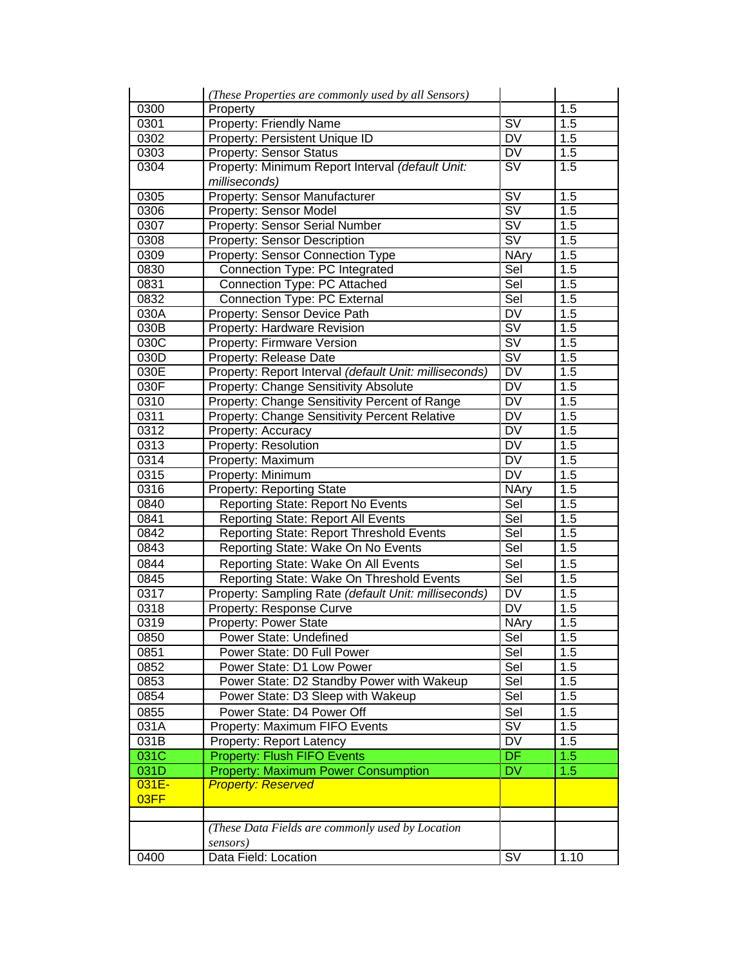|       | (These Properties are commonly used by all Sensors)    |                                   |      |
|-------|--------------------------------------------------------|-----------------------------------|------|
| 0300  | Property                                               |                                   | 1.5  |
| 0301  | Property: Friendly Name                                | $\overline{\mathsf{SV}}$          | 1.5  |
| 0302  | Property: Persistent Unique ID                         | <b>DV</b>                         | 1.5  |
| 0303  | <b>Property: Sensor Status</b>                         | DV                                | 1.5  |
| 0304  | Property: Minimum Report Interval (default Unit:       | $\overline{\mathsf{SV}}$          | 1.5  |
|       | milliseconds)                                          |                                   |      |
| 0305  | Property: Sensor Manufacturer                          | $\overline{\mathsf{S}\mathsf{V}}$ | 1.5  |
| 0306  | Property: Sensor Model                                 | $\overline{\mathsf{sv}}$          | 1.5  |
| 0307  | Property: Sensor Serial Number                         | $\overline{\mathsf{sv}}$          | 1.5  |
| 0308  | Property: Sensor Description                           | $\overline{\mathsf{SV}}$          | 1.5  |
| 0309  | <b>Property: Sensor Connection Type</b>                | <b>NAry</b>                       | 1.5  |
| 0830  | Connection Type: PC Integrated                         | Sel                               | 1.5  |
| 0831  | Connection Type: PC Attached                           | Sel                               | 1.5  |
| 0832  | Connection Type: PC External                           | Sel                               | 1.5  |
| 030A  | Property: Sensor Device Path                           | $\overline{\mathsf{DV}}$          | 1.5  |
| 030B  | Property: Hardware Revision                            | $\overline{\mathsf{S}\mathsf{V}}$ | 1.5  |
| 030C  | Property: Firmware Version                             | $\overline{\mathsf{S}\mathsf{V}}$ | 1.5  |
| 030D  | Property: Release Date                                 | $\overline{\mathsf{S}\mathsf{V}}$ | 1.5  |
| 030E  | Property: Report Interval (default Unit: milliseconds) | $\overline{\mathsf{DV}}$          | 1.5  |
| 030F  | Property: Change Sensitivity Absolute                  | DV                                | 1.5  |
| 0310  | Property: Change Sensitivity Percent of Range          | DV                                | 1.5  |
| 0311  | Property: Change Sensitivity Percent Relative          | DV                                | 1.5  |
| 0312  | Property: Accuracy                                     | DV                                | 1.5  |
| 0313  | Property: Resolution                                   | DV                                | 1.5  |
| 0314  | Property: Maximum                                      | DV                                | 1.5  |
| 0315  | Property: Minimum                                      | DV                                | 1.5  |
| 0316  | <b>Property: Reporting State</b>                       | <b>NAry</b>                       | 1.5  |
| 0840  | Reporting State: Report No Events                      | Sel                               | 1.5  |
| 0841  | Reporting State: Report All Events                     | Sel                               | 1.5  |
| 0842  | Reporting State: Report Threshold Events               | Sel                               | 1.5  |
| 0843  | Reporting State: Wake On No Events                     | Sel                               | 1.5  |
| 0844  | Reporting State: Wake On All Events                    | Sel                               | 1.5  |
| 0845  | Reporting State: Wake On Threshold Events              | Sel                               | 1.5  |
| 0317  | Property: Sampling Rate (default Unit: milliseconds)   | DV                                | 1.5  |
| 0318  | Property: Response Curve                               | <b>DV</b>                         | 1.5  |
| 0319  | Property: Power State                                  | <b>NAry</b>                       | 1.5  |
| 0850  | Power State: Undefined                                 | Sel                               | 1.5  |
| 0851  | Power State: D0 Full Power                             | Sel                               | 1.5  |
| 0852  | Power State: D1 Low Power                              | Sel                               | 1.5  |
| 0853  | Power State: D2 Standby Power with Wakeup              | Sel                               | 1.5  |
| 0854  | Power State: D3 Sleep with Wakeup                      | Sel                               | 1.5  |
| 0855  | Power State: D4 Power Off                              | Sel                               | 1.5  |
| 031A  | Property: Maximum FIFO Events                          | $\overline{\text{SV}}$            | 1.5  |
| 031B  | Property: Report Latency                               | <b>DV</b>                         | 1.5  |
| 031C  | <b>Property: Flush FIFO Events</b>                     | DF.                               | 1.5  |
| 031D  | <b>Property: Maximum Power Consumption</b>             | <b>DV</b>                         | 1.5  |
| 031E- | <b>Property: Reserved</b>                              |                                   |      |
| 03FF  |                                                        |                                   |      |
|       |                                                        |                                   |      |
|       | (These Data Fields are commonly used by Location       |                                   |      |
|       | sensors)                                               |                                   |      |
| 0400  | Data Field: Location                                   | SV                                | 1.10 |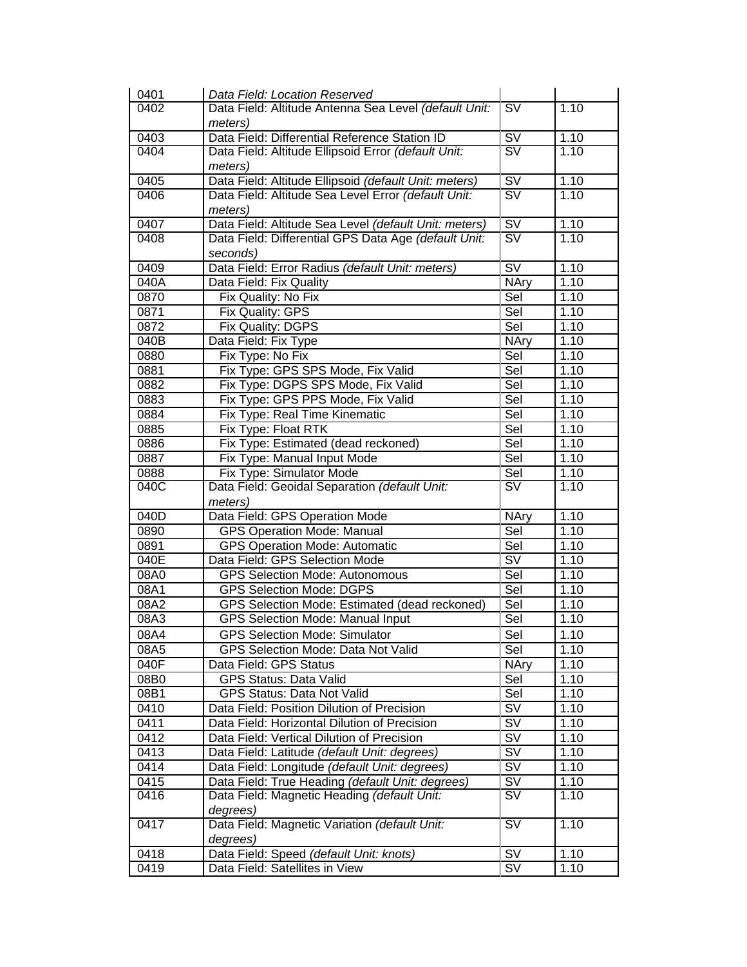| 0401 | Data Field: Location Reserved                           |                                   |      |
|------|---------------------------------------------------------|-----------------------------------|------|
| 0402 | Data Field: Altitude Antenna Sea Level (default Unit:   | $\overline{\mathsf{S}}\mathsf{V}$ | 1.10 |
|      | meters)                                                 |                                   |      |
| 0403 | Data Field: Differential Reference Station ID           | $\overline{\mathsf{SV}}$          | 1.10 |
| 0404 | Data Field: Altitude Ellipsoid Error (default Unit:     | $\overline{\mathsf{SV}}$          | 1.10 |
|      | meters)                                                 |                                   |      |
| 0405 | Data Field: Altitude Ellipsoid (default Unit: meters)   | SV                                | 1.10 |
| 0406 | Data Field: Altitude Sea Level Error (default Unit:     | $\overline{\mathsf{S}}\mathsf{V}$ | 1.10 |
|      | meters)                                                 |                                   |      |
| 0407 | Data Field: Altitude Sea Level (default Unit: meters)   | $\overline{\mathsf{SV}}$          | 1.10 |
| 0408 | Data Field: Differential GPS Data Age (default Unit:    | $\overline{\mathsf{SV}}$          | 1.10 |
|      | seconds)                                                |                                   |      |
| 0409 | Data Field: Error Radius (default Unit: meters)         | $\overline{\mathsf{S}}\mathsf{V}$ | 1.10 |
| 040A | Data Field: Fix Quality                                 | <b>NAry</b>                       | 1.10 |
| 0870 | Fix Quality: No Fix                                     | Sel                               | 1.10 |
| 0871 | Fix Quality: GPS                                        | Sel                               | 1.10 |
| 0872 | <b>Fix Quality: DGPS</b>                                | Sel                               | 1.10 |
| 040B | Data Field: Fix Type                                    | <b>NAry</b>                       | 1.10 |
| 0880 | Fix Type: No Fix                                        | Sel                               | 1.10 |
| 0881 | Fix Type: GPS SPS Mode, Fix Valid                       | $\overline{\mathsf{Sel}}$         | 1.10 |
| 0882 | Fix Type: DGPS SPS Mode, Fix Valid                      | $\overline{\mathsf{Sel}}$         | 1.10 |
| 0883 | Fix Type: GPS PPS Mode, Fix Valid                       | $\overline{\mathsf{Sel}}$         | 1.10 |
| 0884 | Fix Type: Real Time Kinematic                           | Sel                               | 1.10 |
| 0885 | Fix Type: Float RTK                                     | Sel                               | 1.10 |
| 0886 | Fix Type: Estimated (dead reckoned)                     | Sel                               | 1.10 |
| 0887 | Fix Type: Manual Input Mode                             | Sel                               | 1.10 |
| 0888 | Fix Type: Simulator Mode                                | Sel                               | 1.10 |
| 040C | Data Field: Geoidal Separation (default Unit:           | $\overline{\mathsf{SV}}$          | 1.10 |
|      | meters)                                                 |                                   |      |
| 040D | Data Field: GPS Operation Mode                          | <b>NAry</b>                       | 1.10 |
| 0890 | <b>GPS Operation Mode: Manual</b>                       | Sel                               | 1.10 |
| 0891 | <b>GPS Operation Mode: Automatic</b>                    | Sel                               | 1.10 |
| 040E | Data Field: GPS Selection Mode                          | $\overline{\mathsf{SV}}$          | 1.10 |
| 08A0 | <b>GPS Selection Mode: Autonomous</b>                   | Sel                               | 1.10 |
| 08A1 | <b>GPS Selection Mode: DGPS</b>                         | Sel<br>Sel                        | 1.10 |
| 08A2 | GPS Selection Mode: Estimated (dead reckoned)           |                                   | 1.10 |
| 08A3 | <b>GPS Selection Mode: Manual Input</b>                 | Sel                               | 1.10 |
| 08A4 | <b>GPS Selection Mode: Simulator</b>                    | Sel                               | 1.10 |
| 08A5 | GPS Selection Mode: Data Not Valid                      | Sel                               | 1.10 |
| 040F | Data Field: GPS Status                                  | <b>NAry</b>                       | 1.10 |
| 08B0 | <b>GPS Status: Data Valid</b>                           | Sel                               | 1.10 |
| 08B1 | GPS Status: Data Not Valid                              | Sel                               | 1.10 |
| 0410 | Data Field: Position Dilution of Precision              | SV                                | 1.10 |
| 0411 | Data Field: Horizontal Dilution of Precision            | $\overline{\mathsf{SV}}$          | 1.10 |
| 0412 | Data Field: Vertical Dilution of Precision              | $\overline{\mathsf{SV}}$          | 1.10 |
| 0413 | Data Field: Latitude (default Unit: degrees)            | $\overline{\mathsf{SV}}$          | 1.10 |
| 0414 | Data Field: Longitude (default Unit: degrees)           | $\overline{\mathsf{SV}}$          | 1.10 |
| 0415 | Data Field: True Heading (default Unit: degrees)        | <b>SV</b>                         | 1.10 |
| 0416 | Data Field: Magnetic Heading (default Unit:<br>degrees) | $\overline{\mathsf{S}\mathsf{V}}$ | 1.10 |
| 0417 | Data Field: Magnetic Variation (default Unit:           | $\overline{\mathsf{S}\mathsf{V}}$ | 1.10 |
|      | degrees)                                                |                                   |      |
|      |                                                         |                                   |      |
| 0418 | Data Field: Speed (default Unit: knots)                 | $\overline{\mathsf{S}\mathsf{V}}$ | 1.10 |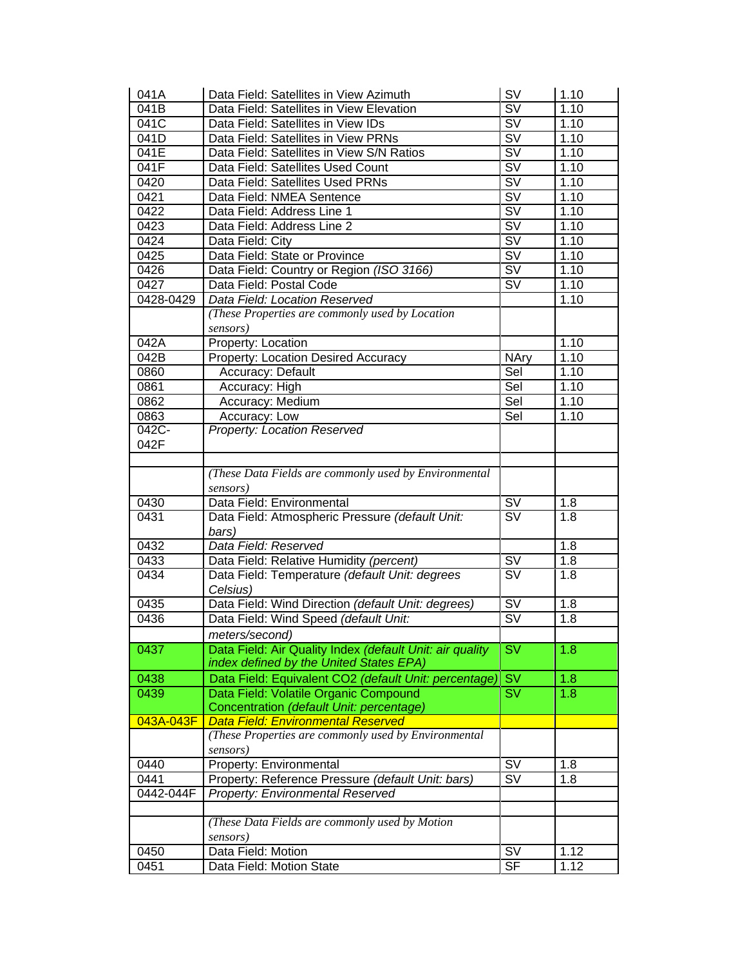| 041A      | Data Field: Satellites in View Azimuth                   | SV                                | 1.10             |
|-----------|----------------------------------------------------------|-----------------------------------|------------------|
| 041B      | Data Field: Satellites in View Elevation                 | $\overline{\mathsf{SV}}$          | 1.10             |
| 041C      | Data Field: Satellites in View IDs                       | SV                                | 1.10             |
| 041D      | Data Field: Satellites in View PRNs                      | SV                                | 1.10             |
| 041E      | Data Field: Satellites in View S/N Ratios                | $\overline{\mathsf{SV}}$          | 1.10             |
| 041F      | Data Field: Satellites Used Count                        | $\overline{\mathsf{SV}}$          | 1.10             |
| 0420      | Data Field: Satellites Used PRNs                         | $\overline{\mathsf{SV}}$          | 1.10             |
| 0421      | Data Field: NMEA Sentence                                | $\overline{\mathsf{SV}}$          | 1.10             |
| 0422      | Data Field: Address Line 1                               | $\overline{\mathsf{SV}}$          | 1.10             |
| 0423      | Data Field: Address Line 2                               | $\overline{\mathsf{SV}}$          | 1.10             |
| 0424      | Data Field: City                                         | $\overline{\mathsf{SV}}$          | 1.10             |
| 0425      | Data Field: State or Province                            | SV                                | 1.10             |
| 0426      | Data Field: Country or Region (ISO 3166)                 | SV                                | 1.10             |
| 0427      | Data Field: Postal Code                                  | SV                                | 1.10             |
| 0428-0429 | Data Field: Location Reserved                            |                                   | 1.10             |
|           | (These Properties are commonly used by Location          |                                   |                  |
|           | sensors)                                                 |                                   |                  |
| 042A      | Property: Location                                       |                                   | 1.10             |
| 042B      | Property: Location Desired Accuracy                      | <b>NAry</b>                       | 1.10             |
| 0860      | Accuracy: Default                                        | Sel                               | 1.10             |
| 0861      | Accuracy: High                                           | Sel                               | 1.10             |
| 0862      | Accuracy: Medium                                         | Sel                               | 1.10             |
| 0863      | Accuracy: Low                                            | Sel                               | 1.10             |
| 042C-     | <b>Property: Location Reserved</b>                       |                                   |                  |
| 042F      |                                                          |                                   |                  |
|           |                                                          |                                   |                  |
|           | (These Data Fields are commonly used by Environmental    |                                   |                  |
|           | sensors)                                                 |                                   |                  |
| 0430      | Data Field: Environmental                                | $\overline{\mathsf{S}\mathsf{V}}$ | 1.8              |
| 0431      | Data Field: Atmospheric Pressure (default Unit:          | $\overline{\mathsf{SV}}$          | 1.8              |
|           | bars)                                                    |                                   |                  |
| 0432      | Data Field: Reserved                                     |                                   | $\overline{1.8}$ |
| 0433      | Data Field: Relative Humidity (percent)                  | $\overline{\mathsf{SV}}$          | 1.8              |
| 0434      | Data Field: Temperature (default Unit: degrees           | SV                                | 1.8              |
|           | Celsius)                                                 |                                   |                  |
| 0435      | Data Field: Wind Direction (default Unit: degrees)       | $\overline{\mathsf{SV}}$          | 1.8              |
| 0436      | Data Field: Wind Speed (default Unit:                    | $\overline{\mathsf{SV}}$          | 1.8              |
|           | meters/second)                                           |                                   |                  |
| 0437      | Data Field: Air Quality Index (default Unit: air quality | <b>SV</b>                         | 1.8              |
|           | index defined by the United States EPA)                  |                                   |                  |
| 0438      | Data Field: Equivalent CO2 (default Unit: percentage)    | <b>SV</b>                         | 1.8              |
| 0439      | Data Field: Volatile Organic Compound                    | $\overline{\mathsf{SV}}$          | $\overline{1.8}$ |
|           | Concentration (default Unit: percentage)                 |                                   |                  |
| 043A-043F | Data Field: Environmental Reserved                       |                                   |                  |
|           | (These Properties are commonly used by Environmental     |                                   |                  |
|           | sensors)                                                 |                                   |                  |
| 0440      | Property: Environmental                                  | $\overline{\text{SV}}$            | 1.8              |
| 0441      | Property: Reference Pressure (default Unit: bars)        | $\overline{\text{SV}}$            | 1.8              |
| 0442-044F | <b>Property: Environmental Reserved</b>                  |                                   |                  |
|           |                                                          |                                   |                  |
|           | (These Data Fields are commonly used by Motion           |                                   |                  |
|           | sensors)                                                 |                                   |                  |
| 0450      | Data Field: Motion                                       | $\overline{\mathsf{SV}}$          | 1.12             |
| 0451      | Data Field: Motion State                                 | <b>SF</b>                         | 1.12             |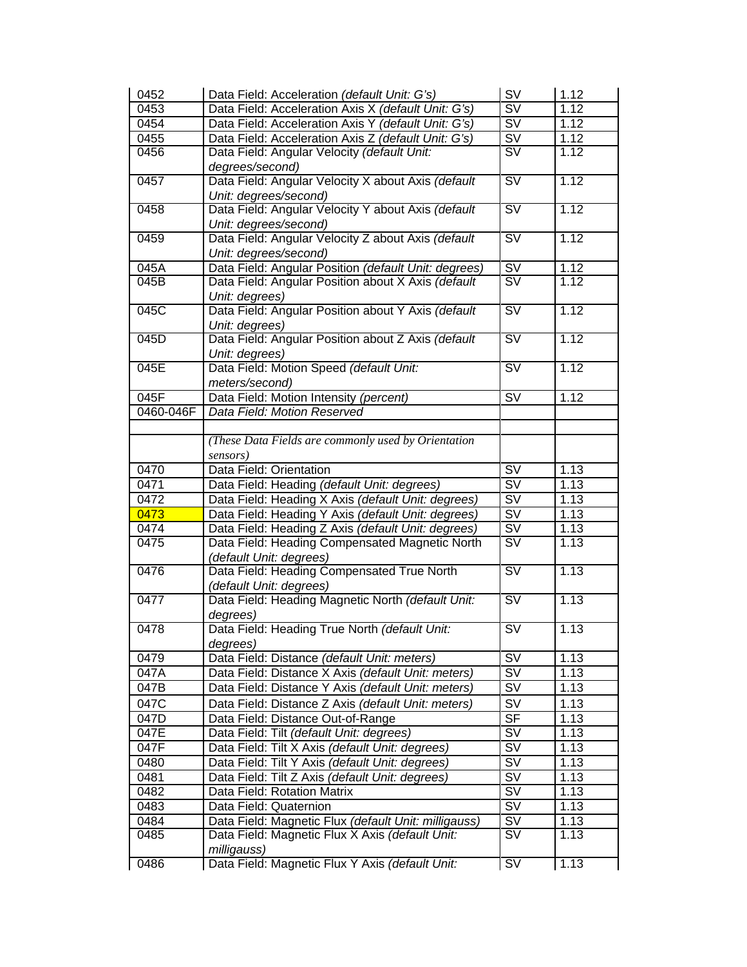| 0452      | Data Field: Acceleration (default Unit: G's)         | SV                                 | 1.12 |
|-----------|------------------------------------------------------|------------------------------------|------|
| 0453      | Data Field: Acceleration Axis X (default Unit: G's)  | $\overline{\mathsf{SV}}$           | 1.12 |
| 0454      | Data Field: Acceleration Axis Y (default Unit: G's)  | SV                                 | 1.12 |
| 0455      | Data Field: Acceleration Axis Z (default Unit: G's)  | SV                                 | 1.12 |
| 0456      | Data Field: Angular Velocity (default Unit:          | SV                                 | 1.12 |
|           | degrees/second)                                      |                                    |      |
| 0457      | Data Field: Angular Velocity X about Axis (default   | SV                                 | 1.12 |
|           | Unit: degrees/second)                                |                                    |      |
| 0458      | Data Field: Angular Velocity Y about Axis (default   | $S_{\rm V}$                        | 1.12 |
|           | Unit: degrees/second)                                |                                    |      |
| 0459      | Data Field: Angular Velocity Z about Axis (default   | $\overline{\mathsf{SV}}$           | 1.12 |
|           | Unit: degrees/second)                                |                                    |      |
| 045A      | Data Field: Angular Position (default Unit: degrees) | $\overline{\mathsf{S}\mathsf{V}}$  | 1.12 |
| 045B      | Data Field: Angular Position about X Axis (default   | $\overline{\mathsf{sv}}$           | 1.12 |
|           | Unit: degrees)                                       |                                    |      |
| 045C      | Data Field: Angular Position about Y Axis (default   | $\overline{\mathsf{sv}}$           | 1.12 |
|           | Unit: degrees)                                       |                                    |      |
| 045D      | Data Field: Angular Position about Z Axis (default   | SV                                 | 1.12 |
|           | Unit: degrees)                                       |                                    |      |
| 045E      | Data Field: Motion Speed (default Unit:              | SV                                 | 1.12 |
|           | meters/second)                                       |                                    |      |
| 045F      | Data Field: Motion Intensity (percent)               | $\overline{\mathsf{sv}}$           | 1.12 |
| 0460-046F | Data Field: Motion Reserved                          |                                    |      |
|           |                                                      |                                    |      |
|           | (These Data Fields are commonly used by Orientation  |                                    |      |
|           | sensors)                                             |                                    |      |
| 0470      | Data Field: Orientation                              | $\overline{\mathsf{SV}}$           | 1.13 |
| 0471      | Data Field: Heading (default Unit: degrees)          | $\overline{\mathsf{SV}}$           | 1.13 |
| 0472      | Data Field: Heading X Axis (default Unit: degrees)   | $\overline{\mathsf{SV}}$           | 1.13 |
| 0473      | Data Field: Heading Y Axis (default Unit: degrees)   | $\overline{\mathsf{SV}}$           | 1.13 |
| 0474      | Data Field: Heading Z Axis (default Unit: degrees)   | $\overline{\mathsf{SV}}$           | 1.13 |
| 0475      | Data Field: Heading Compensated Magnetic North       | $\overline{\mathsf{S} \mathsf{V}}$ | 1.13 |
|           | (default Unit: degrees)                              |                                    |      |
| 0476      | Data Field: Heading Compensated True North           | $\overline{\mathsf{S}\mathsf{V}}$  | 1.13 |
|           | (default Unit: degrees)                              |                                    |      |
| 0477      | Data Field: Heading Magnetic North (default Unit:    | $\overline{\mathsf{SV}}$           | 1.13 |
|           | degrees)                                             |                                    |      |
| 0478      | Data Field: Heading True North (default Unit:        | SV                                 | 1.13 |
|           | degrees)                                             |                                    |      |
| 0479      | Data Field: Distance (default Unit: meters)          | $\overline{\text{SV}}$             | 1.13 |
| 047A      | Data Field: Distance X Axis (default Unit: meters)   | $\overline{\mathsf{S} \mathsf{V}}$ | 1.13 |
| 047B      | Data Field: Distance Y Axis (default Unit: meters)   | <b>SV</b>                          | 1.13 |
| 047C      | Data Field: Distance Z Axis (default Unit: meters)   | SV                                 | 1.13 |
| 047D      | Data Field: Distance Out-of-Range                    | <b>SF</b>                          | 1.13 |
| 047E      | Data Field: Tilt (default Unit: degrees)             | SV                                 | 1.13 |
| 047F      | Data Field: Tilt X Axis (default Unit: degrees)      | SV                                 | 1.13 |
| 0480      | Data Field: Tilt Y Axis (default Unit: degrees)      | <b>SV</b>                          | 1.13 |
| 0481      | Data Field: Tilt Z Axis (default Unit: degrees)      | <b>SV</b>                          | 1.13 |
| 0482      | Data Field: Rotation Matrix                          | SV                                 | 1.13 |
| 0483      | Data Field: Quaternion                               | SV                                 | 1.13 |
| 0484      | Data Field: Magnetic Flux (default Unit: milligauss) | <b>SV</b>                          | 1.13 |
| 0485      | Data Field: Magnetic Flux X Axis (default Unit:      | <b>SV</b>                          | 1.13 |
|           | milligauss)                                          |                                    |      |
| 0486      | Data Field: Magnetic Flux Y Axis (default Unit:      | SV                                 | 1.13 |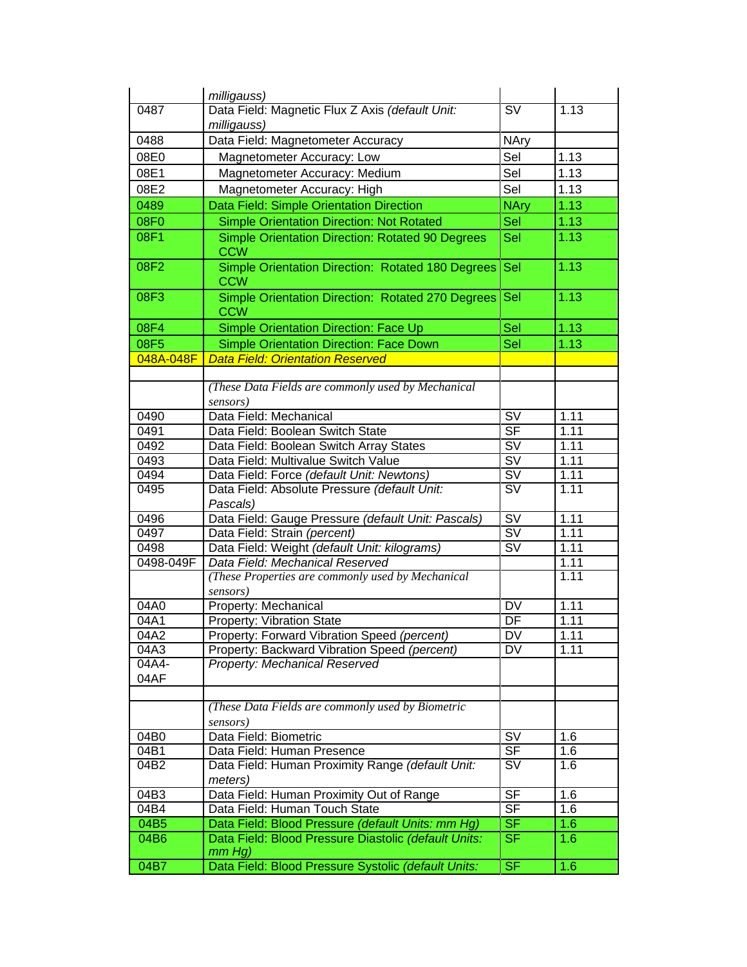|           | milligauss)                                                           |                                   |      |
|-----------|-----------------------------------------------------------------------|-----------------------------------|------|
| 0487      | Data Field: Magnetic Flux Z Axis (default Unit:                       |                                   | 1.13 |
|           | milligauss)                                                           |                                   |      |
| 0488      | Data Field: Magnetometer Accuracy                                     | NAry                              |      |
| 08E0      | Magnetometer Accuracy: Low                                            | Sel                               | 1.13 |
| 08E1      | Magnetometer Accuracy: Medium                                         | Sel                               | 1.13 |
| 08E2      |                                                                       | Sel                               |      |
|           | Magnetometer Accuracy: High                                           |                                   | 1.13 |
| 0489      | Data Field: Simple Orientation Direction                              | <b>NAry</b>                       | 1.13 |
| 08F0      | <b>Simple Orientation Direction: Not Rotated</b>                      | Sel                               | 1.13 |
| 08F1      | <b>Simple Orientation Direction: Rotated 90 Degrees</b><br><b>CCW</b> | Sel                               | 1.13 |
| 08F2      | Simple Orientation Direction: Rotated 180 Degrees Sel<br><b>CCW</b>   |                                   | 1.13 |
| 08F3      | Simple Orientation Direction: Rotated 270 Degrees Sel<br><b>CCW</b>   |                                   | 1.13 |
| 08F4      | <b>Simple Orientation Direction: Face Up</b>                          | Sel                               | 1.13 |
| 08F5      | <b>Simple Orientation Direction: Face Down</b>                        | Sel                               | 1.13 |
| 048A-048F | <b>Data Field: Orientation Reserved</b>                               |                                   |      |
|           |                                                                       |                                   |      |
|           | (These Data Fields are commonly used by Mechanical                    |                                   |      |
|           | sensors)                                                              |                                   |      |
| 0490      | Data Field: Mechanical                                                | $\overline{\text{SV}}$            | 1.11 |
| 0491      | Data Field: Boolean Switch State                                      | $S$ F                             | 1.11 |
| 0492      | Data Field: Boolean Switch Array States                               | $\overline{\mathsf{S}\mathsf{V}}$ | 1.11 |
| 0493      | Data Field: Multivalue Switch Value                                   | $\overline{\mathsf{S}\mathsf{V}}$ | 1.11 |
| 0494      | Data Field: Force (default Unit: Newtons)                             | $\overline{\mathsf{S}\mathsf{V}}$ | 1.11 |
| 0495      | Data Field: Absolute Pressure (default Unit:<br>Pascals)              | SV                                | 1.11 |
| 0496      | Data Field: Gauge Pressure (default Unit: Pascals)                    | $\overline{\mathsf{S}\mathsf{V}}$ | 1.11 |
| 0497      | Data Field: Strain (percent)                                          | $\overline{\mathsf{SV}}$          | 1.11 |
| 0498      | Data Field: Weight (default Unit: kilograms)                          | $\overline{\mathsf{SV}}$          | 1.11 |
| 0498-049F | Data Field: Mechanical Reserved                                       |                                   | 1.11 |
|           | (These Properties are commonly used by Mechanical<br>sensors)         |                                   | 1.11 |
| 04A0      | Property: Mechanical                                                  | DV                                | 1.11 |
| 04A1      | <b>Property: Vibration State</b>                                      | <b>DF</b>                         | 1.11 |
| 04A2      | Property: Forward Vibration Speed (percent)                           | $\overline{\mathsf{D}\mathsf{V}}$ | 1.11 |
| 04A3      | Property: Backward Vibration Speed (percent)                          | DV                                | 1.11 |
| 04A4-     | <b>Property: Mechanical Reserved</b>                                  |                                   |      |
| 04AF      |                                                                       |                                   |      |
|           |                                                                       |                                   |      |
|           | (These Data Fields are commonly used by Biometric                     |                                   |      |
|           | sensors)                                                              |                                   |      |
| 04B0      | Data Field: Biometric                                                 | $\overline{\mathsf{SV}}$          | 1.6  |
| 04B1      | Data Field: Human Presence                                            | SF                                | 1.6  |
| 04B2      | Data Field: Human Proximity Range (default Unit:<br>meters)           | SV                                | 1.6  |
| 04B3      | Data Field: Human Proximity Out of Range                              | <b>SF</b>                         | 1.6  |
| 04B4      | Data Field: Human Touch State                                         | SF                                | 1.6  |
| 04B5      | Data Field: Blood Pressure (default Units: mm Hg)                     | SF                                | 1.6  |
| 04B6      | Data Field: Blood Pressure Diastolic (default Units:<br>mm Hg)        | <b>SF</b>                         | 1.6  |
| 04B7      | Data Field: Blood Pressure Systolic (default Units:                   | SF                                | 1.6  |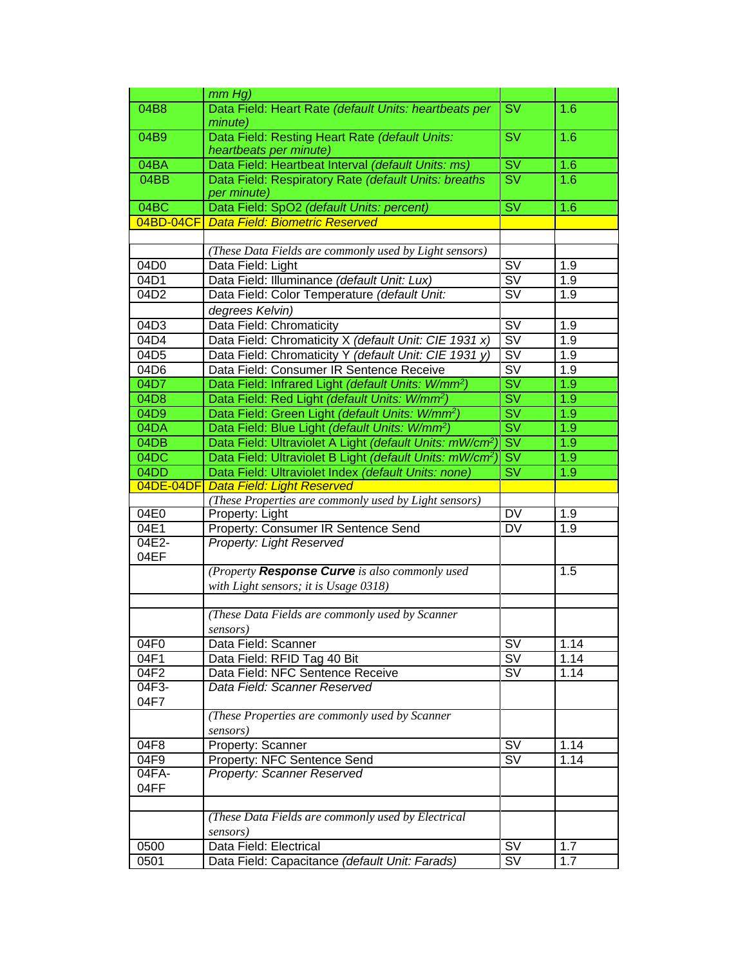|                   | mm Hg)                                                                   |                                    |      |
|-------------------|--------------------------------------------------------------------------|------------------------------------|------|
| 04B8              | Data Field: Heart Rate (default Units: heartbeats per<br>minute)         | $\overline{\mathsf{SV}}$           | 1.6  |
| 04B9              | Data Field: Resting Heart Rate (default Units:<br>heartbeats per minute) |                                    | 1.6  |
| 04BA              | Data Field: Heartbeat Interval (default Units: ms)                       | $\overline{\mathsf{SV}}$           | 1.6  |
| 04BB              | Data Field: Respiratory Rate (default Units: breaths<br>per minute)      | $\overline{\mathsf{sv}}$           | 1.6  |
| 04BC              | Data Field: SpO2 (default Units: percent)                                | <b>SV</b>                          | 1.6  |
| 04BD-04CF         | <b>Data Field: Biometric Reserved</b>                                    |                                    |      |
|                   |                                                                          |                                    |      |
|                   | (These Data Fields are commonly used by Light sensors)                   |                                    |      |
| 04D0              | Data Field: Light                                                        | $\overline{\mathsf{S} \mathsf{V}}$ | 1.9  |
| $04\overline{D1}$ | Data Field: Illuminance (default Unit: Lux)                              | $\overline{\mathsf{S} \mathsf{V}}$ | 1.9  |
| 04D2              | Data Field: Color Temperature (default Unit:                             | $\overline{\mathsf{S}\mathsf{V}}$  | 1.9  |
|                   | degrees Kelvin)                                                          |                                    |      |
| 04D3              | Data Field: Chromaticity                                                 | $\overline{\mathsf{SV}}$           | 1.9  |
| 04D4              | Data Field: Chromaticity X (default Unit: CIE 1931 x)                    | $\overline{\text{SV}}$             | 1.9  |
| 04D <sub>5</sub>  | Data Field: Chromaticity Y (default Unit: CIE 1931 y)                    | SV                                 | 1.9  |
| 04D6              | Data Field: Consumer IR Sentence Receive                                 | $\overline{\mathsf{SV}}$           | 1.9  |
| 04D7              | Data Field: Infrared Light (default Units: W/mm <sup>2</sup> )           | $\overline{\mathsf{S}}\mathsf{V}$  | 1.9  |
| 04D8              | Data Field: Red Light (default Units: W/mm <sup>2</sup> )                | $\overline{\mathsf{S}}\mathsf{V}$  | 1.9  |
| 04D9              | Data Field: Green Light (default Units: W/mm <sup>2</sup> )              | $\overline{\mathsf{S}}\mathsf{V}$  | 1.9  |
| 04DA              | Data Field: Blue Light (default Units: W/mm <sup>2</sup> )               | $\overline{\mathsf{S}}\mathsf{V}$  | 1.9  |
| 04DB              | Data Field: Ultraviolet A Light (default Units: mW/cm <sup>2</sup> )     | $\overline{\mathsf{S}}\mathsf{V}$  | 1.9  |
| 04DC              | Data Field: Ultraviolet B Light (default Units: mW/cm <sup>2</sup> )     | $\overline{\mathsf{S}}\mathsf{V}$  | 1.9  |
| 04DD              | Data Field: Ultraviolet Index (default Units: none)                      | $\overline{\mathsf{S}}\mathsf{V}$  | 1.9  |
|                   | 04DE-04DF Data Field: Light Reserved                                     |                                    |      |
|                   | (These Properties are commonly used by Light sensors)                    |                                    |      |
| 04E0              | Property: Light                                                          | DV                                 | 1.9  |
| 04E1              | Property: Consumer IR Sentence Send                                      | DV                                 | 1.9  |
| 04E2-             | <b>Property: Light Reserved</b>                                          |                                    |      |
| 04EF              |                                                                          |                                    |      |
|                   | (Property Response Curve is also commonly used                           |                                    | 1.5  |
|                   | with Light sensors; it is Usage 0318)                                    |                                    |      |
|                   | (These Data Fields are commonly used by Scanner)                         |                                    |      |
|                   | sensors)                                                                 |                                    |      |
| 04F0              | Data Field: Scanner                                                      | SV                                 | 1.14 |
| 04F1              | Data Field: RFID Tag 40 Bit                                              | SV                                 | 1.14 |
| 04F2              | Data Field: NFC Sentence Receive                                         | SV                                 | 1.14 |
| 04F3-             | Data Field: Scanner Reserved                                             |                                    |      |
| 04F7              |                                                                          |                                    |      |
|                   | (These Properties are commonly used by Scanner                           |                                    |      |
|                   | sensors)                                                                 |                                    |      |
| 04F8              | Property: Scanner                                                        | SV                                 | 1.14 |
| 04F9              | Property: NFC Sentence Send                                              | <b>SV</b>                          | 1.14 |
| 04FA-             | <b>Property: Scanner Reserved</b>                                        |                                    |      |
| 04FF              |                                                                          |                                    |      |
|                   | (These Data Fields are commonly used by Electrical                       |                                    |      |
|                   | sensors)                                                                 |                                    |      |
| 0500              | Data Field: Electrical                                                   | $\overline{\mathsf{SV}}$           | 1.7  |
| 0501              | Data Field: Capacitance (default Unit: Farads)                           | $\overline{\mathsf{S}\mathsf{V}}$  | 1.7  |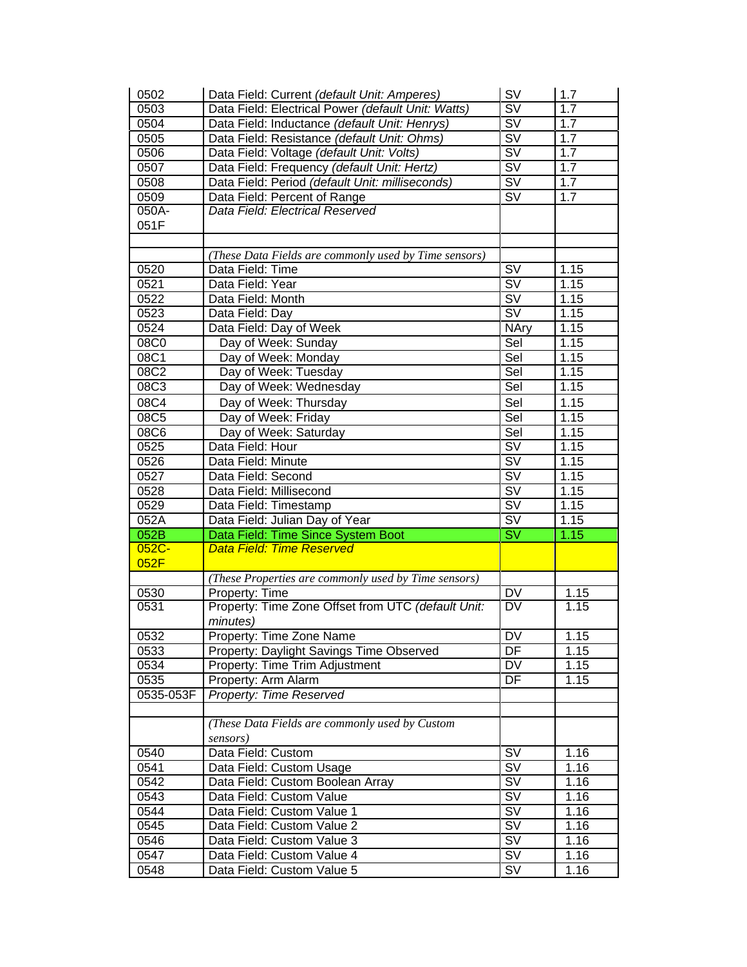| 0502      | Data Field: Current (default Unit: Amperes)            | SV                                | 1.7  |
|-----------|--------------------------------------------------------|-----------------------------------|------|
| 0503      | Data Field: Electrical Power (default Unit: Watts)     |                                   | 1.7  |
| 0504      | Data Field: Inductance (default Unit: Henrys)          | $\overline{\mathsf{SV}}$          | 1.7  |
| 0505      | Data Field: Resistance (default Unit: Ohms)            | $\overline{\mathsf{sv}}$          | 1.7  |
| 0506      | Data Field: Voltage (default Unit: Volts)              | $\overline{\mathsf{sv}}$          | 1.7  |
| 0507      | Data Field: Frequency (default Unit: Hertz)            | $\overline{\mathsf{sv}}$          | 1.7  |
| 0508      | Data Field: Period (default Unit: milliseconds)        | SV                                | 1.7  |
| 0509      | Data Field: Percent of Range                           | $\overline{\mathsf{S}\mathsf{V}}$ | 1.7  |
| 050A-     | Data Field: Electrical Reserved                        |                                   |      |
| 051F      |                                                        |                                   |      |
|           |                                                        |                                   |      |
|           | (These Data Fields are commonly used by Time sensors)  |                                   |      |
| 0520      | Data Field: Time                                       | $\overline{\mathsf{SV}}$          | 1.15 |
| 0521      | Data Field: Year                                       | $\overline{\mathsf{sv}}$          | 1.15 |
| 0522      | Data Field: Month                                      | $\overline{\mathsf{SV}}$          | 1.15 |
| 0523      | Data Field: Day                                        | $\overline{\mathsf{S}}\mathsf{V}$ | 1.15 |
| 0524      | Data Field: Day of Week                                | <b>NAry</b>                       | 1.15 |
| 08C0      | Day of Week: Sunday                                    | Sel                               | 1.15 |
| 08C1      | Day of Week: Monday                                    | Sel                               | 1.15 |
| 08C2      | Day of Week: Tuesday                                   | Sel                               | 1.15 |
| 08C3      | Day of Week: Wednesday                                 | Sel                               | 1.15 |
| 08C4      | Day of Week: Thursday                                  | Sel                               | 1.15 |
| 08C5      | Day of Week: Friday                                    | Sel                               | 1.15 |
| 08C6      | Day of Week: Saturday                                  | Sel                               | 1.15 |
| 0525      | Data Field: Hour                                       | $\overline{\mathsf{S}\mathsf{V}}$ | 1.15 |
| 0526      | Data Field: Minute                                     | $\overline{\mathsf{SV}}$          | 1.15 |
| 0527      | Data Field: Second                                     | $\overline{\mathsf{S}\mathsf{V}}$ | 1.15 |
| 0528      | Data Field: Millisecond                                | $\overline{\mathsf{S}\mathsf{V}}$ | 1.15 |
| 0529      | Data Field: Timestamp                                  | $\overline{\mathsf{S}\mathsf{V}}$ | 1.15 |
| 052A      | Data Field: Julian Day of Year                         | $\overline{\mathsf{S}\mathsf{V}}$ | 1.15 |
| 052B      | Data Field: Time Since System Boot                     | $\overline{\mathsf{SV}}$          | 1.15 |
| 052C-     | <b>Data Field: Time Reserved</b>                       |                                   |      |
| 052F      |                                                        |                                   |      |
|           | (These Properties are commonly used by Time sensors)   |                                   |      |
| 0530      | Property: Time                                         | $\overline{DV}$                   | 1.15 |
| 0531      | Property: Time Zone Offset from UTC (default Unit:     | DV                                | 1.15 |
|           | minutes)                                               |                                   |      |
| 0532      | Property: Time Zone Name                               | DV                                | 1.15 |
| 0533      | Property: Daylight Savings Time Observed               | DF                                | 1.15 |
| 0534      | Property: Time Trim Adjustment                         | DV                                | 1.15 |
| 0535      | Property: Arm Alarm                                    | DF                                | 1.15 |
| 0535-053F | Property: Time Reserved                                |                                   |      |
|           | (These Data Fields are commonly used by Custom         |                                   |      |
|           |                                                        |                                   |      |
| 0540      | sensors)<br>Data Field: Custom                         | $\overline{\mathsf{SV}}$          | 1.16 |
| 0541      | Data Field: Custom Usage                               | $\overline{\mathsf{SV}}$          | 1.16 |
| 0542      | Data Field: Custom Boolean Array                       | $\overline{\mathsf{SV}}$          | 1.16 |
| 0543      |                                                        | $\overline{\mathsf{SV}}$          | 1.16 |
| 0544      | Data Field: Custom Value<br>Data Field: Custom Value 1 | $\overline{\mathsf{SV}}$          | 1.16 |
| 0545      | Data Field: Custom Value 2                             | $\overline{\mathsf{SV}}$          | 1.16 |
| 0546      | Data Field: Custom Value 3                             | $\overline{\mathsf{SV}}$          | 1.16 |
| 0547      | Data Field: Custom Value 4                             | $\overline{\mathsf{S}\mathsf{V}}$ | 1.16 |
| 0548      | Data Field: Custom Value 5                             | $\overline{\text{SV}}$            | 1.16 |
|           |                                                        |                                   |      |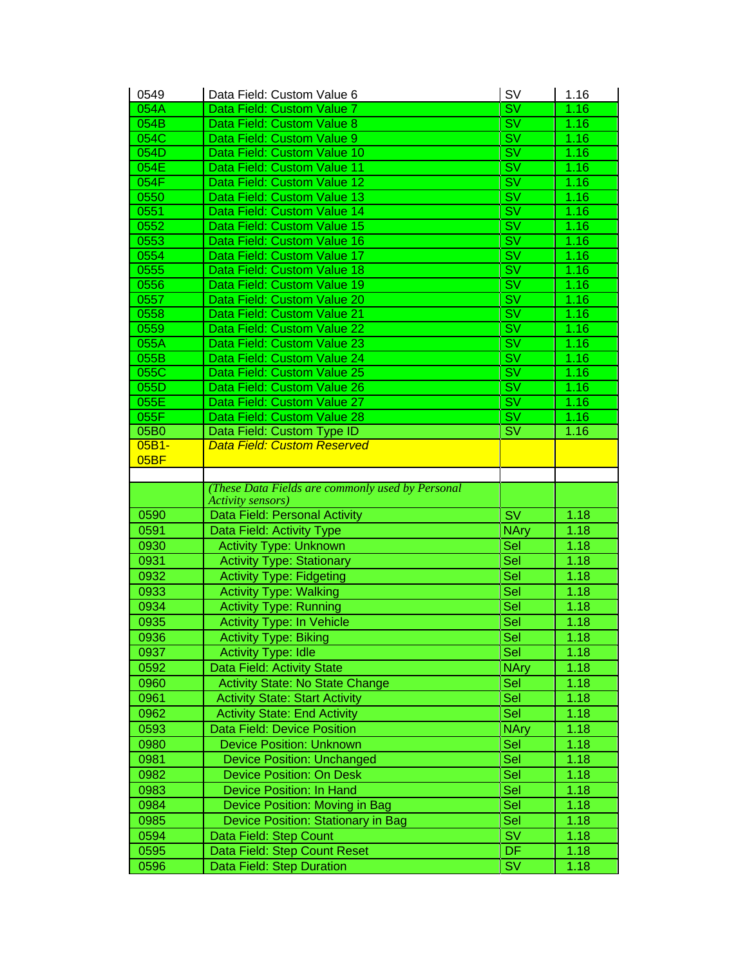| 0549         | Data Field: Custom Value 6                                | SV              | 1.16         |
|--------------|-----------------------------------------------------------|-----------------|--------------|
| 054A         | Data Field: Custom Value 7                                | <b>SV</b>       | 1.16         |
| 054B         | Data Field: Custom Value 8                                | <b>SV</b>       | 1.16         |
| 054C         | Data Field: Custom Value 9                                | <b>SV</b>       | 1.16         |
| 054D         | Data Field: Custom Value 10                               | <b>SV</b>       | 1.16         |
| 054E         | Data Field: Custom Value 11                               | <b>SV</b>       | 1.16         |
| 054F         | Data Field: Custom Value 12                               | <b>SV</b>       | 1.16         |
| 0550         | Data Field: Custom Value 13                               | <b>SV</b>       | 1.16         |
| 0551         | Data Field: Custom Value 14                               | <b>SV</b>       | 1.16         |
| 0552         | Data Field: Custom Value 15                               | <b>SV</b>       | 1.16         |
| 0553         | Data Field: Custom Value 16                               | <b>SV</b>       | 1.16         |
| 0554         | Data Field: Custom Value 17                               | <b>SV</b>       | 1.16         |
| 0555         | Data Field: Custom Value 18                               | <b>SV</b>       | 1.16         |
| 0556         | Data Field: Custom Value 19                               | <b>SV</b>       | 1.16         |
| 0557         | Data Field: Custom Value 20                               | <b>SV</b>       | 1.16         |
| 0558         | Data Field: Custom Value 21                               | <b>SV</b>       | 1.16         |
| 0559         | Data Field: Custom Value 22                               | <b>SV</b>       | 1.16         |
| 055A         | Data Field: Custom Value 23                               | <b>SV</b>       | 1.16         |
| 055B         | Data Field: Custom Value 24                               | <b>SV</b>       | 1.16         |
| 055C         | Data Field: Custom Value 25                               | <b>SV</b>       | 1.16         |
| 055D         | Data Field: Custom Value 26                               | <b>SV</b>       | 1.16         |
| 055E         | Data Field: Custom Value 27                               | <b>SV</b>       | 1.16         |
| 055F         | Data Field: Custom Value 28                               | <b>SV</b>       | 1.16         |
| 05B0         | Data Field: Custom Type ID                                | <b>SV</b>       | 1.16         |
| $05B1 -$     | <b>Data Field: Custom Reserved</b>                        |                 |              |
| 05BF         |                                                           |                 |              |
|              | (These Data Fields are commonly used by Personal          |                 |              |
|              | <b>Activity sensors</b> )                                 |                 |              |
| 0590         | Data Field: Personal Activity                             | <b>SV</b>       | 1.18         |
| 0591         | Data Field: Activity Type                                 | <b>NAry</b>     | 1.18         |
| 0930         | <b>Activity Type: Unknown</b>                             | Sel             | 1.18         |
| 0931         | <b>Activity Type: Stationary</b>                          | Sel             | 1.18         |
| 0932         | <b>Activity Type: Fidgeting</b>                           | Sel             | 1.18         |
| 0933         | <b>Activity Type: Walking</b>                             | Sel             | 1.18         |
| 0934         | <b>Activity Type: Running</b>                             | Sel             | 1.18         |
| 0935         | <b>Activity Type: In Vehicle</b>                          | Sel             | 1.18         |
| 0936         | <b>Activity Type: Biking</b>                              | Sel             | 1.18         |
| 0937         | <b>Activity Type: Idle</b>                                | Sel             | 1.18         |
| 0592         | Data Field: Activity State                                | <b>NAry</b>     | 1.18         |
| 0960         | <b>Activity State: No State Change</b>                    | Sel             | 1.18         |
| 0961         | <b>Activity State: Start Activity</b>                     | Sel             | 1.18         |
| 0962         | <b>Activity State: End Activity</b>                       | Sel             | 1.18         |
| 0593         |                                                           |                 |              |
|              | <b>Data Field: Device Position</b>                        | <b>NAry</b>     | 1.18         |
| 0980         | <b>Device Position: Unknown</b>                           | Sel             | 1.18         |
| 0981         | <b>Device Position: Unchanged</b>                         | Sel             | 1.18         |
| 0982         | <b>Device Position: On Desk</b>                           | Sel             | 1.18         |
| 0983         | <b>Device Position: In Hand</b>                           | Sel             | 1.18         |
| 0984         |                                                           |                 |              |
|              | Device Position: Moving in Bag                            | Sel             | 1.18         |
| 0985         | Device Position: Stationary in Bag                        | Sel             | 1.18         |
| 0594         | Data Field: Step Count                                    | <b>SV</b>       | 1.18         |
| 0595<br>0596 | Data Field: Step Count Reset<br>Data Field: Step Duration | DF<br><b>SV</b> | 1.18<br>1.18 |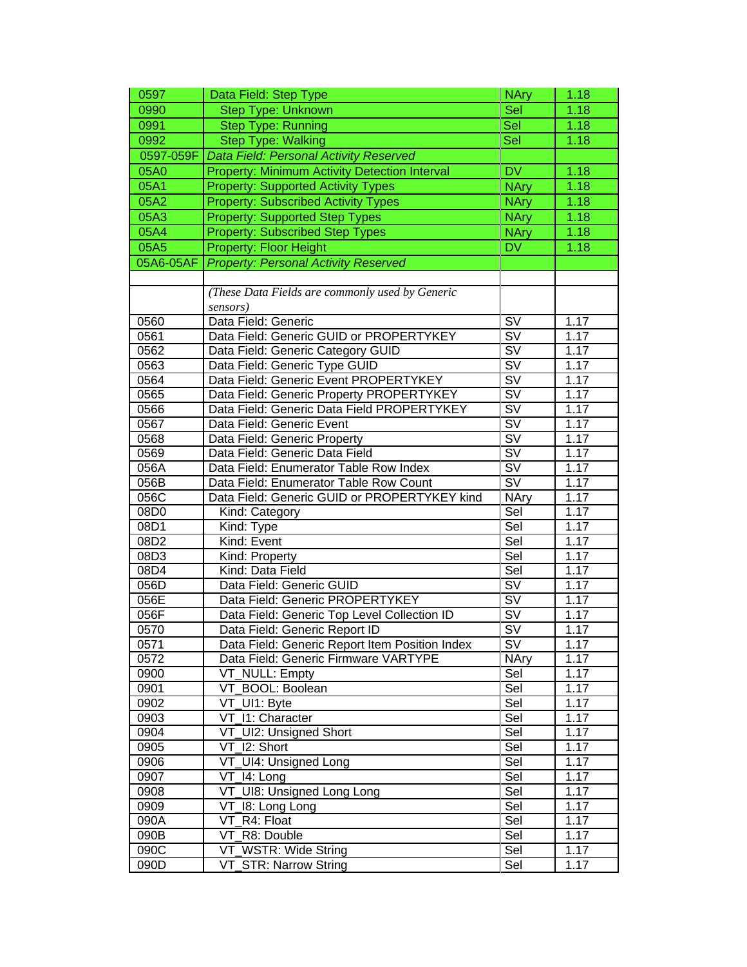| 0597      | Data Field: Step Type                           | <b>NAry</b>                       | 1.18 |
|-----------|-------------------------------------------------|-----------------------------------|------|
| 0990      | <b>Step Type: Unknown</b>                       | Sel                               | 1.18 |
| 0991      | <b>Step Type: Running</b>                       | Sel                               | 1.18 |
| 0992      | <b>Step Type: Walking</b>                       | Sel                               | 1.18 |
| 0597-059F | Data Field: Personal Activity Reserved          |                                   |      |
| 05A0      | Property: Minimum Activity Detection Interval   | <b>DV</b>                         | 1.18 |
| 05A1      | <b>Property: Supported Activity Types</b>       | <b>NAry</b>                       | 1.18 |
| 05A2      | <b>Property: Subscribed Activity Types</b>      | <b>NAry</b>                       | 1.18 |
| 05A3      | <b>Property: Supported Step Types</b>           | <b>NAry</b>                       | 1.18 |
| 05A4      | <b>Property: Subscribed Step Types</b>          | <b>NAry</b>                       | 1.18 |
| 05A5      | Property: Floor Height                          | $\overline{\mathsf{DV}}$          | 1.18 |
| 05A6-05AF | <b>Property: Personal Activity Reserved</b>     |                                   |      |
|           |                                                 |                                   |      |
|           | (These Data Fields are commonly used by Generic |                                   |      |
|           | sensors)                                        |                                   |      |
| 0560      | Data Field: Generic                             | SV                                | 1.17 |
| 0561      | Data Field: Generic GUID or PROPERTYKEY         | $\overline{\mathsf{S}\mathsf{V}}$ | 1.17 |
| 0562      | Data Field: Generic Category GUID               | $\overline{\mathsf{SV}}$          | 1.17 |
| 0563      | Data Field: Generic Type GUID                   | $\overline{\mathsf{S}\mathsf{V}}$ | 1.17 |
| 0564      | Data Field: Generic Event PROPERTYKEY           | $\overline{\mathsf{S}\mathsf{V}}$ | 1.17 |
| 0565      | Data Field: Generic Property PROPERTYKEY        | SV                                | 1.17 |
| 0566      | Data Field: Generic Data Field PROPERTYKEY      | $\overline{\mathsf{SV}}$          | 1.17 |
| 0567      | Data Field: Generic Event                       | SV                                | 1.17 |
| 0568      | Data Field: Generic Property                    | SV                                | 1.17 |
| 0569      | Data Field: Generic Data Field                  | $\overline{\mathsf{S}\mathsf{V}}$ | 1.17 |
| 056A      | Data Field: Enumerator Table Row Index          | $\overline{\mathsf{S}\mathsf{V}}$ | 1.17 |
| 056B      | Data Field: Enumerator Table Row Count          | $\overline{\mathsf{S}\mathsf{V}}$ | 1.17 |
| 056C      | Data Field: Generic GUID or PROPERTYKEY kind    | <b>NAry</b>                       | 1.17 |
| 08D0      | Kind: Category                                  | Sel                               | 1.17 |
| 08D1      | Kind: Type                                      | Sel                               | 1.17 |
| 08D2      | Kind: Event                                     | Sel                               | 1.17 |
| 08D3      | Kind: Property                                  | Sel                               | 1.17 |
| 08D4      | Kind: Data Field                                | Sel                               | 1.17 |
| 056D      | Data Field: Generic GUID                        | $\overline{\mathsf{S}\mathsf{V}}$ | 1.17 |
| 056E      | Data Field: Generic PROPERTYKEY                 | $\overline{\mathsf{SV}}$          | 1.17 |
| 056F      | Data Field: Generic Top Level Collection ID     | $\overline{\mathsf{SV}}$          | 1.17 |
| 0570      | Data Field: Generic Report ID                   | $\overline{\text{SV}}$            | 1.17 |
| 0571      | Data Field: Generic Report Item Position Index  | <b>SV</b>                         | 1.17 |
| 0572      | Data Field: Generic Firmware VARTYPE            | <b>NAry</b>                       | 1.17 |
| 0900      | VT_NULL: Empty                                  | Sel                               | 1.17 |
| 0901      | VT_BOOL: Boolean                                | Sel                               | 1.17 |
| 0902      | VT_UI1: Byte                                    | Sel                               | 1.17 |
| 0903      | VT 11: Character                                | Sel                               | 1.17 |
| 0904      | VT_UI2: Unsigned Short                          | Sel                               | 1.17 |
| 0905      | VT_I2: Short                                    | Sel                               | 1.17 |
| 0906      | VT_UI4: Unsigned Long                           | Sel                               | 1.17 |
| 0907      | VT_I4: Long                                     | Sel                               | 1.17 |
| 0908      | VT_UI8: Unsigned Long Long                      | Sel                               | 1.17 |
| 0909      | VT_I8: Long Long                                | Sel                               | 1.17 |
| 090A      | VT_R4: Float                                    | Sel                               | 1.17 |
| 090B      | VT_R8: Double                                   | Sel                               | 1.17 |
| 090C      | VT_WSTR: Wide String                            | Sel                               | 1.17 |
| 090D      | VT_STR: Narrow String                           | Sel                               | 1.17 |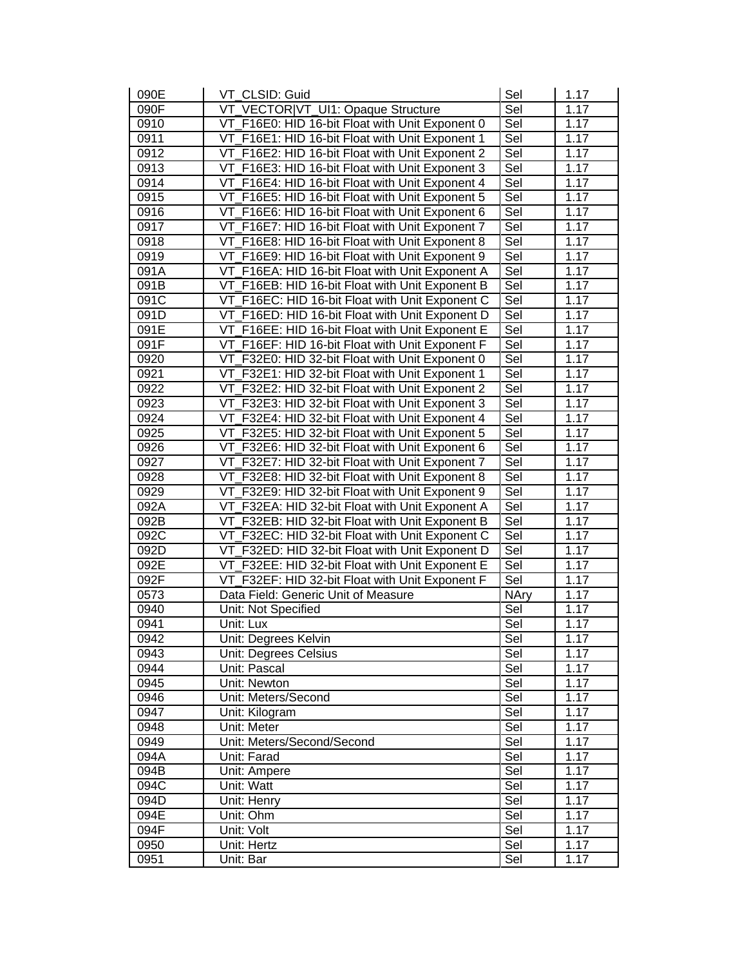| 090E         | VT_CLSID: Guid                                      | Sel                       | 1.17         |
|--------------|-----------------------------------------------------|---------------------------|--------------|
| 090F         | VT_VECTOR VT_UI1: Opaque Structure                  | Sel                       | 1.17         |
| 0910         | VT F16E0: HID 16-bit Float with Unit Exponent 0     | Sel                       | 1.17         |
| 0911         | VT_F16E1: HID 16-bit Float with Unit Exponent 1     | Sel                       | 1.17         |
| 0912         | VT_F16E2: HID 16-bit Float with Unit Exponent 2     | Sel                       | 1.17         |
| 0913         | VT_F16E3: HID 16-bit Float with Unit Exponent 3     | Sel                       | 1.17         |
| 0914         | VT_F16E4: HID 16-bit Float with Unit Exponent 4     | Sel                       | 1.17         |
| 0915         | VT_F16E5: HID 16-bit Float with Unit Exponent 5     | Sel                       | 1.17         |
| 0916         | VT_F16E6: HID 16-bit Float with Unit Exponent 6     | Sel                       | 1.17         |
| 0917         | VT_F16E7: HID 16-bit Float with Unit Exponent 7     | Sel                       | 1.17         |
| 0918         | VT_F16E8: HID 16-bit Float with Unit Exponent 8     | Sel                       | 1.17         |
| 0919         | VT_F16E9: HID 16-bit Float with Unit Exponent 9     | Sel                       | 1.17         |
| 091A         | VT_F16EA: HID 16-bit Float with Unit Exponent A     | Sel                       | 1.17         |
| 091B         | VT_F16EB: HID 16-bit Float with Unit Exponent B     | Sel                       | 1.17         |
| 091C         | VT_F16EC: HID 16-bit Float with Unit Exponent C     | Sel                       | 1.17         |
| 091D         | VT_F16ED: HID 16-bit Float with Unit Exponent D     | Sel                       | 1.17         |
| 091E         | VT_F16EE: HID 16-bit Float with Unit Exponent E     | Sel                       | 1.17         |
| 091F         | VT_F16EF: HID 16-bit Float with Unit Exponent F     | Sel                       | 1.17         |
| 0920         | VT_F32E0: HID 32-bit Float with Unit Exponent 0     | Sel                       | 1.17         |
| 0921         | VT_F32E1: HID 32-bit Float with Unit Exponent 1     | $\overline{\mathsf{Sel}}$ | 1.17         |
| 0922         | VT_F32E2: HID 32-bit Float with Unit Exponent 2     | $\overline{\mathsf{Sel}}$ | 1.17         |
| 0923         | VT_F32E3: HID 32-bit Float with Unit Exponent 3     | $\overline{\mathsf{Sel}}$ | 1.17         |
| 0924         | VT_F32E4: HID 32-bit Float with Unit Exponent 4     | Sel                       | 1.17         |
| 0925         | VT_F32E5: HID 32-bit Float with Unit Exponent 5     | Sel                       | 1.17         |
| 0926         | VT_F32E6: HID 32-bit Float with Unit Exponent 6     | Sel                       | 1.17         |
| 0927         | VT_F32E7: HID 32-bit Float with Unit Exponent 7     | Sel                       | 1.17         |
| 0928         | VT_F32E8: HID 32-bit Float with Unit Exponent 8     | $\overline{\mathsf{Sel}}$ | 1.17         |
| 0929         | VT_F32E9: HID 32-bit Float with Unit Exponent 9     | Sel                       | 1.17         |
| 092A         | VT_F32EA: HID 32-bit Float with Unit Exponent A     | Sel                       | 1.17         |
| 092B         | VT_F32EB: HID 32-bit Float with Unit Exponent B     | Sel                       | 1.17         |
| 092C         | VT_F32EC: HID 32-bit Float with Unit Exponent C     | Sel                       | 1.17         |
| 092D         | VT_F32ED: HID 32-bit Float with Unit Exponent D     | Sel                       | 1.17         |
| 092E         | VT_F32EE: HID 32-bit Float with Unit Exponent E     | Sel                       | 1.17         |
| 092F         | F32EF: HID 32-bit Float with Unit Exponent F<br>VT. | Sel                       | 1.17         |
| 0573         | Data Field: Generic Unit of Measure                 | <b>NAry</b>               | 1.17         |
| 0940         | Unit: Not Specified                                 | Sel                       | 1.17         |
| 0941         | Unit: Lux                                           | Sel                       | 1.17         |
| 0942         | Unit: Degrees Kelvin                                | Sel                       | 1.17         |
| 0943<br>0944 | Unit: Degrees Celsius                               | Sel                       | 1.17         |
|              | Unit: Pascal                                        | Sel<br>Sel                | 1.17<br>1.17 |
| 0945<br>0946 | Unit: Newton<br>Unit: Meters/Second                 | Sel                       | 1.17         |
| 0947         | Unit: Kilogram                                      | Sel                       | 1.17         |
| 0948         | Unit: Meter                                         | Sel                       | 1.17         |
| 0949         | Unit: Meters/Second/Second                          | Sel                       | 1.17         |
| 094A         | Unit: Farad                                         | Sel                       | 1.17         |
| 094B         | Unit: Ampere                                        | Sel                       | 1.17         |
| 094C         | Unit: Watt                                          | Sel                       | 1.17         |
| 094D         | Unit: Henry                                         | Sel                       | 1.17         |
| 094E         | Unit: Ohm                                           | Sel                       | 1.17         |
| 094F         | Unit: Volt                                          | Sel                       | 1.17         |
| 0950         | Unit: Hertz                                         | Sel                       | 1.17         |
| 0951         | Unit: Bar                                           | Sel                       | 1.17         |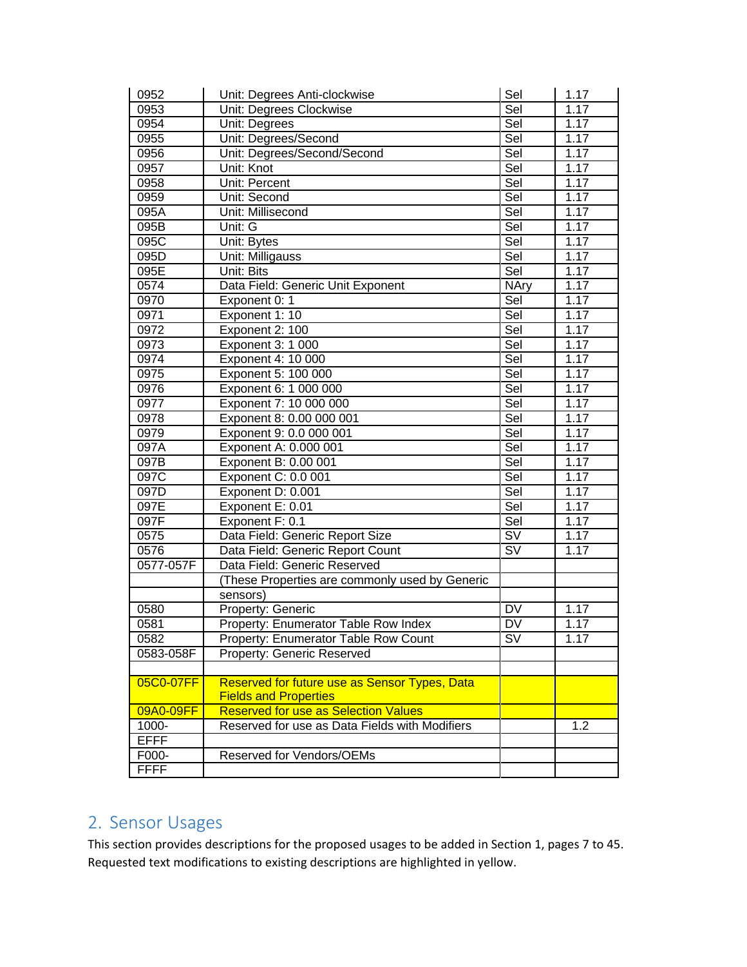| 0952        | Unit: Degrees Anti-clockwise                                                  | Sel                      | 1.17              |
|-------------|-------------------------------------------------------------------------------|--------------------------|-------------------|
| 0953        | Unit: Degrees Clockwise                                                       | Sel                      | 1.17              |
| 0954        | Unit: Degrees                                                                 | Sel                      | 1.17              |
| 0955        | Unit: Degrees/Second                                                          | Sel                      | 1.17              |
| 0956        | Unit: Degrees/Second/Second                                                   | Sel                      | 1.17              |
| 0957        | Unit: Knot                                                                    | Sel                      | 1.17              |
| 0958        | Unit: Percent                                                                 | Sel                      | 1.17              |
| 0959        | Unit: Second                                                                  | Sel                      | 1.17              |
| 095A        | Unit: Millisecond                                                             | Sel                      | 1.17              |
| 095B        | Unit: G                                                                       | Sel                      | 1.17              |
| 095C        | Unit: Bytes                                                                   | Sel                      | 1.17              |
| 095D        | Unit: Milligauss                                                              | Sel                      | 1.17              |
| 095E        | Unit: Bits                                                                    | Sel                      | 1.17              |
| 0574        | Data Field: Generic Unit Exponent                                             | <b>NAry</b>              | 1.17              |
| 0970        | Exponent 0: 1                                                                 | Sel                      | 1.17              |
| 0971        | Exponent 1: 10                                                                | Sel                      | 1.17              |
| 0972        | Exponent 2: 100                                                               | Sel                      | 1.17              |
| 0973        | Exponent 3: 1 000                                                             | Sel                      | 1.17              |
| 0974        | Exponent 4: 10 000                                                            | Sel                      | 1.17              |
| 0975        | Exponent 5: 100 000                                                           | Sel                      | $\overline{1.17}$ |
| 0976        | Exponent 6: 1 000 000                                                         | Sel                      | $\overline{1.17}$ |
| 0977        | Exponent 7: 10 000 000                                                        | Sel                      | $\overline{1}.17$ |
| 0978        | Exponent 8: 0.00 000 001                                                      | Sel                      | 1.17              |
| 0979        | Exponent 9: 0.0 000 001                                                       | Sel                      | $\overline{1.17}$ |
| 097A        | Exponent A: 0.000 001                                                         | Sel                      | 1.17              |
| 097B        | Exponent B: 0.00 001                                                          | Sel                      | 1.17              |
| 097C        | Exponent C: 0.0 001                                                           | Sel                      | 1.17              |
| 097D        | Exponent D: 0.001                                                             | Sel                      | $\overline{1.17}$ |
| 097E        | Exponent E: 0.01                                                              | Sel                      | $\overline{1}.17$ |
| 097F        | Exponent F: 0.1                                                               | Sel                      | 1.17              |
| 0575        | Data Field: Generic Report Size                                               | SV                       | 1.17              |
| 0576        | Data Field: Generic Report Count                                              | SV                       | 1.17              |
| 0577-057F   | Data Field: Generic Reserved                                                  |                          |                   |
|             | (These Properties are commonly used by Generic                                |                          |                   |
|             | sensors)                                                                      |                          |                   |
| 0580        | Property: Generic                                                             | $\overline{\mathsf{DV}}$ | 1.17              |
| 0581        | Property: Enumerator Table Row Index                                          | $\overline{\mathsf{DV}}$ | 1.17              |
| 0582        | Property: Enumerator Table Row Count                                          | <b>SV</b>                | 1.17              |
| 0583-058F   | Property: Generic Reserved                                                    |                          |                   |
|             |                                                                               |                          |                   |
| 05C0-07FF   | Reserved for future use as Sensor Types, Data<br><b>Fields and Properties</b> |                          |                   |
| 09A0-09FF   | <b>Reserved for use as Selection Values</b>                                   |                          |                   |
| 1000-       | Reserved for use as Data Fields with Modifiers                                |                          | 1.2               |
| <b>EFFF</b> |                                                                               |                          |                   |
| F000-       | Reserved for Vendors/OEMs                                                     |                          |                   |
| <b>FFFF</b> |                                                                               |                          |                   |
|             |                                                                               |                          |                   |

# 2. Sensor Usages

This section provides descriptions for the proposed usages to be added in Section 1, pages 7 to 45. Requested text modifications to existing descriptions are highlighted in yellow.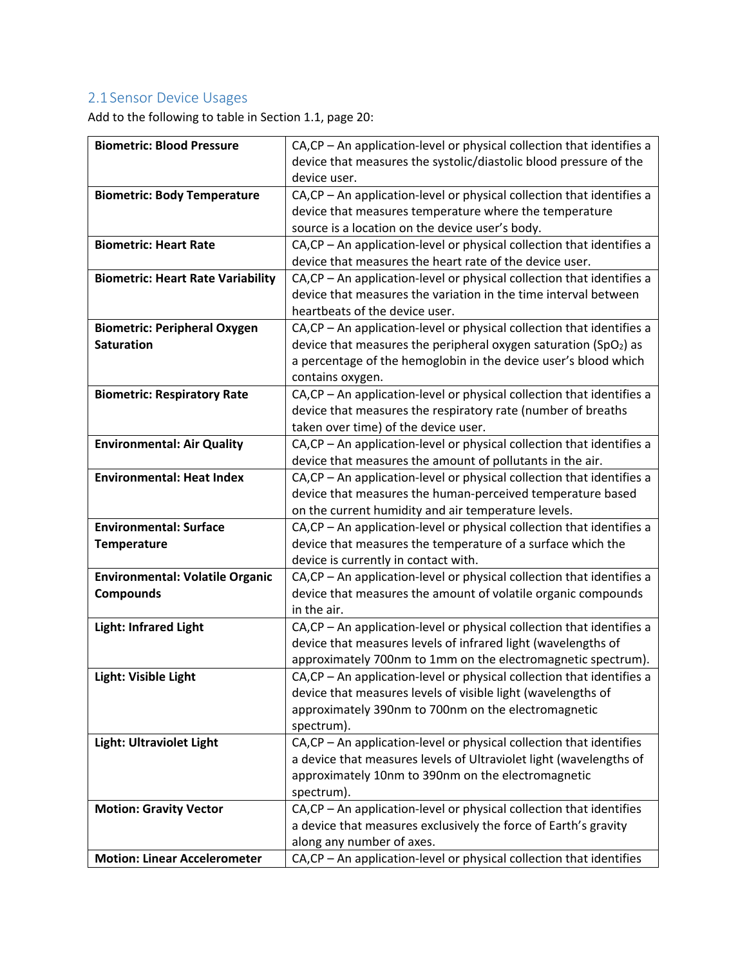### 2.1Sensor Device Usages

| <b>Biometric: Blood Pressure</b>         | CA, CP - An application-level or physical collection that identifies a       |
|------------------------------------------|------------------------------------------------------------------------------|
|                                          | device that measures the systolic/diastolic blood pressure of the            |
|                                          | device user.                                                                 |
| <b>Biometric: Body Temperature</b>       | CA, CP - An application-level or physical collection that identifies a       |
|                                          | device that measures temperature where the temperature                       |
|                                          | source is a location on the device user's body.                              |
| <b>Biometric: Heart Rate</b>             | CA, CP - An application-level or physical collection that identifies a       |
|                                          | device that measures the heart rate of the device user.                      |
| <b>Biometric: Heart Rate Variability</b> | CA, CP - An application-level or physical collection that identifies a       |
|                                          | device that measures the variation in the time interval between              |
|                                          | heartbeats of the device user.                                               |
| <b>Biometric: Peripheral Oxygen</b>      | CA, CP - An application-level or physical collection that identifies a       |
| <b>Saturation</b>                        | device that measures the peripheral oxygen saturation (SpO <sub>2</sub> ) as |
|                                          | a percentage of the hemoglobin in the device user's blood which              |
|                                          | contains oxygen.                                                             |
| <b>Biometric: Respiratory Rate</b>       | CA, CP - An application-level or physical collection that identifies a       |
|                                          | device that measures the respiratory rate (number of breaths                 |
|                                          | taken over time) of the device user.                                         |
| <b>Environmental: Air Quality</b>        | CA, CP - An application-level or physical collection that identifies a       |
|                                          | device that measures the amount of pollutants in the air.                    |
| <b>Environmental: Heat Index</b>         | CA, CP - An application-level or physical collection that identifies a       |
|                                          | device that measures the human-perceived temperature based                   |
|                                          | on the current humidity and air temperature levels.                          |
| <b>Environmental: Surface</b>            | CA, CP - An application-level or physical collection that identifies a       |
| <b>Temperature</b>                       | device that measures the temperature of a surface which the                  |
|                                          | device is currently in contact with.                                         |
| <b>Environmental: Volatile Organic</b>   | CA, CP - An application-level or physical collection that identifies a       |
| <b>Compounds</b>                         | device that measures the amount of volatile organic compounds                |
|                                          | in the air.                                                                  |
| <b>Light: Infrared Light</b>             | CA, CP - An application-level or physical collection that identifies a       |
|                                          | device that measures levels of infrared light (wavelengths of                |
|                                          | approximately 700nm to 1mm on the electromagnetic spectrum).                 |
| Light: Visible Light                     | CA, CP - An application-level or physical collection that identifies a       |
|                                          | device that measures levels of visible light (wavelengths of                 |
|                                          | approximately 390nm to 700nm on the electromagnetic                          |
|                                          | spectrum).                                                                   |
| <b>Light: Ultraviolet Light</b>          | CA, CP - An application-level or physical collection that identifies         |
|                                          | a device that measures levels of Ultraviolet light (wavelengths of           |
|                                          | approximately 10nm to 390nm on the electromagnetic                           |
|                                          | spectrum).                                                                   |
| <b>Motion: Gravity Vector</b>            | CA, CP - An application-level or physical collection that identifies         |
|                                          | a device that measures exclusively the force of Earth's gravity              |
|                                          | along any number of axes.                                                    |
| <b>Motion: Linear Accelerometer</b>      | CA, CP - An application-level or physical collection that identifies         |

Add to the following to table in Section 1.1, page 20: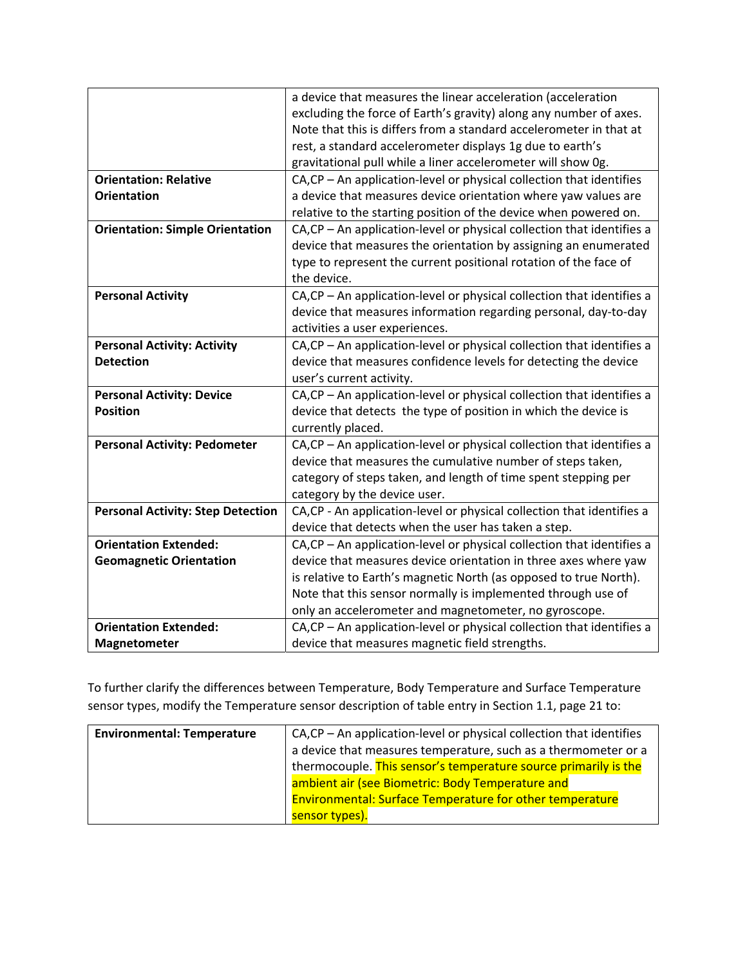|                                          | a device that measures the linear acceleration (acceleration           |
|------------------------------------------|------------------------------------------------------------------------|
|                                          | excluding the force of Earth's gravity) along any number of axes.      |
|                                          | Note that this is differs from a standard accelerometer in that at     |
|                                          | rest, a standard accelerometer displays 1g due to earth's              |
|                                          | gravitational pull while a liner accelerometer will show Og.           |
| <b>Orientation: Relative</b>             | CA, CP - An application-level or physical collection that identifies   |
| <b>Orientation</b>                       | a device that measures device orientation where yaw values are         |
|                                          | relative to the starting position of the device when powered on.       |
| <b>Orientation: Simple Orientation</b>   | CA, CP - An application-level or physical collection that identifies a |
|                                          | device that measures the orientation by assigning an enumerated        |
|                                          | type to represent the current positional rotation of the face of       |
|                                          | the device.                                                            |
| <b>Personal Activity</b>                 | CA, CP - An application-level or physical collection that identifies a |
|                                          | device that measures information regarding personal, day-to-day        |
|                                          | activities a user experiences.                                         |
| <b>Personal Activity: Activity</b>       | CA, CP - An application-level or physical collection that identifies a |
| <b>Detection</b>                         | device that measures confidence levels for detecting the device        |
|                                          | user's current activity.                                               |
| <b>Personal Activity: Device</b>         | CA, CP - An application-level or physical collection that identifies a |
| <b>Position</b>                          | device that detects the type of position in which the device is        |
|                                          | currently placed.                                                      |
| <b>Personal Activity: Pedometer</b>      | CA, CP - An application-level or physical collection that identifies a |
|                                          | device that measures the cumulative number of steps taken,             |
|                                          | category of steps taken, and length of time spent stepping per         |
|                                          | category by the device user.                                           |
| <b>Personal Activity: Step Detection</b> | CA, CP - An application-level or physical collection that identifies a |
|                                          | device that detects when the user has taken a step.                    |
| <b>Orientation Extended:</b>             | CA, CP - An application-level or physical collection that identifies a |
| <b>Geomagnetic Orientation</b>           | device that measures device orientation in three axes where yaw        |
|                                          | is relative to Earth's magnetic North (as opposed to true North).      |
|                                          | Note that this sensor normally is implemented through use of           |
|                                          | only an accelerometer and magnetometer, no gyroscope.                  |
| <b>Orientation Extended:</b>             | CA, CP - An application-level or physical collection that identifies a |
| <b>Magnetometer</b>                      | device that measures magnetic field strengths.                         |

To further clarify the differences between Temperature, Body Temperature and Surface Temperature sensor types, modify the Temperature sensor description of table entry in Section 1.1, page 21 to:

| <b>Environmental: Temperature</b> | CA, CP – An application-level or physical collection that identifies |  |
|-----------------------------------|----------------------------------------------------------------------|--|
|                                   | a device that measures temperature, such as a thermometer or a       |  |
|                                   | thermocouple. This sensor's temperature source primarily is the      |  |
|                                   | ambient air (see Biometric: Body Temperature and                     |  |
|                                   | <b>Environmental: Surface Temperature for other temperature</b>      |  |
|                                   | sensor types).                                                       |  |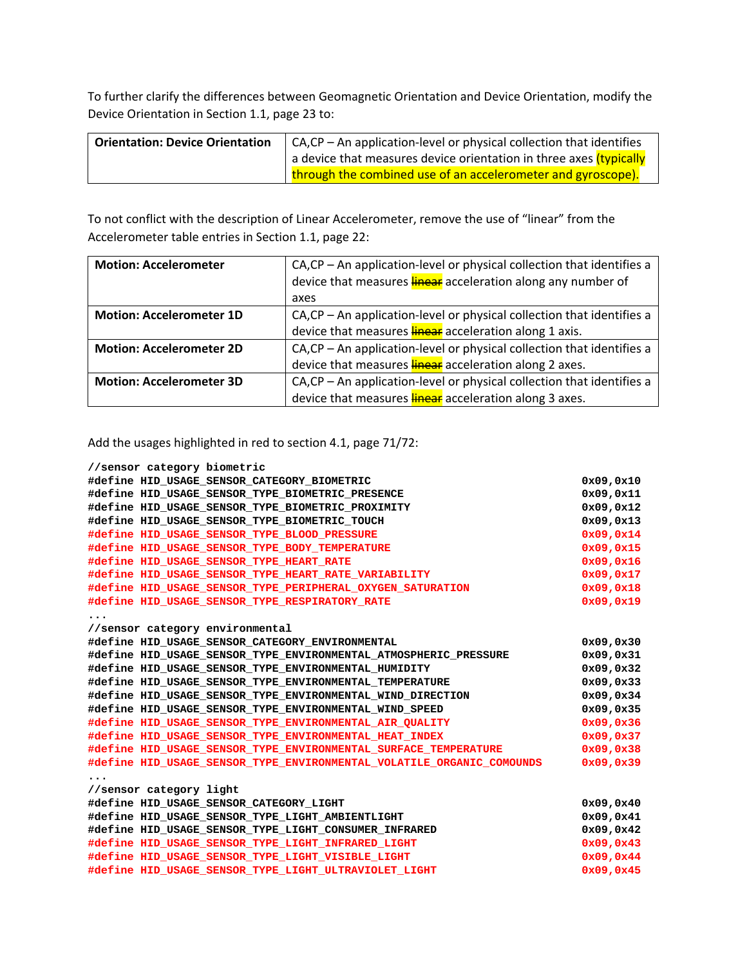To further clarify the differences between Geomagnetic Orientation and Device Orientation, modify the Device Orientation in Section 1.1, page 23 to:

| <b>Orientation: Device Orientation</b> | $CA, CP - An application-level or physical collection that identifies$    |
|----------------------------------------|---------------------------------------------------------------------------|
|                                        | a device that measures device orientation in three axes <i>(typically</i> |
|                                        | through the combined use of an accelerometer and gyroscope).              |

To not conflict with the description of Linear Accelerometer, remove the use of "linear" from the Accelerometer table entries in Section 1.1, page 22:

| <b>Motion: Accelerometer</b>    | CA, CP – An application-level or physical collection that identifies a |  |
|---------------------------------|------------------------------------------------------------------------|--|
|                                 | device that measures <i>linear</i> acceleration along any number of    |  |
|                                 | axes                                                                   |  |
| <b>Motion: Accelerometer 1D</b> | CA, CP - An application-level or physical collection that identifies a |  |
|                                 | device that measures linear acceleration along 1 axis.                 |  |
| <b>Motion: Accelerometer 2D</b> | CA, CP - An application-level or physical collection that identifies a |  |
|                                 | device that measures linear acceleration along 2 axes.                 |  |
| <b>Motion: Accelerometer 3D</b> | CA, CP - An application-level or physical collection that identifies a |  |
|                                 | device that measures linear acceleration along 3 axes.                 |  |

Add the usages highlighted in red to section 4.1, page 71/72:

```
//sensor category biometric
#define HID_USAGE_SENSOR_CATEGORY_BIOMETRIC 0x09,0x10 
#define HID_USAGE_SENSOR_TYPE_BIOMETRIC_PRESENCE 0x09,0x11 
#define HID_USAGE_SENSOR_TYPE_BIOMETRIC_PROXIMITY 0x09,0x12 
#define HID_USAGE_SENSOR_TYPE_BIOMETRIC_TOUCH 0x09,0x13
#define HID_USAGE_SENSOR_TYPE_BLOOD_PRESSURE 0x09,0x14
#define HID_USAGE_SENSOR_TYPE_BODY_TEMPERATURE 0x09,0x15
#define HID_USAGE_SENSOR_TYPE_HEART_RATE 0x09,0x16
#define HID_USAGE_SENSOR_TYPE_HEART_RATE_VARIABILITY 0x09,0x17
#define HID_USAGE_SENSOR_TYPE_PERIPHERAL_OXYGEN_SATURATION 0x09,0x18
#define HID_USAGE_SENSOR_TYPE_RESPIRATORY_RATE 0x09,0x19
...
//sensor category environmental 
#define HID_USAGE_SENSOR_CATEGORY_ENVIRONMENTAL 0x09,0x30 
#define HID_USAGE_SENSOR_TYPE_ENVIRONMENTAL_ATMOSPHERIC_PRESSURE 0x09,0x31 
#define HID_USAGE_SENSOR_TYPE_ENVIRONMENTAL_HUMIDITY 0x09,0x32 
#define HID_USAGE_SENSOR_TYPE_ENVIRONMENTAL_TEMPERATURE 0x09,0x33 
#define HID_USAGE_SENSOR_TYPE_ENVIRONMENTAL_WIND_DIRECTION 0x09,0x34 
#define HID_USAGE_SENSOR_TYPE_ENVIRONMENTAL_WIND_SPEED 0x09,0x35
#define HID_USAGE_SENSOR_TYPE_ENVIRONMENTAL_AIR_QUALITY 0x09,0x36
#define HID_USAGE_SENSOR_TYPE_ENVIRONMENTAL_HEAT_INDEX 0x09,0x37
#define HID_USAGE_SENSOR_TYPE_ENVIRONMENTAL_SURFACE_TEMPERATURE 0x09,0x38
#define HID_USAGE_SENSOR_TYPE_ENVIRONMENTAL_VOLATILE_ORGANIC_COMOUNDS 0x09,0x39
...
//sensor category light 
#define HID_USAGE_SENSOR_CATEGORY_LIGHT 0x09,0x40 
#define HID_USAGE_SENSOR_TYPE_LIGHT_AMBIENTLIGHT 0x09,0x41 
#define HID_USAGE_SENSOR_TYPE_LIGHT_CONSUMER_INFRARED 0x09,0x42 
#define HID_USAGE_SENSOR_TYPE_LIGHT_INFRARED_LIGHT 0x09,0x43 
#define HID_USAGE_SENSOR_TYPE_LIGHT_VISIBLE_LIGHT 0x09,0x44 
#define HID_USAGE_SENSOR_TYPE_LIGHT_ULTRAVIOLET_LIGHT 0x09,0x45
```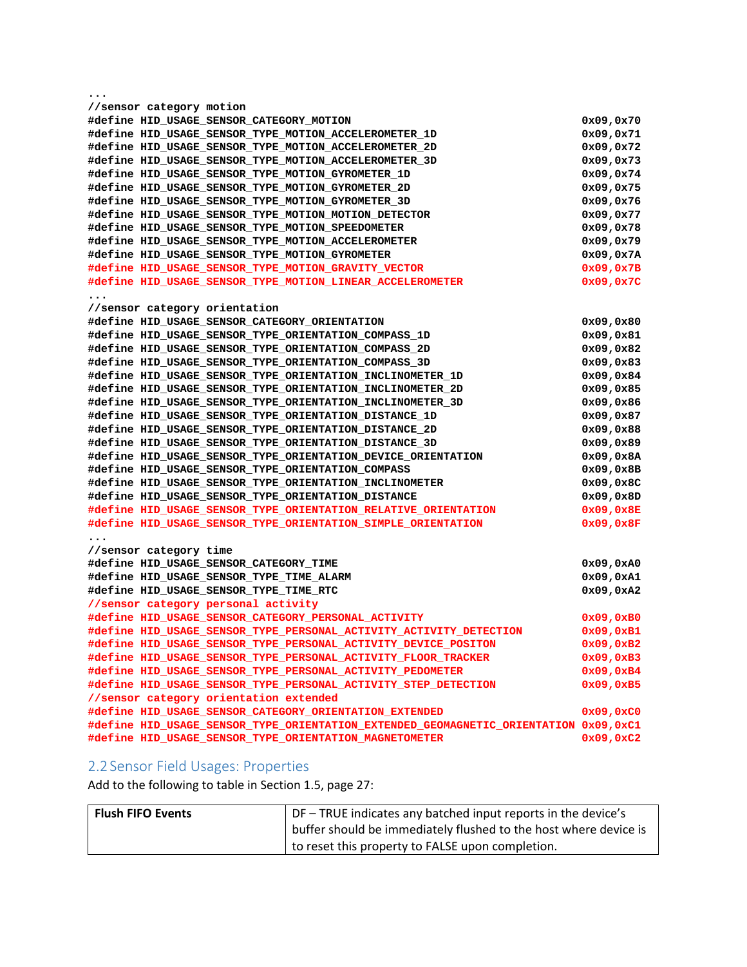```
...
//sensor category motion 
#define HID_USAGE_SENSOR_CATEGORY_MOTION 0x09,0x70 
#define HID_USAGE_SENSOR_TYPE_MOTION_ACCELEROMETER_1D 0x09,0x71 
#define HID_USAGE_SENSOR_TYPE_MOTION_ACCELEROMETER_2D 0x09,0x72 
#define HID_USAGE_SENSOR_TYPE_MOTION_ACCELEROMETER_3D 0x09,0x73 
#define HID_USAGE_SENSOR_TYPE_MOTION_GYROMETER_1D 0x09,0x74 
#define HID_USAGE_SENSOR_TYPE_MOTION_GYROMETER_2D 0x09,0x75 
#define HID_USAGE_SENSOR_TYPE_MOTION_GYROMETER_3D 0x09,0x76 
#define HID_USAGE_SENSOR_TYPE_MOTION_MOTION_DETECTOR 0x09,0x77 
#define HID_USAGE_SENSOR_TYPE_MOTION_SPEEDOMETER 0x09,0x78 
#define HID_USAGE_SENSOR_TYPE_MOTION_ACCELEROMETER 0x09,0x79 
#define HID_USAGE_SENSOR_TYPE_MOTION_GYROMETER 0x09,0x7A
#define HID_USAGE_SENSOR_TYPE_MOTION_GRAVITY_VECTOR 0x09,0x7B
#define HID_USAGE_SENSOR_TYPE_MOTION_LINEAR_ACCELEROMETER 0x09,0x7C
...
//sensor category orientation 
#define HID_USAGE_SENSOR_CATEGORY_ORIENTATION 0x09,0x80 
#define HID_USAGE_SENSOR_TYPE_ORIENTATION_COMPASS_1D 0x09,0x81 
#define HID_USAGE_SENSOR_TYPE_ORIENTATION_COMPASS_2D 0x09,0x82 
#define HID_USAGE_SENSOR_TYPE_ORIENTATION_COMPASS_3D 0x09,0x83 
#define HID_USAGE_SENSOR_TYPE_ORIENTATION_INCLINOMETER_1D 0x09,0x84 
#define HID_USAGE_SENSOR_TYPE_ORIENTATION_INCLINOMETER_2D 0x09,0x85 
#define HID_USAGE_SENSOR_TYPE_ORIENTATION_INCLINOMETER_3D 0x09,0x86 
#define HID_USAGE_SENSOR_TYPE_ORIENTATION_DISTANCE_1D 0x09,0x87 
#define HID_USAGE_SENSOR_TYPE_ORIENTATION_DISTANCE_2D 0x09,0x88 
#define HID_USAGE_SENSOR_TYPE_ORIENTATION_DISTANCE_3D 0x09,0x89 
#define HID_USAGE_SENSOR_TYPE_ORIENTATION_DEVICE_ORIENTATION 0x09,0x8A 
#define HID_USAGE_SENSOR_TYPE_ORIENTATION_COMPASS 0x09,0x8B 
#define HID_USAGE_SENSOR_TYPE_ORIENTATION_INCLINOMETER 0x09,0x8C 
#define HID_USAGE_SENSOR_TYPE_ORIENTATION_DISTANCE 0x09,0x8D
#define HID_USAGE_SENSOR_TYPE_ORIENTATION_RELATIVE_ORIENTATION 0x09,0x8E
#define HID_USAGE_SENSOR_TYPE_ORIENTATION_SIMPLE_ORIENTATION 0x09,0x8F
...
//sensor category time 
#define HID_USAGE_SENSOR_CATEGORY_TIME 0x09,0xA0 
#define HID_USAGE_SENSOR_TYPE_TIME_ALARM 0x09,0xA1 
#define HID_USAGE_SENSOR_TYPE_TIME_RTC 0x09,0xA2
//sensor category personal activity
#define HID_USAGE_SENSOR_CATEGORY_PERSONAL_ACTIVITY 0x09,0xB0 
#define HID_USAGE_SENSOR_TYPE_PERSONAL_ACTIVITY_ACTIVITY_DETECTION 0x09,0xB1 
#define HID_USAGE_SENSOR_TYPE_PERSONAL_ACTIVITY_DEVICE_POSITON 0x09,0xB2 
#define HID_USAGE_SENSOR_TYPE_PERSONAL_ACTIVITY_FLOOR_TRACKER 0x09,0xB3 
#define HID_USAGE_SENSOR_TYPE_PERSONAL_ACTIVITY_PEDOMETER 0x09,0xB4 
#define HID_USAGE_SENSOR_TYPE_PERSONAL_ACTIVITY_STEP_DETECTION 0x09,0xB5 
//sensor category orientation extended
#define HID_USAGE_SENSOR_CATEGORY_ORIENTATION_EXTENDED 0x09,0xC0 
#define HID_USAGE_SENSOR_TYPE_ORIENTATION_EXTENDED_GEOMAGNETIC_ORIENTATION 0x09,0xC1 
#define HID_USAGE_SENSOR_TYPE_ORIENTATION_MAGNETOMETER 0x09,0xC2
```
#### 2.2Sensor Field Usages: Properties

Add to the following to table in Section 1.5, page 27:

| <b>Flush FIFO Events</b> | DF – TRUE indicates any batched input reports in the device's    |
|--------------------------|------------------------------------------------------------------|
|                          | buffer should be immediately flushed to the host where device is |
|                          | to reset this property to FALSE upon completion.                 |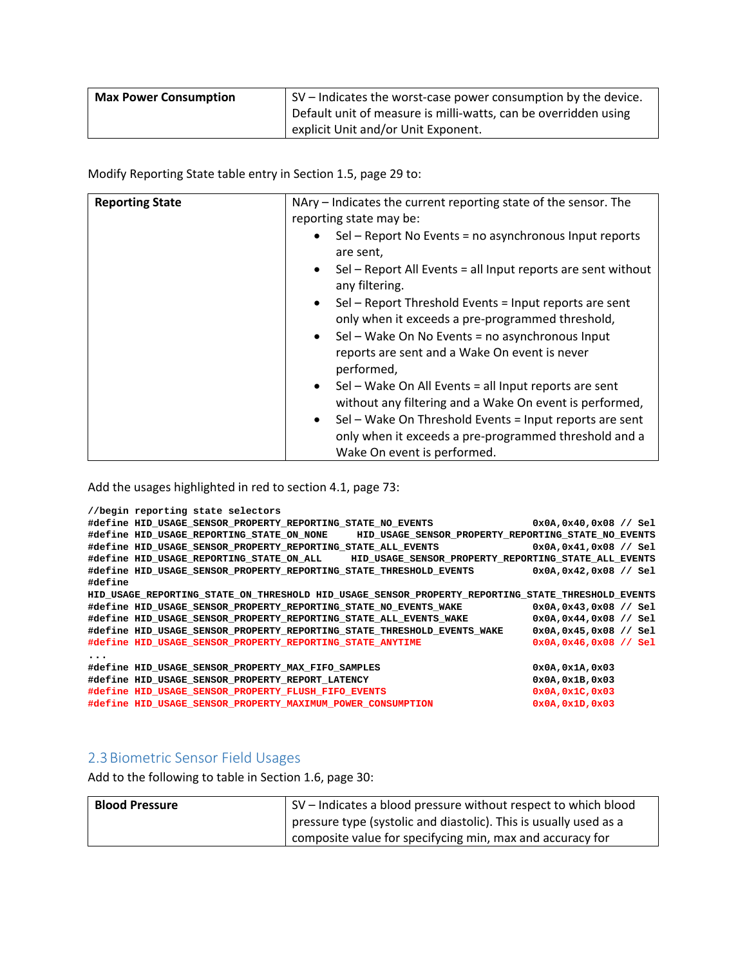| <b>Max Power Consumption</b> | SV – Indicates the worst-case power consumption by the device.  |  |
|------------------------------|-----------------------------------------------------------------|--|
|                              | Default unit of measure is milli-watts, can be overridden using |  |
|                              | explicit Unit and/or Unit Exponent.                             |  |

Modify Reporting State table entry in Section 1.5, page 29 to:

| <b>Reporting State</b> | NAry – Indicates the current reporting state of the sensor. The                                                             |  |  |
|------------------------|-----------------------------------------------------------------------------------------------------------------------------|--|--|
|                        | reporting state may be:                                                                                                     |  |  |
|                        | Sel - Report No Events = no asynchronous Input reports<br>$\bullet$<br>are sent,                                            |  |  |
|                        | Sel - Report All Events = all Input reports are sent without<br>$\bullet$<br>any filtering.                                 |  |  |
|                        | Sel – Report Threshold Events = Input reports are sent<br>$\bullet$<br>only when it exceeds a pre-programmed threshold,     |  |  |
|                        | Sel - Wake On No Events = no asynchronous Input<br>$\bullet$<br>reports are sent and a Wake On event is never<br>performed, |  |  |
|                        | Sel - Wake On All Events = all Input reports are sent<br>$\bullet$                                                          |  |  |
|                        | without any filtering and a Wake On event is performed,                                                                     |  |  |
|                        | Sel - Wake On Threshold Events = Input reports are sent<br>$\bullet$                                                        |  |  |
|                        | only when it exceeds a pre-programmed threshold and a                                                                       |  |  |
|                        | Wake On event is performed.                                                                                                 |  |  |

Add the usages highlighted in red to section 4.1, page 73:

```
//begin reporting state selectors 
#define HID_USAGE_SENSOR_PROPERTY_REPORTING_STATE_NO_EVENTS 0x0A,0x40,0x08 // Sel 
#define HID_USAGE_REPORTING_STATE_ON_NONE HID_USAGE_SENSOR_PROPERTY_REPORTING_STATE_NO_EVENTS 
#define HID_USAGE_SENSOR_PROPERTY_REPORTING_STATE_ALL_EVENTS 0x0A,0x41,0x08 // Sel 
#define HID_USAGE_REPORTING_STATE_ON_ALL HID_USAGE_SENSOR_PROPERTY_REPORTING_STATE_ALL_EVENTS 
#define HID_USAGE_SENSOR_PROPERTY_REPORTING_STATE_THRESHOLD_EVENTS 0x0A,0x42,0x08 // Sel 
#define 
HID_USAGE_REPORTING_STATE_ON_THRESHOLD HID_USAGE_SENSOR_PROPERTY_REPORTING_STATE_THRESHOLD_EVENTS 
#define HID_USAGE_SENSOR_PROPERTY_REPORTING_STATE_NO_EVENTS_WAKE 0x0A,0x43,0x08 // Sel 
#define HID_USAGE_SENSOR_PROPERTY_REPORTING_STATE_ALL_EVENTS_WAKE 0x0A,0x44,0x08 // Sel 
#define HID_USAGE_SENSOR_PROPERTY_REPORTING_STATE_THRESHOLD_EVENTS_WAKE 0x0A,0x45,0x08 // Sel
#define HID_USAGE_SENSOR_PROPERTY_REPORTING_STATE_ANYTIME 0x0A,0x46,0x08 // Sel
...
#define HID_USAGE_SENSOR_PROPERTY_MAX_FIFO_SAMPLES 0x0A,0x1A,0x03 
#define HID_USAGE_SENSOR_PROPERTY_REPORT_LATENCY 0x0A,0x1B,0x03
#define HID_USAGE_SENSOR_PROPERTY_FLUSH_FIFO_EVENTS 0x0A,0x1C,0x03
#define HID_USAGE_SENSOR_PROPERTY_MAXIMUM_POWER_CONSUMPTION 0x0A,0x1D,0x03
```
#### 2.3Biometric Sensor Field Usages

Add to the following to table in Section 1.6, page 30:

| <b>Blood Pressure</b> | SV – Indicates a blood pressure without respect to which blood    |  |
|-----------------------|-------------------------------------------------------------------|--|
|                       | pressure type (systolic and diastolic). This is usually used as a |  |
|                       | composite value for specifycing min, max and accuracy for         |  |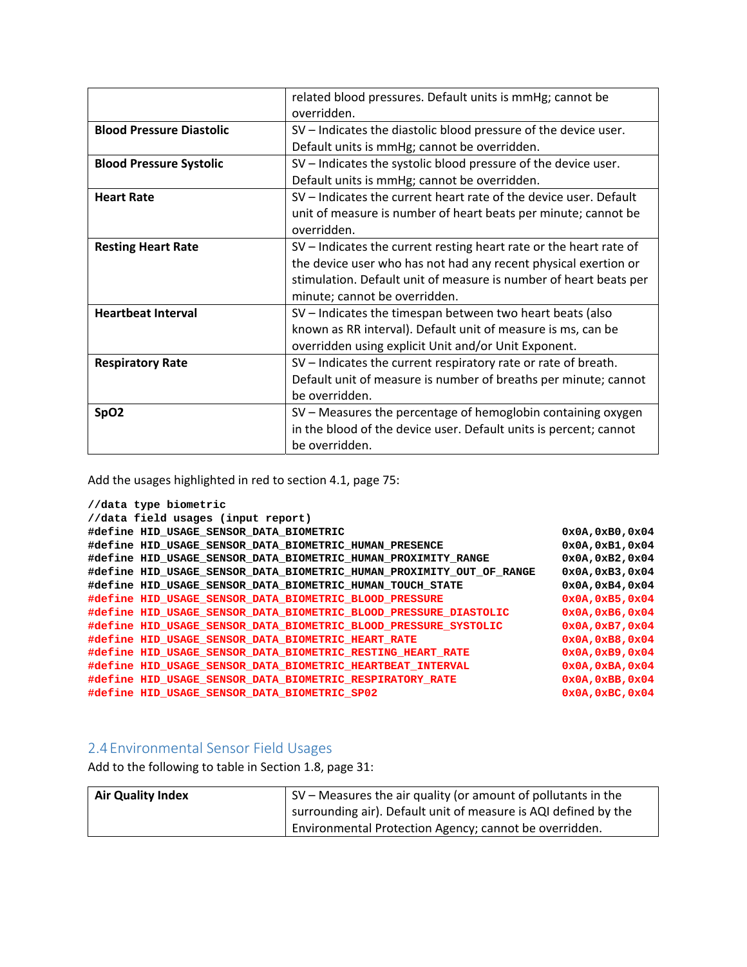|                                 | related blood pressures. Default units is mmHg; cannot be          |  |
|---------------------------------|--------------------------------------------------------------------|--|
|                                 | overridden.                                                        |  |
| <b>Blood Pressure Diastolic</b> | SV - Indicates the diastolic blood pressure of the device user.    |  |
|                                 | Default units is mmHg; cannot be overridden.                       |  |
| <b>Blood Pressure Systolic</b>  | SV - Indicates the systolic blood pressure of the device user.     |  |
|                                 | Default units is mmHg; cannot be overridden.                       |  |
| <b>Heart Rate</b>               | SV-Indicates the current heart rate of the device user. Default    |  |
|                                 | unit of measure is number of heart beats per minute; cannot be     |  |
|                                 | overridden.                                                        |  |
| <b>Resting Heart Rate</b>       | SV - Indicates the current resting heart rate or the heart rate of |  |
|                                 | the device user who has not had any recent physical exertion or    |  |
|                                 | stimulation. Default unit of measure is number of heart beats per  |  |
|                                 | minute; cannot be overridden.                                      |  |
| <b>Heartbeat Interval</b>       | SV - Indicates the timespan between two heart beats (also          |  |
|                                 | known as RR interval). Default unit of measure is ms, can be       |  |
|                                 | overridden using explicit Unit and/or Unit Exponent.               |  |
| <b>Respiratory Rate</b>         | SV - Indicates the current respiratory rate or rate of breath.     |  |
|                                 | Default unit of measure is number of breaths per minute; cannot    |  |
|                                 | be overridden.                                                     |  |
| SpO <sub>2</sub>                | SV - Measures the percentage of hemoglobin containing oxygen       |  |
|                                 | in the blood of the device user. Default units is percent; cannot  |  |
|                                 | be overridden.                                                     |  |

Add the usages highlighted in red to section 4.1, page 75:

```
//data type biometric 
//data field usages (input report) 
#define HID_USAGE_SENSOR_DATA_BIOMETRIC 0x0A,0xB0,0x04 
#define HID_USAGE_SENSOR_DATA_BIOMETRIC_HUMAN_PRESENCE 0x0A,0xB1,0x04 
#define HID_USAGE_SENSOR_DATA_BIOMETRIC_HUMAN_PROXIMITY_RANGE 0x0A,0xB2,0x04 
#define HID_USAGE_SENSOR_DATA_BIOMETRIC_HUMAN_PROXIMITY_OUT_OF_RANGE 0x0A,0xB3,0x04 
#define HID_USAGE_SENSOR_DATA_BIOMETRIC_HUMAN_TOUCH_STATE 0x0A,0xB4,0x04
#define HID_USAGE_SENSOR_DATA_BIOMETRIC_BLOOD_PRESSURE 0x0A,0xB5,0x04
#define HID_USAGE_SENSOR_DATA_BIOMETRIC_BLOOD_PRESSURE_DIASTOLIC 0x0A,0xB6,0x04
#define HID_USAGE_SENSOR_DATA_BIOMETRIC_BLOOD_PRESSURE_SYSTOLIC 0x0A,0xB7,0x04
#define HID_USAGE_SENSOR_DATA_BIOMETRIC_HEART_RATE 0x0A,0xB8,0x04
#define HID_USAGE_SENSOR_DATA_BIOMETRIC_RESTING_HEART_RATE 0x0A,0xB9,0x04
#define HID_USAGE_SENSOR_DATA_BIOMETRIC_HEARTBEAT_INTERVAL 0x0A,0xBA,0x04
#define HID_USAGE_SENSOR_DATA_BIOMETRIC_RESPIRATORY_RATE 0x0A,0xBB,0x04
#define HID_USAGE_SENSOR_DATA_BIOMETRIC_SP02 0x0A,0xBC,0x04
```
#### 2.4Environmental Sensor Field Usages

Add to the following to table in Section 1.8, page 31:

| <b>Air Quality Index</b> | SV – Measures the air quality (or amount of pollutants in the   |  |
|--------------------------|-----------------------------------------------------------------|--|
|                          | surrounding air). Default unit of measure is AQI defined by the |  |
|                          | Environmental Protection Agency; cannot be overridden.          |  |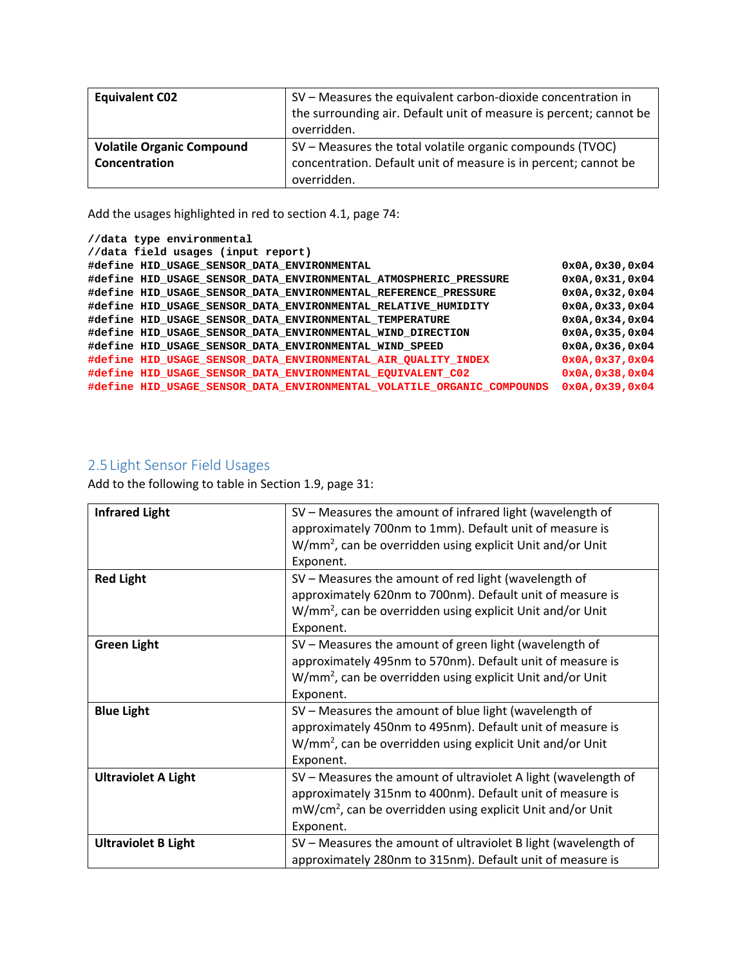| <b>Equivalent C02</b>            | SV – Measures the equivalent carbon-dioxide concentration in<br>the surrounding air. Default unit of measure is percent; cannot be<br>overridden. |
|----------------------------------|---------------------------------------------------------------------------------------------------------------------------------------------------|
| <b>Volatile Organic Compound</b> | SV – Measures the total volatile organic compounds (TVOC)                                                                                         |
| Concentration                    | concentration. Default unit of measure is in percent; cannot be                                                                                   |
|                                  | overridden.                                                                                                                                       |

Add the usages highlighted in red to section 4.1, page 74:

| //data type environmental                                              |                  |
|------------------------------------------------------------------------|------------------|
| //data field usages (input report)                                     |                  |
| #define HID USAGE SENSOR DATA ENVIRONMENTAL                            | 0x0A, 0x30, 0x04 |
| #define HID USAGE SENSOR DATA ENVIRONMENTAL ATMOSPHERIC PRESSURE       | 0x0A, 0x31, 0x04 |
| #define HID USAGE SENSOR DATA ENVIRONMENTAL REFERENCE PRESSURE         | 0x0A, 0x32, 0x04 |
| #define HID USAGE SENSOR DATA ENVIRONMENTAL RELATIVE HUMIDITY          | 0x0A, 0x33, 0x04 |
| #define HID USAGE SENSOR DATA ENVIRONMENTAL TEMPERATURE                | 0x0A, 0x34, 0x04 |
| #define HID USAGE SENSOR DATA ENVIRONMENTAL WIND DIRECTION             | 0x0A, 0x35, 0x04 |
| #define HID USAGE SENSOR DATA ENVIRONMENTAL WIND SPEED                 | 0x0A, 0x36, 0x04 |
| #define HID USAGE SENSOR DATA ENVIRONMENTAL AIR QUALITY INDEX          | 0x0A, 0x37, 0x04 |
| #define HID USAGE SENSOR DATA ENVIRONMENTAL EQUIVALENT C02             | 0x0A, 0x38, 0x04 |
| #define HID USAGE SENSOR DATA ENVIRONMENTAL VOLATILE ORGANIC COMPOUNDS | 0x0A, 0x39, 0x04 |

### 2.5Light Sensor Field Usages

Add to the following to table in Section 1.9, page 31:

| <b>Infrared Light</b>      | SV - Measures the amount of infrared light (wavelength of<br>approximately 700nm to 1mm). Default unit of measure is<br>W/mm <sup>2</sup> , can be overridden using explicit Unit and/or Unit<br>Exponent.         |
|----------------------------|--------------------------------------------------------------------------------------------------------------------------------------------------------------------------------------------------------------------|
| <b>Red Light</b>           | SV - Measures the amount of red light (wavelength of<br>approximately 620nm to 700nm). Default unit of measure is<br>W/mm <sup>2</sup> , can be overridden using explicit Unit and/or Unit<br>Exponent.            |
| <b>Green Light</b>         | SV - Measures the amount of green light (wavelength of<br>approximately 495nm to 570nm). Default unit of measure is<br>W/mm <sup>2</sup> , can be overridden using explicit Unit and/or Unit<br>Exponent.          |
| <b>Blue Light</b>          | SV - Measures the amount of blue light (wavelength of<br>approximately 450nm to 495nm). Default unit of measure is<br>W/mm <sup>2</sup> , can be overridden using explicit Unit and/or Unit<br>Exponent.           |
| <b>Ultraviolet A Light</b> | SV - Measures the amount of ultraviolet A light (wavelength of<br>approximately 315nm to 400nm). Default unit of measure is<br>mW/cm <sup>2</sup> , can be overridden using explicit Unit and/or Unit<br>Exponent. |
| <b>Ultraviolet B Light</b> | SV - Measures the amount of ultraviolet B light (wavelength of<br>approximately 280nm to 315nm). Default unit of measure is                                                                                        |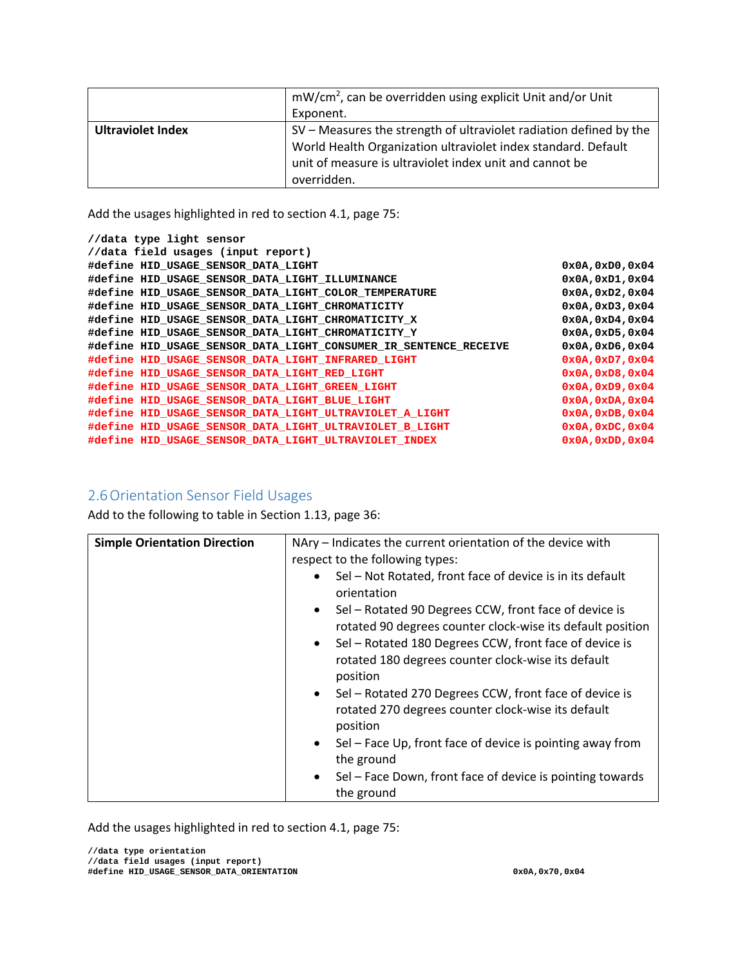|                          | mW/cm <sup>2</sup> , can be overridden using explicit Unit and/or Unit<br>Exponent.                                                                                                                           |
|--------------------------|---------------------------------------------------------------------------------------------------------------------------------------------------------------------------------------------------------------|
| <b>Ultraviolet Index</b> | SV – Measures the strength of ultraviolet radiation defined by the<br>World Health Organization ultraviolet index standard. Default<br>unit of measure is ultraviolet index unit and cannot be<br>overridden. |

Add the usages highlighted in red to section 4.1, page 75:

| //data type light sensor                                         |                          |
|------------------------------------------------------------------|--------------------------|
| //data field usages (input report)                               |                          |
| #define HID USAGE SENSOR DATA LIGHT                              | 0x0A, 0xD0, 0x04         |
| #define HID USAGE SENSOR DATA LIGHT ILLUMINANCE                  | 0x0A, 0xD1, 0x04         |
| #define HID USAGE SENSOR DATA LIGHT COLOR TEMPERATURE            | 0x0A, 0xD2, 0x04         |
| #define HID USAGE SENSOR DATA LIGHT CHROMATICITY                 | 0x0A, 0xD3, 0x04         |
| #define HID USAGE SENSOR DATA LIGHT CHROMATICITY X               | 0x0A, 0xD4, 0x04         |
| #define HID USAGE SENSOR DATA LIGHT CHROMATICITY Y               | 0x0A, 0xD5, 0x04         |
| #define HID USAGE SENSOR DATA LIGHT CONSUMER IR SENTENCE RECEIVE | 0x0A, 0xD6, 0x04         |
| #define HID USAGE SENSOR DATA LIGHT INFRARED LIGHT               | $0x0A$ , $0xD7$ , $0x04$ |
| #define HID USAGE SENSOR DATA LIGHT RED LIGHT                    | 0x0A, 0xD8, 0x04         |
| #define HID USAGE SENSOR DATA LIGHT GREEN LIGHT                  | 0x0A, 0xD9, 0x04         |
| #define HID USAGE SENSOR DATA LIGHT BLUE LIGHT                   | $0x0A$ , $0xDA$ , $0x04$ |
| #define HID USAGE SENSOR DATA LIGHT ULTRAVIOLET A LIGHT          | $0x0A$ , $0xDB$ , $0x04$ |
| #define HID USAGE SENSOR DATA LIGHT ULTRAVIOLET B LIGHT          | $0x0A$ , $0xDC$ , $0x04$ |
| #define HID USAGE SENSOR DATA LIGHT ULTRAVIOLET INDEX            | $0x0A$ , $0xDD$ , $0x04$ |

### 2.6Orientation Sensor Field Usages

Add to the following to table in Section 1.13, page 36:

| <b>Simple Orientation Direction</b> | NAry - Indicates the current orientation of the device with                                                                           |
|-------------------------------------|---------------------------------------------------------------------------------------------------------------------------------------|
|                                     | respect to the following types:                                                                                                       |
|                                     | Sel - Not Rotated, front face of device is in its default<br>orientation                                                              |
|                                     | Sel - Rotated 90 Degrees CCW, front face of device is<br>$\bullet$<br>rotated 90 degrees counter clock-wise its default position      |
|                                     | Sel - Rotated 180 Degrees CCW, front face of device is<br>$\bullet$<br>rotated 180 degrees counter clock-wise its default<br>position |
|                                     | Sel - Rotated 270 Degrees CCW, front face of device is<br>$\bullet$<br>rotated 270 degrees counter clock-wise its default<br>position |
|                                     | Sel – Face Up, front face of device is pointing away from<br>$\bullet$<br>the ground                                                  |
|                                     | Sel – Face Down, front face of device is pointing towards<br>$\bullet$<br>the ground                                                  |

Add the usages highlighted in red to section 4.1, page 75: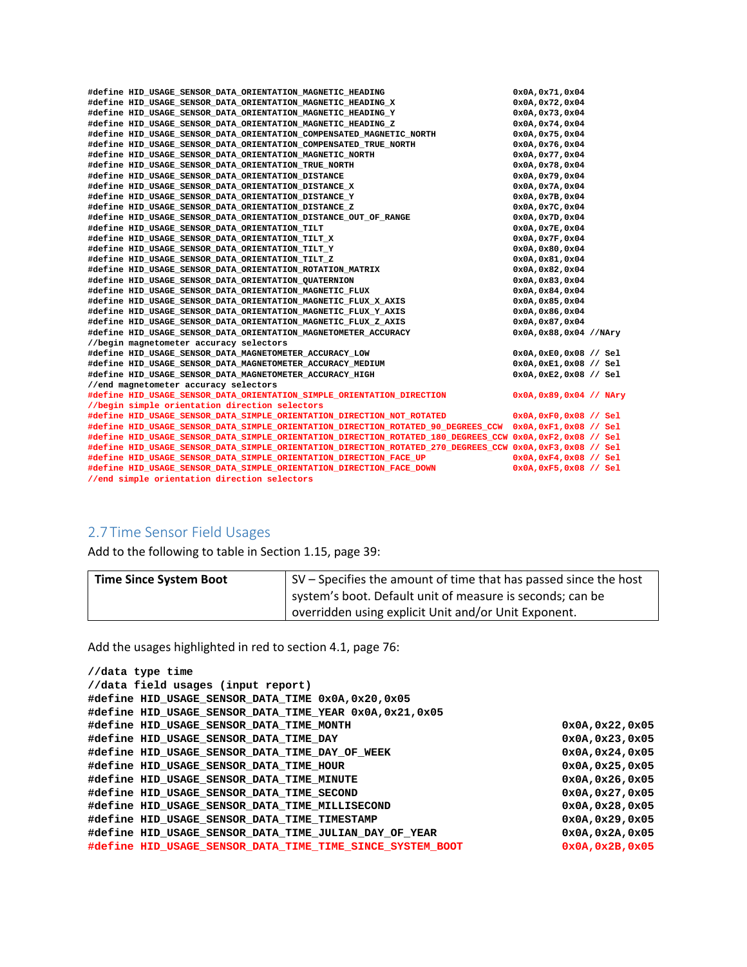| #define HID USAGE SENSOR DATA ORIENTATION MAGNETIC HEADING                                                 | 0x0A, 0x71, 0x04           |
|------------------------------------------------------------------------------------------------------------|----------------------------|
| #define HID_USAGE_SENSOR_DATA_ORIENTATION_MAGNETIC_HEADING_X                                               | 0x0A, 0x72, 0x04           |
| #define HID USAGE SENSOR DATA ORIENTATION MAGNETIC HEADING Y                                               | 0x0A, 0x73, 0x04           |
| #define HID USAGE SENSOR DATA ORIENTATION MAGNETIC HEADING Z                                               | 0x0A, 0x74, 0x04           |
| #define HID USAGE SENSOR DATA ORIENTATION COMPENSATED MAGNETIC NORTH                                       | 0x0A, 0x75, 0x04           |
| #define HID USAGE SENSOR DATA ORIENTATION COMPENSATED TRUE NORTH                                           | 0x0A.0x76.0x04             |
| #define HID_USAGE_SENSOR_DATA_ORIENTATION_MAGNETIC_NORTH                                                   | 0x0A, 0x77, 0x04           |
| #define HID_USAGE_SENSOR_DATA_ORIENTATION_TRUE_NORTH                                                       | 0x0A, 0x78, 0x04           |
| #define HID USAGE SENSOR DATA ORIENTATION DISTANCE                                                         | 0x0A, 0x79, 0x04           |
| #define HID USAGE SENSOR DATA ORIENTATION DISTANCE X                                                       | 0x0A, 0x7A, 0x04           |
| #define HID USAGE SENSOR DATA ORIENTATION DISTANCE Y                                                       | 0x0A.0x7B.0x04             |
| #define HID USAGE SENSOR DATA ORIENTATION DISTANCE Z                                                       | 0x0A.0x7C.0x04             |
| #define HID_USAGE_SENSOR_DATA_ORIENTATION_DISTANCE_OUT_OF_RANGE                                            | 0x0A, 0x7D, 0x04           |
| #define HID_USAGE_SENSOR_DATA_ORIENTATION_TILT                                                             | 0x0A, 0x7E, 0x04           |
| #define HID USAGE SENSOR DATA ORIENTATION TILT X                                                           | 0x0A, 0x7F, 0x04           |
| #define HID USAGE SENSOR DATA ORIENTATION TILT Y                                                           | 0x0A, 0x80, 0x04           |
| #define HID USAGE SENSOR DATA ORIENTATION TILT Z                                                           | 0x0A, 0x81, 0x04           |
| #define HID USAGE SENSOR DATA ORIENTATION ROTATION MATRIX                                                  | 0x0A.0x82.0x04             |
| #define HID_USAGE_SENSOR_DATA_ORIENTATION_QUATERNION                                                       | 0x0A, 0x83, 0x04           |
| #define HID_USAGE_SENSOR_DATA_ORIENTATION_MAGNETIC_FLUX                                                    | 0x0A, 0x84, 0x04           |
| #define HID USAGE SENSOR DATA ORIENTATION MAGNETIC FLUX X AXIS                                             | 0x0A, 0x85, 0x04           |
| #define HID USAGE SENSOR DATA ORIENTATION MAGNETIC FLUX Y AXIS                                             | 0x0A, 0x86, 0x04           |
| #define HID USAGE SENSOR DATA ORIENTATION MAGNETIC FLUX Z AXIS                                             | 0x0A, 0x87, 0x04           |
| #define HID USAGE SENSOR DATA ORIENTATION MAGNETOMETER ACCURACY                                            | $0x0A, 0x88, 0x04$ //NAry  |
| //begin magnetometer accuracy selectors                                                                    |                            |
| #define HID USAGE SENSOR DATA MAGNETOMETER ACCURACY LOW                                                    | $0x0A, 0xE0, 0x08$ // Sel  |
| #define HID USAGE SENSOR DATA MAGNETOMETER ACCURACY MEDIUM                                                 | $0x0A, 0xE1, 0x08$ // Sel  |
| #define HID USAGE SENSOR DATA MAGNETOMETER ACCURACY HIGH                                                   | $0x0A, 0xE2, 0x08$ // Sel  |
| //end magnetometer accuracy selectors                                                                      |                            |
| #define HID USAGE SENSOR DATA ORIENTATION SIMPLE ORIENTATION DIRECTION                                     | $0x0A, 0x89, 0x04$ // NAry |
| //begin simple orientation direction selectors                                                             |                            |
| #define HID USAGE SENSOR DATA SIMPLE ORIENTATION DIRECTION NOT ROTATED                                     | $0x0A, 0xF0, 0x08$ // Sel  |
| #define HID USAGE SENSOR DATA SIMPLE ORIENTATION DIRECTION ROTATED 90 DEGREES CCW 0x0A, 0xF1, 0x08 // Sel  |                            |
| #define HID USAGE SENSOR DATA SIMPLE ORIENTATION DIRECTION ROTATED 180 DEGREES CCW 0x0A, 0xF2, 0x08 // Sel |                            |
| #define HID USAGE SENSOR DATA SIMPLE ORIENTATION DIRECTION ROTATED 270 DEGREES CCW 0x0A, 0xF3, 0x08 // Sel |                            |
| #define HID USAGE SENSOR DATA SIMPLE ORIENTATION DIRECTION FACE UP                                         | $0x0A, 0xF4, 0x08$ // Sel  |
| #define HID USAGE SENSOR DATA SIMPLE ORIENTATION DIRECTION FACE DOWN                                       | $0x0A, 0xF5, 0x08$ // Sel  |
| //end simple orientation direction selectors                                                               |                            |

### 2.7Time Sensor Field Usages

Add to the following to table in Section 1.15, page 39:

| Time Since System Boot | SV – Specifies the amount of time that has passed since the host |
|------------------------|------------------------------------------------------------------|
|                        | system's boot. Default unit of measure is seconds; can be        |
|                        | overridden using explicit Unit and/or Unit Exponent.             |

Add the usages highlighted in red to section 4.1, page 76:

| //data type time                                          |                  |
|-----------------------------------------------------------|------------------|
| //data field usages (input report)                        |                  |
| #define HID USAGE SENSOR DATA TIME 0x0A,0x20,0x05         |                  |
| #define HID USAGE SENSOR DATA TIME YEAR 0x0A, 0x21, 0x05  |                  |
| #define HID USAGE SENSOR DATA TIME MONTH                  | 0x0A.0x22.0x05   |
| #define HID USAGE SENSOR DATA TIME DAY                    | 0x0A, 0x23, 0x05 |
| #define HID USAGE SENSOR DATA TIME DAY OF WEEK            | 0x0A, 0x24, 0x05 |
| #define HID USAGE SENSOR DATA TIME HOUR                   | 0x0A, 0x25, 0x05 |
| #define HID USAGE SENSOR DATA TIME MINUTE                 | 0x0A, 0x26, 0x05 |
| #define HID USAGE SENSOR DATA TIME SECOND                 | 0x0A, 0x27, 0x05 |
| #define HID USAGE SENSOR DATA TIME MILLISECOND            | 0x0A, 0x28, 0x05 |
| #define HID USAGE SENSOR DATA TIME TIMESTAMP              | 0x0A, 0x29, 0x05 |
| #define HID USAGE SENSOR DATA TIME JULIAN DAY OF YEAR     | 0x0A, 0x2A, 0x05 |
| #define HID USAGE SENSOR DATA TIME TIME SINCE SYSTEM BOOT | 0x0A, 0x2B, 0x05 |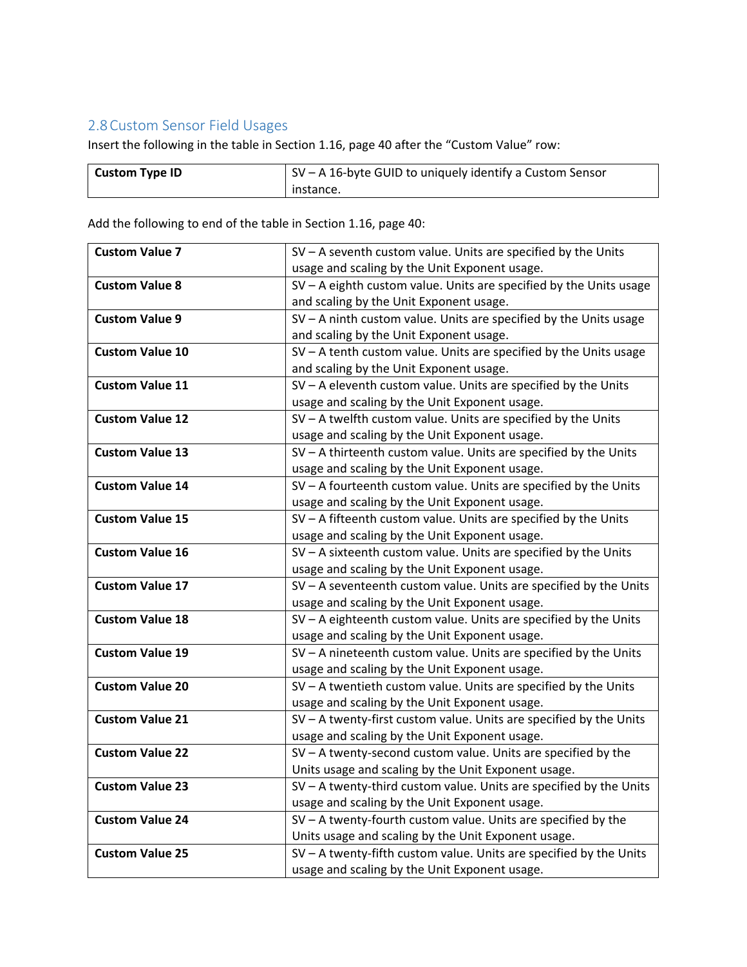### 2.8Custom Sensor Field Usages

Insert the following in the table in Section 1.16, page 40 after the "Custom Value" row:

| <b>Custom Type ID</b> | SV – A 16-byte GUID to uniquely identify a Custom Sensor |
|-----------------------|----------------------------------------------------------|
|                       | instance.                                                |

Add the following to end of the table in Section 1.16, page 40:

| <b>Custom Value 7</b>  | SV-A seventh custom value. Units are specified by the Units        |
|------------------------|--------------------------------------------------------------------|
|                        | usage and scaling by the Unit Exponent usage.                      |
| <b>Custom Value 8</b>  | SV - A eighth custom value. Units are specified by the Units usage |
|                        | and scaling by the Unit Exponent usage.                            |
| <b>Custom Value 9</b>  | SV - A ninth custom value. Units are specified by the Units usage  |
|                        | and scaling by the Unit Exponent usage.                            |
| <b>Custom Value 10</b> | SV - A tenth custom value. Units are specified by the Units usage  |
|                        | and scaling by the Unit Exponent usage.                            |
| <b>Custom Value 11</b> | SV-A eleventh custom value. Units are specified by the Units       |
|                        | usage and scaling by the Unit Exponent usage.                      |
| <b>Custom Value 12</b> | SV-A twelfth custom value. Units are specified by the Units        |
|                        | usage and scaling by the Unit Exponent usage.                      |
| <b>Custom Value 13</b> | SV-A thirteenth custom value. Units are specified by the Units     |
|                        | usage and scaling by the Unit Exponent usage.                      |
| <b>Custom Value 14</b> | SV - A fourteenth custom value. Units are specified by the Units   |
|                        | usage and scaling by the Unit Exponent usage.                      |
| <b>Custom Value 15</b> | SV-A fifteenth custom value. Units are specified by the Units      |
|                        | usage and scaling by the Unit Exponent usage.                      |
| <b>Custom Value 16</b> | SV - A sixteenth custom value. Units are specified by the Units    |
|                        | usage and scaling by the Unit Exponent usage.                      |
| <b>Custom Value 17</b> | SV - A seventeenth custom value. Units are specified by the Units  |
|                        | usage and scaling by the Unit Exponent usage.                      |
| <b>Custom Value 18</b> | SV-A eighteenth custom value. Units are specified by the Units     |
|                        | usage and scaling by the Unit Exponent usage.                      |
| <b>Custom Value 19</b> | SV-A nineteenth custom value. Units are specified by the Units     |
|                        | usage and scaling by the Unit Exponent usage.                      |
| <b>Custom Value 20</b> | SV-A twentieth custom value. Units are specified by the Units      |
|                        | usage and scaling by the Unit Exponent usage.                      |
| <b>Custom Value 21</b> | SV - A twenty-first custom value. Units are specified by the Units |
|                        | usage and scaling by the Unit Exponent usage.                      |
| <b>Custom Value 22</b> | SV-A twenty-second custom value. Units are specified by the        |
|                        | Units usage and scaling by the Unit Exponent usage.                |
| <b>Custom Value 23</b> | SV - A twenty-third custom value. Units are specified by the Units |
|                        | usage and scaling by the Unit Exponent usage.                      |
| <b>Custom Value 24</b> | SV - A twenty-fourth custom value. Units are specified by the      |
|                        | Units usage and scaling by the Unit Exponent usage.                |
| <b>Custom Value 25</b> | SV - A twenty-fifth custom value. Units are specified by the Units |
|                        | usage and scaling by the Unit Exponent usage.                      |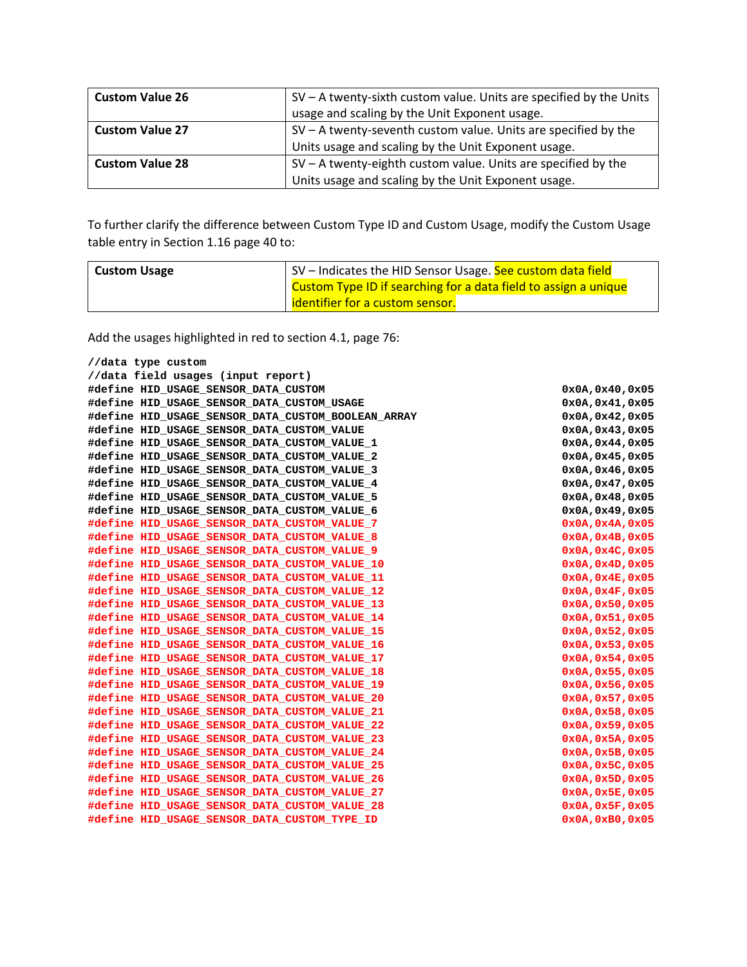| <b>Custom Value 26</b> | $SV - A$ twenty-sixth custom value. Units are specified by the Units |  |
|------------------------|----------------------------------------------------------------------|--|
|                        | usage and scaling by the Unit Exponent usage.                        |  |
| <b>Custom Value 27</b> | $SV - A$ twenty-seventh custom value. Units are specified by the     |  |
|                        | Units usage and scaling by the Unit Exponent usage.                  |  |
| <b>Custom Value 28</b> | $SV - A$ twenty-eighth custom value. Units are specified by the      |  |
|                        | Units usage and scaling by the Unit Exponent usage.                  |  |

To further clarify the difference between Custom Type ID and Custom Usage, modify the Custom Usage table entry in Section 1.16 page 40 to:

| <b>Custom Usage</b> | SV – Indicates the HID Sensor Usage. See custom data field      |
|---------------------|-----------------------------------------------------------------|
|                     | Custom Type ID if searching for a data field to assign a unique |
|                     | identifier for a custom sensor.                                 |

Add the usages highlighted in red to section 4.1, page 76:

| //data type custom                                 |                          |
|----------------------------------------------------|--------------------------|
| //data field usages (input report)                 |                          |
| #define HID USAGE SENSOR DATA CUSTOM               | 0x0A, 0x40, 0x05         |
| #define HID USAGE SENSOR DATA CUSTOM USAGE         | 0x0A, 0x41, 0x05         |
| #define HID USAGE SENSOR DATA CUSTOM BOOLEAN ARRAY | 0x0A, 0x42, 0x05         |
| #define HID USAGE SENSOR DATA CUSTOM VALUE         | 0x0A, 0x43, 0x05         |
| #define HID USAGE SENSOR DATA CUSTOM VALUE 1       | 0x0A, 0x44, 0x05         |
| #define HID USAGE SENSOR DATA CUSTOM VALUE 2       | 0x0A, 0x45, 0x05         |
| #define HID USAGE SENSOR DATA CUSTOM VALUE 3       | 0x0A, 0x46, 0x05         |
| #define HID USAGE SENSOR DATA CUSTOM VALUE 4       | 0x0A, 0x47, 0x05         |
| #define HID USAGE SENSOR DATA CUSTOM VALUE 5       | 0x0A, 0x48, 0x05         |
| #define HID USAGE SENSOR DATA CUSTOM VALUE 6       | 0x0A, 0x49, 0x05         |
| #define HID USAGE SENSOR DATA CUSTOM VALUE 7       | $0x0A$ , $0x4A$ , $0x05$ |
| #define HID USAGE SENSOR DATA CUSTOM VALUE 8       | $0x0A$ , $0x4B$ , $0x05$ |
| #define HID USAGE SENSOR DATA CUSTOM VALUE 9       | $0x0A$ , $0x4C$ , $0x05$ |
| #define HID USAGE SENSOR DATA CUSTOM VALUE 10      | 0x0A, 0x4D, 0x05         |
| #define HID USAGE SENSOR DATA CUSTOM VALUE 11      | $0x0A$ , $0x4E$ , $0x05$ |
| #define HID USAGE SENSOR DATA CUSTOM VALUE 12      | $0x0A$ , $0x4F$ , $0x05$ |
| #define HID USAGE SENSOR DATA CUSTOM VALUE 13      | 0x0A, 0x50, 0x05         |
| #define HID USAGE SENSOR DATA CUSTOM VALUE 14      | 0x0A, 0x51, 0x05         |
| #define HID USAGE SENSOR DATA CUSTOM VALUE 15      | 0x0A, 0x52, 0x05         |
| #define HID USAGE SENSOR DATA CUSTOM VALUE 16      | 0x0A, 0x53, 0x05         |
| #define HID USAGE SENSOR DATA CUSTOM VALUE 17      | 0x0A, 0x54, 0x05         |
| #define HID USAGE SENSOR DATA CUSTOM VALUE 18      | 0x0A, 0x55, 0x05         |
| #define HID USAGE SENSOR DATA CUSTOM VALUE 19      | 0x0A, 0x56, 0x05         |
| #define HID USAGE SENSOR DATA CUSTOM VALUE 20      | 0x0A, 0x57, 0x05         |
| #define HID USAGE SENSOR DATA CUSTOM VALUE 21      | 0x0A, 0x58, 0x05         |
| #define HID USAGE SENSOR DATA CUSTOM VALUE 22      | 0x0A, 0x59, 0x05         |
| #define HID USAGE SENSOR DATA CUSTOM VALUE 23      | 0x0A, 0x5A, 0x05         |
| #define HID USAGE SENSOR DATA CUSTOM VALUE 24      | $0x0A$ , $0x5B$ , $0x05$ |
| #define HID USAGE SENSOR DATA CUSTOM VALUE 25      | 0x0A, 0x5C, 0x05         |
| #define HID USAGE SENSOR DATA CUSTOM VALUE 26      | 0x0A, 0x5D, 0x05         |
| #define HID USAGE SENSOR DATA CUSTOM VALUE 27      | $0x0A$ , $0x5E$ , $0x05$ |
| #define HID USAGE SENSOR DATA CUSTOM VALUE 28      | 0x0A, 0x5F, 0x05         |
| #define HID USAGE SENSOR DATA CUSTOM TYPE ID       | 0x0A, 0xB0, 0x05         |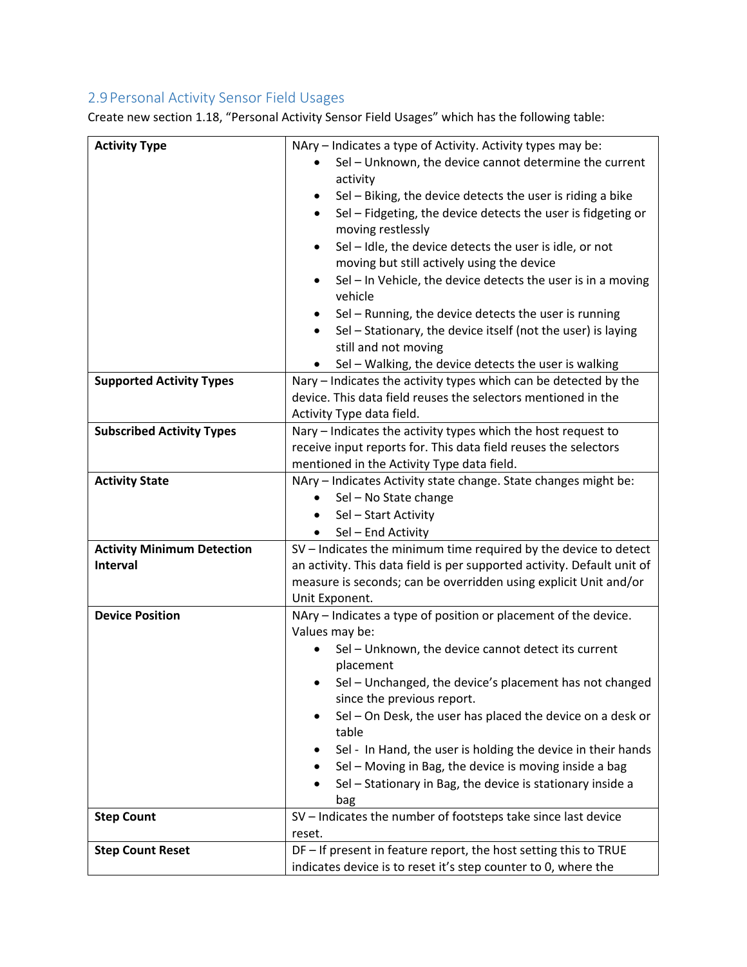#### 2.9Personal Activity Sensor Field Usages

**Activity Type** NAry – Indicates a type of Activity. Activity types may be: Sel – Unknown, the device cannot determine the current activity Sel – Biking, the device detects the user is riding a bike Sel – Fidgeting, the device detects the user is fidgeting or moving restlessly Sel – Idle, the device detects the user is idle, or not moving but still actively using the device Sel – In Vehicle, the device detects the user is in a moving vehicle • Sel – Running, the device detects the user is running • Sel – Stationary, the device itself (not the user) is laying still and not moving • Sel – Walking, the device detects the user is walking **Supported Activity Types** Nary – Indicates the activity types which can be detected by the device. This data field reuses the selectors mentioned in the Activity Type data field. **Subscribed Activity Types**  $\vert$  Nary – Indicates the activity types which the host request to receive input reports for. This data field reuses the selectors mentioned in the Activity Type data field. **Activity State Conserverse Extending Lines Activity** state change. State changes might be: • Sel – No State change • Sel – Start Activity  $\bullet$  Sel – End Activity **Activity Minimum Detection Interval** SV – Indicates the minimum time required by the device to detect an activity. This data field is per supported activity. Default unit of measure is seconds; can be overridden using explicit Unit and/or Unit Exponent. **Device Position NAry – Indicates a type of position or placement of the device.** Values may be: Sel – Unknown, the device cannot detect its current placement • Sel – Unchanged, the device's placement has not changed since the previous report. • Sel – On Desk, the user has placed the device on a desk or table Sel - In Hand, the user is holding the device in their hands Sel – Moving in Bag, the device is moving inside a bag Sel – Stationary in Bag, the device is stationary inside a bag **Step Count** SV – Indicates the number of footsteps take since last device reset. **Step Count Reset DE – If present in feature report, the host setting this to TRUE** indicates device is to reset it's step counter to 0, where the

Create new section 1.18, "Personal Activity Sensor Field Usages" which has the following table: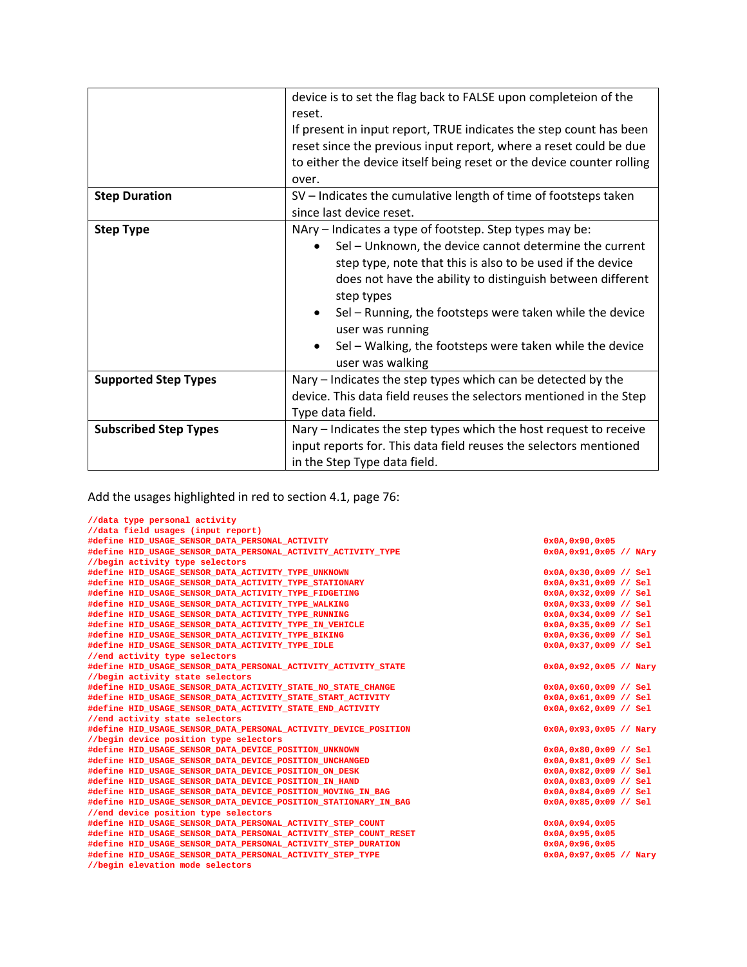|                              | device is to set the flag back to FALSE upon completeion of the<br>reset.<br>If present in input report, TRUE indicates the step count has been<br>reset since the previous input report, where a reset could be due<br>to either the device itself being reset or the device counter rolling<br>over.                                                                                                                                                |  |  |
|------------------------------|-------------------------------------------------------------------------------------------------------------------------------------------------------------------------------------------------------------------------------------------------------------------------------------------------------------------------------------------------------------------------------------------------------------------------------------------------------|--|--|
| <b>Step Duration</b>         | SV - Indicates the cumulative length of time of footsteps taken<br>since last device reset.                                                                                                                                                                                                                                                                                                                                                           |  |  |
| <b>Step Type</b>             | NAry - Indicates a type of footstep. Step types may be:<br>Sel - Unknown, the device cannot determine the current<br>step type, note that this is also to be used if the device<br>does not have the ability to distinguish between different<br>step types<br>Sel - Running, the footsteps were taken while the device<br>$\bullet$<br>user was running<br>Sel - Walking, the footsteps were taken while the device<br>$\bullet$<br>user was walking |  |  |
| <b>Supported Step Types</b>  | Nary – Indicates the step types which can be detected by the<br>device. This data field reuses the selectors mentioned in the Step<br>Type data field.                                                                                                                                                                                                                                                                                                |  |  |
| <b>Subscribed Step Types</b> | Nary - Indicates the step types which the host request to receive<br>input reports for. This data field reuses the selectors mentioned<br>in the Step Type data field.                                                                                                                                                                                                                                                                                |  |  |

Add the usages highlighted in red to section 4.1, page 76:

| //data type personal activity                                    |                            |  |
|------------------------------------------------------------------|----------------------------|--|
| //data field usages (input report)                               |                            |  |
| #define HID USAGE SENSOR DATA PERSONAL ACTIVITY                  | 0x0A, 0x90, 0x05           |  |
| #define HID USAGE SENSOR DATA PERSONAL ACTIVITY ACTIVITY TYPE    | $0x0A, 0x91, 0x05$ // NAry |  |
| //begin activity type selectors                                  |                            |  |
| #define HID USAGE SENSOR DATA ACTIVITY TYPE UNKNOWN              | $0x0A, 0x30, 0x09$ // Sel  |  |
| #define HID USAGE SENSOR DATA ACTIVITY TYPE STATIONARY           | $0x0A, 0x31, 0x09$ // Sel  |  |
| #define HID USAGE_SENSOR_DATA_ACTIVITY_TYPE_FIDGETING            | $0x0A, 0x32, 0x09$ // Sel  |  |
| #define HID USAGE SENSOR DATA ACTIVITY TYPE WALKING              | $0x0A, 0x33, 0x09$ // Sel  |  |
| #define HID USAGE SENSOR DATA ACTIVITY TYPE RUNNING              | $0x0A, 0x34, 0x09$ // Sel  |  |
| #define HID USAGE SENSOR DATA ACTIVITY TYPE IN VEHICLE           | $0x0A, 0x35, 0x09$ // Sel  |  |
| #define HID USAGE SENSOR DATA ACTIVITY TYPE BIKING               | $0x0A, 0x36, 0x09$ // Sel  |  |
| #define HID USAGE SENSOR DATA ACTIVITY TYPE IDLE                 | $0x0A, 0x37, 0x09$ // Sel  |  |
| //end activity type selectors                                    |                            |  |
| #define HID USAGE SENSOR DATA PERSONAL ACTIVITY ACTIVITY STATE   | $0x0A, 0x92, 0x05$ // Nary |  |
| //begin activity state selectors                                 |                            |  |
| #define HID USAGE SENSOR DATA ACTIVITY STATE NO STATE CHANGE     | $0x0A.0x60.0x09$ // Sel    |  |
| #define HID_USAGE_SENSOR_DATA_ACTIVITY_STATE_START_ACTIVITY      | $0x0A, 0x61, 0x09$ // Sel  |  |
| #define HID USAGE SENSOR DATA ACTIVITY STATE END ACTIVITY        | $0x0A, 0x62, 0x09$ // Sel  |  |
| //end activity state selectors                                   |                            |  |
| #define HID USAGE SENSOR DATA PERSONAL ACTIVITY DEVICE POSITION  | $0x0A, 0x93, 0x05$ // Nary |  |
| //begin device position type selectors                           |                            |  |
| #define HID USAGE SENSOR DATA DEVICE POSITION UNKNOWN            | $0x0A, 0x80, 0x09$ // Sel  |  |
| #define HID USAGE SENSOR DATA DEVICE POSITION UNCHANGED          | $0x0A, 0x81, 0x09$ // Sel  |  |
| #define HID USAGE SENSOR DATA DEVICE POSITION ON DESK            | $0x0A, 0x82, 0x09$ // Sel  |  |
| #define HID USAGE SENSOR DATA DEVICE POSITION IN HAND            | $0x0A, 0x83, 0x09$ // Sel  |  |
| #define HID USAGE SENSOR DATA DEVICE POSITION MOVING IN BAG      | $0x0A, 0x84, 0x09$ // Sel  |  |
| #define HID USAGE SENSOR DATA DEVICE POSITION STATIONARY IN BAG  | $0x0A, 0x85, 0x09$ // Sel  |  |
| //end device position type selectors                             |                            |  |
| #define HID_USAGE_SENSOR_DATA_PERSONAL_ACTIVITY_STEP_COUNT       | 0x0A, 0x94, 0x05           |  |
| #define HID USAGE_SENSOR_DATA_PERSONAL_ACTIVITY_STEP_COUNT_RESET | 0x0A, 0x95, 0x05           |  |
| #define HID USAGE SENSOR DATA PERSONAL ACTIVITY STEP DURATION    | 0x0A, 0x96, 0x05           |  |
| #define HID USAGE SENSOR DATA PERSONAL ACTIVITY STEP TYPE        | $0x0A, 0x97, 0x05$ // Nary |  |
| //begin elevation mode selectors                                 |                            |  |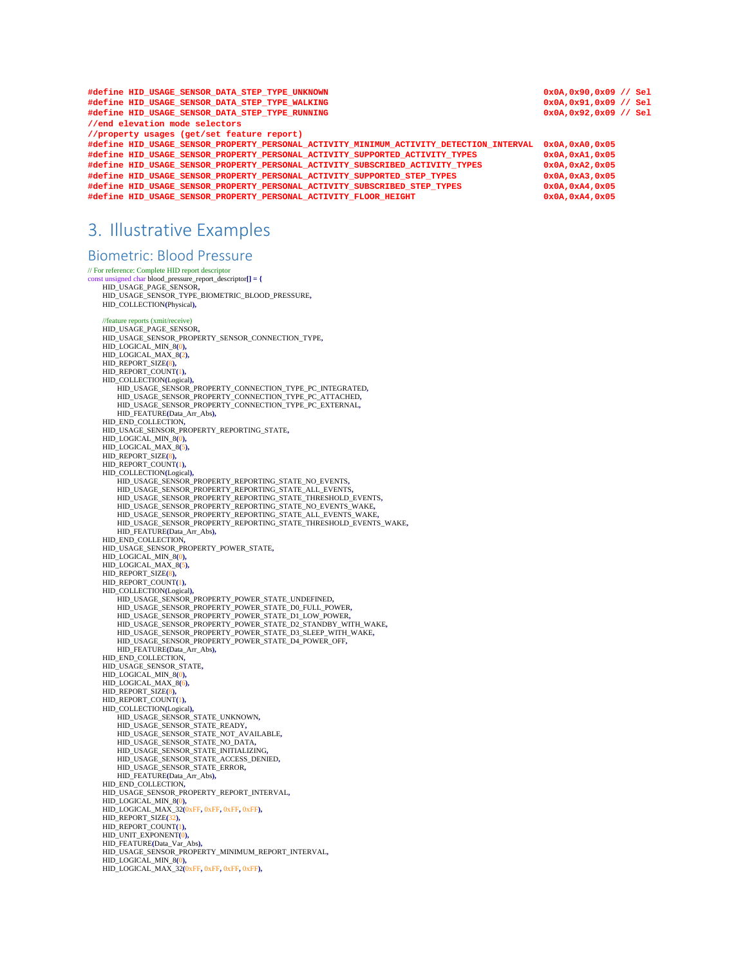```
#define HID_USAGE_SENSOR_DATA_STEP_TYPE_UNKNOWN 0x0A,0x90,0x09 // Sel
#define HID_USAGE_SENSOR_DATA_STEP_TYPE_WALKING 0x0A,0x91,0x09 // Sel
#define HID_USAGE_SENSOR_DATA_STEP_TYPE_RUNNING 0x0A,0x92,0x09 // Sel 
//end elevation mode selectors
//property usages (get/set feature report) 
#define HID_USAGE_SENSOR_PROPERTY_PERSONAL_ACTIVITY_MINIMUM_ACTIVITY_DETECTION_INTERVAL 0x0A,0xA0,0x05
#define HID_USAGE_SENSOR_PROPERTY_PERSONAL_ACTIVITY_SUPPORTED_ACTIVITY_TYPES 0x0A,0xA1,0x05
#define HID_USAGE_SENSOR_PROPERTY_PERSONAL_ACTIVITY_SUBSCRIBED_ACTIVITY_TYPES 0x0A,0xA2,0x05
#define HID_USAGE_SENSOR_PROPERTY_PERSONAL_ACTIVITY_SUPPORTED_STEP_TYPES 0x0A,0xA3,0x05
#define HID_USAGE_SENSOR_PROPERTY_PERSONAL_ACTIVITY_SUBSCRIBED_STEP_TYPES 0x0A,0xA4,0x05
#define HID_USAGE_SENSOR_PROPERTY_PERSONAL_ACTIVITY_FLOOR_HEIGHT 0x0A,0xA4,0x05
```
### 3. Illustrative Examples

Biometric: Blood Pressure

```
// For reference: Complete HID report descriptor
const unsigned char blood_pressure_report_descriptor[] = {
 HID_USAGE_PAGE_SENSOR,
 HID_USAGE_SENSOR_TYPE_BIOMETRIC_BLOOD_PRESSURE,
 HID_COLLECTION(Physical),
     //feature reports (xmit/receive)
     HID_USAGE_PAGE_SENSOR,
     HID_USAGE_SENSOR_PROPERTY_SENSOR_CONNECTION_TYPE,
     HID_LOGICAL_MIN_8(0),
     HID_LOGICAL_MAX_8(2),
 HID_REPORT_SIZE(8),
 HID_REPORT_COUNT(1),
     HID_COLLECTION(Logical),
 HID_USAGE_SENSOR_PROPERTY_CONNECTION_TYPE_PC_INTEGRATED,
 HID_USAGE_SENSOR_PROPERTY_CONNECTION_TYPE_PC_ATTACHED,
          HID_USAGE_SENSOR_PROPERTY_CONNECTION_TYPE_PC_EXTERNAL,
          HID_FEATURE(Data_Arr_Abs),
     HID_END_COLLECTION,
     HID_USAGE_SENSOR_PROPERTY_REPORTING_STATE,
     HID_LOGICAL_MIN_8(0),
     HID_LOGICAL_MAX_8(5),
     HID_REPORT_SIZE(8),
     HID_REPORT_COUNT(1),
 HID_COLLECTION(Logical),
 HID_USAGE_SENSOR_PROPERTY_REPORTING_STATE_NO_EVENTS,
          HID_USAGE_SENSOR_PROPERTY_REPORTING_STATE_ALL_EVENTS,
 HID_USAGE_SENSOR_PROPERTY_REPORTING_STATE_THRESHOLD_EVENTS,
 HID_USAGE_SENSOR_PROPERTY_REPORTING_STATE_NO_EVENTS_WAKE,
 HID_USAGE_SENSOR_PROPERTY_REPORTING_STATE_ALL_EVENTS_WAKE,
 HID_USAGE_SENSOR_PROPERTY_REPORTING_STATE_THRESHOLD_EVENTS_WAKE,
          HID_FEATURE(Data_Arr_Abs),
     HID_END_COLLECTION,
     HID_USAGE_SENSOR_PROPERTY_POWER_STATE,
 HID_LOGICAL_MIN_8(0),
 HID_LOGICAL_MAX_8(5),
     HID_REPORT_SIZE(8),
 HID_REPORT_COUNT(1),
 HID_COLLECTION(Logical),
          HID_USAGE_SENSOR_PROPERTY_POWER_STATE_UNDEFINED,
 HID_USAGE_SENSOR_PROPERTY_POWER_STATE_D0_FULL_POWER,
 HID_USAGE_SENSOR_PROPERTY_POWER_STATE_D1_LOW_POWER,
 HID_USAGE_SENSOR_PROPERTY_POWER_STATE_D2_STANDBY_WITH_WAKE,
 HID_USAGE_SENSOR_PROPERTY_POWER_STATE_D3_SLEEP_WITH_WAKE,
          HID_USAGE_SENSOR_PROPERTY_POWER_STATE_D4_POWER_OFF,
          HID_FEATURE(Data_Arr_Abs),
     HID_END_COLLECTION,
     HID_USAGE_SENSOR_STATE,
     HID_LOGICAL_MIN_8(0),
     HID_LOGICAL_MAX_8(6),
 HID_REPORT_SIZE(8),
 HID_REPORT_COUNT(1),
 HID_COLLECTION(Logical),
 HID_USAGE_SENSOR_STATE_UNKNOWN,
 HID_USAGE_SENSOR_STATE_READY,
          HID_USAGE_SENSOR_STATE_NOT_AVAILABLE,
          HID_USAGE_SENSOR_STATE_NO_DATA,
          HID_USAGE_SENSOR_STATE_INITIALIZING,
          HID_USAGE_SENSOR_STATE_ACCESS_DENIED,
          HID_USAGE_SENSOR_STATE_ERROR,
 HID_FEATURE(Data_Arr_Abs),
 HID_END_COLLECTION,
     HID_USAGE_SENSOR_PROPERTY_REPORT_INTERVAL,
 HID_LOGICAL_MIN_8(0),
 HID_LOGICAL_MAX_32(0xFF, 0xFF, 0xFF, 0xFF),
 HID_REPORT_SIZE(32),
 HID_REPORT_COUNT(1),
     HID_UNIT_EXPONENT(0),
 HID_FEATURE(Data_Var_Abs),
 HID_USAGE_SENSOR_PROPERTY_MINIMUM_REPORT_INTERVAL,
 HID_LOGICAL_MIN_8(0),
 HID_LOGICAL_MAX_32(0xFF, 0xFF, 0xFF, 0xFF),
```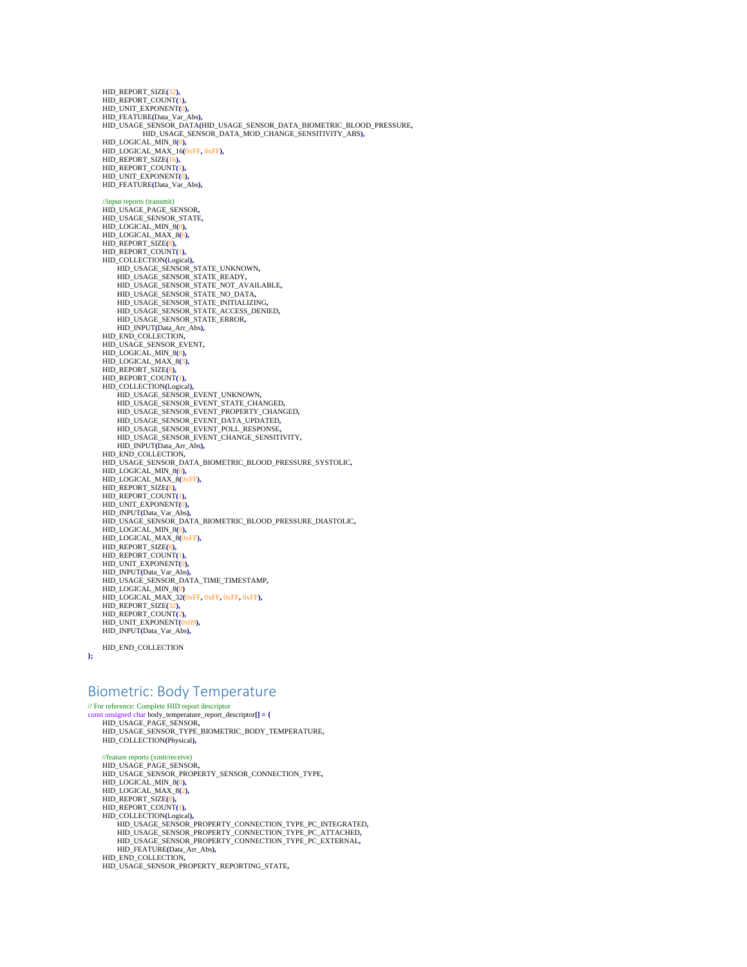HID\_REPORT\_SIZE**(**32**),** HID\_REPORT\_COUNT**(**1**),** HID\_UNIT\_EXPONENT**(**0**),** HID\_FEATURE**(**Data\_Var\_Abs**),** HID\_USAGE\_SENSOR\_DATA**(**HID\_USAGE\_SENSOR\_DATA\_BIOMETRIC\_BLOOD\_PRESSURE**,** HID\_USAGE\_SENSOR\_DATA\_MOD\_CHANGE\_SENSITIVITY\_ABS**),** HID\_LOGICAL\_MIN\_8**(**0**),** HID\_LOGICAL\_MAX\_16**(**0xFF**,** 0xFF**),** HID\_REPORT\_SIZE**(**16**),** HID\_REPORT\_COUNT**(**1**),** HID\_UNIT\_EXPONENT**(**0**),** HID\_FEATURE**(**Data\_Var\_Abs**),** //input reports (transmit) HID\_USAGE\_PAGE\_SENSOR**,** HID\_USAGE\_SENSOR\_STATE**,** HID\_LOGICAL\_MIN\_8**(**0**),** HID\_LOGICAL\_MAX\_8**(**6**),** HID\_REPORT\_SIZE**(**8**),** HID\_REPORT\_COUNT**(**1**),** HID\_COLLECTION**(**Logical**),** HID\_USAGE\_SENSOR\_STATE\_UNKNOWN**,** HID\_USAGE\_SENSOR\_STATE\_READY**,** HID\_USAGE\_SENSOR\_STATE\_NOT\_AVAILABLE**,** HID\_USAGE\_SENSOR\_STATE\_NO\_DATA**,** HID\_USAGE\_SENSOR\_STATE\_INITIALIZING**,** HID\_USAGE\_SENSOR\_STATE\_ACCESS\_DENIED**,** HID\_USAGE\_SENSOR\_STATE\_ERROR**,** HID\_INPUT**(**Data\_Arr\_Abs**),** HID\_END\_COLLECTION**,** HID\_USAGE\_SENSOR\_EVENT**,** HID\_LOGICAL\_MIN\_8**(**0**),** HID\_LOGICAL\_MAX\_8**(**5**),** HID\_REPORT\_SIZE**(**8**),** HID\_REPORT\_COUNT**(**1**),** HID\_COLLECTION**(**Logical**),** HID\_USAGE\_SENSOR\_EVENT\_UNKNOWN**,** HID\_USAGE\_SENSOR\_EVENT\_STATE\_CHANGED**,** HID\_USAGE\_SENSOR\_EVENT\_PROPERTY\_CHANGED**,** HID\_USAGE\_SENSOR\_EVENT\_DATA\_UPDATED**,** HID\_USAGE\_SENSOR\_EVENT\_POLL\_RESPONSE**,** HID\_USAGE\_SENSOR\_EVENT\_CHANGE\_SENSITIVITY**,** HID\_INPUT**(**Data\_Arr\_Abs**),** HID\_END\_COLLECTION**,** HID\_USAGE\_SENSOR\_DATA\_BIOMETRIC\_BLOOD\_PRESSURE\_SYSTOLIC**,** HID\_LOGICAL\_MIN\_8**(**0**),** HID\_LOGICAL\_MAX\_8**(**0xFF**),** HID\_REPORT\_SIZE**(**8**),** HID\_REPORT\_COUNT**(**1**),** HID\_UNIT\_EXPONENT**(**0**),** HID\_INPUT**(**Data\_Var\_Abs**),** HID\_USAGE\_SENSOR\_DATA\_BIOMETRIC\_BLOOD\_PRESSURE\_DIASTOLIC**,** HID\_LOGICAL\_MIN\_8**(**0**),** HID\_LOGICAL\_MAX\_8**(**0xFF**),** HID\_REPORT\_SIZE**(**8**),** HID\_REPORT\_COUNT**(**1**),** HID\_UNIT\_EXPONENT**(**0**),** HID\_INPUT**(**Data\_Var\_Abs**),** HID\_USAGE\_SENSOR\_DATA\_TIME\_TIMESTAMP**,** HID\_LOGICAL\_MIN\_8**(**0**)** HID\_LOGICAL\_MAX\_32**(**0xFF**,** 0xFF**,** 0xFF**,** 0xFF**),** HID\_REPORT\_SIZE**(**32**),** HID\_REPORT\_COUNT**(**2**),** HID\_UNIT\_EXPONENT**(**0x09**),** HID\_INPUT**(**Data\_Var\_Abs**),** HID\_END\_COLLECTION

**};**

#### Biometric: Body Temperature

// For reference: Complete HID report descriptor const unsigned char body\_temperature\_report\_descriptor**[] = {** HID\_USAGE\_PAGE\_SENSOR**,** HID\_USAGE\_SENSOR\_TYPE\_BIOMETRIC\_BODY\_TEMPERATURE**,** HID\_COLLECTION**(**Physical**),** //feature reports (xmit/receive) HID\_USAGE\_PAGE\_SENSOR**,** HID\_USAGE\_SENSOR\_PROPERTY\_SENSOR\_CONNECTION\_TYPE**,** HID\_LOGICAL\_MIN\_8**(**0**),** HID\_LOGICAL\_MAX\_8**(**2**),** HID\_REPORT\_SIZE**(**8**),** HID\_REPORT\_COUNT**(**1**),** HID\_COLLECTION**(**Logical**),** HID\_USAGE\_SENSOR\_PROPERTY\_CONNECTION\_TYPE\_PC\_INTEGRATED**,** HID\_USAGE\_SENSOR\_PROPERTY\_CONNECTION\_TYPE\_PC\_ATTACHED**,** HID\_USAGE\_SENSOR\_PROPERTY\_CONNECTION\_TYPE\_PC\_EXTERNAL**,** HID\_FEATURE**(**Data\_Arr\_Abs**),** HID\_END\_COLLECTION**,** HID\_USAGE\_SENSOR\_PROPERTY\_REPORTING\_STATE**,**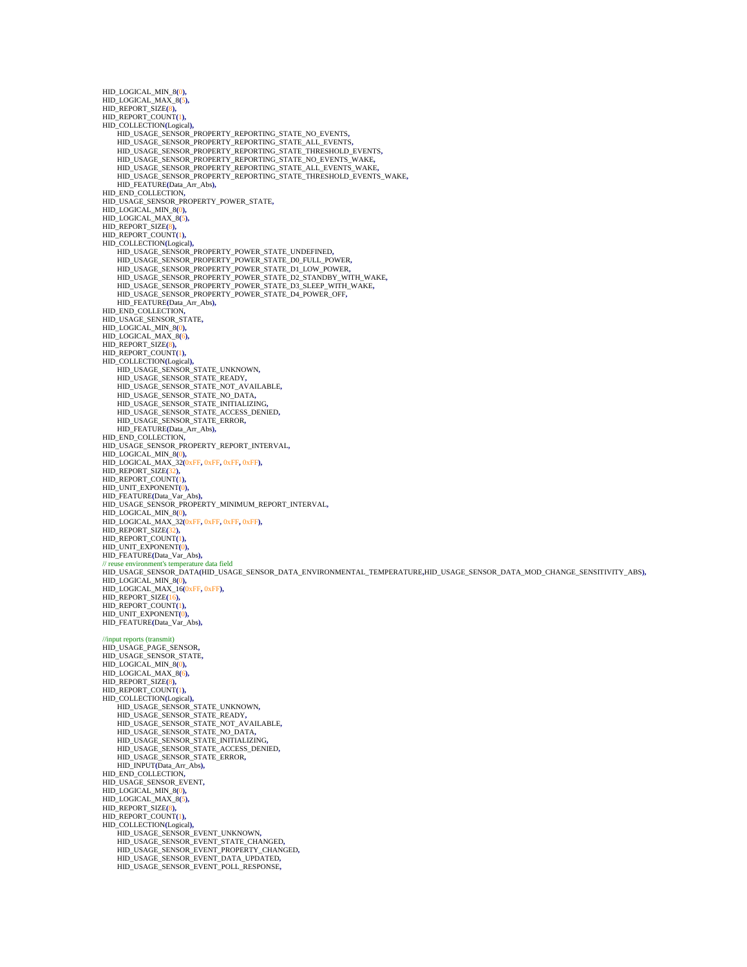HID\_LOGICAL\_MIN\_8**(**0**),** HID\_LOGICAL\_MAX\_8**(**5**),** HID\_REPORT\_SIZE**(**8**),** HID\_REPORT\_COUNT**(**1**),** HID\_COLLECTION**(**Logical**),** HID\_USAGE\_SENSOR\_PROPERTY\_REPORTING\_STATE\_NO\_EVENTS**,** HID\_USAGE\_SENSOR\_PROPERTY\_REPORTING\_STATE\_ALL\_EVENTS**,** HID\_USAGE\_SENSOR\_PROPERTY\_REPORTING\_STATE\_THRESHOLD\_EVENTS**,** HID\_USAGE\_SENSOR\_PROPERTY\_REPORTING\_STATE\_NO\_EVENTS\_WAKE**,** HID\_USAGE\_SENSOR\_PROPERTY\_REPORTING\_STATE\_ALL\_EVENTS\_WAKE**,** HID\_USAGE\_SENSOR\_PROPERTY\_REPORTING\_STATE\_THRESHOLD\_EVENTS\_WAKE**,** HID\_FEATURE**(**Data\_Arr\_Abs**),** HID\_END\_COLLECTION**,** HID\_USAGE\_SENSOR\_PROPERTY\_POWER\_STATE**,** HID\_LOGICAL\_MIN\_8**(**0**),** HID\_LOGICAL\_MAX\_8**(**5**),** HID\_REPORT\_SIZE**(**8**),** HID\_REPORT\_COUNT**(**1**),** HID\_COLLECTION**(**Logical**),** HID\_USAGE\_SENSOR\_PROPERTY\_POWER\_STATE\_UNDEFINED**,** HID\_USAGE\_SENSOR\_PROPERTY\_POWER\_STATE\_D0\_FULL\_POWER**,** HID\_USAGE\_SENSOR\_PROPERTY\_POWER\_STATE\_D1\_LOW\_POWER**,** HID\_USAGE\_SENSOR\_PROPERTY\_POWER\_STATE\_D2\_STANDBY\_WITH\_WAKE**,** HID\_USAGE\_SENSOR\_PROPERTY\_POWER\_STATE\_D3\_SLEEP\_WITH\_WAKE**,** HID\_USAGE\_SENSOR\_PROPERTY\_POWER\_STATE\_D4\_POWER\_OFF**,** HID\_FEATURE**(**Data\_Arr\_Abs**),** HID\_END\_COLLECTION**,** HID\_USAGE\_SENSOR\_STATE**,** HID\_LOGICAL\_MIN\_8**(**0**),** HID\_LOGICAL\_MAX\_8**(**6**),** HID\_REPORT\_SIZE**(**8**),** HID\_REPORT\_COUNT**(**1**),** HID\_COLLECTION**(**Logical**),** HID\_USAGE\_SENSOR\_STATE\_UNKNOWN**,** HID\_USAGE\_SENSOR\_STATE\_READY**,** HID\_USAGE\_SENSOR\_STATE\_NOT\_AVAILABLE**,** HID\_USAGE\_SENSOR\_STATE\_NO\_DATA**,** HID\_USAGE\_SENSOR\_STATE\_INITIALIZING**,** HID\_USAGE\_SENSOR\_STATE\_ACCESS\_DENIED**,** HID\_USAGE\_SENSOR\_STATE\_ERROR**,** HID\_FEATURE**(**Data\_Arr\_Abs**),** HID\_END\_COLLECTION**,** HID\_USAGE\_SENSOR\_PROPERTY\_REPORT\_INTERVAL**,** HID\_LOGICAL\_MIN\_8**(**0**),** HID\_LOGICAL\_MAX\_32**(**0xFF**,** 0xFF**,** 0xFF**,** 0xFF**),** HID\_REPORT\_SIZE**(**32**),** HID\_REPORT\_COUNT**(**1**),** HID\_UNIT\_EXPONENT**(**0**),** HID\_FEATURE**(**Data\_Var\_Abs**),** HID\_USAGE\_SENSOR\_PROPERTY\_MINIMUM\_REPORT\_INTERVAL**,** HID\_LOGICAL\_MIN\_8**(**0**),** HID\_LOGICAL\_MAX\_32**(**0xFF**,** 0xFF**,** 0xFF**,** 0xFF**),** HID\_REPORT\_SIZE**(**32**),** HID\_REPORT\_COUNT**(**1**),** HID\_UNIT\_EXPONENT**(**0**),** HID\_FEATURE**(**Data\_Var\_Abs**),** // reuse environment's temperature data field HID\_USAGE\_SENSOR\_DATA**(**HID\_USAGE\_SENSOR\_DATA\_ENVIRONMENTAL\_TEMPERATURE**,**HID\_USAGE\_SENSOR\_DATA\_MOD\_CHANGE\_SENSITIVITY\_ABS**),** HID\_LOGICAL\_MIN\_8**(**0**),** HID\_LOGICAL\_MAX\_16**(**0xFF**,** 0xFF**),** HID\_REPORT\_SIZE**(**16**),** HID\_REPORT\_COUNT**(**1**),** HID\_UNIT\_EXPONENT**(**0**),** HID\_FEATURE**(**Data\_Var\_Abs**),** //input reports (transmit) HID\_USAGE\_PAGE\_SENSOR**,** HID\_USAGE\_SENSOR\_STATE**,** HID\_LOGICAL\_MIN\_8**(**0**),** HID\_LOGICAL\_MAX\_8**(**6**),** HID\_REPORT\_SIZE**(**8**),** HID\_REPORT\_COUNT**(**1**),** HID\_COLLECTION**(**Logical**),** HID\_USAGE\_SENSOR\_STATE\_UNKNOWN**,** HID\_USAGE\_SENSOR\_STATE\_READY**,** HID\_USAGE\_SENSOR\_STATE\_NOT\_AVAILABLE**,** HID\_USAGE\_SENSOR\_STATE\_NO\_DATA**,** HID\_USAGE\_SENSOR\_STATE\_INITIALIZING**,** HID\_USAGE\_SENSOR\_STATE\_ACCESS\_DENIED**,** HID\_USAGE\_SENSOR\_STATE\_ERROR**,** HID\_INPUT**(**Data\_Arr\_Abs**),** HID\_END\_COLLECTION**,** HID\_USAGE\_SENSOR\_EVENT**,** HID\_LOGICAL\_MIN\_8**(**0**),** HID\_LOGICAL\_MAX\_8**(**5**),** HID\_REPORT\_SIZE**(**8**),** HID\_REPORT\_COUNT**(**1**),** HID\_COLLECTION**(**Logical**),** HID\_USAGE\_SENSOR\_EVENT\_UNKNOWN**,** HID\_USAGE\_SENSOR\_EVENT\_STATE\_CHANGED**,** HID\_USAGE\_SENSOR\_EVENT\_PROPERTY\_CHANGED**,** HID\_USAGE\_SENSOR\_EVENT\_DATA\_UPDATED**,** HID\_USAGE\_SENSOR\_EVENT\_POLL\_RESPONSE**,**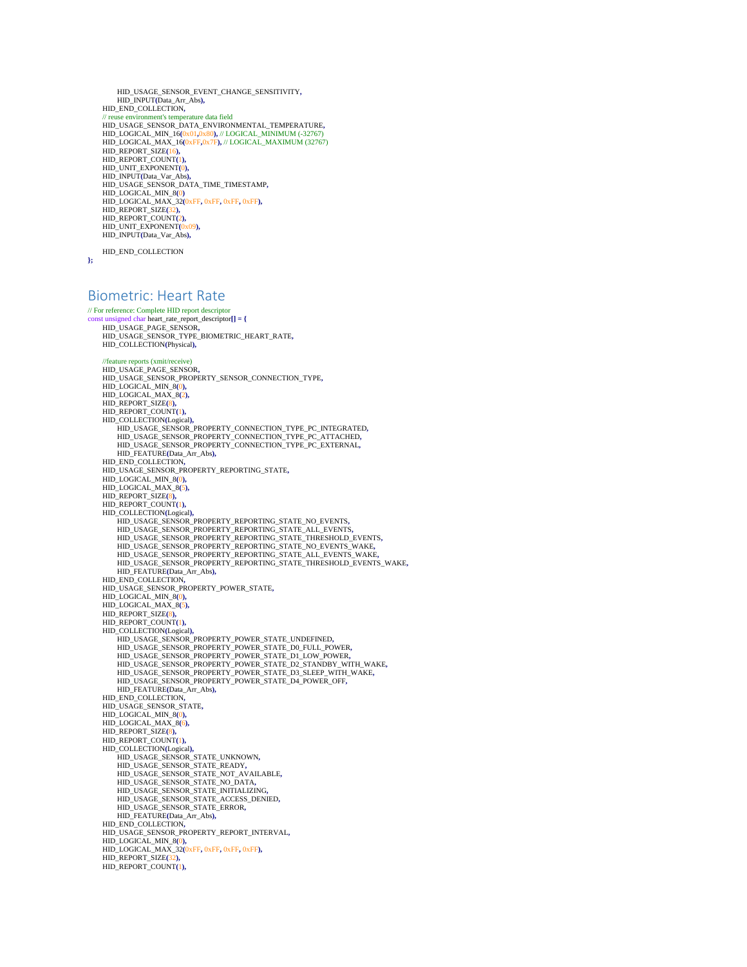HID\_USAGE\_SENSOR\_EVENT\_CHANGE\_SENSITIVITY**,** HID\_INPUT**(**Data\_Arr\_Abs**),** HID\_END\_COLLECTION**,** reuse environment's temperature data field HID\_USAGE\_SENSOR\_DATA\_ENVIRONMENTAL\_TEMPERATURE**,** HID\_LOGICAL\_MIN\_16**(**0x01**,**0x80**),** // LOGICAL\_MINIMUM (-32767) HID\_LOGICAL\_MAX\_16**(**0xFF**,**0x7F**),** // LOGICAL\_MAXIMUM (32767) HID\_REPORT\_SIZE**(**16**),** HID\_REPORT\_COUNT**(**1**),** HID\_UNIT\_EXPONENT**(**0**),** HID\_INPUT**(**Data\_Var\_Abs**),** HID\_USAGE\_SENSOR\_DATA\_TIME\_TIMESTAMP**,** HID\_LOGICAL\_MIN\_8**(**0**)** HID\_LOGICAL\_MAX\_32**(**0xFF**,** 0xFF**,** 0xFF**,** 0xFF**),** HID\_REPORT\_SIZE**(**32**),** HID\_REPORT\_COUNT**(**2**),** HID\_UNIT\_EXPONENT**(**0x09**),** HID\_INPUT**(**Data\_Var\_Abs**),**

**};**

# Biometric: Heart Rate

HID\_END\_COLLECTION

// For reference: Complete HID report descriptor const unsigned char heart\_rate\_report\_descriptor**[] = {** HID\_USAGE\_PAGE\_SENSOR**,** HID\_USAGE\_SENSOR\_TYPE\_BIOMETRIC\_HEART\_RATE**,** HID\_COLLECTION**(**Physical**),** ture reports (xmit/receive) HID\_USAGE\_PAGE\_SENSOR**,** HID\_USAGE\_SENSOR\_PROPERTY\_SENSOR\_CONNECTION\_TYPE**,** HID\_LOGICAL\_MIN\_8**(**0**),** HID\_LOGICAL\_MAX\_8**(**2**),** HID\_REPORT\_SIZE**(**8**),** HID\_REPORT\_COUNT**(**1**),** HID\_COLLECTION**(**Logical**),** HID\_USAGE\_SENSOR\_PROPERTY\_CONNECTION\_TYPE\_PC\_INTEGRATED**,** HID\_USAGE\_SENSOR\_PROPERTY\_CONNECTION\_TYPE\_PC\_ATTACHED**,** HID\_USAGE\_SENSOR\_PROPERTY\_CONNECTION\_TYPE\_PC\_EXTERNAL**,** HID\_FEATURE**(**Data\_Arr\_Abs**),** HID\_END\_COLLECTION**,** HID\_USAGE\_SENSOR\_PROPERTY\_REPORTING\_STATE**,** HID\_LOGICAL\_MIN\_8**(**0**),** HID\_LOGICAL\_MAX\_8**(**5**),** HID\_REPORT\_SIZE**(**8**),** HID\_REPORT\_COUNT**(**1**),** HID\_COLLECTION**(**Logical**),** HID\_USAGE\_SENSOR\_PROPERTY\_REPORTING\_STATE\_NO\_EVENTS**,** HID\_USAGE\_SENSOR\_PROPERTY\_REPORTING\_STATE\_ALL\_EVENTS**,** HID\_USAGE\_SENSOR\_PROPERTY\_REPORTING\_STATE\_THRESHOLD\_EVENTS**,** HID\_USAGE\_SENSOR\_PROPERTY\_REPORTING\_STATE\_NO\_EVENTS\_WAKE,<br>HID\_USAGE\_SENSOR\_PROPERTY\_REPORTING\_STATE\_ALL\_EVENTS\_WAKE,<br>HID\_USAGE\_SENSOR\_PROPERTY\_REPORTING\_STATE\_THRESHOLD\_EVENTS\_WAKE,<br>HID\_FEATURE(Data\_Arr\_Abs), HID\_END\_COLLECTION**,** HID\_USAGE\_SENSOR\_PROPERTY\_POWER\_STATE**,** HID\_LOGICAL\_MIN\_8**(**0**),** HID\_LOGICAL\_MAX\_8**(**5**),** HID\_REPORT\_SIZE**(**8**),** HID\_REPORT\_COUNT**(**1**),** HID\_COLLECTION**(**Logical**),** HID\_USAGE\_SENSOR\_PROPERTY\_POWER\_STATE\_UNDEFINED**,** HID\_USAGE\_SENSOR\_PROPERTY\_POWER\_STATE\_D0\_FULL\_POWER**,** HID\_USAGE\_SENSOR\_PROPERTY\_POWER\_STATE\_D1\_LOW\_POWER**,** HID\_USAGE\_SENSOR\_PROPERTY\_POWER\_STATE\_D2\_STANDBY\_WITH\_WAKE**,** HID\_USAGE\_SENSOR\_PROPERTY\_POWER\_STATE\_D3\_SLEEP\_WITH\_WAKE**,** HID\_USAGE\_SENSOR\_PROPERTY\_POWER\_STATE\_D4\_POWER\_OFF**,** HID\_FEATURE**(**Data\_Arr\_Abs**),** HID\_END\_COLLECTION**,** HID\_USAGE\_SENSOR\_STATE**,** HID\_LOGICAL\_MIN\_8**(**0**),** HID\_LOGICAL\_MAX\_8**(**6**),** HID\_REPORT\_SIZE**(**8**),** HID\_REPORT\_COUNT**(**1**),** HID\_COLLECTION**(**Logical**),** HID\_USAGE\_SENSOR\_STATE\_UNKNOWN**,** HID\_USAGE\_SENSOR\_STATE\_READY**,** HID\_USAGE\_SENSOR\_STATE\_NOT\_AVAILABLE**,** HID\_USAGE\_SENSOR\_STATE\_NO\_DATA**,** HID\_USAGE\_SENSOR\_STATE\_INITIALIZING**,** HID\_USAGE\_SENSOR\_STATE\_ACCESS\_DENIED**,** HID\_USAGE\_SENSOR\_STATE\_ERROR**,** HID\_FEATURE**(**Data\_Arr\_Abs**),** HID\_END\_COLLECTION**,** HID\_USAGE\_SENSOR\_PROPERTY\_REPORT\_INTERVAL**,** HID\_LOGICAL\_MIN\_8**(**0**),** HID\_LOGICAL\_MAX\_32**(**0xFF**,** 0xFF**,** 0xFF**,** 0xFF**),** HID\_REPORT\_SIZE**(**32**),** HID\_REPORT\_COUNT**(**1**),**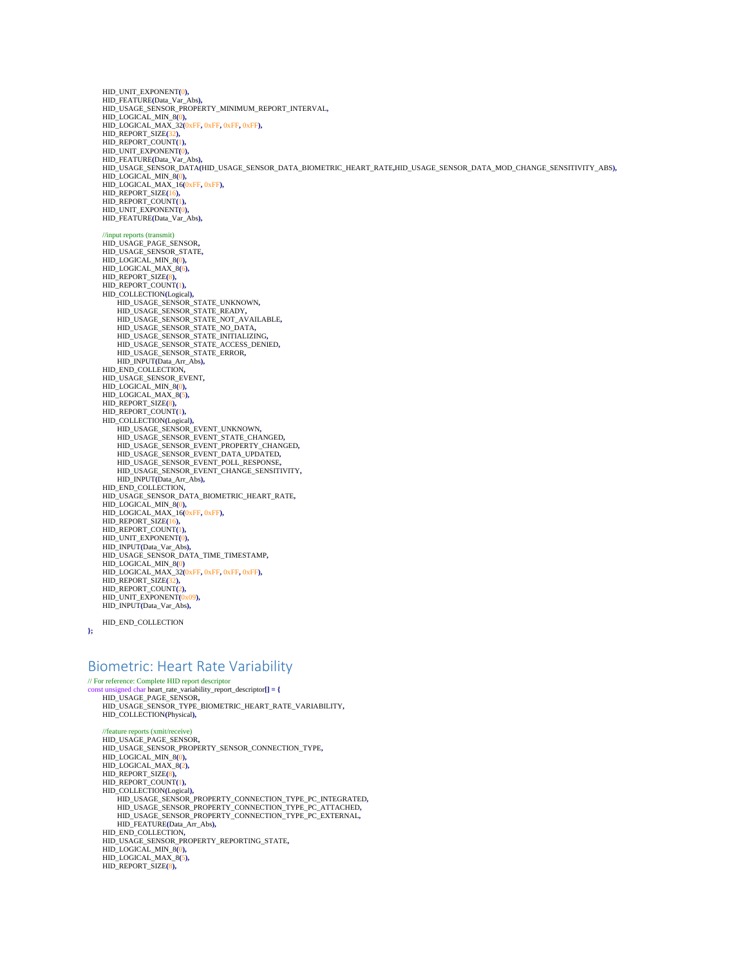```
 HID_UNIT_EXPONENT(0),
     HID_FEATURE(Data_Var_Abs),
     HID_USAGE_SENSOR_PROPERTY_MINIMUM_REPORT_INTERVAL,
 HID_LOGICAL_MIN_8(0),
 HID_LOGICAL_MAX_32(0xFF, 0xFF, 0xFF, 0xFF),
     HID_REPORT_SIZE(32),
     HID_REPORT_COUNT(1),
     HID_UNIT_EXPONENT(0),
     HID_FEATURE(Data_Var_Abs),
     HID_USAGE_SENSOR_DATA(HID_USAGE_SENSOR_DATA_BIOMETRIC_HEART_RATE,HID_USAGE_SENSOR_DATA_MOD_CHANGE_SENSITIVITY_ABS),
 HID_LOGICAL_MIN_8(0),
 HID_LOGICAL_MAX_16(0xFF, 0xFF),
     HID_REPORT_SIZE(16),
 HID_REPORT_COUNT(1),
 HID_UNIT_EXPONENT(0),
     HID_FEATURE(Data_Var_Abs),
     //input reports (transmit)
 HID_USAGE_PAGE_SENSOR,
 HID_USAGE_SENSOR_STATE,
 HID_LOGICAL_MIN_8(0),
 HID_LOGICAL_MAX_8(6),
     HID_REPORT_SIZE(8),
 HID_REPORT_COUNT(1),
 HID_COLLECTION(Logical),
 HID_USAGE_SENSOR_STATE_UNKNOWN,
 HID_USAGE_SENSOR_STATE_READY,
 HID_USAGE_SENSOR_STATE_NOT_AVAILABLE,
 HID_USAGE_SENSOR_STATE_NO_DATA,
 HID_USAGE_SENSOR_STATE_INITIALIZING,
 HID_USAGE_SENSOR_STATE_ACCESS_DENIED,
 HID_USAGE_SENSOR_STATE_ERROR,
          HID_INPUT(Data_Arr_Abs),
 HID_END_COLLECTION,
 HID_USAGE_SENSOR_EVENT,
 HID_LOGICAL_MIN_8(0),
 HID_LOGICAL_MAX_8(5),
 HID_REPORT_SIZE(8),
     HID_REPORT_COUNT(1),
 HID_COLLECTION(Logical),
 HID_USAGE_SENSOR_EVENT_UNKNOWN,
 HID_USAGE_SENSOR_EVENT_STATE_CHANGED,
 HID_USAGE_SENSOR_EVENT_PROPERTY_CHANGED,
          HID_USAGE_SENSOR_EVENT_DATA_UPDATED,
          HID_USAGE_SENSOR_EVENT_POLL_RESPONSE,
          HID_USAGE_SENSOR_EVENT_CHANGE_SENSITIVITY,
 HID_INPUT(Data_Arr_Abs),
 HID_END_COLLECTION,
     HID_USAGE_SENSOR_DATA_BIOMETRIC_HEART_RATE,
 HID_LOGICAL_MIN_8(0),
 HID_LOGICAL_MAX_16(0xFF, 0xFF),
 HID_REPORT_SIZE(16),
 HID_REPORT_COUNT(1),
     HID_UNIT_EXPONENT(0),
 HID_INPUT(Data_Var_Abs),
 HID_USAGE_SENSOR_DATA_TIME_TIMESTAMP,
 HID_LOGICAL_MIN_8(0)
 HID_LOGICAL_MAX_32(0xFF, 0xFF, 0xFF, 0xFF),
     HID_REPORT_SIZE(32),
 HID_REPORT_COUNT(2),
 HID_UNIT_EXPONENT(0x09),
     HID_INPUT(Data_Var_Abs),
    HID_END_COLLECTION
```
## **};**

## Biometric: Heart Rate Variability

// For reference: Complete HID report descriptor const unsigned char heart\_rate\_variability\_report\_descriptor**[] = {** HID\_USAGE\_PAGE\_SENSOR**,** HID\_USAGE\_SENSOR\_TYPE\_BIOMETRIC\_HEART\_RATE\_VARIABILITY**,** HID\_COLLECTION**(**Physical**),** //feature reports (xmit/receive) HID\_USAGE\_PAGE\_SENSOR**,** HID\_USAGE\_SENSOR\_PROPERTY\_SENSOR\_CONNECTION\_TYPE**,** HID\_LOGICAL\_MIN\_8**(**0**),** HID\_LOGICAL\_MAX\_8**(**2**),** HID\_REPORT\_SIZE**(**8**),** HID\_REPORT\_COUNT**(**1**),** HID\_COLLECTION**(**Logical**),** HID\_USAGE\_SENSOR\_PROPERTY\_CONNECTION\_TYPE\_PC\_INTEGRATED**,** HID\_USAGE\_SENSOR\_PROPERTY\_CONNECTION\_TYPE\_PC\_ATTACHED**,** HID\_USAGE\_SENSOR\_PROPERTY\_CONNECTION\_TYPE\_PC\_EXTERNAL**,** HID\_FEATURE**(**Data\_Arr\_Abs**),** HID\_END\_COLLECTION**,** HID\_USAGE\_SENSOR\_PROPERTY\_REPORTING\_STATE**,** HID\_LOGICAL\_MIN\_8**(**0**),** HID\_LOGICAL\_MAX\_8**(**5**),** HID\_REPORT\_SIZE**(**8**),**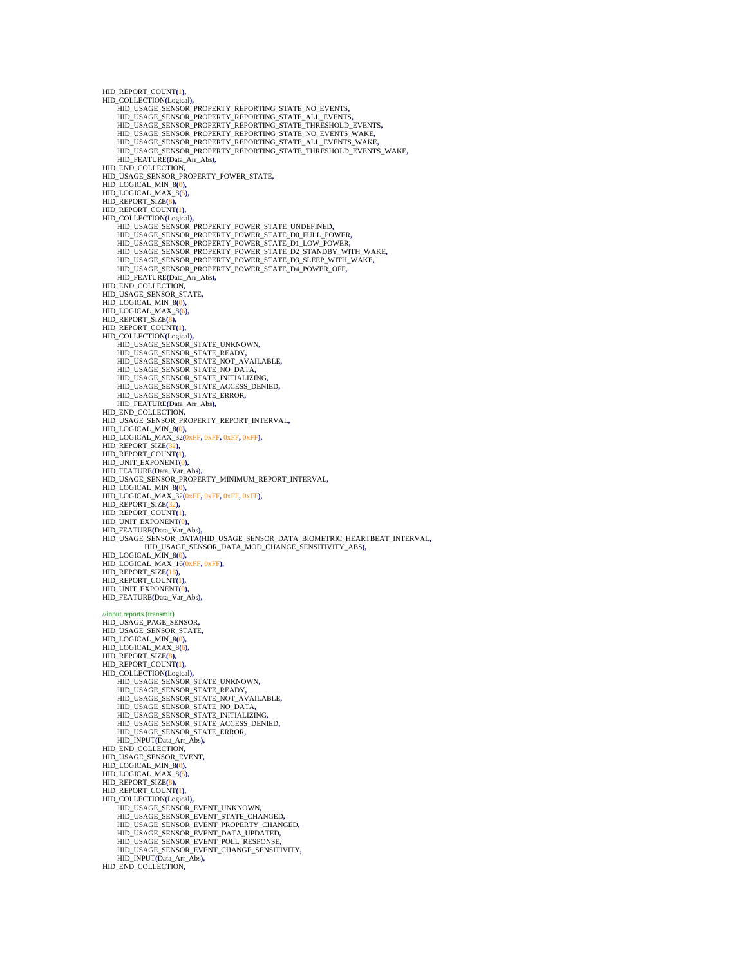HID\_COLLECTION**(**Logical**),** HID\_USAGE\_SENSOR\_PROPERTY\_REPORTING\_STATE\_NO\_EVENTS**,** HID\_USAGE\_SENSOR\_PROPERTY\_REPORTING\_STATE\_ALL\_EVENTS**,** HID\_USAGE\_SENSOR\_PROPERTY\_REPORTING\_STATE\_THRESHOLD\_EVENTS**,** HID\_USAGE\_SENSOR\_PROPERTY\_REPORTING\_STATE\_NO\_EVENTS\_WAKE**,** HID\_USAGE\_SENSOR\_PROPERTY\_REPORTING\_STATE\_ALL\_EVENTS\_WAKE**,** HID\_USAGE\_SENSOR\_PROPERTY\_REPORTING\_STATE\_THRESHOLD\_EVENTS\_WAKE**,** HID\_FEATURE**(**Data\_Arr\_Abs**),** HID\_END\_COLLECTION**,** HID\_USAGE\_SENSOR\_PROPERTY\_POWER\_STATE**,** HID\_LOGICAL\_MIN\_8**(**0**),** HID\_LOGICAL\_MAX\_8**(**5**),** HID\_REPORT\_SIZE**(**8**),** HID\_REPORT\_COUNT**(**1**),** HID\_COLLECTION**(**Logical**),** HID\_USAGE\_SENSOR\_PROPERTY\_POWER\_STATE\_UNDEFINED**,** HID\_USAGE\_SENSOR\_PROPERTY\_POWER\_STATE\_D0\_FULL\_POWER**,** HID\_USAGE\_SENSOR\_PROPERTY\_POWER\_STATE\_D1\_LOW\_POWER**,** HID\_USAGE\_SENSOR\_PROPERTY\_POWER\_STATE\_D2\_STANDBY\_WITH\_WAKE**,** HID\_USAGE\_SENSOR\_PROPERTY\_POWER\_STATE\_D3\_SLEEP\_WITH\_WAKE**,** HID\_USAGE\_SENSOR\_PROPERTY\_POWER\_STATE\_D4\_POWER\_OFF**,** HID\_FEATURE**(**Data\_Arr\_Abs**),** HID\_END\_COLLECTION**,** HID\_USAGE\_SENSOR\_STATE**,** HID\_LOGICAL\_MIN\_8**(**0**),** HID\_LOGICAL\_MAX\_8**(**6**),** HID\_REPORT\_SIZE**(**8**),** HID\_REPORT\_COUNT**(**1**),** HID\_COLLECTION**(**Logical**),** HID\_USAGE\_SENSOR\_STATE\_UNKNOWN**,** HID\_USAGE\_SENSOR\_STATE\_READY**,** HID\_USAGE\_SENSOR\_STATE\_NOT\_AVAILABLE**,** HID\_USAGE\_SENSOR\_STATE\_NO\_DATA**,** HID\_USAGE\_SENSOR\_STATE\_INITIALIZING**,** HID\_USAGE\_SENSOR\_STATE\_ACCESS\_DENIED**,** HID\_USAGE\_SENSOR\_STATE\_ERROR**,** HID\_FEATURE**(**Data\_Arr\_Abs**),** HID\_END\_COLLECTION**,** HID\_USAGE\_SENSOR\_PROPERTY\_REPORT\_INTERVAL**,** HID\_LOGICAL\_MIN\_8**(**0**),** HID\_LOGICAL\_MAX\_32**(**0xFF**,** 0xFF**,** 0xFF**,** 0xFF**),** HID\_REPORT\_SIZE**(**32**),** HID\_REPORT\_COUNT**(**1**),** HID\_UNIT\_EXPONENT**(**0**),** HID\_FEATURE**(**Data\_Var\_Abs**),** HID\_USAGE\_SENSOR\_PROPERTY\_MINIMUM\_REPORT\_INTERVAL,<br>HID\_LOGICAL\_MIN\_8(0),<br>HID\_LOGICAL\_MIAX\_32(0xFF, 0xFF, 0xFF, 0xFF),<br>HID\_REPORT\_SIZE(32),<br>HID\_REPORT\_COUNT(1), HID\_UNIT\_EXPONENT**(**0**),** HID\_FEATURE**(**Data\_Var\_Abs**),** HID\_USAGE\_SENSOR\_DATA**(**HID\_USAGE\_SENSOR\_DATA\_BIOMETRIC\_HEARTBEAT\_INTERVAL**,** HID\_USAGE\_SENSOR\_DATA\_MOD\_CHANGE\_SENSITIVITY\_ABS**),** HID\_LOGICAL\_MIN\_8**(**0**),** HID\_LOGICAL\_MAX\_16**(**0xFF**,** 0xFF**),** HID\_REPORT\_SIZE**(**16**),** HID\_REPORT\_COUNT**(**1**),** HID\_UNIT\_EXPONENT**(**0**),** HID\_FEATURE**(**Data\_Var\_Abs**),** //input reports (transmit) HID\_USAGE\_PAGE\_SENSOR**,** HID\_USAGE\_SENSOR\_STATE**,** HID\_LOGICAL\_MIN\_8**(**0**),** HID\_LOGICAL\_MAX\_8**(**6**),** HID\_REPORT\_SIZE**(**8**),** HID\_REPORT\_COUNT**(**1**),** HID\_COLLECTION**(**Logical**),** HID\_USAGE\_SENSOR\_STATE\_UNKNOWN**,** HID\_USAGE\_SENSOR\_STATE\_READY**,** HID\_USAGE\_SENSOR\_STATE\_NOT\_AVAILABLE**,** HID\_USAGE\_SENSOR\_STATE\_NO\_DATA**,** HID\_USAGE\_SENSOR\_STATE\_INITIALIZING**,** HID\_USAGE\_SENSOR\_STATE\_ACCESS\_DENIED**,** HID\_USAGE\_SENSOR\_STATE\_ERROR**,** HID\_INPUT**(**Data\_Arr\_Abs**),** HID\_END\_COLLECTION, HID\_USAGE\_SENSOR\_EVENT**,** HID\_LOGICAL\_MIN\_8**(**0**),** HID\_LOGICAL\_MAX\_8**(**5**),** HID\_REPORT\_SIZE**(**8**),** HID\_REPORT\_COUNT**(**1**),** HID\_COLLECTION**(**Logical**),** HID\_USAGE\_SENSOR\_EVENT\_UNKNOWN**,** HID\_USAGE\_SENSOR\_EVENT\_STATE\_CHANGED**,** HID\_USAGE\_SENSOR\_EVENT\_PROPERTY\_CHANGED**,** HID\_USAGE\_SENSOR\_EVENT\_DATA\_UPDATED**,** HID\_USAGE\_SENSOR\_EVENT\_POLL\_RESPONSE**,** HID\_USAGE\_SENSOR\_EVENT\_CHANGE\_SENSITIVITY**,** HID\_INPUT**(**Data\_Arr\_Abs**),** HID\_END\_COLLECTION**,**

HID\_REPORT\_COUNT**(**1**),**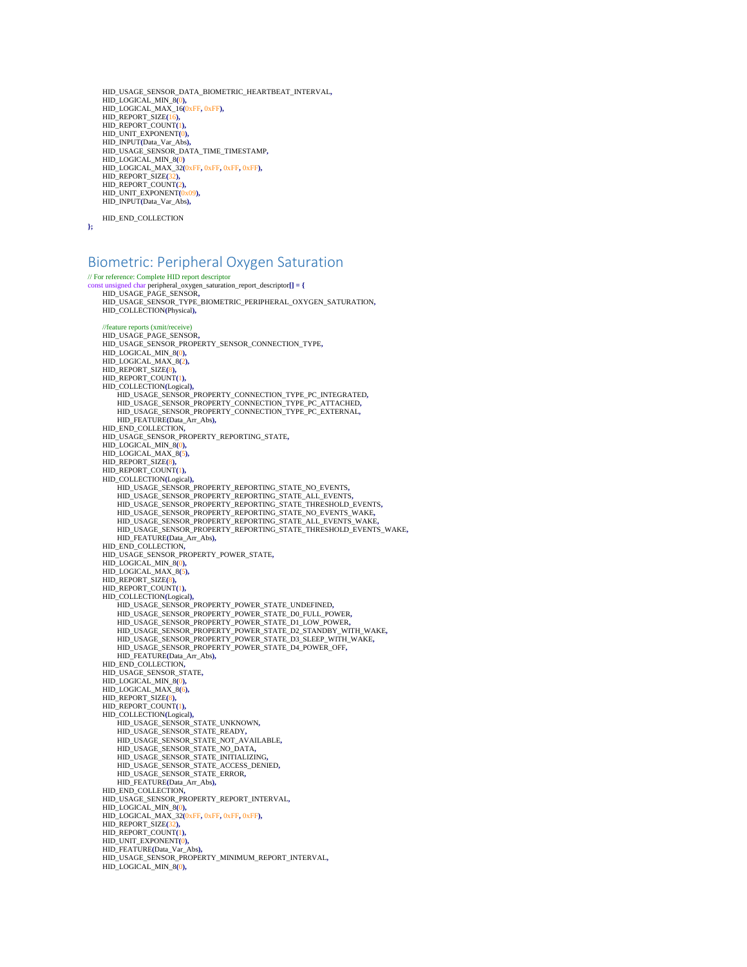HID\_USAGE\_SENSOR\_DATA\_BIOMETRIC\_HEARTBEAT\_INTERVAL**,** HID\_LOGICAL\_MIN\_8**(**0**),** HID\_LOGICAL\_MAX\_16**(**0xFF**,** 0xFF**),** HID\_REPORT\_SIZE**(**16**),** HID\_REPORT\_COUNT**(**1**),** HID\_UNIT\_EXPONENT**(**0**),** HID\_INPUT**(**Data\_Var\_Abs**),** HID\_USAGE\_SENSOR\_DATA\_TIME\_TIMESTAMP**,** HID\_LOGICAL\_MIN\_8**(**0**)** HID\_LOGICAL\_MAX\_32**(**0xFF**,** 0xFF**,** 0xFF**,** 0xFF**),** HID\_REPORT\_SIZE**(**32**),** HID\_REPORT\_COUNT**(**2**),** HID\_UNIT\_EXPONENT**(**0x09**),** HID\_INPUT**(**Data\_Var\_Abs**),**

HID\_END\_COLLECTION

**};**

# Biometric: Peripheral Oxygen Saturation

// For reference: Complete HID report descriptor const unsigned char peripheral\_oxygen\_saturation\_report\_descriptor**[] = {** HID\_USAGE\_PAGE\_SENSOR**,** HID\_USAGE\_SENSOR\_TYPE\_BIOMETRIC\_PERIPHERAL\_OXYGEN\_SATURATION**,** HID\_COLLECTION**(**Physical**),** //feature reports (xmit/receive) HID\_USAGE\_PAGE\_SENSOR**,** HID\_USAGE\_SENSOR\_PROPERTY\_SENSOR\_CONNECTION\_TYPE**,** HID\_LOGICAL\_MIN\_8**(**0**),** HID\_LOGICAL\_MAX\_8**(**2**),** HID\_REPORT\_SIZE**(**8**),** HID\_REPORT\_COUNT**(**1**),** HID\_COLLECTION**(**Logical**),** HID\_USAGE\_SENSOR\_PROPERTY\_CONNECTION\_TYPE\_PC\_INTEGRATED**,** HID\_USAGE\_SENSOR\_PROPERTY\_CONNECTION\_TYPE\_PC\_ATTACHED**,** HID\_USAGE\_SENSOR\_PROPERTY\_CONNECTION\_TYPE\_PC\_EXTERNAL**,** HID\_FEATURE**(**Data\_Arr\_Abs**),** HID\_END\_COLLECTION**,** HID\_USAGE\_SENSOR\_PROPERTY\_REPORTING\_STATE**,** HID\_LOGICAL\_MIN\_8**(**0**),** HID\_LOGICAL\_MAX\_8**(**5**),** HID\_REPORT\_SIZE**(**8**),** HID\_REPORT\_COUNT**(**1**),** HID\_COLLECTION**(**Logical**),** HID\_USAGE\_SENSOR\_PROPERTY\_REPORTING\_STATE\_NO\_EVENTS**,** HID\_USAGE\_SENSOR\_PROPERTY\_REPORTING\_STATE\_ALL\_EVENTS**,** HID\_USAGE\_SENSOR\_PROPERTY\_REPORTING\_STATE\_THRESHOLD\_EVENTS**,** HID\_USAGE\_SENSOR\_PROPERTY\_REPORTING\_STATE\_NO\_EVENTS\_WAKE**,** HID\_USAGE\_SENSOR\_PROPERTY\_REPORTING\_STATE\_ALL\_EVENTS\_WAKE**,** HID\_USAGE\_SENSOR\_PROPERTY\_REPORTING\_STATE\_THRESHOLD\_EVENTS\_WAKE**,** HID\_FEATURE**(**Data\_Arr\_Abs**),** HID\_END\_COLLECTION**,** HID\_USAGE\_SENSOR\_PROPERTY\_POWER\_STATE**,** HID\_LOGICAL\_MIN\_8**(**0**),** HID\_LOGICAL\_MAX\_8**(**5**),** HID\_REPORT\_SIZE**(**8**),** HID\_REPORT\_COUNT**(**1**),** HID\_COLLECTION**(**Logical**),** HID\_USAGE\_SENSOR\_PROPERTY\_POWER\_STATE\_UNDEFINED**,** HID\_USAGE\_SENSOR\_PROPERTY\_POWER\_STATE\_D0\_FULL\_POWER**,** HID\_USAGE\_SENSOR\_PROPERTY\_POWER\_STATE\_D1\_LOW\_POWER**,** HID\_USAGE\_SENSOR\_PROPERTY\_POWER\_STATE\_D2\_STANDBY\_WITH\_WAKE**,** HID\_USAGE\_SENSOR\_PROPERTY\_POWER\_STATE\_D3\_SLEEP\_WITH\_WAKE**,** HID\_USAGE\_SENSOR\_PROPERTY\_POWER\_STATE\_D4\_POWER\_OFF**,** HID\_FEATURE**(**Data\_Arr\_Abs**),** HID\_END\_COLLECTION**,** HID\_USAGE\_SENSOR\_STATE**,** HID\_LOGICAL\_MIN\_8**(**0**),** HID\_LOGICAL\_MAX\_8**(**6**),** HID\_REPORT\_SIZE**(**8**),** HID\_REPORT\_COUNT**(**1**),** HID\_COLLECTION**(**Logical**),** HID\_USAGE\_SENSOR\_STATE\_UNKNOWN**,** HID\_USAGE\_SENSOR\_STATE\_READY**,** HID\_USAGE\_SENSOR\_STATE\_NOT\_AVAILABLE**,** HID\_USAGE\_SENSOR\_STATE\_NO\_DATA**,** HID\_USAGE\_SENSOR\_STATE\_INITIALIZING**,** HID\_USAGE\_SENSOR\_STATE\_ACCESS\_DENIED**,** HID\_USAGE\_SENSOR\_STATE\_ERROR**,** HID\_FEATURE**(**Data\_Arr\_Abs**),** HID\_END\_COLLECTION**,** HID\_USAGE\_SENSOR\_PROPERTY\_REPORT\_INTERVAL**,** HID\_LOGICAL\_MIN\_8**(**0**),** HID\_LOGICAL\_MAX\_32**(**0xFF**,** 0xFF**,** 0xFF**,** 0xFF**),** HID\_REPORT\_SIZE**(**32**),** HID\_REPORT\_COUNT**(**1**),** HID\_UNIT\_EXPONENT**(**0**),** HID\_FEATURE**(**Data\_Var\_Abs**),** HID\_USAGE\_SENSOR\_PROPERTY\_MINIMUM\_REPORT\_INTERVAL**,** HID\_LOGICAL\_MIN\_8**(**0**),**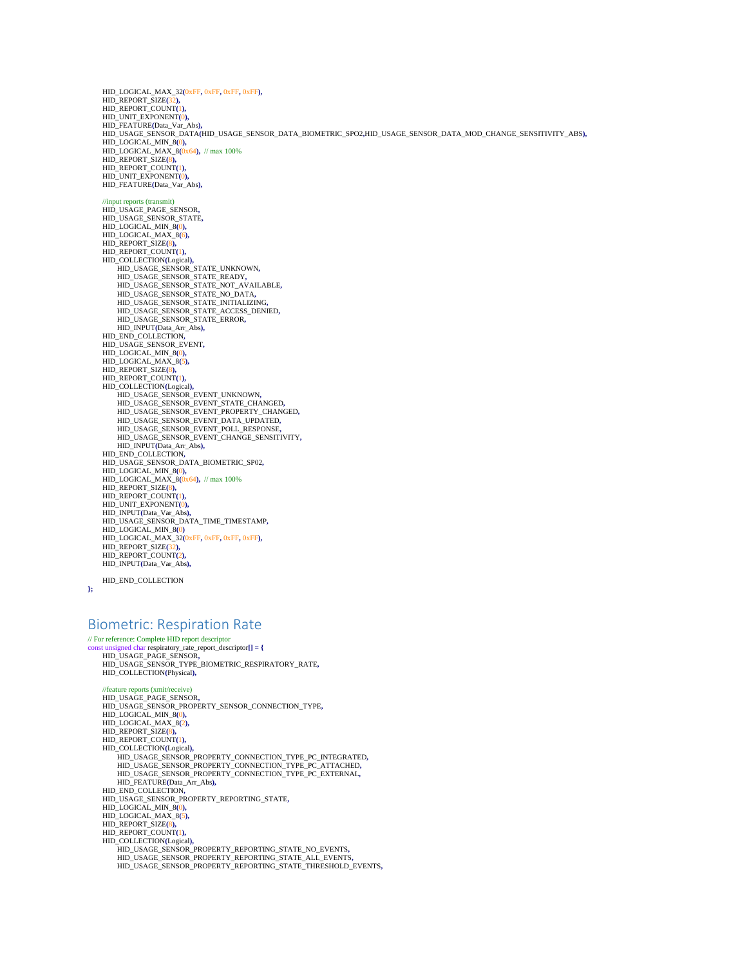HID\_LOGICAL\_MAX\_32**(**0xFF**,** 0xFF**,** 0xFF**,** 0xFF**),** HID\_REPORT\_SIZE**(**32**),** HID\_REPORT\_COUNT**(**1**),** HID\_UNIT\_EXPONENT**(**0**),** HID\_FEATURE**(**Data\_Var\_Abs**),** HID\_USAGE\_SENSOR\_DATA**(**HID\_USAGE\_SENSOR\_DATA\_BIOMETRIC\_SPO2**,**HID\_USAGE\_SENSOR\_DATA\_MOD\_CHANGE\_SENSITIVITY\_ABS**),** HID\_LOGICAL\_MIN\_8**(**0**),** HID\_LOGICAL\_MAX\_8**(**0x64**),** // max 100% HID\_REPORT\_SIZE**(**8**),** HID\_REPORT\_COUNT**(**1**),** HID\_UNIT\_EXPONENT**(**0**),** HID\_FEATURE**(**Data\_Var\_Abs**),** //input reports (transmit) HID\_USAGE\_PAGE\_SENSOR**,** HID\_USAGE\_SENSOR\_STATE**,** HID\_LOGICAL\_MIN\_8**(**0**),** HID\_LOGICAL\_MAX\_8**(**6**),** HID\_REPORT\_SIZE**(**8**),** HID\_REPORT\_COUNT**(**1**),** HID\_COLLECTION**(**Logical**),** HID\_USAGE\_SENSOR\_STATE\_UNKNOWN**,** HID\_USAGE\_SENSOR\_STATE\_READY**,** HID\_USAGE\_SENSOR\_STATE\_NOT\_AVAILABLE**,** HID\_USAGE\_SENSOR\_STATE\_NO\_DATA**,** HID\_USAGE\_SENSOR\_STATE\_INITIALIZING**,** HID\_USAGE\_SENSOR\_STATE\_ACCESS\_DENIED**,** HID\_USAGE\_SENSOR\_STATE\_ERROR**,** HID\_INPUT**(**Data\_Arr\_Abs**),** HID\_END\_COLLECTION**,** HID\_USAGE\_SENSOR\_EVENT**,** HID\_LOGICAL\_MIN\_8**(**0**),** HID\_LOGICAL\_MAX\_8**(**5**),** HID\_REPORT\_SIZE**(**8**),** HID\_REPORT\_COUNT**(**1**),** HID\_COLLECTION**(**Logical**),** HID\_USAGE\_SENSOR\_EVENT\_UNKNOWN**,** HID\_USAGE\_SENSOR\_EVENT\_STATE\_CHANGED**,** HID\_USAGE\_SENSOR\_EVENT\_PROPERTY\_CHANGED**,** HID\_USAGE\_SENSOR\_EVENT\_DATA\_UPDATED**,** HID\_USAGE\_SENSOR\_EVENT\_POLL\_RESPONSE**,** HID\_USAGE\_SENSOR\_EVENT\_CHANGE\_SENSITIVITY**,** HID\_INPUT**(**Data\_Arr\_Abs**),** HID\_END\_COLLECTION**,** HID\_USAGE\_SENSOR\_DATA\_BIOMETRIC\_SP02**,** HID\_LOGICAL\_MIN\_8**(**0**),** HID\_LOGICAL\_MAX\_8**(**0x64**),** // max 100% HID\_REPORT\_SIZE**(**8**),** HID\_REPORT\_COUNT**(**1**),** HID\_UNIT\_EXPONENT**(**0**),** HID\_INPUT**(**Data\_Var\_Abs**),** HID\_USAGE\_SENSOR\_DATA\_TIME\_TIMESTAMP**,** HID\_LOGICAL\_MIN\_8**(**0**)** HID\_LOGICAL\_MAX\_32**(**0xFF**,** 0xFF**,** 0xFF**,** 0xFF**),** HID\_REPORT\_SIZE**(**32**),** HID\_REPORT\_COUNT**(**2**),** HID\_INPUT**(**Data\_Var\_Abs**),**

HID\_END\_COLLECTION

## **};**

## Biometric: Respiration Rate

// For reference: Complete HID report descriptor const unsigned char respiratory\_rate\_report\_descriptor**[] = {** HID\_USAGE\_PAGE\_SENSOR**,** HID\_USAGE\_SENSOR\_TYPE\_BIOMETRIC\_RESPIRATORY\_RATE**,** HID\_COLLECTION**(**Physical**),** //feature reports (xmit/receive) HID\_USAGE\_PAGE\_SENSOR**,** HID\_USAGE\_SENSOR\_PROPERTY\_SENSOR\_CONNECTION\_TYPE**,** HID\_LOGICAL\_MIN\_8**(**0**),** HID\_LOGICAL\_MAX\_8**(**2**),** HID\_REPORT\_SIZE**(**8**),** HID\_REPORT\_COUNT**(**1**),** HID\_COLLECTION**(**Logical**),** HID\_USAGE\_SENSOR\_PROPERTY\_CONNECTION\_TYPE\_PC\_INTEGRATED**,** HID\_USAGE\_SENSOR\_PROPERTY\_CONNECTION\_TYPE\_PC\_ATTACHED**,** HID\_USAGE\_SENSOR\_PROPERTY\_CONNECTION\_TYPE\_PC\_EXTERNAL**,** HID\_FEATURE**(**Data\_Arr\_Abs**),** HID\_END\_COLLECTION**,** HID\_USAGE\_SENSOR\_PROPERTY\_REPORTING\_STATE**,** HID\_LOGICAL\_MIN\_8**(**0**),** HID\_LOGICAL\_MAX\_8**(**5**),** HID\_REPORT\_SIZE**(**8**),** HID\_REPORT\_COUNT**(**1**),** HID\_COLLECTION**(**Logical**),** HID\_USAGE\_SENSOR\_PROPERTY\_REPORTING\_STATE\_NO\_EVENTS**,** HID\_USAGE\_SENSOR\_PROPERTY\_REPORTING\_STATE\_ALL\_EVENTS**,** HID\_USAGE\_SENSOR\_PROPERTY\_REPORTING\_STATE\_THRESHOLD\_EVENTS**,**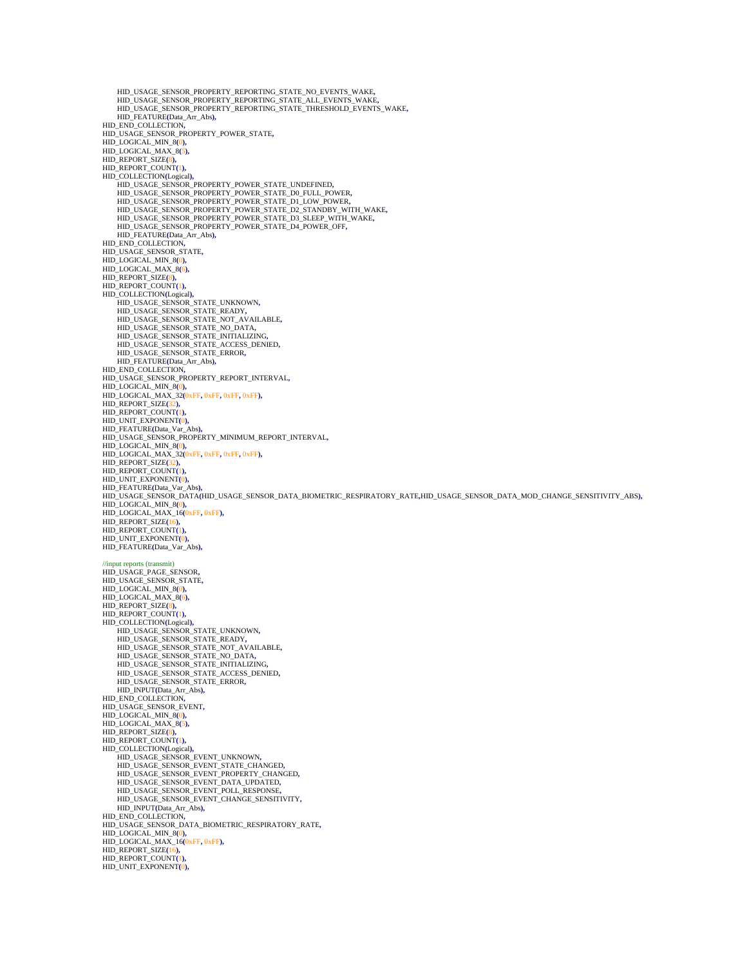HID\_USAGE\_SENSOR\_PROPERTY\_REPORTING\_STATE\_NO\_EVENTS\_WAKE**,** HID\_USAGE\_SENSOR\_PROPERTY\_REPORTING\_STATE\_ALL\_EVENTS\_WAKE**,** HID\_USAGE\_SENSOR\_PROPERTY\_REPORTING\_STATE\_THRESHOLD\_EVENTS\_WAKE**,** HID\_FEATURE**(**Data\_Arr\_Abs**),** HID\_END\_COLLECTION**,** HID\_USAGE\_SENSOR\_PROPERTY\_POWER\_STATE**,** HID\_LOGICAL\_MIN\_8**(**0**),** HID\_LOGICAL\_MAX\_8**(**5**),** HID\_REPORT\_SIZE**(**8**),** HID\_REPORT\_COUNT**(**1**),** HID\_COLLECTION**(**Logical**),** HID\_USAGE\_SENSOR\_PROPERTY\_POWER\_STATE\_UNDEFINED**,** HID\_USAGE\_SENSOR\_PROPERTY\_POWER\_STATE\_D0\_FULL\_POWER**,** HID\_USAGE\_SENSOR\_PROPERTY\_POWER\_STATE\_D1\_LOW\_POWER**,** HID\_USAGE\_SENSOR\_PROPERTY\_POWER\_STATE\_D2\_STANDBY\_WITH\_WAKE**,** HID\_USAGE\_SENSOR\_PROPERTY\_POWER\_STATE\_D3\_SLEEP\_WITH\_WAKE**,** HID\_USAGE\_SENSOR\_PROPERTY\_POWER\_STATE\_D4\_POWER\_OFF**,** HID\_FEATURE**(**Data\_Arr\_Abs**),** HID\_END\_COLLECTION**,** HID\_USAGE\_SENSOR\_STATE**,** HID\_LOGICAL\_MIN\_8**(**0**),** HID\_LOGICAL\_MAX\_8**(**6**),** HID\_REPORT\_SIZE**(**8**),** HID\_REPORT\_COUNT**(**1**),** HID\_COLLECTION**(**Logical**),** HID\_USAGE\_SENSOR\_STATE\_UNKNOWN**,** HID\_USAGE\_SENSOR\_STATE\_READY**,** HID\_USAGE\_SENSOR\_STATE\_NOT\_AVAILABLE**,** HID\_USAGE\_SENSOR\_STATE\_NO\_DATA**,** HID\_USAGE\_SENSOR\_STATE\_INITIALIZING**,** HID\_USAGE\_SENSOR\_STATE\_ACCESS\_DENIED**,** HID\_USAGE\_SENSOR\_STATE\_ERROR**,** HID\_FEATURE**(**Data\_Arr\_Abs**),** HID\_END\_COLLECTION**,** HID\_USAGE\_SENSOR\_PROPERTY\_REPORT\_INTERVAL**,** HID\_LOGICAL\_MIN\_8**(**0**),** HID\_LOGICAL\_MAX\_32**(**0xFF**,** 0xFF**,** 0xFF**,** 0xFF**),** HID\_REPORT\_SIZE**(**32**),** HID\_REPORT\_COUNT**(**1**),** HID\_UNIT\_EXPONENT**(**0**),** HID\_FEATURE**(**Data\_Var\_Abs**),** HID\_USAGE\_SENSOR\_PROPERTY\_MINIMUM\_REPORT\_INTERVAL**,** HID\_LOGICAL\_MIN\_8**(**0**),** HID\_LOGICAL\_MAX\_32**(**0xFF**,** 0xFF**,** 0xFF**,** 0xFF**),** HID\_REPORT\_SIZE**(**32**),** HID\_REPORT\_COUNT**(**1**),** HID\_UNIT\_EXPONENT**(**0**),** HID\_FEATURE**(**Data\_Var\_Abs**),** HID\_USAGE\_SENSOR\_DATA**(**HID\_USAGE\_SENSOR\_DATA\_BIOMETRIC\_RESPIRATORY\_RATE**,**HID\_USAGE\_SENSOR\_DATA\_MOD\_CHANGE\_SENSITIVITY\_ABS**),** HID\_LOGICAL\_MIN\_8**(**0**),** HID\_LOGICAL\_MAX\_16**(**0xFF**,** 0xFF**),** HID\_REPORT\_SIZE**(**16**),** HID\_REPORT\_COUNT**(**1**),** HID\_UNIT\_EXPONENT**(**0**),** HID\_FEATURE**(**Data\_Var\_Abs**),** //input reports (transmit) HID\_USAGE\_PAGE\_SENSOR**,** HID\_USAGE\_SENSOR\_STATE**,** HID\_LOGICAL\_MIN\_8**(**0**),** HID\_LOGICAL\_MAX\_8**(**6**),** HID\_REPORT\_SIZE**(**8**),** HID\_REPORT\_COUNT**(**1**),** HID\_COLLECTION**(**Logical**),** HID\_USAGE\_SENSOR\_STATE\_UNKNOWN**,** HID\_USAGE\_SENSOR\_STATE\_READY**,** HID\_USAGE\_SENSOR\_STATE\_NOT\_AVAILABLE**,** HID\_USAGE\_SENSOR\_STATE\_NO\_DATA**,** HID\_USAGE\_SENSOR\_STATE\_INITIALIZING**,** HID\_USAGE\_SENSOR\_STATE\_ACCESS\_DENIED**,** HID\_USAGE\_SENSOR\_STATE\_ERROR**,** HID\_INPUT**(**Data\_Arr\_Abs**),** HID\_END\_COLLECTION**,** HID\_USAGE\_SENSOR\_EVENT**,** HID\_LOGICAL\_MIN\_8**(**0**),** HID\_LOGICAL\_MAX\_8**(**5**),** HID\_REPORT\_SIZE**(**8**),** HID\_REPORT\_COUNT**(**1**),** HID\_COLLECTION**(**Logical**),** HID\_USAGE\_SENSOR\_EVENT\_UNKNOWN**,** HID\_USAGE\_SENSOR\_EVENT\_STATE\_CHANGED**,** HID\_USAGE\_SENSOR\_EVENT\_PROPERTY\_CHANGED**,** HID\_USAGE\_SENSOR\_EVENT\_DATA\_UPDATED**,** HID\_USAGE\_SENSOR\_EVENT\_POLL\_RESPONSE**,** HID\_USAGE\_SENSOR\_EVENT\_CHANGE\_SENSITIVITY**,** HID\_INPUT**(**Data\_Arr\_Abs**),** HID\_END\_COLLECTION**,** HID\_USAGE\_SENSOR\_DATA\_BIOMETRIC\_RESPIRATORY\_RATE**,** HID\_LOGICAL\_MIN\_8**(**0**),** HID\_LOGICAL\_MAX\_16**(**0xFF**,** 0xFF**),** HID\_REPORT\_SIZE**(**16**),** HID\_REPORT\_COUNT**(**1**),** HID\_UNIT\_EXPONENT**(**0**),**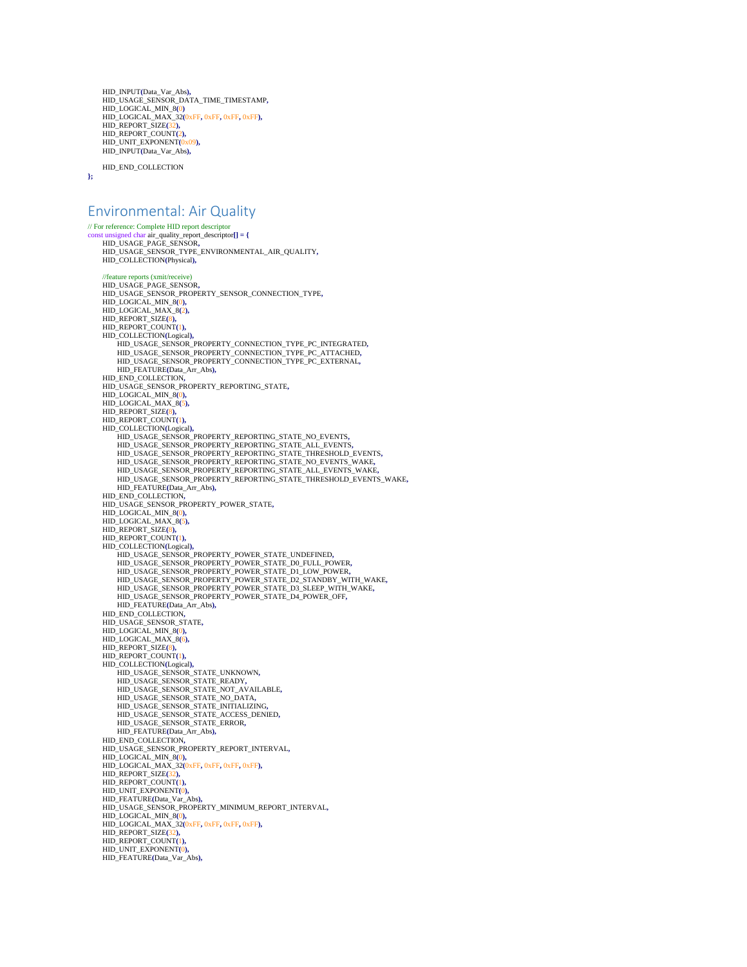HID\_INPUT**(**Data\_Var\_Abs**),** HID\_USAGE\_SENSOR\_DATA\_TIME\_TIMESTAMP**,** HID\_LOGICAL\_MIN\_8**(**0**)** HID\_LOGICAL\_MAX\_32**(**0xFF**,** 0xFF**,** 0xFF**,** 0xFF**),** HID\_REPORT\_SIZE**(**32**),** HID\_REPORT\_COUNT**(**2**),** HID\_UNIT\_EXPONENT**(**0x09**),** HID\_INPUT**(**Data\_Var\_Abs**),**

HID\_END\_COLLECTION

**};**

# Environmental: Air Quality // For reference: Complete HID report descriptor

const unsigned char air\_quality\_report\_descriptor**[] = {** HID\_USAGE\_PAGE\_SENSOR**,** HID\_USAGE\_SENSOR\_TYPE\_ENVIRONMENTAL\_AIR\_QUALITY**,** HID\_COLLECTION**(**Physical**),** //feature reports (xmit/receive) HID\_USAGE\_PAGE\_SENSOR**,** HID\_USAGE\_SENSOR\_PROPERTY\_SENSOR\_CONNECTION\_TYPE**,** HID\_LOGICAL\_MIN\_8**(**0**),** HID\_LOGICAL\_MAX\_8**(**2**),** HID\_REPORT\_SIZE**(**8**),** HID\_REPORT\_COUNT**(**1**),** HID\_COLLECTION**(**Logical**),** HID\_USAGE\_SENSOR\_PROPERTY\_CONNECTION\_TYPE\_PC\_INTEGRATED**,** HID\_USAGE\_SENSOR\_PROPERTY\_CONNECTION\_TYPE\_PC\_ATTACHED**,** HID\_USAGE\_SENSOR\_PROPERTY\_CONNECTION\_TYPE\_PC\_EXTERNAL**,** HID\_FEATURE**(**Data\_Arr\_Abs**),** HID\_END\_COLLECTION**,** HID\_USAGE\_SENSOR\_PROPERTY\_REPORTING\_STATE**,** HID\_LOGICAL\_MIN\_8**(**0**),** HID\_LOGICAL\_MAX\_8**(**5**),** HID\_REPORT\_SIZE**(**8**),** HID\_REPORT\_COUNT**(**1**),** HID\_COLLECTION**(**Logical**),** HID\_USAGE\_SENSOR\_PROPERTY\_REPORTING\_STATE\_NO\_EVENTS**,** HID\_USAGE\_SENSOR\_PROPERTY\_REPORTING\_STATE\_ALL\_EVENTS**,** HID\_USAGE\_SENSOR\_PROPERTY\_REPORTING\_STATE\_THRESHOLD\_EVENTS**,** HID\_USAGE\_SENSOR\_PROPERTY\_REPORTING\_STATE\_NO\_EVENTS\_WAKE**,** HID\_USAGE\_SENSOR\_PROPERTY\_REPORTING\_STATE\_ALL\_EVENTS\_WAKE**,** HID\_USAGE\_SENSOR\_PROPERTY\_REPORTING\_STATE\_THRESHOLD\_EVENTS\_WAKE**,** HID\_FEATURE**(**Data\_Arr\_Abs**),** HID\_END\_COLLECTION**,** HID\_USAGE\_SENSOR\_PROPERTY\_POWER\_STATE**,** HID\_LOGICAL\_MIN\_8**(**0**),** HID\_LOGICAL\_MAX\_8**(**5**),** HID\_REPORT\_SIZE**(**8**),** HID\_REPORT\_COUNT**(**1**),** HID\_COLLECTION**(**Logical**),** HID\_USAGE\_SENSOR\_PROPERTY\_POWER\_STATE\_UNDEFINED**,** HID\_USAGE\_SENSOR\_PROPERTY\_POWER\_STATE\_D0\_FULL\_POWER**,** HID\_USAGE\_SENSOR\_PROPERTY\_POWER\_STATE\_D1\_LOW\_POWER**,** HID\_USAGE\_SENSOR\_PROPERTY\_POWER\_STATE\_D2\_STANDBY\_WITH\_WAKE**,** HID\_USAGE\_SENSOR\_PROPERTY\_POWER\_STATE\_D3\_SLEEP\_WITH\_WAKE**,** HID\_USAGE\_SENSOR\_PROPERTY\_POWER\_STATE\_D4\_POWER\_OFF**,** HID\_FEATURE**(**Data\_Arr\_Abs**),** HID\_END\_COLLECTION**,** HID\_USAGE\_SENSOR\_STATE**,** HID\_LOGICAL\_MIN\_8**(**0**),** HID\_LOGICAL\_MAX\_8**(**6**),** HID\_REPORT\_SIZE**(**8**),** HID\_REPORT\_COUNT**(**1**),** HID\_COLLECTION**(**Logical**),** HID\_USAGE\_SENSOR\_STATE\_UNKNOWN**,** HID\_USAGE\_SENSOR\_STATE\_READY**,** HID\_USAGE\_SENSOR\_STATE\_NOT\_AVAILABLE**,** HID\_USAGE\_SENSOR\_STATE\_NO\_DATA**,** HID\_USAGE\_SENSOR\_STATE\_INITIALIZING**,** HID\_USAGE\_SENSOR\_STATE\_ACCESS\_DENIED**,** HID\_USAGE\_SENSOR\_STATE\_ERROR**,** HID\_FEATURE**(**Data\_Arr\_Abs**),** HID\_END\_COLLECTION**,** HID\_USAGE\_SENSOR\_PROPERTY\_REPORT\_INTERVAL**,** HID\_LOGICAL\_MIN\_8**(**0**),** HID\_LOGICAL\_MAX\_32**(**0xFF**,** 0xFF**,** 0xFF**,** 0xFF**),** HID\_REPORT\_SIZE**(**32**),** HID\_REPORT\_COUNT**(**1**),** HID\_UNIT\_EXPONENT**(**0**),** HID\_FEATURE**(**Data\_Var\_Abs**),** HID\_USAGE\_SENSOR\_PROPERTY\_MINIMUM\_REPORT\_INTERVAL**,** HID\_LOGICAL\_MIN\_8**(**0**),** HID\_LOGICAL\_MAX\_32**(**0xFF**,** 0xFF**,** 0xFF**,** 0xFF**),** HID\_REPORT\_SIZE**(**32**),** HID\_REPORT\_COUNT**(**1**),** HID\_UNIT\_EXPONENT**(**0**),** HID\_FEATURE**(**Data\_Var\_Abs**),**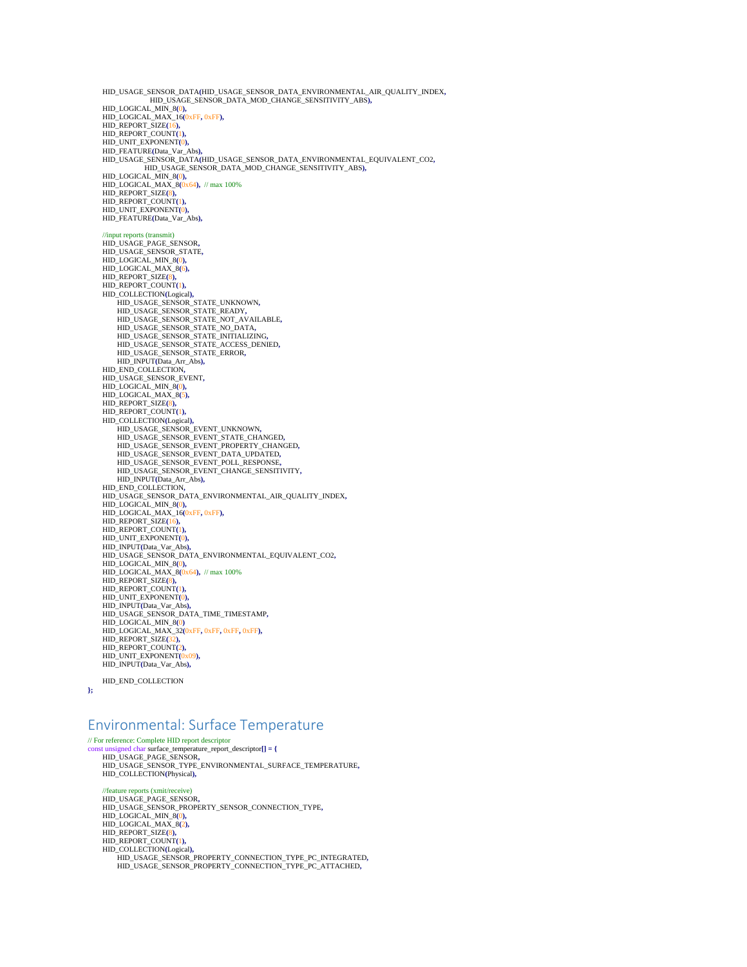HID\_USAGE\_SENSOR\_DATA**(**HID\_USAGE\_SENSOR\_DATA\_ENVIRONMENTAL\_AIR\_QUALITY\_INDEX**,** HID\_USAGE\_SENSOR\_DATA\_MOD\_CHANGE\_SENSITIVITY\_ABS**),** HID\_LOGICAL\_MIN\_8**(**0**),** HID\_LOGICAL\_MAX\_16**(**0xFF**,** 0xFF**),** HID\_REPORT\_SIZE**(**16**),** HID\_REPORT\_COUNT**(**1**),** HID\_UNIT\_EXPONENT(0),<br>HID\_UNIT\_EXPONENT(0),<br>HID\_FEATURE(Data\_Var\_Abs), HID\_FEATURE(Data\_Var\_Abs),<br>HID\_USAGE\_SENSOR\_DATA(HID\_USAGE\_SENSOR\_DATA\_ENVIRONMENTAL\_EQUIVALENT\_CO2,<br>HID\_LOGICAL\_MIN\_8(0),<br>HID\_LOGICAL\_MIN\_8(0),<br>HID\_LOGICAL\_MAX\_8(0x64), // max 100% HID\_REPORT\_SIZE**(**8**),** HID\_REPORT\_COUNT**(**1**),** HID\_UNIT\_EXPONENT**(**0**),** HID\_FEATURE**(**Data\_Var\_Abs**),** //input reports (transmit) HID\_USAGE\_PAGE\_SENSOR**,** HID\_USAGE\_SENSOR\_STATE**,** HID\_LOGICAL\_MIN\_8**(**0**),** HID\_LOGICAL\_MAX\_8**(**6**),** HID\_REPORT\_SIZE**(**8**),** HID\_REPORT\_COUNT**(**1**),** HID\_COLLECTION**(**Logical**),** HID\_USAGE\_SENSOR\_STATE\_UNKNOWN**,** HID\_USAGE\_SENSOR\_STATE\_READY**,** HID\_USAGE\_SENSOR\_STATE\_NOT\_AVAILABLE**,** HID\_USAGE\_SENSOR\_STATE\_NO\_DATA**,** HID\_USAGE\_SENSOR\_STATE\_INITIALIZING**,** HID\_USAGE\_SENSOR\_STATE\_ACCESS\_DENIED**,** HID\_USAGE\_SENSOR\_STATE\_ERROR**,** HID\_INPUT**(**Data\_Arr\_Abs**),** HID\_END\_COLLECTION**,** HID\_USAGE\_SENSOR\_EVENT**,** HID\_LOGICAL\_MIN\_8**(**0**),** HID\_LOGICAL\_MAX\_8**(**5**),** HID\_REPORT\_SIZE**(**8**),** HID\_REPORT\_COUNT**(**1**),** HID\_COLLECTION**(**Logical**),** HID\_USAGE\_SENSOR\_EVENT\_UNKNOWN**,** HID\_USAGE\_SENSOR\_EVENT\_STATE\_CHANGED**,** HID\_USAGE\_SENSOR\_EVENT\_PROPERTY\_CHANGED**,** HID\_USAGE\_SENSOR\_EVENT\_DATA\_UPDATED**,** HID\_USAGE\_SENSOR\_EVENT\_POLL\_RESPONSE**,** HID\_USAGE\_SENSOR\_EVENT\_CHANGE\_SENSITIVITY**,** HID\_INPUT**(**Data\_Arr\_Abs**),** HID\_END\_COLLECTION**,** HID\_USAGE\_SENSOR\_DATA\_ENVIRONMENTAL\_AIR\_QUALITY\_INDEX**,** HID\_LOGICAL\_MIN\_8**(**0**),** HID\_LOGICAL\_MAX\_16**(**0xFF**,** 0xFF**),** HID\_REPORT\_SIZE**(**16**),** HID\_REPORT\_COUNT**(**1**),** HID\_UNIT\_EXPONENT**(**0**),** HID\_INPUT**(**Data\_Var\_Abs**),** HID\_USAGE\_SENSOR\_DATA\_ENVIRONMENTAL\_EQUIVALENT\_CO2**,** HID\_LOGICAL\_MIN\_8**(**0**),** HID\_LOGICAL\_MAX\_8**(**0x64**),** // max 100% HID\_REPORT\_SIZE**(**8**),** HID\_REPORT\_COUNT**(**1**),** HID\_UNIT\_EXPONENT**(**0**),** HID\_INPUT**(**Data\_Var\_Abs**),** HID\_USAGE\_SENSOR\_DATA\_TIME\_TIMESTAMP**,** HID\_LOGICAL\_MIN\_8**(**0**)** HID\_LOGICAL\_MAX\_32**(**0xFF**,** 0xFF**,** 0xFF**,** 0xFF**),** HID\_REPORT\_SIZE**(**32**),** HID\_REPORT\_COUNT**(**2**),** HID\_UNIT\_EXPONENT**(**0x09**),** HID\_INPUT**(**Data\_Var\_Abs**),**

HID\_END\_COLLECTION

**};**

# Environmental: Surface Temperature

// For reference: Complete HID report descriptor const unsigned char surface\_temperature\_report\_descriptor**[] = {** HID\_USAGE\_PAGE\_SENSOR**,** HID\_USAGE\_SENSOR\_TYPE\_ENVIRONMENTAL\_SURFACE\_TEMPERATURE**,** HID\_COLLECTION**(**Physical**),** //feature reports (xmit/receive) HID\_USAGE\_PAGE\_SENSOR**,** HID\_USAGE\_SENSOR\_PROPERTY\_SENSOR\_CONNECTION\_TYPE**,** HID\_LOGICAL\_MIN\_8**(**0**),** HID\_LOGICAL\_MAX\_8**(**2**),** HID\_REPORT\_SIZE**(**8**),** HID\_REPORT\_COUNT**(**1**),** HID\_COLLECTION**(**Logical**),** HID\_USAGE\_SENSOR\_PROPERTY\_CONNECTION\_TYPE\_PC\_INTEGRATED**,** HID\_USAGE\_SENSOR\_PROPERTY\_CONNECTION\_TYPE\_PC\_ATTACHED**,**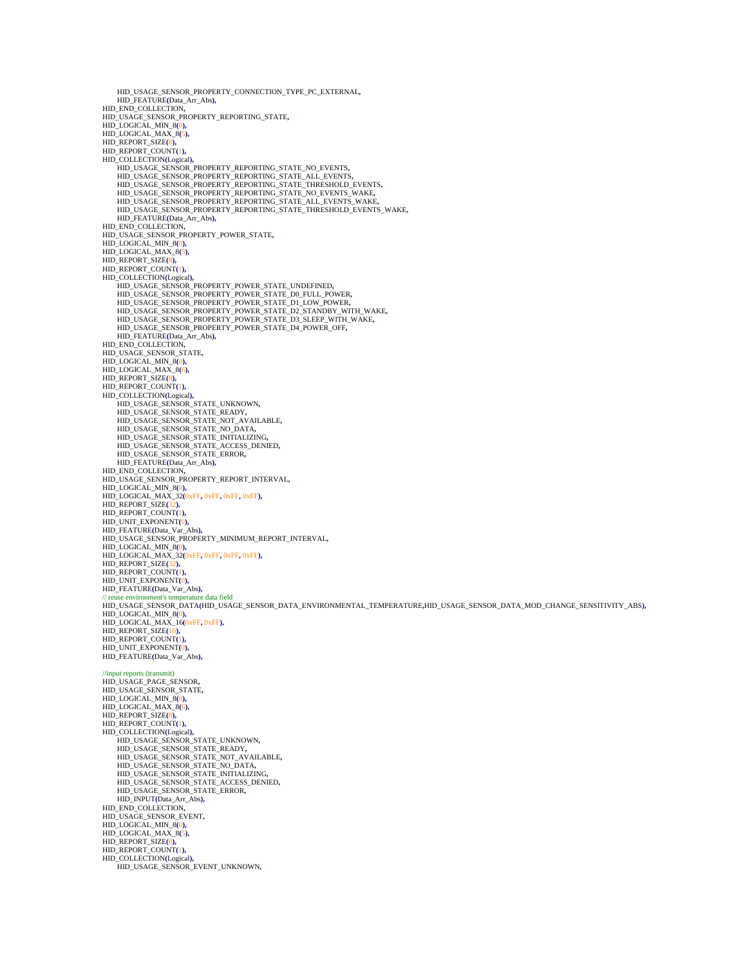HID\_FEATURE(Data\_Arr\_Abs),<br>HID\_END\_COLLECTION, HID\_END\_COLLECTION**,** HID\_USAGE\_SENSOR\_PROPERTY\_REPORTING\_STATE**,** HID\_LOGICAL\_MIN\_8**(**0**),** HID\_LOGICAL\_MAX\_8**(**5**),** HID\_REPORT\_SIZE**(**8**),** HID\_REPORT\_COUNT**(**1**),** HID\_COLLECTION**(**Logical**),** HID\_USAGE\_SENSOR\_PROPERTY\_REPORTING\_STATE\_NO\_EVENTS**,** HID\_USAGE\_SENSOR\_PROPERTY\_REPORTING\_STATE\_ALL\_EVENTS**,** HID\_USAGE\_SENSOR\_PROPERTY\_REPORTING\_STATE\_THRESHOLD\_EVENTS**,** HID\_USAGE\_SENSOR\_PROPERTY\_REPORTING\_STATE\_NO\_EVENTS\_WAKE**,** HID\_USAGE\_SENSOR\_PROPERTY\_REPORTING\_STATE\_ALL\_EVENTS\_WAKE**,** HID\_USAGE\_SENSOR\_PROPERTY\_REPORTING\_STATE\_THRESHOLD\_EVENTS\_WAKE**,** HID\_FEATURE**(**Data\_Arr\_Abs**),** HID\_END\_COLLECTION**,** HID\_USAGE\_SENSOR\_PROPERTY\_POWER\_STATE**,** HID\_LOGICAL\_MIN\_8**(**0**),** HID\_LOGICAL\_MAX\_8**(**5**),** HID\_REPORT\_SIZE**(**8**),** HID\_REPORT\_COUNT**(**1**),** HID\_COLLECTION**(**Logical**),** HID\_USAGE\_SENSOR\_PROPERTY\_POWER\_STATE\_UNDEFINED,<br>HID\_USAGE\_SENSOR\_PROPERTY\_POWER\_STATE\_D0\_FULL\_POWER,<br>HID\_USAGE\_SENSOR\_PROPERTY\_POWER\_STATE\_D1\_LOW\_POWER,<br>HID\_USAGE\_SENSOR\_PROPERTY\_POWER\_STATE\_D2\_STANDBY\_WITH\_WAKE,<br>HID\_USAG HID\_USAGE\_SENSOR\_PROPERTY\_POWER\_STATE\_D4\_POWER\_OFF**,** HID\_FEATURE**(**Data\_Arr\_Abs**),** HID\_END\_COLLECTION**,** HID\_USAGE\_SENSOR\_STATE**,** HID\_LOGICAL\_MIN\_8**(**0**),** HID\_LOGICAL\_MAX\_8**(**6**),** HID\_REPORT\_SIZE**(**8**),** HID\_REPORT\_COUNT(1),<br>HID\_COLLECTION(Logical),<br>HID\_USAGE\_SENSOR\_STATE\_UNKNOWN,<br>HID\_USAGE\_SENSOR\_STATE\_READY,<br>HID\_USAGE\_SENSOR\_STATE\_NO\_DATA,<br>HID\_USAGE\_SENSOR\_STATE\_NO\_DATA, HID\_USAGE\_SENSOR\_STATE\_INITIALIZING**,** HID\_USAGE\_SENSOR\_STATE\_ACCESS\_DENIED**,** HID\_USAGE\_SENSOR\_STATE\_ERROR**,** HID\_FEATURE**(**Data\_Arr\_Abs**),** HID\_END\_COLLECTION**,** HID\_USAGE\_SENSOR\_PROPERTY\_REPORT\_INTERVAL,<br>HID\_LOGICAL\_MIN\_8(0),<br>HID\_LOGICAL\_MIAX\_32(0xFF, 0xFF, 0xFF, 0xFF),<br>HID\_REPORT\_SIZE(32),<br>HID\_REPORT\_COUNT(1), HID\_UNIT\_EXPONENT**(**0**),** HID\_FEATURE**(**Data\_Var\_Abs**),** HID\_USAGE\_SENSOR\_PROPERTY\_MINIMUM\_REPORT\_INTERVAL**,** HID\_LOGICAL\_MIN\_8**(**0**),** HID\_LOGICAL\_MAX\_32**(**0xFF**,** 0xFF**,** 0xFF**,** 0xFF**),** HID\_REPORT\_SIZE**(**32**),** HID\_REPORT\_COUNT**(**1**),** HID\_UNIT\_EXPONENT**(**0**),** HID\_FEATURE**(**Data\_Var\_Abs**),**  $\%$  reuse environment's temperature data fields HID\_USAGE\_SENSOR\_DATA**(**HID\_USAGE\_SENSOR\_DATA\_ENVIRONMENTAL\_TEMPERATURE**,**HID\_USAGE\_SENSOR\_DATA\_MOD\_CHANGE\_SENSITIVITY\_ABS**),** HID\_LOGICAL\_MIN\_8**(**0**),** HID\_LOGICAL\_MAX\_16**(**0xFF**,** 0xFF**),** HID\_REPORT\_SIZE**(**16**),** HID\_REPORT\_COUNT**(**1**),** HID\_UNIT\_EXPONENT**(**0**),** HID\_FEATURE**(**Data\_Var\_Abs**),** //input reports (transmit) HID\_USAGE\_PAGE\_SENSOR**,** HID\_USAGE\_SENSOR\_STATE**,** HID\_LOGICAL\_MIN\_8**(**0**),** HID\_LOGICAL\_MAX\_8**(**6**),** HID\_REPORT\_SIZE(8),<br>HID\_REPORT\_COUNT(1),<br>HID\_USAGE\_SENSOR\_STATE\_UNKNOWN,<br>HID\_USAGE\_SENSOR\_STATE\_UNKNOWN,<br>HID\_USAGE\_SENSOR\_STATE\_NOT\_AVAILABLE,<br>HID\_USAGE\_SENSOR\_STATE\_NOT\_AVAILABLE, HID\_USAGE\_SENSOR\_STATE\_NO\_DATA**,** HID\_USAGE\_SENSOR\_STATE\_INITIALIZING**,** HID\_USAGE\_SENSOR\_STATE\_ACCESS\_DENIED**,** HID\_USAGE\_SENSOR\_STATE\_ERROR**,** HID\_INPUT**(**Data\_Arr\_Abs**),** HID\_END\_COLLECTION**,** HID\_USAGE\_SENSOR\_EVENT**,** HID\_LOGICAL\_MIN\_8**(**0**),** HID\_LOGICAL\_MAX\_8**(**5**),** HID\_REPORT\_SIZE**(**8**),** HID\_REPORT\_COUNT**(**1**),** HID\_COLLECTION**(**Logical**),** HID\_USAGE\_SENSOR\_EVENT\_UNKNOWN**,**

HID\_USAGE\_SENSOR\_PROPERTY\_CONNECTION\_TYPE\_PC\_EXTERNAL**,**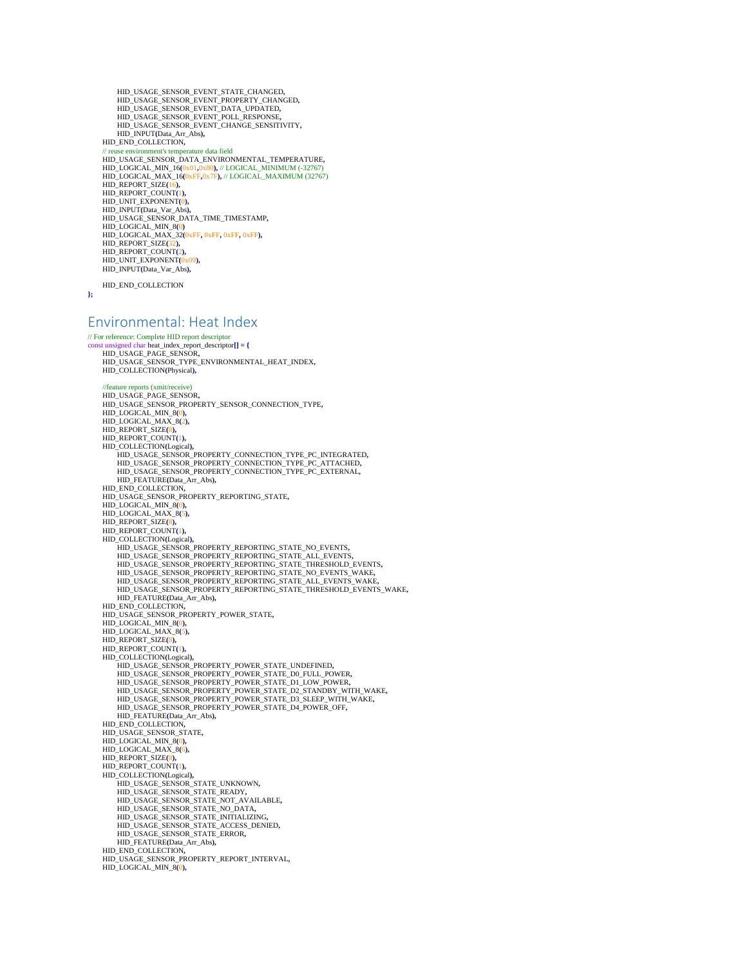HID\_USAGE\_SENSOR\_EVENT\_STATE\_CHANGED**,** HID\_USAGE\_SENSOR\_EVENT\_PROPERTY\_CHANGED**,** HID\_USAGE\_SENSOR\_EVENT\_DATA\_UPDATED**,** HID\_USAGE\_SENSOR\_EVENT\_POLL\_RESPONSE**,** HID\_USAGE\_SENSOR\_EVENT\_CHANGE\_SENSITIVITY**,** HID\_INPUT**(**Data\_Arr\_Abs**),** HID\_END\_COLLECTION**,** // reuse environment's temperature data field HID\_USAGE\_SENSOR\_DATA\_ENVIRONMENTAL\_TEMPERATURE**,** HID\_LOGICAL\_MIN\_16**(**0x01**,**0x80**),** // LOGICAL\_MINIMUM (-32767) HID\_LOGICAL\_MAX\_16**(**0xFF**,**0x7F**),** // LOGICAL\_MAXIMUM (32767) HID\_REPORT\_SIZE**(**16**),** HID\_REPORT\_COUNT**(**1**),** HID\_UNIT\_EXPONENT**(**0**),** HID\_INPUT**(**Data\_Var\_Abs**),** HID\_USAGE\_SENSOR\_DATA\_TIME\_TIMESTAMP**,** HID\_LOGICAL\_MIN\_8**(**0**)** HID\_LOGICAL\_MAX\_32**(**0xFF**,** 0xFF**,** 0xFF**,** 0xFF**),** HID\_REPORT\_SIZE**(**32**),** HID\_REPORT\_COUNT**(**2**),** HID\_UNIT\_EXPONENT**(**0x09**),** HID\_INPUT**(**Data\_Var\_Abs**),**

HID\_END\_COLLECTION

**};**

# Environmental: Heat Index

// For reference: Complete HID report descriptor const unsigned char heat\_index\_report\_descriptor**[] = {** HID\_USAGE\_PAGE\_SENSOR**,** HID\_USAGE\_SENSOR\_TYPE\_ENVIRONMENTAL\_HEAT\_INDEX**,** HID\_COLLECTION**(**Physical**),** //feature reports (xmit/receive) HID\_USAGE\_PAGE\_SENSOR**,** HID\_USAGE\_SENSOR\_PROPERTY\_SENSOR\_CONNECTION\_TYPE**,** HID\_LOGICAL\_MIN\_8**(**0**),** HID\_LOGICAL\_MAX\_8**(**2**),** HID\_REPORT\_SIZE**(**8**),** HID\_REPORT\_COUNT**(**1**),** HID\_COLLECTION**(**Logical**),** HID\_USAGE\_SENSOR\_PROPERTY\_CONNECTION\_TYPE\_PC\_INTEGRATED**,** HID\_USAGE\_SENSOR\_PROPERTY\_CONNECTION\_TYPE\_PC\_ATTACHED**,** HID\_USAGE\_SENSOR\_PROPERTY\_CONNECTION\_TYPE\_PC\_EXTERNAL**,** HID\_FEATURE**(**Data\_Arr\_Abs**),** HID\_END\_COLLECTION**,** HID\_USAGE\_SENSOR\_PROPERTY\_REPORTING\_STATE**,** HID\_LOGICAL\_MIN\_8**(**0**),** HID\_LOGICAL\_MAX\_8**(**5**),** HID\_REPORT\_SIZE**(**8**),** HID\_REPORT\_COUNT**(**1**),** HID\_COLLECTION**(**Logical**),** HID\_USAGE\_SENSOR\_PROPERTY\_REPORTING\_STATE\_NO\_EVENTS**,** HID\_USAGE\_SENSOR\_PROPERTY\_REPORTING\_STATE\_ALL\_EVENTS**,** HID\_USAGE\_SENSOR\_PROPERTY\_REPORTING\_STATE\_THRESHOLD\_EVENTS**,** HID\_USAGE\_SENSOR\_PROPERTY\_REPORTING\_STATE\_NO\_EVENTS\_WAKE**,** HID\_USAGE\_SENSOR\_PROPERTY\_REPORTING\_STATE\_ALL\_EVENTS\_WAKE**,** HID\_USAGE\_SENSOR\_PROPERTY\_REPORTING\_STATE\_THRESHOLD\_EVENTS\_WAKE**,** HID\_FEATURE**(**Data\_Arr\_Abs**),** HID\_END\_COLLECTION**,** HID\_USAGE\_SENSOR\_PROPERTY\_POWER\_STATE**,** HID\_LOGICAL\_MIN\_8**(**0**),** HID\_LOGICAL\_MAX\_8**(**5**),** HID\_REPORT\_SIZE**(**8**),** HID\_REPORT\_COUNT**(**1**),** HID\_COLLECTION**(**Logical**),** HID\_USAGE\_SENSOR\_PROPERTY\_POWER\_STATE\_UNDEFINED**,** HID\_USAGE\_SENSOR\_PROPERTY\_POWER\_STATE\_D0\_FULL\_POWER**,** HID\_USAGE\_SENSOR\_PROPERTY\_POWER\_STATE\_D1\_LOW\_POWER**,** HID\_USAGE\_SENSOR\_PROPERTY\_POWER\_STATE\_D2\_STANDBY\_WITH\_WAKE**,** HID\_USAGE\_SENSOR\_PROPERTY\_POWER\_STATE\_D3\_SLEEP\_WITH\_WAKE**,** HID\_USAGE\_SENSOR\_PROPERTY\_POWER\_STATE\_D4\_POWER\_OFF**,** HID\_FEATURE**(**Data\_Arr\_Abs**),** HID\_END\_COLLECTION**,** HID\_USAGE\_SENSOR\_STATE**,** HID\_LOGICAL\_MIN\_8**(**0**),** HID\_LOGICAL\_MAX\_8**(**6**),** HID\_REPORT\_SIZE**(**8**),** HID\_REPORT\_COUNT**(**1**),** HID\_COLLECTION**(**Logical**),** HID\_USAGE\_SENSOR\_STATE\_UNKNOWN**,** HID\_USAGE\_SENSOR\_STATE\_READY**,** HID\_USAGE\_SENSOR\_STATE\_NOT\_AVAILABLE**,** HID\_USAGE\_SENSOR\_STATE\_NO\_DATA**,** HID\_USAGE\_SENSOR\_STATE\_INITIALIZING**,** HID\_USAGE\_SENSOR\_STATE\_ACCESS\_DENIED**,** HID\_USAGE\_SENSOR\_STATE\_ERROR**,** HID\_FEATURE**(**Data\_Arr\_Abs**),** HID\_END\_COLLECTION**,** HID\_USAGE\_SENSOR\_PROPERTY\_REPORT\_INTERVAL**,** HID\_LOGICAL\_MIN\_8**(**0**),**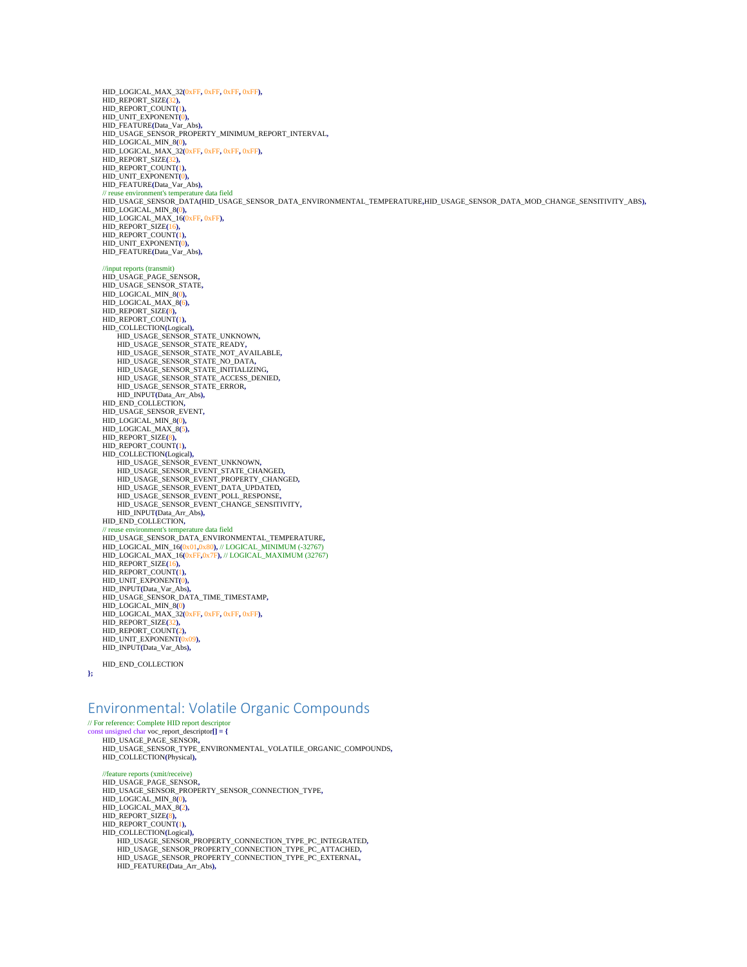```
 HID_LOGICAL_MAX_32(0xFF, 0xFF, 0xFF, 0xFF),
     HID_REPORT_SIZE(32),
 HID_REPORT_COUNT(1),
 HID_UNIT_EXPONENT(0),
     HID_FEATURE(Data_Var_Abs),
     HID_USAGE_SENSOR_PROPERTY_MINIMUM_REPORT_INTERVAL,
     HID_LOGICAL_MIN_8(0),
     HID_LOGICAL_MAX_32(0xFF, 0xFF, 0xFF, 0xFF),
 HID_REPORT_SIZE(32),
 HID_REPORT_COUNT(1),
 HID_UNIT_EXPONENT(0),
 HID_FEATURE(Data_Var_Abs),
      reuse environment's temperature data field
     HID_USAGE_SENSOR_DATA(HID_USAGE_SENSOR_DATA_ENVIRONMENTAL_TEMPERATURE,HID_USAGE_SENSOR_DATA_MOD_CHANGE_SENSITIVITY_ABS),
     HID_LOGICAL_MIN_8(0),
 HID_LOGICAL_MAX_16(0xFF, 0xFF),
 HID_REPORT_SIZE(16),
     HID_REPORT_COUNT(1),
 HID_UNIT_EXPONENT(0),
 HID_FEATURE(Data_Var_Abs),
 //input reports (transmit)
 HID_USAGE_PAGE_SENSOR,
 HID_USAGE_SENSOR_STATE,
 HID_LOGICAL_MIN_8(0),
 HID_LOGICAL_MAX_8(6),
 HID_REPORT_SIZE(8),
 HID_REPORT_COUNT(1),
 HID_COLLECTION(Logical),
 HID_USAGE_SENSOR_STATE_UNKNOWN,
 HID_USAGE_SENSOR_STATE_READY,
 HID_USAGE_SENSOR_STATE_NOT_AVAILABLE,
          HID_USAGE_SENSOR_STATE_NO_DATA,
 HID_USAGE_SENSOR_STATE_INITIALIZING,
 HID_USAGE_SENSOR_STATE_ACCESS_DENIED,
          HID_USAGE_SENSOR_STATE_ERROR,
 HID_INPUT(Data_Arr_Abs),
 HID_END_COLLECTION,
     HID_USAGE_SENSOR_EVENT,
 HID_LOGICAL_MIN_8(0),
 HID_LOGICAL_MAX_8(5),
 HID_REPORT_SIZE(8),
 HID_REPORT_COUNT(1),
     HID_COLLECTION(Logical),
 HID_USAGE_SENSOR_EVENT_UNKNOWN,
 HID_USAGE_SENSOR_EVENT_STATE_CHANGED,
 HID_USAGE_SENSOR_EVENT_PROPERTY_CHANGED,
 HID_USAGE_SENSOR_EVENT_DATA_UPDATED,
          HID_USAGE_SENSOR_EVENT_POLL_RESPONSE,
 HID_USAGE_SENSOR_EVENT_CHANGE_SENSITIVITY,
 HID_INPUT(Data_Arr_Abs),
     HID_END_COLLECTION,
      // reuse environment's temperature data field
     HID_USAGE_SENSOR_DATA_ENVIRONMENTAL_TEMPERATURE,
 HID_LOGICAL_MIN_16(0x01,0x80), // LOGICAL_MINIMUM (-32767)
 HID_LOGICAL_MAX_16(0xFF,0x7F), // LOGICAL_MAXIMUM (32767) 
 HID_REPORT_SIZE(16),
 HID_REPORT_COUNT(1),
     HID_UNIT_EXPONENT(0),
 HID_INPUT(Data_Var_Abs),
 HID_USAGE_SENSOR_DATA_TIME_TIMESTAMP,
 HID_LOGICAL_MIN_8(0)
 HID_LOGICAL_MAX_32(0xFF, 0xFF, 0xFF, 0xFF),
     HID_REPORT_SIZE(32),
 HID_REPORT_COUNT(2),
 HID_UNIT_EXPONENT(0x09),
     HID_INPUT(Data_Var_Abs),
     HID_END_COLLECTION
```
# Environmental: Volatile Organic Compounds

**};**

// For reference: Complete HID report descriptor const unsigned char voc\_report\_descriptor**[] = {** HID\_USAGE\_PAGE\_SENSOR**,** HID\_USAGE\_SENSOR\_TYPE\_ENVIRONMENTAL\_VOLATILE\_ORGANIC\_COMPOUNDS**,** HID\_COLLECTION**(**Physical**),** //feature reports (xmit/receive) HID\_USAGE\_PAGE\_SENSOR**,** HID\_USAGE\_SENSOR\_PROPERTY\_SENSOR\_CONNECTION\_TYPE**,** HID\_LOGICAL\_MIN\_8**(**0**),** HID\_LOGICAL\_MAX\_8**(**2**),** HID\_REPORT\_SIZE**(**8**),** HID\_REPORT\_COUNT**(**1**),** HID\_COLLECTION**(**Logical**),** HID\_USAGE\_SENSOR\_PROPERTY\_CONNECTION\_TYPE\_PC\_INTEGRATED**,** HID\_USAGE\_SENSOR\_PROPERTY\_CONNECTION\_TYPE\_PC\_ATTACHED**,** HID\_USAGE\_SENSOR\_PROPERTY\_CONNECTION\_TYPE\_PC\_EXTERNAL**,** HID\_FEATURE**(**Data\_Arr\_Abs**),**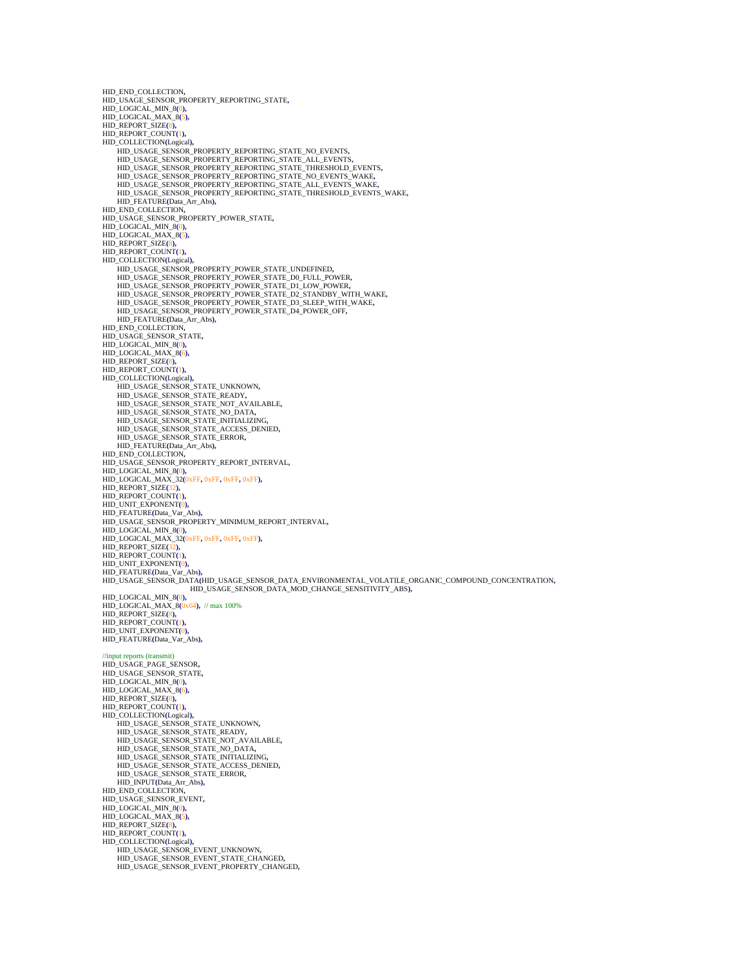HID\_USAGE\_SENSOR\_PROPERTY\_REPORTING\_STATE**,** HID\_LOGICAL\_MIN\_8**(**0**),** HID\_LOGICAL\_MAX\_8**(**5**),** HID\_REPORT\_SIZE**(**8**),** HID\_REPORT\_COUNT**(**1**),** HID\_COLLECTION**(**Logical**),** HID\_USAGE\_SENSOR\_PROPERTY\_REPORTING\_STATE\_NO\_EVENTS**,** HID\_USAGE\_SENSOR\_PROPERTY\_REPORTING\_STATE\_ALL\_EVENTS**,** HID\_USAGE\_SENSOR\_PROPERTY\_REPORTING\_STATE\_THRESHOLD\_EVENTS**,** HID\_USAGE\_SENSOR\_PROPERTY\_REPORTING\_STATE\_NO\_EVENTS\_WAKE**,** HID\_USAGE\_SENSOR\_PROPERTY\_REPORTING\_STATE\_ALL\_EVENTS\_WAKE**,** HID\_USAGE\_SENSOR\_PROPERTY\_REPORTING\_STATE\_THRESHOLD\_EVENTS\_WAKE**,** HID\_FEATURE**(**Data\_Arr\_Abs**),** HID\_END\_COLLECTION**,** HID\_USAGE\_SENSOR\_PROPERTY\_POWER\_STATE**,** HID\_LOGICAL\_MIN\_8**(**0**),** HID\_LOGICAL\_MAX\_8**(**5**),** HID\_REPORT\_SIZE**(**8**),** HID\_REPORT\_COUNT**(**1**),** HID\_COLLECTION**(**Logical**),** HID\_USAGE\_SENSOR\_PROPERTY\_POWER\_STATE\_UNDEFINED**,** HID\_USAGE\_SENSOR\_PROPERTY\_POWER\_STATE\_D0\_FULL\_POWER**,** HID\_USAGE\_SENSOR\_PROPERTY\_POWER\_STATE\_D1\_LOW\_POWER**,** HID\_USAGE\_SENSOR\_PROPERTY\_POWER\_STATE\_D2\_STANDBY\_WITH\_WAKE**,** HID\_USAGE\_SENSOR\_PROPERTY\_POWER\_STATE\_D3\_SLEEP\_WITH\_WAKE**,** HID\_USAGE\_SENSOR\_PROPERTY\_POWER\_STATE\_D4\_POWER\_OFF**,** HID\_FEATURE**(**Data\_Arr\_Abs**),** HID\_END\_COLLECTION**,** HID\_USAGE\_SENSOR\_STATE**,** HID\_LOGICAL\_MIN\_8**(**0**),** HID\_LOGICAL\_MAX\_8**(**6**),** HID\_REPORT\_SIZE**(**8**),** HID\_REPORT\_COUNT**(**1**),** HID\_COLLECTION**(**Logical**),** HID\_USAGE\_SENSOR\_STATE\_UNKNOWN**,** HID\_USAGE\_SENSOR\_STATE\_READY**,** HID\_USAGE\_SENSOR\_STATE\_NOT\_AVAILABLE**,** HID\_USAGE\_SENSOR\_STATE\_NO\_DATA**,** HID\_USAGE\_SENSOR\_STATE\_INITIALIZING**,** HID\_USAGE\_SENSOR\_STATE\_ACCESS\_DENIED**,** HID\_USAGE\_SENSOR\_STATE\_ERROR**,** HID\_FEATURE**(**Data\_Arr\_Abs**),** HID\_END\_COLLECTION**,** HID\_USAGE\_SENSOR\_PROPERTY\_REPORT\_INTERVAL**,** HID\_LOGICAL\_MIN\_8**(**0**),** HID\_LOGICAL\_MAX\_32**(**0xFF**,** 0xFF**,** 0xFF**,** 0xFF**),** HID\_REPORT\_SIZE**(**32**),** HID\_REPORT\_COUNT**(**1**),** HID\_UNIT\_EXPONENT**(**0**),** HID\_FEATURE**(**Data\_Var\_Abs**),** HID\_USAGE\_SENSOR\_PROPERTY\_MINIMUM\_REPORT\_INTERVAL**,** HID\_LOGICAL\_MIN\_8**(**0**),** HID\_LOGICAL\_MAX\_32**(**0xFF**,** 0xFF**,** 0xFF**,** 0xFF**),** HID\_REPORT\_SIZE**(**32**),** HID\_REPORT\_COUNT**(**1**),** HID\_UNIT\_EXPONENT**(**0**),** HID\_FEATURE**(**Data\_Var\_Abs**),** HID\_USAGE\_SENSOR\_DATA**(**HID\_USAGE\_SENSOR\_DATA\_ENVIRONMENTAL\_VOLATILE\_ORGANIC\_COMPOUND\_CONCENTRATION**,** HID\_USAGE\_SENSOR\_DATA\_MOD\_CHANGE\_SENSITIVITY\_ABS**),** HID\_LOGICAL\_MIN\_8**(**0**),** HID\_LOGICAL\_MAX\_8**(**0x64**),** // max 100% HID\_REPORT\_SIZE**(**8**),** HID\_REPORT\_COUNT**(**1**),** HID\_UNIT\_EXPONENT**(**0**),** HID\_FEATURE**(**Data\_Var\_Abs**),** //input reports (transmit) HID\_USAGE\_PAGE\_SENSOR**,** HID\_USAGE\_SENSOR\_STATE**,** HID\_LOGICAL\_MIN\_8**(**0**),** HID\_LOGICAL\_MAX\_8**(**6**),** HID\_REPORT\_SIZE**(**8**),** HID\_REPORT\_COUNT**(**1**),** HID\_COLLECTION**(**Logical**),** HID\_USAGE\_SENSOR\_STATE\_UNKNOWN**,** HID\_USAGE\_SENSOR\_STATE\_READY**,** HID\_USAGE\_SENSOR\_STATE\_NOT\_AVAILABLE**,** HID\_USAGE\_SENSOR\_STATE\_NO\_DATA**,** HID\_USAGE\_SENSOR\_STATE\_INITIALIZING**,** HID\_USAGE\_SENSOR\_STATE\_ACCESS\_DENIED**,** HID\_USAGE\_SENSOR\_STATE\_ERROR**,** HID\_INPUT**(**Data\_Arr\_Abs**),** HID\_END\_COLLECTION**,** HID\_USAGE\_SENSOR\_EVENT**,** HID\_LOGICAL\_MIN\_8**(**0**),** HID\_LOGICAL\_MAX\_8**(**5**),** HID\_REPORT\_SIZE**(**8**),** HID\_REPORT\_COUNT**(**1**),** HID\_COLLECTION**(**Logical**),** HID\_USAGE\_SENSOR\_EVENT\_UNKNOWN**,** HID\_USAGE\_SENSOR\_EVENT\_STATE\_CHANGED**,** HID\_USAGE\_SENSOR\_EVENT\_PROPERTY\_CHANGED**,**

HID\_END\_COLLECTION**,**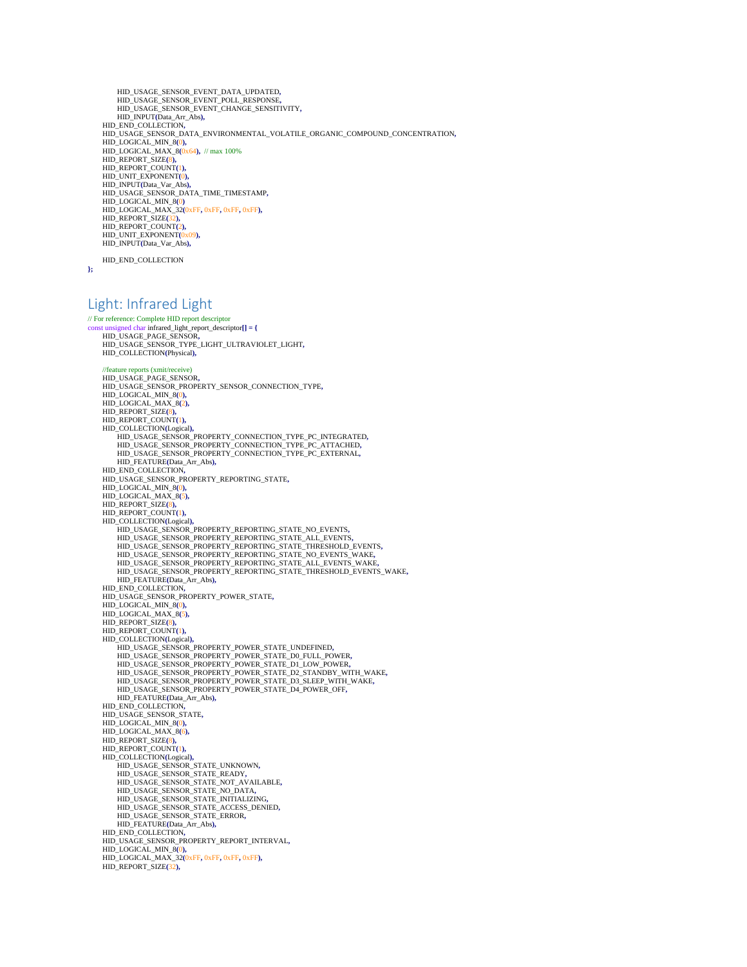HID\_USAGE\_SENSOR\_EVENT\_DATA\_UPDATED**,** HID\_USAGE\_SENSOR\_EVENT\_POLL\_RESPONSE**,** HID\_USAGE\_SENSOR\_EVENT\_CHANGE\_SENSITIVITY**,** HID\_INPUT**(**Data\_Arr\_Abs**),** HID\_END\_COLLECTION**,** HID\_USAGE\_SENSOR\_DATA\_ENVIRONMENTAL\_VOLATILE\_ORGANIC\_COMPOUND\_CONCENTRATION**,** HID\_LOGICAL\_MIN\_8**(**0**),** HID\_LOGICAL\_MAX\_8**(**0x64**),** // max 100% HID\_REPORT\_SIZE**(**8**),** HID\_REPORT\_COUNT**(**1**),** HID\_UNIT\_EXPONENT**(**0**),** HID\_INPUT**(**Data\_Var\_Abs**),** HID\_USAGE\_SENSOR\_DATA\_TIME\_TIMESTAMP**,** HID\_LOGICAL\_MIN\_8**(**0**)** HID\_LOGICAL\_MAX\_32**(**0xFF**,** 0xFF**,** 0xFF**,** 0xFF**),** HID\_REPORT\_SIZE**(**32**),** HID\_REPORT\_COUNT**(**2**),** HID\_UNIT\_EXPONENT**(**0x09**),** HID\_INPUT**(**Data\_Var\_Abs**),**

HID\_END\_COLLECTION

**};**

#### Light: Infrared Light // For reference: Complete HID report descriptor

const unsigned char infrared\_light\_report\_descriptor**[] = {** HID\_USAGE\_PAGE\_SENSOR**,** HID\_USAGE\_SENSOR\_TYPE\_LIGHT\_ULTRAVIOLET\_LIGHT**,** HID\_COLLECTION**(**Physical**),** //feature reports (xmit/receive) HID\_USAGE\_PAGE\_SENSOR**,** HID\_USAGE\_SENSOR\_PROPERTY\_SENSOR\_CONNECTION\_TYPE**,** HID\_LOGICAL\_MIN\_8**(**0**),** HID\_LOGICAL\_MAX\_8**(**2**),** HID\_REPORT\_SIZE**(**8**),** HID\_REPORT\_COUNT**(**1**),** HID\_COLLECTION**(**Logical**),** HID\_USAGE\_SENSOR\_PROPERTY\_CONNECTION\_TYPE\_PC\_INTEGRATED**,** HID\_USAGE\_SENSOR\_PROPERTY\_CONNECTION\_TYPE\_PC\_ATTACHED**,** HID\_USAGE\_SENSOR\_PROPERTY\_CONNECTION\_TYPE\_PC\_EXTERNAL**,** HID\_FEATURE**(**Data\_Arr\_Abs**),** HID\_END\_COLLECTION**,** HID\_USAGE\_SENSOR\_PROPERTY\_REPORTING\_STATE**,** HID\_LOGICAL\_MIN\_8**(**0**),** HID\_LOGICAL\_MAX\_8**(**5**),** HID\_REPORT\_SIZE**(**8**),** HID\_REPORT\_COUNT**(**1**),** HID\_COLLECTION**(**Logical**),** HID\_USAGE\_SENSOR\_PROPERTY\_REPORTING\_STATE\_NO\_EVENTS**,** HID\_USAGE\_SENSOR\_PROPERTY\_REPORTING\_STATE\_ALL\_EVENTS**,** HID\_USAGE\_SENSOR\_PROPERTY\_REPORTING\_STATE\_THRESHOLD\_EVENTS**,** HID\_USAGE\_SENSOR\_PROPERTY\_REPORTING\_STATE\_NO\_EVENTS\_WAKE**,** HID\_USAGE\_SENSOR\_PROPERTY\_REPORTING\_STATE\_ALL\_EVENTS\_WAKE**,** HID\_USAGE\_SENSOR\_PROPERTY\_REPORTING\_STATE\_THRESHOLD\_EVENTS\_WAKE**,** HID\_FEATURE**(**Data\_Arr\_Abs**),** HID\_END\_COLLECTION**,** HID\_USAGE\_SENSOR\_PROPERTY\_POWER\_STATE**,** HID\_LOGICAL\_MIN\_8**(**0**),** HID\_LOGICAL\_MAX\_8**(**5**),** HID\_REPORT\_SIZE**(**8**),** HID\_REPORT\_COUNT**(**1**),** HID\_COLLECTION**(**Logical**),** HID\_USAGE\_SENSOR\_PROPERTY\_POWER\_STATE\_UNDEFINED**,** HID\_USAGE\_SENSOR\_PROPERTY\_POWER\_STATE\_D0\_FULL\_POWER**,** HID\_USAGE\_SENSOR\_PROPERTY\_POWER\_STATE\_D1\_LOW\_POWER**,** HID\_USAGE\_SENSOR\_PROPERTY\_POWER\_STATE\_D2\_STANDBY\_WITH\_WAKE**,** HID\_USAGE\_SENSOR\_PROPERTY\_POWER\_STATE\_D3\_SLEEP\_WITH\_WAKE**,** HID\_USAGE\_SENSOR\_PROPERTY\_POWER\_STATE\_D4\_POWER\_OFF**,** HID\_FEATURE**(**Data\_Arr\_Abs**),** HID\_END\_COLLECTION**,** HID\_USAGE\_SENSOR\_STATE**,** HID\_LOGICAL\_MIN\_8**(**0**),** HID\_LOGICAL\_MAX\_8**(**6**),** HID\_REPORT\_SIZE**(**8**),** HID\_REPORT\_COUNT**(**1**),** HID\_COLLECTION**(**Logical**),** HID\_USAGE\_SENSOR\_STATE\_UNKNOWN**,** HID\_USAGE\_SENSOR\_STATE\_READY**,** HID\_USAGE\_SENSOR\_STATE\_NOT\_AVAILABLE**,** HID\_USAGE\_SENSOR\_STATE\_NO\_DATA**,** HID\_USAGE\_SENSOR\_STATE\_INITIALIZING**,** HID\_USAGE\_SENSOR\_STATE\_ACCESS\_DENIED**,** HID\_USAGE\_SENSOR\_STATE\_ERROR**,** HID\_FEATURE**(**Data\_Arr\_Abs**),** HID\_END\_COLLECTION**,** HID\_USAGE\_SENSOR\_PROPERTY\_REPORT\_INTERVAL**,** HID\_LOGICAL\_MIN\_8**(**0**),** HID\_LOGICAL\_MAX\_32**(**0xFF**,** 0xFF**,** 0xFF**,** 0xFF**),** HID\_REPORT\_SIZE**(**32**),**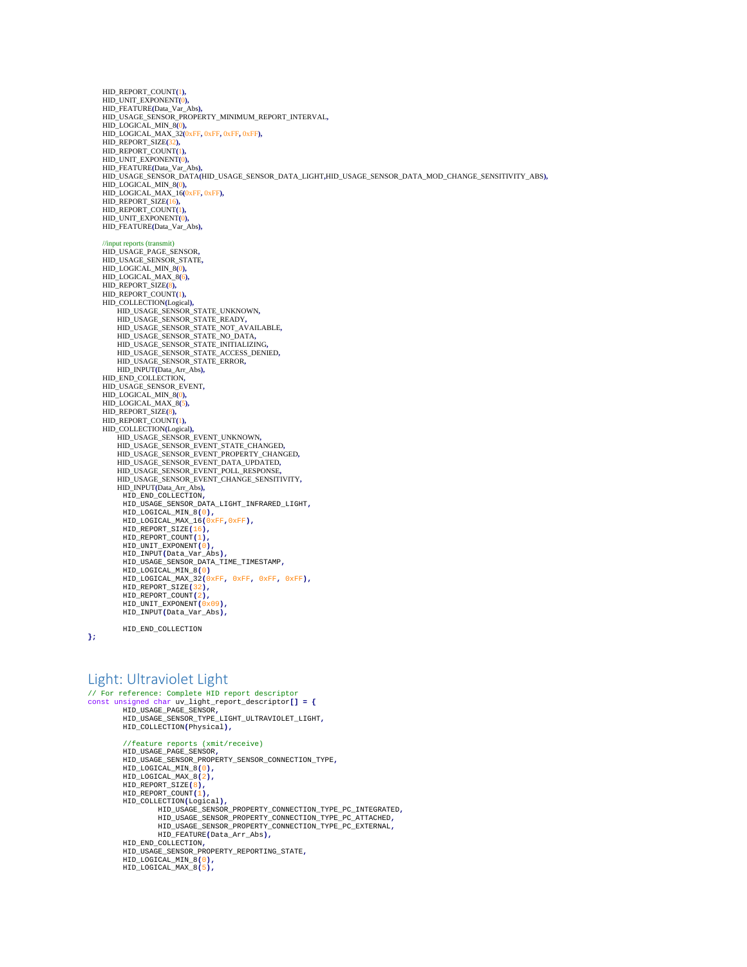```
 HID_REPORT_COUNT(1),
     HID_UNIT_EXPONENT(0),
 HID_FEATURE(Data_Var_Abs),
 HID_USAGE_SENSOR_PROPERTY_MINIMUM_REPORT_INTERVAL,
 HID_LOGICAL_MIN_8(0),
     HID_LOGICAL_MAX_32(0xFF, 0xFF, 0xFF, 0xFF),
     HID_REPORT_SIZE(32),
     HID_REPORT_COUNT(1),
     HID_UNIT_EXPONENT(0),
     HID_FEATURE(Data_Var_Abs),
 HID_USAGE_SENSOR_DATA(HID_USAGE_SENSOR_DATA_LIGHT,HID_USAGE_SENSOR_DATA_MOD_CHANGE_SENSITIVITY_ABS),
 HID_LOGICAL_MIN_8(0),
     HID_LOGICAL_MAX_16(0xFF, 0xFF),
 HID_REPORT_SIZE(16),
 HID_REPORT_COUNT(1),
     HID_UNIT_EXPONENT(0),
     HID_FEATURE(Data_Var_Abs),
 //input reports (transmit)
 HID_USAGE_PAGE_SENSOR,
 HID_USAGE_SENSOR_STATE,
 HID_LOGICAL_MIN_8(0),
     HID_LOGICAL_MAX_8(6),
 HID_REPORT_SIZE(8),
 HID_REPORT_COUNT(1),
 HID_COLLECTION(Logical),
 HID_USAGE_SENSOR_STATE_UNKNOWN,
 HID_USAGE_SENSOR_STATE_READY,
 HID_USAGE_SENSOR_STATE_NOT_AVAILABLE,
 HID_USAGE_SENSOR_STATE_NO_DATA,
 HID_USAGE_SENSOR_STATE_INITIALIZING,
 HID_USAGE_SENSOR_STATE_ACCESS_DENIED,
          HID_USAGE_SENSOR_STATE_ERROR,
 HID_INPUT(Data_Arr_Abs),
 HID_END_COLLECTION,
 HID_USAGE_SENSOR_EVENT,
 HID_LOGICAL_MIN_8(0),
 HID_LOGICAL_MAX_8(5),
     HID_REPORT_SIZE(8),
     HID_REPORT_COUNT(1),
 HID_COLLECTION(Logical),
 HID_USAGE_SENSOR_EVENT_UNKNOWN,
 HID_USAGE_SENSOR_EVENT_STATE_CHANGED,
          HID_USAGE_SENSOR_EVENT_PROPERTY_CHANGED,
 HID_USAGE_SENSOR_EVENT_DATA_UPDATED,
 HID_USAGE_SENSOR_EVENT_POLL_RESPONSE,
          HID_USAGE_SENSOR_EVENT_CHANGE_SENSITIVITY,
          HID_INPUT(Data_Arr_Abs),
 HID_END_COLLECTION,
 HID_USAGE_SENSOR_DATA_LIGHT_INFRARED_LIGHT,
 HID_LOGICAL_MIN_8(0),
 HID_LOGICAL_MAX_16(0xFF,0xFF),
            HID_REPORT_SIZE(16),
 HID_REPORT_COUNT(1),
 HID_UNIT_EXPONENT(0),
           HID_INPUT(Data_Var_Abs),
 HID_USAGE_SENSOR_DATA_TIME_TIMESTAMP,
 HID_LOGICAL_MIN_8(0)
 HID_LOGICAL_MAX_32(0xFF, 0xFF, 0xFF, 0xFF),
 HID_REPORT_SIZE(32),
 HID_REPORT_COUNT(2),
 HID_UNIT_EXPONENT(0x09),
           HID_INPUT(Data_Var_Abs),
           HID_END_COLLECTION
```
**};**

# Light: Ultraviolet Light

// For reference: Complete HID report descriptor const unsigned char uv\_light\_report\_descriptor**[] = {** HID\_USAGE\_PAGE\_SENSOR**,** HID\_USAGE\_SENSOR\_TYPE\_LIGHT\_ULTRAVIOLET\_LIGHT**,** HID\_COLLECTION**(**Physical**),** //feature reports (xmit/receive) HID\_USAGE\_PAGE\_SENSOR**,** HID\_USAGE\_SENSOR\_PROPERTY\_SENSOR\_CONNECTION\_TYPE**,** HID\_LOGICAL\_MIN\_8**(**0**),** HID\_LOGICAL\_MAX\_8**(**2**),** HID\_REPORT\_SIZE**(**8**),** HID\_REPORT\_COUNT**(**1**),** HID\_COLLECTION**(**Logical**),** HID\_USAGE\_SENSOR\_PROPERTY\_CONNECTION\_TYPE\_PC\_INTEGRATED**,** HID\_USAGE\_SENSOR\_PROPERTY\_CONNECTION\_TYPE\_PC\_ATTACHED**,** HID\_USAGE\_SENSOR\_PROPERTY\_CONNECTION\_TYPE\_PC\_EXTERNAL**,** HID\_FEATURE**(**Data\_Arr\_Abs**),** HID\_END\_COLLECTION**,** HID\_USAGE\_SENSOR\_PROPERTY\_REPORTING\_STATE**,** HID\_LOGICAL\_MIN\_8**(**0**),** HID\_LOGICAL\_MAX\_8**(**5**),**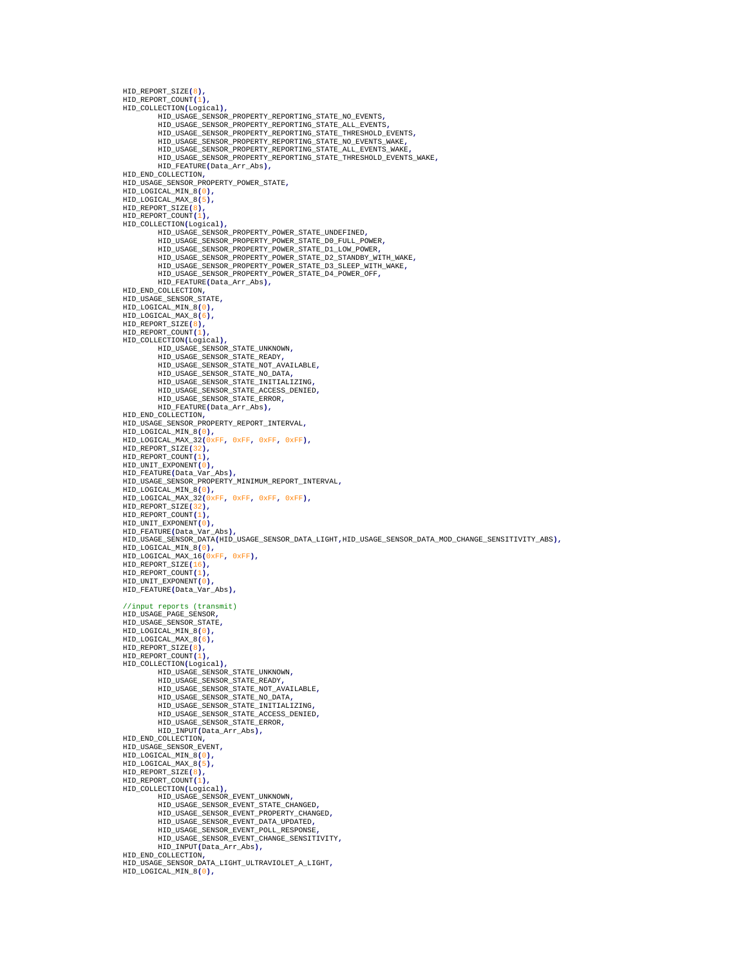HID\_REPORT\_SIZE**(**8**),** HID\_REPORT\_COUNT**(**1**),** HID\_COLLECTION**(**Logical**),** HID\_USAGE\_SENSOR\_PROPERTY\_REPORTING\_STATE\_NO\_EVENTS**,** HID\_USAGE\_SENSOR\_PROPERTY\_REPORTING\_STATE\_ALL\_EVENTS**,** HID\_USAGE\_SENSOR\_PROPERTY\_REPORTING\_STATE\_THRESHOLD\_EVENTS**,** HID\_USAGE\_SENSOR\_PROPERTY\_REPORTING\_STATE\_NO\_EVENTS\_WAKE**,** HID\_USAGE\_SENSOR\_PROPERTY\_REPORTING\_STATE\_ALL\_EVENTS\_WAKE**,** HID\_USAGE\_SENSOR\_PROPERTY\_REPORTING\_STATE\_THRESHOLD\_EVENTS\_WAKE**,** HID\_FEATURE**(**Data\_Arr\_Abs**),** HID\_END\_COLLECTION**,** HID\_USAGE\_SENSOR\_PROPERTY\_POWER\_STATE**,** HID\_LOGICAL\_MIN\_8**(**0**),** HID\_LOGICAL\_MAX\_8**(**5**),** HID\_REPORT\_SIZE**(**8**),** HID\_REPORT\_COUNT**(**1**),** HID\_COLLECTION**(**Logical**),** HID\_USAGE\_SENSOR\_PROPERTY\_POWER\_STATE\_UNDEFINED**,** HID\_USAGE\_SENSOR\_PROPERTY\_POWER\_STATE\_D0\_FULL\_POWER**,** HID\_USAGE\_SENSOR\_PROPERTY\_POWER\_STATE\_D1\_LOW\_POWER**,** HID\_USAGE\_SENSOR\_PROPERTY\_POWER\_STATE\_D2\_STANDBY\_WITH\_WAKE**,** HID\_USAGE\_SENSOR\_PROPERTY\_POWER\_STATE\_D3\_SLEEP\_WITH\_WAKE**,** HID\_USAGE\_SENSOR\_PROPERTY\_POWER\_STATE\_D4\_POWER\_OFF**,** HID\_FEATURE**(**Data\_Arr\_Abs**),** HID\_END\_COLLECTION**,** HID\_USAGE\_SENSOR\_STATE**,** HID\_LOGICAL\_MIN\_8**(**0**),** HID\_LOGICAL\_MAX\_8**(**6**),** HID\_REPORT\_SIZE**(**8**),** HID\_REPORT\_COUNT**(**1**),** HID\_COLLECTION**(**Logical**),** HID\_USAGE\_SENSOR\_STATE\_UNKNOWN**,** HID\_USAGE\_SENSOR\_STATE\_READY**,** HID\_USAGE\_SENSOR\_STATE\_NOT\_AVAILABLE**,** HID\_USAGE\_SENSOR\_STATE\_NO\_DATA**,** HID\_USAGE\_SENSOR\_STATE\_INITIALIZING**,** HID\_USAGE\_SENSOR\_STATE\_ACCESS\_DENIED**,** HID\_USAGE\_SENSOR\_STATE\_ERROR**,** HID\_FEATURE**(**Data\_Arr\_Abs**),** HID\_END\_COLLECTION**,** HID\_USAGE\_SENSOR\_PROPERTY\_REPORT\_INTERVAL**,** HID\_LOGICAL\_MIN\_8**(**0**),** HID\_LOGICAL\_MAX\_32**(**0xFF**,** 0xFF**,** 0xFF**,** 0xFF**),** HID\_REPORT\_SIZE**(**32**),** HID\_REPORT\_COUNT**(**1**),** HID\_UNIT\_EXPONENT**(**0**),** HID\_FEATURE**(**Data\_Var\_Abs**),** HID\_USAGE\_SENSOR\_PROPERTY\_MINIMUM\_REPORT\_INTERVAL**,** HID\_LOGICAL\_MIN\_8**(**0**),** HID\_LOGICAL\_MAX\_32**(**0xFF**,** 0xFF**,** 0xFF**,** 0xFF**),** HID\_REPORT\_SIZE**(**32**),** HID\_REPORT\_COUNT**(**1**),** HID\_UNIT\_EXPONENT**(**0**),** HID\_FEATURE**(**Data\_Var\_Abs**),** HID\_USAGE\_SENSOR\_DATA**(**HID\_USAGE\_SENSOR\_DATA\_LIGHT**,**HID\_USAGE\_SENSOR\_DATA\_MOD\_CHANGE\_SENSITIVITY\_ABS**),** HID\_LOGICAL\_MIN\_8**(**0**),** HID\_LOGICAL\_MAX\_16**(**0xFF**,** 0xFF**),** HID\_REPORT\_SIZE**(**16**),** HID\_REPORT\_COUNT**(**1**),** HID\_UNIT\_EXPONENT**(**0**),** HID\_FEATURE**(**Data\_Var\_Abs**),** //input reports (transmit) HID\_USAGE\_PAGE\_SENSOR**,** HID\_USAGE\_SENSOR\_STATE**,** HID\_LOGICAL\_MIN\_8**(**0**),** HID\_LOGICAL\_MAX\_8**(**6**),** HID\_REPORT\_SIZE**(**8**),** HID\_REPORT\_COUNT**(**1**),** HID\_COLLECTION**(**Logical**),** HID\_USAGE\_SENSOR\_STATE\_UNKNOWN**,** HID\_USAGE\_SENSOR\_STATE\_READY**,** HID\_USAGE\_SENSOR\_STATE\_NOT\_AVAILABLE**,** HID\_USAGE\_SENSOR\_STATE\_NO\_DATA**,** HID\_USAGE\_SENSOR\_STATE\_INITIALIZING**,** HID\_USAGE\_SENSOR\_STATE\_ACCESS\_DENIED**,** HID\_USAGE\_SENSOR\_STATE\_ERROR**,** HID\_INPUT**(**Data\_Arr\_Abs**),** HID\_END\_COLLECTION**,** HID\_USAGE\_SENSOR\_EVENT**,** HID\_LOGICAL\_MIN\_8**(**0**),** HID\_LOGICAL\_MAX\_8**(**5**),** HID\_REPORT\_SIZE**(**8**),** HID\_REPORT\_COUNT**(**1**),** HID\_COLLECTION**(**Logical**),** HID\_USAGE\_SENSOR\_EVENT\_UNKNOWN**,** HID\_USAGE\_SENSOR\_EVENT\_STATE\_CHANGED**,** HID\_USAGE\_SENSOR\_EVENT\_PROPERTY\_CHANGED**,** HID\_USAGE\_SENSOR\_EVENT\_DATA\_UPDATED**,** HID\_USAGE\_SENSOR\_EVENT\_POLL\_RESPONSE**,** HID\_USAGE\_SENSOR\_EVENT\_CHANGE\_SENSITIVITY**,** HID\_INPUT**(**Data\_Arr\_Abs**),** HID\_END\_COLLECTION**,** HID\_USAGE\_SENSOR\_DATA\_LIGHT\_ULTRAVIOLET\_A\_LIGHT**,** HID\_LOGICAL\_MIN\_8**(**0**),**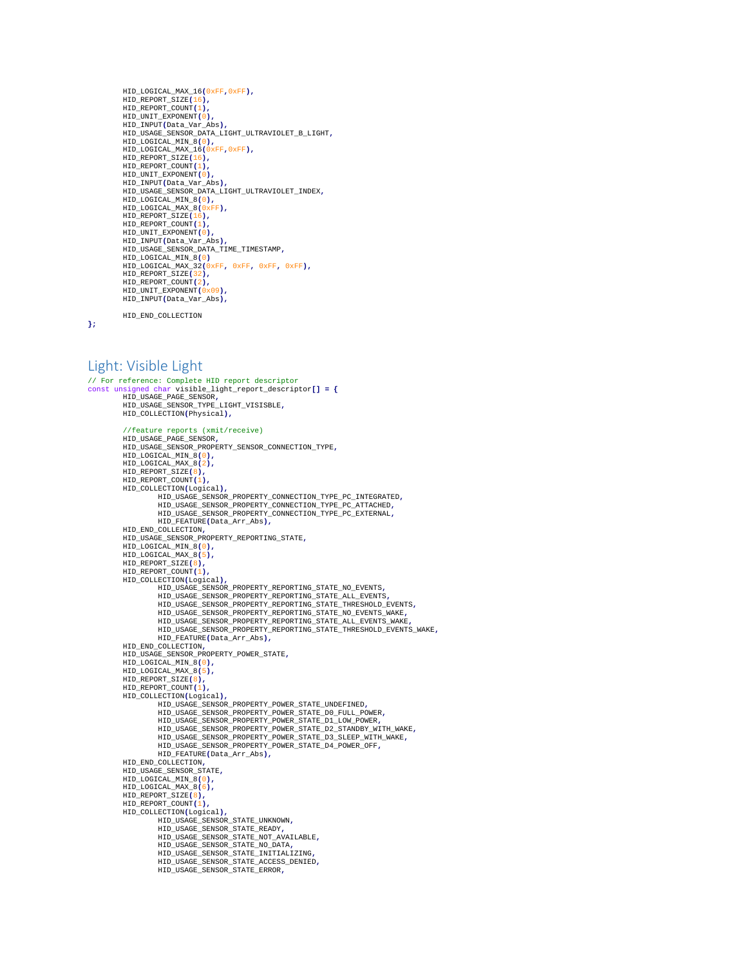HID\_LOGICAL\_MAX\_16**(**0xFF**,**0xFF**),** HID\_REPORT\_SIZE**(**16**),** HID\_REPORT\_COUNT**(**1**),** HID\_UNIT\_EXPONENT**(**0**),** HID\_INPUT**(**Data\_Var\_Abs**),** HID\_USAGE\_SENSOR\_DATA\_LIGHT\_ULTRAVIOLET\_B\_LIGHT**,** HID\_LOGICAL\_MIN\_8**(**0**),** HID\_LOGICAL\_MAX\_16**(**0xFF**,**0xFF**),** HID\_REPORT\_SIZE**(**16**),** HID\_REPORT\_COUNT**(**1**),** HID\_UNIT\_EXPONENT**(**0**),** HID\_INPUT**(**Data\_Var\_Abs**),** HID\_USAGE\_SENSOR\_DATA\_LIGHT\_ULTRAVIOLET\_INDEX**,** HID\_LOGICAL\_MIN\_8**(**0**),** HID\_LOGICAL\_MAX\_8**(**0xFF**),** HID\_REPORT\_SIZE**(**16**),** HID\_REPORT\_COUNT**(**1**),** HID\_UNIT\_EXPONENT**(**0**),** HID\_INPUT**(**Data\_Var\_Abs**),** HID\_USAGE\_SENSOR\_DATA\_TIME\_TIMESTAMP**,** HID\_LOGICAL\_MIN\_8**(**0**)** HID\_LOGICAL\_MAX\_32**(**0xFF**,** 0xFF**,** 0xFF**,** 0xFF**),** HID\_REPORT\_SIZE**(**32**),** HID\_REPORT\_COUNT**(**2**),** HID\_UNIT\_EXPONENT**(**0x09**),** HID\_INPUT**(**Data\_Var\_Abs**),**

**};**

# Light: Visible Light

HID\_END\_COLLECTION

```
// For reference: Complete HID report descriptor 
const unsigned char visible_light_report_descriptor[] = {
 HID_USAGE_PAGE_SENSOR,
           HID_USAGE_SENSOR_TYPE_LIGHT_VISISBLE,
           HID_COLLECTION(Physical),
 //feature reports (xmit/receive) 
 HID_USAGE_PAGE_SENSOR,
 HID_USAGE_SENSOR_PROPERTY_SENSOR_CONNECTION_TYPE,
 HID_LOGICAL_MIN_8(0),
           HID_LOGICAL_MAX_8(2),
           HID_REPORT_SIZE(8),
           HID_REPORT_COUNT(1),
 HID_COLLECTION(Logical),
 HID_USAGE_SENSOR_PROPERTY_CONNECTION_TYPE_PC_INTEGRATED,
 HID_USAGE_SENSOR_PROPERTY_CONNECTION_TYPE_PC_ATTACHED,
 HID_USAGE_SENSOR_PROPERTY_CONNECTION_TYPE_PC_EXTERNAL,
                     HID_FEATURE(Data_Arr_Abs),
           HID_END_COLLECTION,
           HID_USAGE_SENSOR_PROPERTY_REPORTING_STATE,
 HID_LOGICAL_MIN_8(0),
 HID_LOGICAL_MAX_8(5),
           HID_REPORT_SIZE(8),
           HID_REPORT_COUNT(1),
           HID_COLLECTION(Logical),
 HID_USAGE_SENSOR_PROPERTY_REPORTING_STATE_NO_EVENTS,
 HID_USAGE_SENSOR_PROPERTY_REPORTING_STATE_ALL_EVENTS,
 HID_USAGE_SENSOR_PROPERTY_REPORTING_STATE_THRESHOLD_EVENTS,
 HID_USAGE_SENSOR_PROPERTY_REPORTING_STATE_NO_EVENTS_WAKE,
 HID_USAGE_SENSOR_PROPERTY_REPORTING_STATE_ALL_EVENTS_WAKE,
 HID_USAGE_SENSOR_PROPERTY_REPORTING_STATE_THRESHOLD_EVENTS_WAKE,
                     HID_FEATURE(Data_Arr_Abs),
           HID_END_COLLECTION,
           HID_USAGE_SENSOR_PROPERTY_POWER_STATE,
           HID_LOGICAL_MIN_8(0),
           HID_LOGICAL_MAX_8(5),
           HID_REPORT_SIZE(8),
           HID_REPORT_COUNT(1),
           HID_COLLECTION(Logical),
 HID_USAGE_SENSOR_PROPERTY_POWER_STATE_UNDEFINED,
 HID_USAGE_SENSOR_PROPERTY_POWER_STATE_D0_FULL_POWER,
 HID_USAGE_SENSOR_PROPERTY_POWER_STATE_D1_LOW_POWER,
 HID_USAGE_SENSOR_PROPERTY_POWER_STATE_D2_STANDBY_WITH_WAKE,
 HID_USAGE_SENSOR_PROPERTY_POWER_STATE_D3_SLEEP_WITH_WAKE,
 HID_USAGE_SENSOR_PROPERTY_POWER_STATE_D4_POWER_OFF,
                     HID_FEATURE(Data_Arr_Abs),
 HID_END_COLLECTION,
 HID_USAGE_SENSOR_STATE,
 HID_LOGICAL_MIN_8(0),
 HID_LOGICAL_MAX_8(6),
 HID_REPORT_SIZE(8),
 HID_REPORT_COUNT(1),
           HID_COLLECTION(Logical),
 HID_USAGE_SENSOR_STATE_UNKNOWN,
 HID_USAGE_SENSOR_STATE_READY,
 HID_USAGE_SENSOR_STATE_NOT_AVAILABLE,
 HID_USAGE_SENSOR_STATE_NO_DATA,
                     HID_USAGE_SENSOR_STATE_INITIALIZING,
                     HID_USAGE_SENSOR_STATE_ACCESS_DENIED,
                     HID_USAGE_SENSOR_STATE_ERROR,
```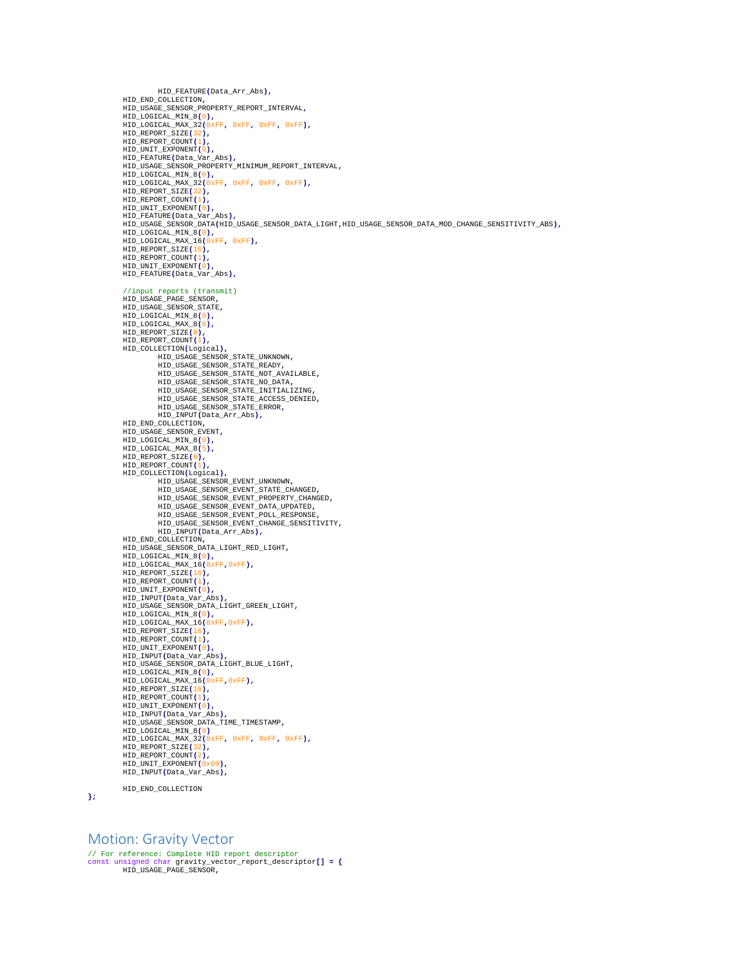```
 HID_FEATURE(Data_Arr_Abs),
          HID_END_COLLECTION,
          HID_USAGE_SENSOR_PROPERTY_REPORT_INTERVAL,
          HID_LOGICAL_MIN_8(0),
 HID_LOGICAL_MAX_32(0xFF, 0xFF, 0xFF, 0xFF),
 HID_REPORT_SIZE(32),
 HID_REPORT_COUNT(1),
 HID_UNIT_EXPONENT(0),
 HID_FEATURE(Data_Var_Abs),
 HID_USAGE_SENSOR_PROPERTY_MINIMUM_REPORT_INTERVAL,
          HID_LOGICAL_MIN_8(0),
 HID_LOGICAL_MAX_32(0xFF, 0xFF, 0xFF, 0xFF),
 HID_REPORT_SIZE(32),
          HID_REPORT_COUNT(1),
 HID_UNIT_EXPONENT(0),
 HID_FEATURE(Data_Var_Abs),
 HID_USAGE_SENSOR_DATA(HID_USAGE_SENSOR_DATA_LIGHT,HID_USAGE_SENSOR_DATA_MOD_CHANGE_SENSITIVITY_ABS),
 HID_LOGICAL_MIN_8(0),
 HID_LOGICAL_MAX_16(0xFF, 0xFF),
 HID_REPORT_SIZE(16),
          HID_REPORT_COUNT(1),
          HID_UNIT_EXPONENT(0),
          HID_FEATURE(Data_Var_Abs), 
          //input reports (transmit) 
 HID_USAGE_PAGE_SENSOR,
 HID_USAGE_SENSOR_STATE,
          HID_LOGICAL_MIN_8(0),
          HID_LOGICAL_MAX_8(6),
          HID_REPORT_SIZE(8),
          HID_REPORT_COUNT(1),
          HID_COLLECTION(Logical),
                    HID_USAGE_SENSOR_STATE_UNKNOWN,
 HID_USAGE_SENSOR_STATE_READY,
 HID_USAGE_SENSOR_STATE_NOT_AVAILABLE,
 HID_USAGE_SENSOR_STATE_NO_DATA,
 HID_USAGE_SENSOR_STATE_INITIALIZING,
 HID_USAGE_SENSOR_STATE_ACCESS_DENIED,
 HID_USAGE_SENSOR_STATE_ERROR,
                    HID_INPUT(Data_Arr_Abs),
          HID_END_COLLECTION,
          HID_USAGE_SENSOR_EVENT,
 HID_LOGICAL_MIN_8(0),
 HID_LOGICAL_MAX_8(5),
 HID_REPORT_SIZE(8),
 HID_REPORT_COUNT(1),
          HID_COLLECTION(Logical),
 HID_USAGE_SENSOR_EVENT_UNKNOWN,
 HID_USAGE_SENSOR_EVENT_STATE_CHANGED,
 HID_USAGE_SENSOR_EVENT_PROPERTY_CHANGED,
 HID_USAGE_SENSOR_EVENT_DATA_UPDATED,
 HID_USAGE_SENSOR_EVENT_POLL_RESPONSE,
 HID_USAGE_SENSOR_EVENT_CHANGE_SENSITIVITY,
                    HID_INPUT(Data_Arr_Abs),
          HID_END_COLLECTION,
          HID_USAGE_SENSOR_DATA_LIGHT_RED_LIGHT,
 HID_LOGICAL_MIN_8(0),
 HID_LOGICAL_MAX_16(0xFF,0xFF),
 HID_REPORT_SIZE(16),
 HID_REPORT_COUNT(1),
          HID_UNIT_EXPONENT(0),
          HID_INPUT(Data_Var_Abs),
          HID_USAGE_SENSOR_DATA_LIGHT_GREEN_LIGHT,
 HID_LOGICAL_MIN_8(0),
 HID_LOGICAL_MAX_16(0xFF,0xFF),
 HID_REPORT_SIZE(16),
 HID_REPORT_COUNT(1),
          HID_UNIT_EXPONENT(0),
 HID_INPUT(Data_Var_Abs),
 HID_USAGE_SENSOR_DATA_LIGHT_BLUE_LIGHT,
 HID_LOGICAL_MIN_8(0),
 HID_LOGICAL_MAX_16(0xFF,0xFF),
 HID_REPORT_SIZE(16),
 HID_REPORT_COUNT(1),
          HID_UNIT_EXPONENT(0),
          HID_INPUT(Data_Var_Abs),
          HID_USAGE_SENSOR_DATA_TIME_TIMESTAMP,
          HID_LOGICAL_MIN_8(0)
          HID_LOGICAL_MAX_32(0xFF, 0xFF, 0xFF, 0xFF),
          HID_REPORT_SIZE(32),
 HID_REPORT_COUNT(2),
 HID_UNIT_EXPONENT(0x09),
          HID_INPUT(Data_Var_Abs),
```

```
};
```
## Motion: Gravity Vector

HID\_END\_COLLECTION

// For reference: Complete HID report descriptor const unsigned char gravity\_vector\_report\_descriptor**[] = {** HID\_USAGE\_PAGE\_SENSOR**,**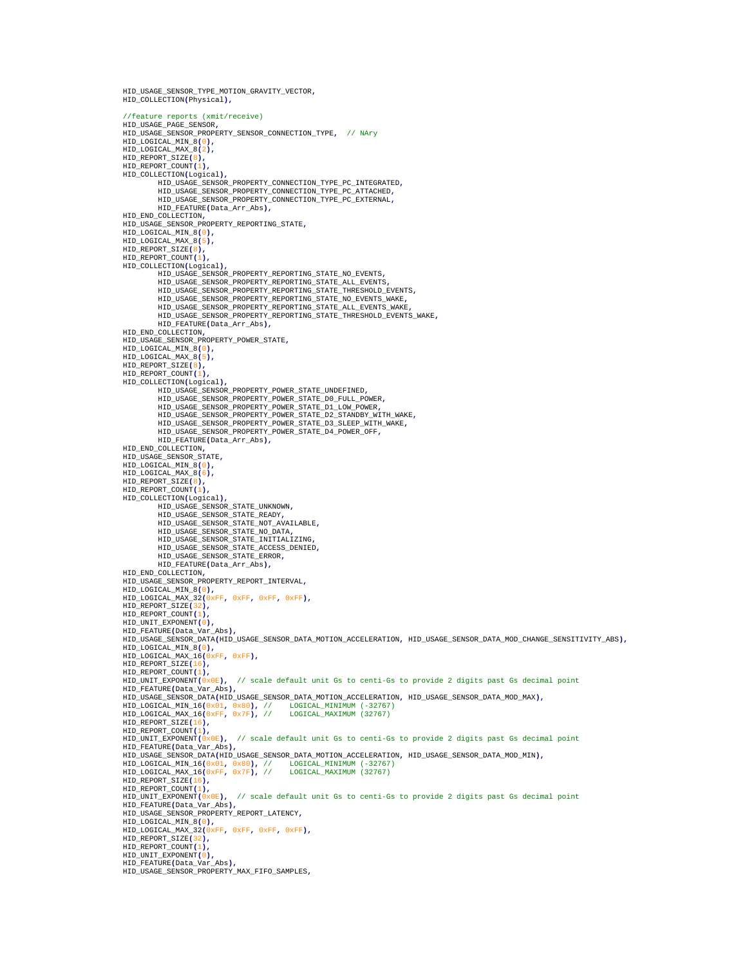```
 HID_USAGE_SENSOR_TYPE_MOTION_GRAVITY_VECTOR,
          HID_COLLECTION(Physical),
          //feature reports (xmit/receive) 
 HID_USAGE_PAGE_SENSOR,
 HID_USAGE_SENSOR_PROPERTY_SENSOR_CONNECTION_TYPE, // NAry 
          HID_LOGICAL_MIN_8(0),
          HID_LOGICAL_MAX_8(2),
          HID_REPORT_SIZE(8),
          HID_REPORT_COUNT(1),
          HID_COLLECTION(Logical),
 HID_USAGE_SENSOR_PROPERTY_CONNECTION_TYPE_PC_INTEGRATED,
 HID_USAGE_SENSOR_PROPERTY_CONNECTION_TYPE_PC_ATTACHED,
                   HID_USAGE_SENSOR_PROPERTY_CONNECTION_TYPE_PC_EXTERNAL,
                   HID_FEATURE(Data_Arr_Abs),
          HID_END_COLLECTION,
          HID_USAGE_SENSOR_PROPERTY_REPORTING_STATE,
          HID_LOGICAL_MIN_8(0),
          HID_LOGICAL_MAX_8(5),
          HID_REPORT_SIZE(8),
          HID_REPORT_COUNT(1),
 HID_COLLECTION(Logical),
 HID_USAGE_SENSOR_PROPERTY_REPORTING_STATE_NO_EVENTS,
 HID_USAGE_SENSOR_PROPERTY_REPORTING_STATE_ALL_EVENTS,
 HID_USAGE_SENSOR_PROPERTY_REPORTING_STATE_THRESHOLD_EVENTS,
 HID_USAGE_SENSOR_PROPERTY_REPORTING_STATE_NO_EVENTS_WAKE,
 HID_USAGE_SENSOR_PROPERTY_REPORTING_STATE_ALL_EVENTS_WAKE,
                    HID_USAGE_SENSOR_PROPERTY_REPORTING_STATE_THRESHOLD_EVENTS_WAKE,
                   HID_FEATURE(Data_Arr_Abs),
          HID_END_COLLECTION,
          HID_USAGE_SENSOR_PROPERTY_POWER_STATE,
          HID_LOGICAL_MIN_8(0),
          HID_LOGICAL_MAX_8(5),
          HID_REPORT_SIZE(8),
          HID_REPORT_COUNT(1),
 HID_COLLECTION(Logical),
 HID_USAGE_SENSOR_PROPERTY_POWER_STATE_UNDEFINED,
 HID_USAGE_SENSOR_PROPERTY_POWER_STATE_D0_FULL_POWER,
 HID_USAGE_SENSOR_PROPERTY_POWER_STATE_D1_LOW_POWER,
 HID_USAGE_SENSOR_PROPERTY_POWER_STATE_D2_STANDBY_WITH_WAKE,
 HID_USAGE_SENSOR_PROPERTY_POWER_STATE_D3_SLEEP_WITH_WAKE,
                    HID_USAGE_SENSOR_PROPERTY_POWER_STATE_D4_POWER_OFF,
                   HID_FEATURE(Data_Arr_Abs),
          HID_END_COLLECTION,
          HID_USAGE_SENSOR_STATE,
          HID_LOGICAL_MIN_8(0),
          HID_LOGICAL_MAX_8(6),
          HID_REPORT_SIZE(8),
          HID_REPORT_COUNT(1),
 HID_COLLECTION(Logical),
 HID_USAGE_SENSOR_STATE_UNKNOWN,
 HID_USAGE_SENSOR_STATE_READY,
 HID_USAGE_SENSOR_STATE_NOT_AVAILABLE,
                    HID_USAGE_SENSOR_STATE_NO_DATA,
                   HID_USAGE_SENSOR_STATE_INITIALIZING,
                    HID_USAGE_SENSOR_STATE_ACCESS_DENIED,
 HID_USAGE_SENSOR_STATE_ERROR,
 HID_FEATURE(Data_Arr_Abs),
 HID_END_COLLECTION,
 HID_USAGE_SENSOR_PROPERTY_REPORT_INTERVAL,
 HID_LOGICAL_MIN_8(0),
 HID_LOGICAL_MAX_32(0xFF, 0xFF, 0xFF, 0xFF),
          HID_REPORT_SIZE(32),
 HID_REPORT_COUNT(1),
 HID_UNIT_EXPONENT(0),
          HID_FEATURE(Data_Var_Abs),
          HID_USAGE_SENSOR_DATA(HID_USAGE_SENSOR_DATA_MOTION_ACCELERATION, HID_USAGE_SENSOR_DATA_MOD_CHANGE_SENSITIVITY_ABS),
          HID_LOGICAL_MIN_8(0),
          HID_LOGICAL_MAX_16(0xFF, 0xFF),
          HID_REPORT_SIZE(16),
 HID_REPORT_COUNT(1),
 HID_UNIT_EXPONENT(0x0E), // scale default unit Gs to centi-Gs to provide 2 digits past Gs decimal point 
 HID_FEATURE(Data_Var_Abs),
 HID_USAGE_SENSOR_DATA(HID_USAGE_SENSOR_DATA_MOTION_ACCELERATION, HID_USAGE_SENSOR_DATA_MOD_MAX),
 HID_LOGICAL_MIN_16(0x01, 0x80), // LOGICAL_MINIMUM (-32767) 
 HID_LOGICAL_MAX_16(0xFF, 0x7F), // LOGICAL_MAXIMUM (32767) 
          HID_REPORT_SIZE(16),
          HID_REPORT_COUNT(1),
          HID_UNIT_EXPONENT(0x0E), // scale default unit Gs to centi-Gs to provide 2 digits past Gs decimal point 
          HID_FEATURE(Data_Var_Abs),
          HID_USAGE_SENSOR_DATA(HID_USAGE_SENSOR_DATA_MOTION_ACCELERATION, HID_USAGE_SENSOR_DATA_MOD_MIN),
 HID_LOGICAL_MIN_16(0x01, 0x80), // LOGICAL_MINIMUM (-32767) 
 HID_LOGICAL_MAX_16(0xFF, 0x7F), // LOGICAL_MAXIMUM (32767) 
 HID_REPORT_SIZE(16),
 HID_REPORT_COUNT(1),
 HID_UNIT_EXPONENT(0x0E), // scale default unit Gs to centi-Gs to provide 2 digits past Gs decimal point 
          HID_FEATURE(Data_Var_Abs),
          HID_USAGE_SENSOR_PROPERTY_REPORT_LATENCY,
 HID_LOGICAL_MIN_8(0),
 HID_LOGICAL_MAX_32(0xFF, 0xFF, 0xFF, 0xFF),
          HID_REPORT_SIZE(32),
 HID_REPORT_COUNT(1),
 HID_UNIT_EXPONENT(0),
 HID_FEATURE(Data_Var_Abs),
 HID_USAGE_SENSOR_PROPERTY_MAX_FIFO_SAMPLES,
```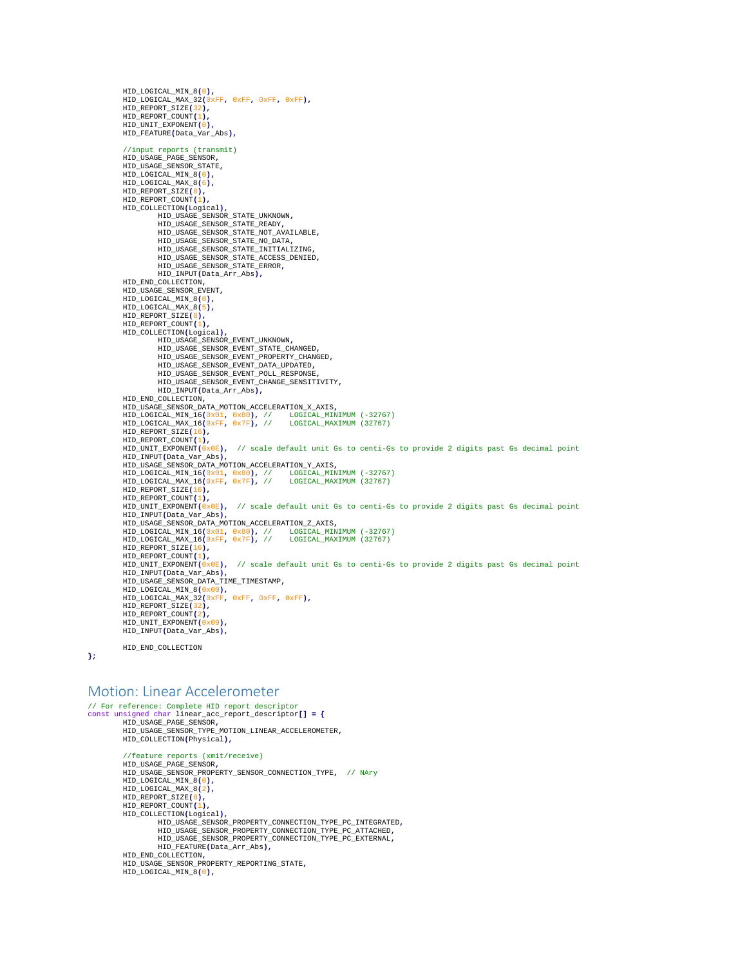```
 HID_LOGICAL_MIN_8(0),
 HID_LOGICAL_MAX_32(0xFF, 0xFF, 0xFF, 0xFF),
 HID_REPORT_SIZE(32),
 HID_REPORT_COUNT(1),
          HID_UNIT_EXPONENT(0),
          HID_FEATURE(Data_Var_Abs),
          //input reports (transmit) 
          HID_USAGE_PAGE_SENSOR,
          HID_USAGE_SENSOR_STATE,
          HID_LOGICAL_MIN_8(0),
 HID_LOGICAL_MAX_8(6),
 HID_REPORT_SIZE(8),
          HID_REPORT_COUNT(1),
 HID_COLLECTION(Logical),
 HID_USAGE_SENSOR_STATE_UNKNOWN,
 HID_USAGE_SENSOR_STATE_READY,
 HID_USAGE_SENSOR_STATE_NOT_AVAILABLE,
                    HID_USAGE_SENSOR_STATE_NO_DATA,
                    HID_USAGE_SENSOR_STATE_INITIALIZING,
                    HID_USAGE_SENSOR_STATE_ACCESS_DENIED,
 HID_USAGE_SENSOR_STATE_ERROR,
 HID_INPUT(Data_Arr_Abs),
          HID_END_COLLECTION,
          HID_USAGE_SENSOR_EVENT,
 HID_LOGICAL_MIN_8(0),
 HID_LOGICAL_MAX_8(5),
 HID_REPORT_SIZE(8),
 HID_REPORT_COUNT(1),
          HID_COLLECTION(Logical),
                    HID_USAGE_SENSOR_EVENT_UNKNOWN,
                    HID_USAGE_SENSOR_EVENT_STATE_CHANGED,
                    HID_USAGE_SENSOR_EVENT_PROPERTY_CHANGED,
                    HID_USAGE_SENSOR_EVENT_DATA_UPDATED,
                    HID_USAGE_SENSOR_EVENT_POLL_RESPONSE,
 HID_USAGE_SENSOR_EVENT_CHANGE_SENSITIVITY,
 HID_INPUT(Data_Arr_Abs),
 HID_END_COLLECTION,
 HID_USAGE_SENSOR_DATA_MOTION_ACCELERATION_X_AXIS,
 HID_LOGICAL_MIN_16(0x01, 0x80), // LOGICAL_MINIMUM (-32767) 
 HID_LOGICAL_MAX_16(0xFF, 0x7F), // LOGICAL_MAXIMUM (32767) 
          HID_REPORT_SIZE(16),
          HID_REPORT_COUNT(1),
          HID_UNIT_EXPONENT(0x0E), // scale default unit Gs to centi-Gs to provide 2 digits past Gs decimal point 
          HID_INPUT(Data_Var_Abs),
          HID_USAGE_SENSOR_DATA_MOTION_ACCELERATION_Y_AXIS,
 HID_LOGICAL_MIN_16(0x01, 0x80), // LOGICAL_MINIMUM (-32767) 
 HID_LOGICAL_MAX_16(0xFF, 0x7F), // LOGICAL_MAXIMUM (32767) 
          HID_REPORT_SIZE(16),
 HID_REPORT_COUNT(1),
 HID_UNIT_EXPONENT(0x0E), // scale default unit Gs to centi-Gs to provide 2 digits past Gs decimal point 
 HID_INPUT(Data_Var_Abs),
 HID_USAGE_SENSOR_DATA_MOTION_ACCELERATION_Z_AXIS,
 HID_LOGICAL_MIN_16(0x01, 0x80), // LOGICAL_MINIMUM (-32767) 
 HID_LOGICAL_MAX_16(0xFF, 0x7F), // LOGICAL_MAXIMUM (32767) 
          HID_REPORT_SIZE(16),
 HID_REPORT_COUNT(1),
 HID_UNIT_EXPONENT(0x0E), // scale default unit Gs to centi-Gs to provide 2 digits past Gs decimal point 
 HID_INPUT(Data_Var_Abs),
 HID_USAGE_SENSOR_DATA_TIME_TIMESTAMP,
 HID_LOGICAL_MIN_8(0x00),
 HID_LOGICAL_MAX_32(0xFF, 0xFF, 0xFF, 0xFF),
          HID_REPORT_SIZE(32),
 HID_REPORT_COUNT(2),
 HID_UNIT_EXPONENT(0x09),
          HID_INPUT(Data_Var_Abs),
```

```
 HID_END_COLLECTION
```
**};**

## Motion: Linear Accelerometer

```
// For reference: Complete HID report descriptor 
const unsigned char linear_acc_report_descriptor[] = { 
 HID_USAGE_PAGE_SENSOR,
          HID_USAGE_SENSOR_TYPE_MOTION_LINEAR_ACCELEROMETER,
          HID_COLLECTION(Physical),
          //feature reports (xmit/receive) 
          HID_USAGE_PAGE_SENSOR,
          HID_USAGE_SENSOR_PROPERTY_SENSOR_CONNECTION_TYPE, // NAry 
          HID_LOGICAL_MIN_8(0),
 HID_LOGICAL_MAX_8(2),
 HID_REPORT_SIZE(8),
          HID_REPORT_COUNT(1),
 HID_COLLECTION(Logical),
 HID_USAGE_SENSOR_PROPERTY_CONNECTION_TYPE_PC_INTEGRATED,
 HID_USAGE_SENSOR_PROPERTY_CONNECTION_TYPE_PC_ATTACHED,
 HID_USAGE_SENSOR_PROPERTY_CONNECTION_TYPE_PC_EXTERNAL,
                   HID_FEATURE(Data_Arr_Abs),
          HID_END_COLLECTION,
          HID_USAGE_SENSOR_PROPERTY_REPORTING_STATE,
          HID_LOGICAL_MIN_8(0),
```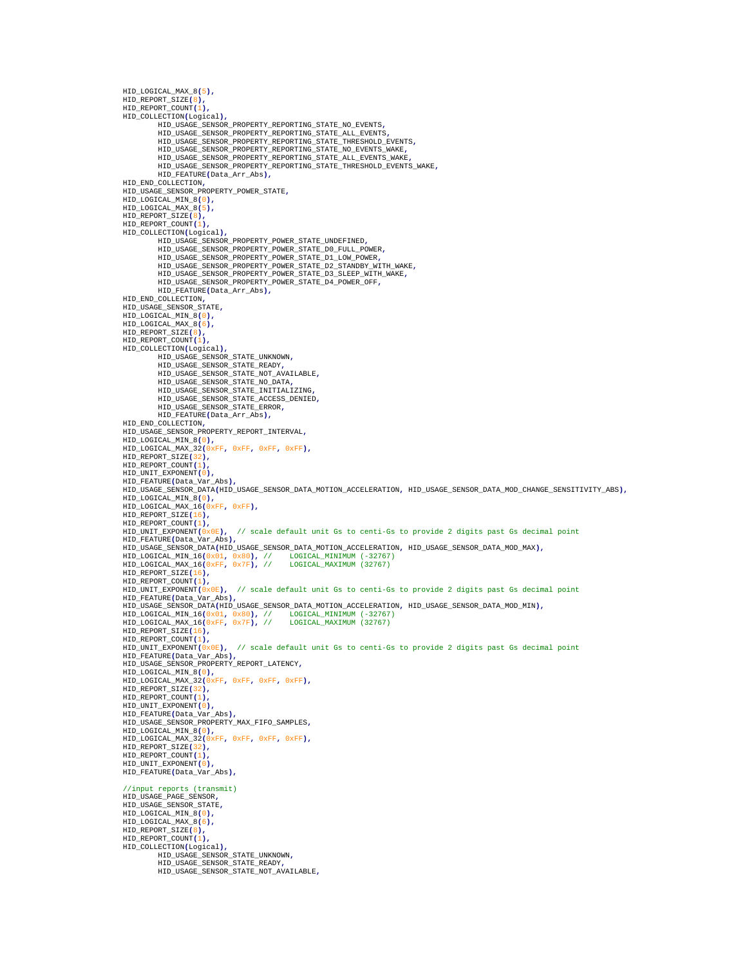```
 HID_LOGICAL_MAX_8(5),
          HID_REPORT_SIZE(8),
          HID_REPORT_COUNT(1),
          HID_COLLECTION(Logical),
 HID_USAGE_SENSOR_PROPERTY_REPORTING_STATE_NO_EVENTS,
 HID_USAGE_SENSOR_PROPERTY_REPORTING_STATE_ALL_EVENTS,
                     HID_USAGE_SENSOR_PROPERTY_REPORTING_STATE_THRESHOLD_EVENTS,
 HID_USAGE_SENSOR_PROPERTY_REPORTING_STATE_NO_EVENTS_WAKE,
 HID_USAGE_SENSOR_PROPERTY_REPORTING_STATE_ALL_EVENTS_WAKE,
                    HID_USAGE_SENSOR_PROPERTY_REPORTING_STATE_THRESHOLD_EVENTS_WAKE,
                     HID_FEATURE(Data_Arr_Abs),
 HID_END_COLLECTION,
 HID_USAGE_SENSOR_PROPERTY_POWER_STATE,
          HID_LOGICAL_MIN_8(0),
 HID_LOGICAL_MAX_8(5),
 HID_REPORT_SIZE(8),
 HID_REPORT_COUNT(1),
 HID_COLLECTION(Logical),
                    HID_USAGE_SENSOR_PROPERTY_POWER_STATE_UNDEFINED,
                    HID_USAGE_SENSOR_PROPERTY_POWER_STATE_D0_FULL_POWER,
                     HID_USAGE_SENSOR_PROPERTY_POWER_STATE_D1_LOW_POWER,
 HID_USAGE_SENSOR_PROPERTY_POWER_STATE_D2_STANDBY_WITH_WAKE,
 HID_USAGE_SENSOR_PROPERTY_POWER_STATE_D3_SLEEP_WITH_WAKE,
                    HID_USAGE_SENSOR_PROPERTY_POWER_STATE_D4_POWER_OFF,
                    HID_FEATURE(Data_Arr_Abs),
 HID_END_COLLECTION,
 HID_USAGE_SENSOR_STATE,
          HID_LOGICAL_MIN_8(0),
          HID_LOGICAL_MAX_8(6),
          HID_REPORT_SIZE(8),
          HID_REPORT_COUNT(1),
          HID_COLLECTION(Logical),
                    HID_USAGE_SENSOR_STATE_UNKNOWN,
                    HID_USAGE_SENSOR_STATE_READY,
                     HID_USAGE_SENSOR_STATE_NOT_AVAILABLE,
 HID_USAGE_SENSOR_STATE_NO_DATA,
 HID_USAGE_SENSOR_STATE_INITIALIZING,
 HID_USAGE_SENSOR_STATE_ACCESS_DENIED,
 HID_USAGE_SENSOR_STATE_ERROR,
                    HID_FEATURE(Data_Arr_Abs),
          HID_END_COLLECTION,
          HID_USAGE_SENSOR_PROPERTY_REPORT_INTERVAL,
 HID_LOGICAL_MIN_8(0),
 HID_LOGICAL_MAX_32(0xFF, 0xFF, 0xFF, 0xFF),
 HID_REPORT_SIZE(32),
 HID_REPORT_COUNT(1),
          HID_UNIT_EXPONENT(0),
          HID_FEATURE(Data_Var_Abs),
          HID_USAGE_SENSOR_DATA(HID_USAGE_SENSOR_DATA_MOTION_ACCELERATION, HID_USAGE_SENSOR_DATA_MOD_CHANGE_SENSITIVITY_ABS),
 HID_LOGICAL_MIN_8(0),
 HID_LOGICAL_MAX_16(0xFF, 0xFF),
 HID_REPORT_SIZE(16),
 HID_REPORT_COUNT(1),
          HID_UNIT_EXPONENT(0x0E), // scale default unit Gs to centi-Gs to provide 2 digits past Gs decimal point 
          HID_FEATURE(Data_Var_Abs),
         HID_USAGE_SENSOR_DATA(HID_USAGE_SENSOR_DATA_MOTION_ACCELERATION, HID_USAGE_SENSOR_DATA_MOD_MAX),<br>HID_LOGICAL_MIN_16(0x01, 0x80), //    LOGICAL_MINIMUM (-32767)<br>HID_LOGICAL_MAX_16(0xFF, 0x7F), //   LOGICAL_MAXIMUM (32767)
 HID_LOGICAL_MIN_16(0x01, 0x80), // LOGICAL_MINIMUM (-32767) 
 HID_LOGICAL_MAX_16(0xFF, 0x7F), // LOGICAL_MAXIMUM (32767) 
 HID_REPORT_SIZE(16),
 HID_REPORT_COUNT(1),
          HID_UNIT_EXPONENT(0x0E), // scale default unit Gs to centi-Gs to provide 2 digits past Gs decimal point 
          HID_FEATURE(Data_Var_Abs),
         HID_USAGE_SENSOR_DATA(HID_USAGE_SENSOR_DATA_MOTION_ACCELERATION, HID_USAGE_SENSOR_DATA_MOD_MIN),<br>HID_UGGICAL_MIN_16(0x01, 0x80), //   LOGICAL_MINIMUM (-32767)<br>HID_LOGICAL_MAX_16(0xFF, 0x7F), //   LOGICAL_MAXIMUM (32767)
 HID_LOGICAL_MIN_16(0x01, 0x80), // LOGICAL_MINIMUM (-32767) 
 HID_LOGICAL_MAX_16(0xFF, 0x7F), // LOGICAL_MAXIMUM (32767) 
          HID_REPORT_SIZE(16),
          HID_REPORT_COUNT(1),
          HID_UNIT_EXPONENT(0x0E), // scale default unit Gs to centi-Gs to provide 2 digits past Gs decimal point 
          HID_FEATURE(Data_Var_Abs),
          HID_USAGE_SENSOR_PROPERTY_REPORT_LATENCY,
 HID_LOGICAL_MIN_8(0), 
 HID_LOGICAL_MAX_32(0xFF, 0xFF, 0xFF, 0xFF),
 HID_REPORT_SIZE(32),
 HID_REPORT_COUNT(1),
          HID_UNIT_EXPONENT(0),
          HID_FEATURE(Data_Var_Abs),
          HID_USAGE_SENSOR_PROPERTY_MAX_FIFO_SAMPLES,
          HID_LOGICAL_MIN_8(0),
          HID_LOGICAL_MAX_32(0xFF, 0xFF, 0xFF, 0xFF),
          HID_REPORT_SIZE(32),
          HID_REPORT_COUNT(1),
          HID_UNIT_EXPONENT(0),
          HID_FEATURE(Data_Var_Abs),
 //input reports (transmit) 
 HID_USAGE_PAGE_SENSOR,
          HID_USAGE_SENSOR_STATE,
          HID_LOGICAL_MIN_8(0),
          HID_LOGICAL_MAX_8(6),
          HID_REPORT_SIZE(8),
          HID_REPORT_COUNT(1),
 HID_COLLECTION(Logical),
 HID_USAGE_SENSOR_STATE_UNKNOWN,
 HID_USAGE_SENSOR_STATE_READY,
 HID_USAGE_SENSOR_STATE_NOT_AVAILABLE,
```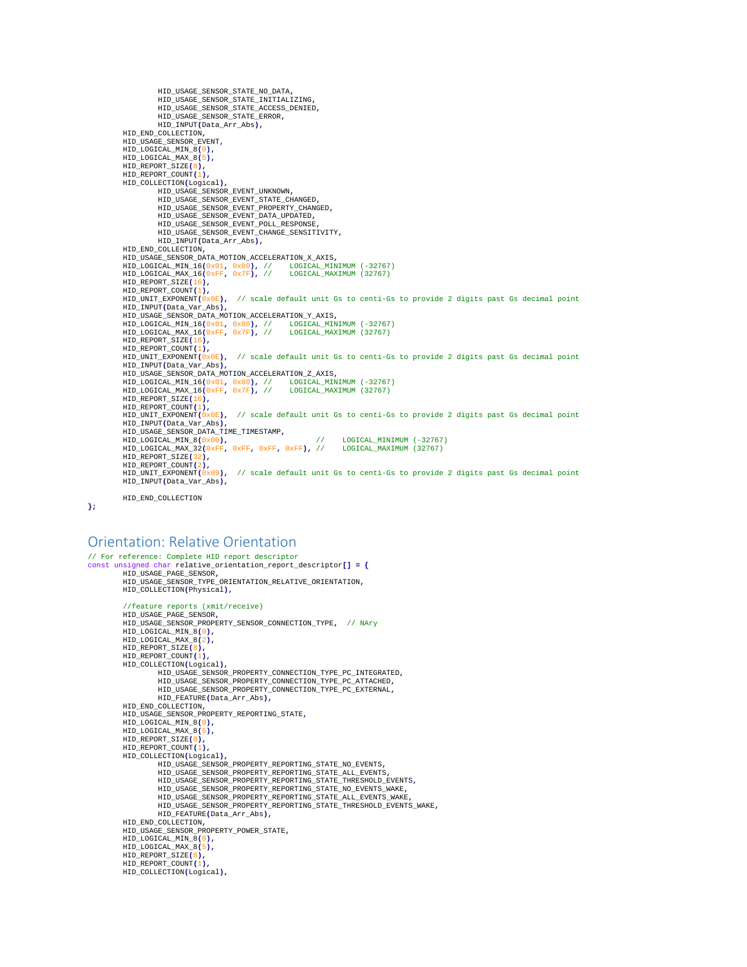```
 HID_USAGE_SENSOR_STATE_NO_DATA,
                    HID_USAGE_SENSOR_STATE_INITIALIZING,
 HID_USAGE_SENSOR_STATE_ACCESS_DENIED,
 HID_USAGE_SENSOR_STATE_ERROR,
 HID_INPUT(Data_Arr_Abs),
 HID_END_COLLECTION,
          HID_USAGE_SENSOR_EVENT,
          HID_LOGICAL_MIN_8(0),
          HID_LOGICAL_MAX_8(5),
          HID_REPORT_SIZE(8),
          HID_REPORT_COUNT(1),
 HID_COLLECTION(Logical),
 HID_USAGE_SENSOR_EVENT_UNKNOWN,
                    HID_USAGE_SENSOR_EVENT_STATE_CHANGED,
 HID_USAGE_SENSOR_EVENT_PROPERTY_CHANGED,
 HID_USAGE_SENSOR_EVENT_DATA_UPDATED,
 HID_USAGE_SENSOR_EVENT_POLL_RESPONSE,
 HID_USAGE_SENSOR_EVENT_CHANGE_SENSITIVITY,
                    HID_INPUT(Data_Arr_Abs),
          HID_END_COLLECTION,
          HID_USAGE_SENSOR_DATA_MOTION_ACCELERATION_X_AXIS,
 HID_LOGICAL_MIN_16(0x01, 0x80), // LOGICAL_MINIMUM (-32767) 
 HID_LOGICAL_MAX_16(0xFF, 0x7F), // LOGICAL_MAXIMUM (32767) 
 HID_REPORT_SIZE(16),
 HID_REPORT_COUNT(1),
 HID_UNIT_EXPONENT(0x0E), // scale default unit Gs to centi-Gs to provide 2 digits past Gs decimal point 
 HID_INPUT(Data_Var_Abs),
          HID_USAGE_SENSOR_DATA_MOTION_ACCELERATION_Y_AXIS,
 HID_LOGICAL_MIN_16(0x01, 0x80), // LOGICAL_MINIMUM (-32767) 
 HID_LOGICAL_MAX_16(0xFF, 0x7F), // LOGICAL_MAXIMUM (32767) 
          HID_REPORT_SIZE(16),
          HID_REPORT_COUNT(1),
          HID_UNIT_EXPONENT(0x0E), // scale default unit Gs to centi-Gs to provide 2 digits past Gs decimal point 
          HID_INPUT(Data_Var_Abs),
          HID_USAGE_SENSOR_DATA_MOTION_ACCELERATION_Z_AXIS,
 HID_LOGICAL_MIN_16(0x01, 0x80), // LOGICAL_MINIMUM (-32767) 
 HID_LOGICAL_MAX_16(0xFF, 0x7F), // LOGICAL_MAXIMUM (32767) 
 HID_REPORT_SIZE(16),
 HID_REPORT_COUNT(1),
 HID_UNIT_EXPONENT(0x0E), // scale default unit Gs to centi-Gs to provide 2 digits past Gs decimal point 
 HID_INPUT(Data_Var_Abs),
          HID_USAGE_SENSOR_DATA_TIME_TIMESTAMP,
 HID_LOGICAL_MIN_8(0x00), // LOGICAL_MINIMUM (-32767) 
 HID_LOGICAL_MAX_32(0xFF, 0xFF, 0xFF, 0xFF), // LOGICAL_MAXIMUM (32767) 
          HID_REPORT_SIZE(32),
          HID_REPORT_COUNT(2),
          HID_UNIT_EXPONENT(0x09), // scale default unit Gs to centi-Gs to provide 2 digits past Gs decimal point 
          HID_INPUT(Data_Var_Abs),
          HID_END_COLLECTION
```

```
};
```
# Orientation: Relative Orientation

```
// For reference: Complete HID report descriptor 
const unsigned char relative_orientation_report_descriptor[] = {
         HID_USAGE_PAGE_SENSOR,
         HID_USAGE_SENSOR_TYPE_ORIENTATION_RELATIVE_ORIENTATION,
         HID_COLLECTION(Physical),
          //feature reports (xmit/receive) 
 HID_USAGE_PAGE_SENSOR,
 HID_USAGE_SENSOR_PROPERTY_SENSOR_CONNECTION_TYPE, // NAry 
          HID_LOGICAL_MIN_8(0),
         HID_LOGICAL_MAX_8(2),
          HID_REPORT_SIZE(8),
         HID_REPORT_COUNT(1),
         HID_COLLECTION(Logical),
                  HID_USAGE_SENSOR_PROPERTY_CONNECTION_TYPE_PC_INTEGRATED,
                  HID_USAGE_SENSOR_PROPERTY_CONNECTION_TYPE_PC_ATTACHED,
                   HID_USAGE_SENSOR_PROPERTY_CONNECTION_TYPE_PC_EXTERNAL,
 HID_FEATURE(Data_Arr_Abs),
 HID_END_COLLECTION,
         HID_USAGE_SENSOR_PROPERTY_REPORTING_STATE,
         HID_LOGICAL_MIN_8(0),
          HID_LOGICAL_MAX_8(5),
         HID_REPORT_SIZE(8),
          HID_REPORT_COUNT(1),
 HID_COLLECTION(Logical),
 HID_USAGE_SENSOR_PROPERTY_REPORTING_STATE_NO_EVENTS,
 HID_USAGE_SENSOR_PROPERTY_REPORTING_STATE_ALL_EVENTS,
 HID_USAGE_SENSOR_PROPERTY_REPORTING_STATE_THRESHOLD_EVENTS,
 HID_USAGE_SENSOR_PROPERTY_REPORTING_STATE_NO_EVENTS_WAKE,
 HID_USAGE_SENSOR_PROPERTY_REPORTING_STATE_ALL_EVENTS_WAKE,
                  HID_USAGE_SENSOR_PROPERTY_REPORTING_STATE_THRESHOLD_EVENTS_WAKE,
                  HID_FEATURE(Data_Arr_Abs),
          HID_END_COLLECTION,
         HID_USAGE_SENSOR_PROPERTY_POWER_STATE,
         HID_LOGICAL_MIN_8(0),
          HID_LOGICAL_MAX_8(5),
         HID_REPORT_SIZE(8),
          HID_REPORT_COUNT(1),
         HID_COLLECTION(Logical),
```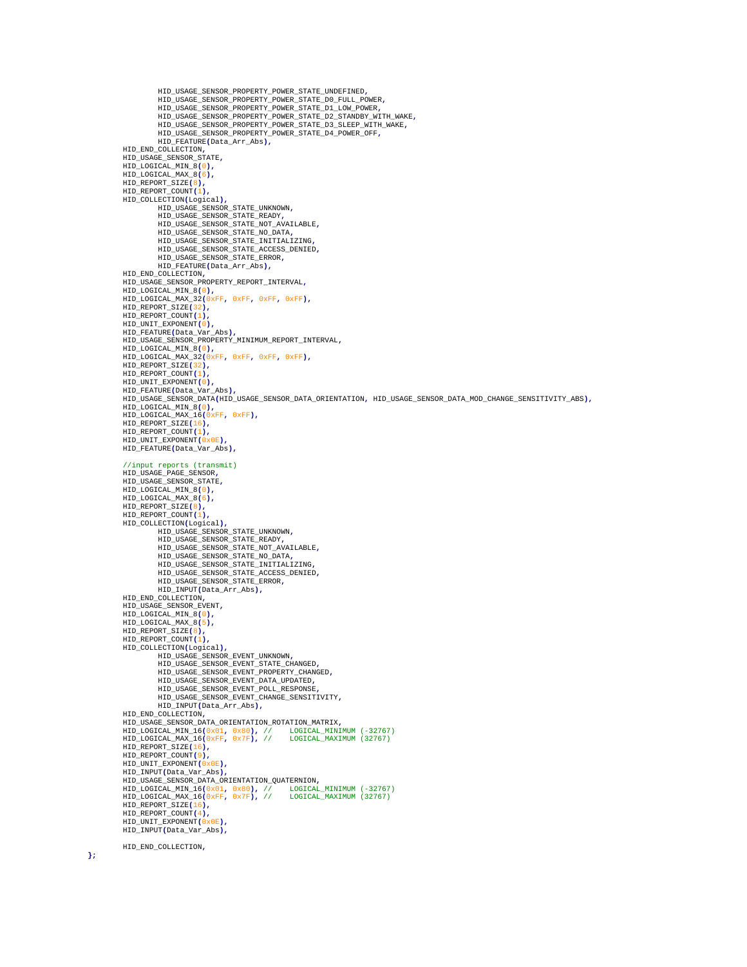```
 HID_USAGE_SENSOR_PROPERTY_POWER_STATE_UNDEFINED,
                    HID_USAGE_SENSOR_PROPERTY_POWER_STATE_D0_FULL_POWER,
 HID_USAGE_SENSOR_PROPERTY_POWER_STATE_D1_LOW_POWER,
 HID_USAGE_SENSOR_PROPERTY_POWER_STATE_D2_STANDBY_WITH_WAKE,
 HID_USAGE_SENSOR_PROPERTY_POWER_STATE_D3_SLEEP_WITH_WAKE,
 HID_USAGE_SENSOR_PROPERTY_POWER_STATE_D4_POWER_OFF,
                    HID_FEATURE(Data_Arr_Abs),
 HID_END_COLLECTION,
 HID_USAGE_SENSOR_STATE,
          HID_LOGICAL_MIN_8(0),
          HID_LOGICAL_MAX_8(6),
 HID_REPORT_SIZE(8),
 HID_REPORT_COUNT(1),
          HID_COLLECTION(Logical),
 HID_USAGE_SENSOR_STATE_UNKNOWN,
 HID_USAGE_SENSOR_STATE_READY,
 HID_USAGE_SENSOR_STATE_NOT_AVAILABLE,
 HID_USAGE_SENSOR_STATE_NO_DATA,
                    HID_USAGE_SENSOR_STATE_INITIALIZING,
                    HID_USAGE_SENSOR_STATE_ACCESS_DENIED,
                    HID_USAGE_SENSOR_STATE_ERROR,
                    HID_FEATURE(Data_Arr_Abs),
          HID_END_COLLECTION,
          HID_USAGE_SENSOR_PROPERTY_REPORT_INTERVAL,
          HID_LOGICAL_MIN_8(0),
 HID_LOGICAL_MAX_32(0xFF, 0xFF, 0xFF, 0xFF),
 HID_REPORT_SIZE(32),
 HID_REPORT_COUNT(1),
 HID_UNIT_EXPONENT(0),
 HID_FEATURE(Data_Var_Abs),
 HID_USAGE_SENSOR_PROPERTY_MINIMUM_REPORT_INTERVAL,
          HID_LOGICAL_MIN_8(0),
          HID_LOGICAL_MAX_32(0xFF, 0xFF, 0xFF, 0xFF),
          HID_REPORT_SIZE(32),
          HID_REPORT_COUNT(1),
 HID_UNIT_EXPONENT(0),
 HID_FEATURE(Data_Var_Abs),
          HID_USAGE_SENSOR_DATA(HID_USAGE_SENSOR_DATA_ORIENTATION, HID_USAGE_SENSOR_DATA_MOD_CHANGE_SENSITIVITY_ABS),
          HID_LOGICAL_MIN_8(0),
 HID_LOGICAL_MAX_16(0xFF, 0xFF),
 HID_REPORT_SIZE(16),
          HID_REPORT_COUNT(1),
          HID_UNIT_EXPONENT(0x0E), 
          HID_FEATURE(Data_Var_Abs),
           //input reports (transmit) 
          HID_USAGE_PAGE_SENSOR,
          HID_USAGE_SENSOR_STATE,
          HID_LOGICAL_MIN_8(0),
 HID_LOGICAL_MAX_8(6),
 HID_REPORT_SIZE(8),
 HID_REPORT_COUNT(1),
 HID_COLLECTION(Logical),
                    HID_USAGE_SENSOR_STATE_UNKNOWN,
                    HID_USAGE_SENSOR_STATE_READY,
                    HID_USAGE_SENSOR_STATE_NOT_AVAILABLE,
 HID_USAGE_SENSOR_STATE_NO_DATA,
 HID_USAGE_SENSOR_STATE_INITIALIZING,
 HID_USAGE_SENSOR_STATE_ACCESS_DENIED,
 HID_USAGE_SENSOR_STATE_ERROR,
 HID_INPUT(Data_Arr_Abs),
 HID_END_COLLECTION,
          HID_USAGE_SENSOR_EVENT,
 HID_LOGICAL_MIN_8(0),
 HID_LOGICAL_MAX_8(5),
          HID_REPORT_SIZE(8),
          HID_REPORT_COUNT(1),
          HID_COLLECTION(Logical),
                   HID_USAGE_SENSOR_EVENT_UNKNOWN,
                    HID_USAGE_SENSOR_EVENT_STATE_CHANGED,
 HID_USAGE_SENSOR_EVENT_PROPERTY_CHANGED,
 HID_USAGE_SENSOR_EVENT_DATA_UPDATED,
 HID_USAGE_SENSOR_EVENT_POLL_RESPONSE,
 HID_USAGE_SENSOR_EVENT_CHANGE_SENSITIVITY,
                    HID_INPUT(Data_Arr_Abs),
          HID_END_COLLECTION,
          HID_USAGE_SENSOR_DATA_ORIENTATION_ROTATION_MATRIX,
 HID_LOGICAL_MIN_16(0x01, 0x80), // LOGICAL_MINIMUM (-32767) 
 HID_LOGICAL_MAX_16(0xFF, 0x7F), // LOGICAL_MAXIMUM (32767) 
          HID_REPORT_SIZE(16),
          HID_REPORT_COUNT(9),
          HID_UNIT_EXPONENT(0x0E), 
          HID_INPUT(Data_Var_Abs),
          HID_USAGE_SENSOR_DATA_ORIENTATION_QUATERNION,
 HID_LOGICAL_MIN_16(0x01, 0x80), // LOGICAL_MINIMUM (-32767) 
 HID_LOGICAL_MAX_16(0xFF, 0x7F), // LOGICAL_MAXIMUM (32767) 
 HID_REPORT_SIZE(16),
 HID_REPORT_COUNT(4),
          HID_UNIT_EXPONENT(0x0E),
          HID_INPUT(Data_Var_Abs),
```

```
 HID_END_COLLECTION,
```
**};**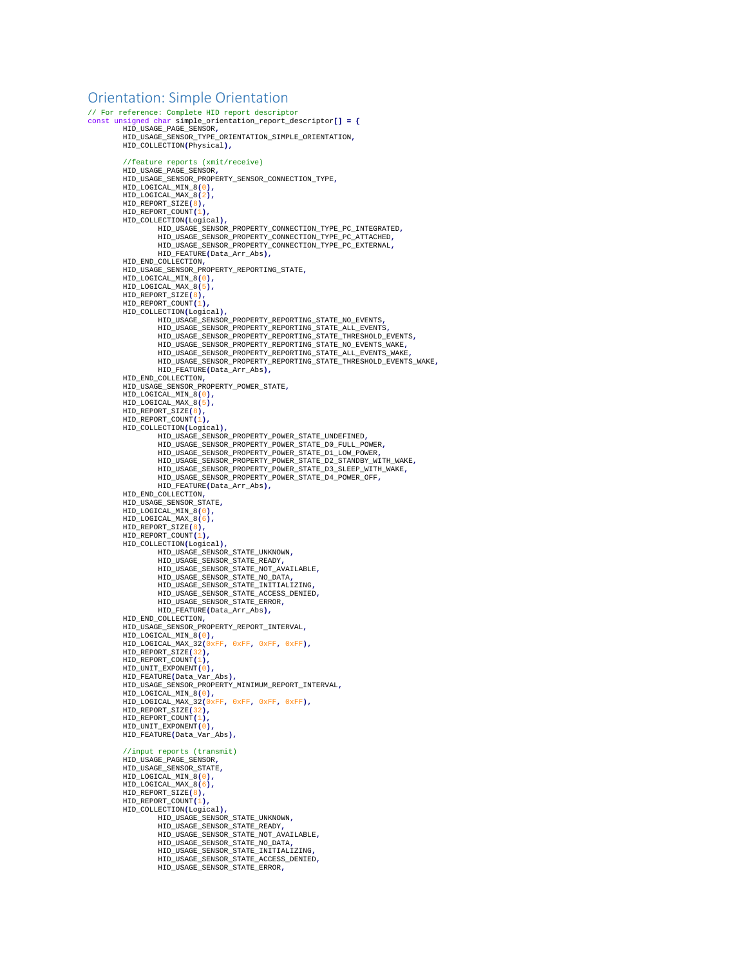## Orientation: Simple Orientation

```
// For reference: Complete HID report descriptor 
const unsigned char simple_orientation_report_descriptor[] = {
 HID_USAGE_PAGE_SENSOR,
           HID_USAGE_SENSOR_TYPE_ORIENTATION_SIMPLE_ORIENTATION,
          HID_COLLECTION(Physical),
           //feature reports (xmit/receive) 
           HID_USAGE_PAGE_SENSOR,
          HID_USAGE_SENSOR_PROPERTY_SENSOR_CONNECTION_TYPE,
           HID_LOGICAL_MIN_8(0),
 HID_LOGICAL_MAX_8(2),
 HID_REPORT_SIZE(8),
 HID_REPORT_COUNT(1),
 HID_COLLECTION(Logical),
 HID_USAGE_SENSOR_PROPERTY_CONNECTION_TYPE_PC_INTEGRATED,
 HID_USAGE_SENSOR_PROPERTY_CONNECTION_TYPE_PC_ATTACHED,
                     HID_USAGE_SENSOR_PROPERTY_CONNECTION_TYPE_PC_EXTERNAL,
                     HID_FEATURE(Data_Arr_Abs),
          HID_END_COLLECTION,
           HID_USAGE_SENSOR_PROPERTY_REPORTING_STATE,
 HID_LOGICAL_MIN_8(0),
 HID_LOGICAL_MAX_8(5),
 HID_REPORT_SIZE(8),
 HID_REPORT_COUNT(1),
 HID_COLLECTION(Logical),
 HID_USAGE_SENSOR_PROPERTY_REPORTING_STATE_NO_EVENTS,
 HID_USAGE_SENSOR_PROPERTY_REPORTING_STATE_ALL_EVENTS,
 HID_USAGE_SENSOR_PROPERTY_REPORTING_STATE_THRESHOLD_EVENTS,
 HID_USAGE_SENSOR_PROPERTY_REPORTING_STATE_NO_EVENTS_WAKE,
 HID_USAGE_SENSOR_PROPERTY_REPORTING_STATE_ALL_EVENTS_WAKE,
 HID_USAGE_SENSOR_PROPERTY_REPORTING_STATE_THRESHOLD_EVENTS_WAKE,
 HID_FEATURE(Data_Arr_Abs),
 HID_END_COLLECTION,
          HID_USAGE_SENSOR_PROPERTY_POWER_STATE,
 HID_LOGICAL_MIN_8(0),
 HID_LOGICAL_MAX_8(5),
 HID_REPORT_SIZE(8),
 HID_REPORT_COUNT(1),
 HID_COLLECTION(Logical),
 HID_USAGE_SENSOR_PROPERTY_POWER_STATE_UNDEFINED,
 HID_USAGE_SENSOR_PROPERTY_POWER_STATE_D0_FULL_POWER,
 HID_USAGE_SENSOR_PROPERTY_POWER_STATE_D1_LOW_POWER,
                     HID_USAGE_SENSOR_PROPERTY_POWER_STATE_D2_STANDBY_WITH_WAKE,
 HID_USAGE_SENSOR_PROPERTY_POWER_STATE_D3_SLEEP_WITH_WAKE,
 HID_USAGE_SENSOR_PROPERTY_POWER_STATE_D4_POWER_OFF,
 HID_FEATURE(Data_Arr_Abs),
 HID_END_COLLECTION,
 HID_USAGE_SENSOR_STATE,
 HID_LOGICAL_MIN_8(0),
          HID_LOGICAL_MAX_8(6),
 HID_REPORT_SIZE(8),
 HID_REPORT_COUNT(1),
          HID_COLLECTION(Logical),
                     HID_USAGE_SENSOR_STATE_UNKNOWN,
                     HID_USAGE_SENSOR_STATE_READY,
 HID_USAGE_SENSOR_STATE_NOT_AVAILABLE,
 HID_USAGE_SENSOR_STATE_NO_DATA,
 HID_USAGE_SENSOR_STATE_INITIALIZING,
 HID_USAGE_SENSOR_STATE_ACCESS_DENIED,
                     HID_USAGE_SENSOR_STATE_ERROR,
                     HID_FEATURE(Data_Arr_Abs),
          HID_END_COLLECTION,
          HID_USAGE_SENSOR_PROPERTY_REPORT_INTERVAL,
           HID_LOGICAL_MIN_8(0),
          HID_LOGICAL_MAX_32(0xFF, 0xFF, 0xFF, 0xFF),
          HID_REPORT_SIZE(32),
           HID_REPORT_COUNT(1),
          HID_UNIT_EXPONENT(0),
           HID_FEATURE(Data_Var_Abs),
 HID_USAGE_SENSOR_PROPERTY_MINIMUM_REPORT_INTERVAL,
 HID_LOGICAL_MIN_8(0),
 HID_LOGICAL_MAX_32(0xFF, 0xFF, 0xFF, 0xFF),
 HID_REPORT_SIZE(32),
           HID_REPORT_COUNT(1),
          HID_UNIT_EXPONENT(0),
           HID_FEATURE(Data_Var_Abs),
 //input reports (transmit) 
 HID_USAGE_PAGE_SENSOR,
 HID_USAGE_SENSOR_STATE,
          HID_LOGICAL_MIN_8(0),
          HID_LOGICAL_MAX_8(6),
           HID_REPORT_SIZE(8),
 HID_REPORT_COUNT(1),
 HID_COLLECTION(Logical),
 HID_USAGE_SENSOR_STATE_UNKNOWN,
 HID_USAGE_SENSOR_STATE_READY,
                     HID_USAGE_SENSOR_STATE_NOT_AVAILABLE,
                     HID_USAGE_SENSOR_STATE_NO_DATA,
                     HID_USAGE_SENSOR_STATE_INITIALIZING,
 HID_USAGE_SENSOR_STATE_ACCESS_DENIED,
 HID_USAGE_SENSOR_STATE_ERROR,
```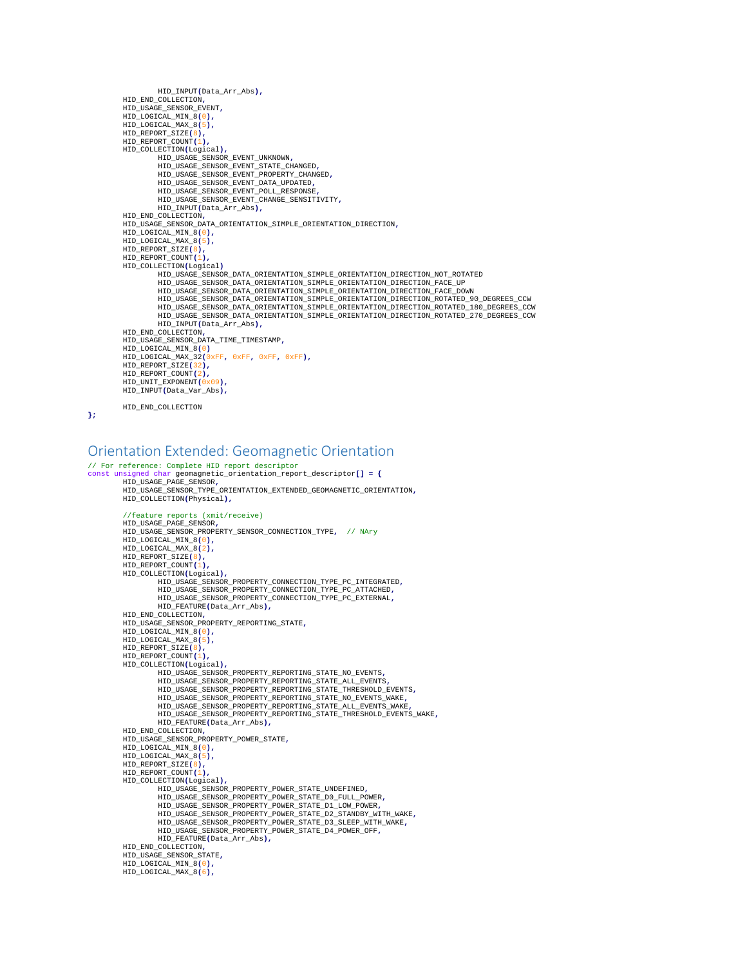```
 HID_INPUT(Data_Arr_Abs),
          HID_END_COLLECTION,
          HID_USAGE_SENSOR_EVENT,
          HID_LOGICAL_MIN_8(0),
          HID_LOGICAL_MAX_8(5),
          HID_REPORT_SIZE(8),
 HID_REPORT_COUNT(1),
 HID_COLLECTION(Logical),
                   HID_USAGE_SENSOR_EVENT_UNKNOWN,
                   HID_USAGE_SENSOR_EVENT_STATE_CHANGED,
                    HID_USAGE_SENSOR_EVENT_PROPERTY_CHANGED,
 HID_USAGE_SENSOR_EVENT_DATA_UPDATED,
 HID_USAGE_SENSOR_EVENT_POLL_RESPONSE,
                   HID_USAGE_SENSOR_EVENT_CHANGE_SENSITIVITY,
                   HID_INPUT(Data_Arr_Abs),
          HID_END_COLLECTION,
          HID_USAGE_SENSOR_DATA_ORIENTATION_SIMPLE_ORIENTATION_DIRECTION,
          HID_LOGICAL_MIN_8(0),
          HID_LOGICAL_MAX_8(5),
          HID_REPORT_SIZE(8),
          HID_REPORT_COUNT(1),
          HID_COLLECTION(Logical)
                    HID_USAGE_SENSOR_DATA_ORIENTATION_SIMPLE_ORIENTATION_DIRECTION_NOT_ROTATED 
 HID_USAGE_SENSOR_DATA_ORIENTATION_SIMPLE_ORIENTATION_DIRECTION_FACE_UP 
 HID_USAGE_SENSOR_DATA_ORIENTATION_SIMPLE_ORIENTATION_DIRECTION_FACE_DOWN 
 HID_USAGE_SENSOR_DATA_ORIENTATION_SIMPLE_ORIENTATION_DIRECTION_ROTATED_90_DEGREES_CCW 
 HID_USAGE_SENSOR_DATA_ORIENTATION_SIMPLE_ORIENTATION_DIRECTION_ROTATED_180_DEGREES_CCW 
                    HID_USAGE_SENSOR_DATA_ORIENTATION_SIMPLE_ORIENTATION_DIRECTION_ROTATED_270_DEGREES_CCW 
                   HID_INPUT(Data_Arr_Abs),
 HID_END_COLLECTION,
 HID_USAGE_SENSOR_DATA_TIME_TIMESTAMP,
          HID_LOGICAL_MIN_8(0)
          HID_LOGICAL_MAX_32(0xFF, 0xFF, 0xFF, 0xFF),
          HID_REPORT_SIZE(32),
          HID_REPORT_COUNT(2),
 HID_UNIT_EXPONENT(0x09),
 HID_INPUT(Data_Var_Abs),
```

```
};
```
HID\_END\_COLLECTION

#### Orientation Extended: Geomagnetic Orientation

```
// For reference: Complete HID report descriptor 
const unsigned char geomagnetic_orientation_report_descriptor[] = {
 HID_USAGE_PAGE_SENSOR,
 HID_USAGE_SENSOR_TYPE_ORIENTATION_EXTENDED_GEOMAGNETIC_ORIENTATION,
          HID_COLLECTION(Physical),
 //feature reports (xmit/receive) 
 HID_USAGE_PAGE_SENSOR,
          HID_USAGE_SENSOR_PROPERTY_SENSOR_CONNECTION_TYPE, // NAry 
          HID_LOGICAL_MIN_8(0),
          HID_LOGICAL_MAX_8(2),
          HID_REPORT_SIZE(8),
          HID_REPORT_COUNT(1),
          HID_COLLECTION(Logical),
 HID_USAGE_SENSOR_PROPERTY_CONNECTION_TYPE_PC_INTEGRATED,
 HID_USAGE_SENSOR_PROPERTY_CONNECTION_TYPE_PC_ATTACHED,
                    HID_USAGE_SENSOR_PROPERTY_CONNECTION_TYPE_PC_EXTERNAL,
                    HID_FEATURE(Data_Arr_Abs),
 HID_END_COLLECTION,
 HID_USAGE_SENSOR_PROPERTY_REPORTING_STATE,
          HID_LOGICAL_MIN_8(0),
          HID_LOGICAL_MAX_8(5),
          HID_REPORT_SIZE(8),
          HID_REPORT_COUNT(1),
          HID_COLLECTION(Logical),
                    HID_USAGE_SENSOR_PROPERTY_REPORTING_STATE_NO_EVENTS,
 HID_USAGE_SENSOR_PROPERTY_REPORTING_STATE_ALL_EVENTS,
 HID_USAGE_SENSOR_PROPERTY_REPORTING_STATE_THRESHOLD_EVENTS,
 HID_USAGE_SENSOR_PROPERTY_REPORTING_STATE_NO_EVENTS_WAKE,
 HID_USAGE_SENSOR_PROPERTY_REPORTING_STATE_ALL_EVENTS_WAKE,
                    HID_USAGE_SENSOR_PROPERTY_REPORTING_STATE_THRESHOLD_EVENTS_WAKE,
                    HID_FEATURE(Data_Arr_Abs),
 HID_END_COLLECTION,
 HID_USAGE_SENSOR_PROPERTY_POWER_STATE,
          HID_LOGICAL_MIN_8(0),
          HID_LOGICAL_MAX_8(5),
          HID_REPORT_SIZE(8),
          HID_REPORT_COUNT(1),
          HID_COLLECTION(Logical),
 HID_USAGE_SENSOR_PROPERTY_POWER_STATE_UNDEFINED,
 HID_USAGE_SENSOR_PROPERTY_POWER_STATE_D0_FULL_POWER,
                    HID_USAGE_SENSOR_PROPERTY_POWER_STATE_D1_LOW_POWER,
 HID_USAGE_SENSOR_PROPERTY_POWER_STATE_D2_STANDBY_WITH_WAKE,
 HID_USAGE_SENSOR_PROPERTY_POWER_STATE_D3_SLEEP_WITH_WAKE,
                    HID_USAGE_SENSOR_PROPERTY_POWER_STATE_D4_POWER_OFF,
                    HID_FEATURE(Data_Arr_Abs),
          HID_END_COLLECTION,
          HID_USAGE_SENSOR_STATE,
          HID_LOGICAL_MIN_8(0),
          HID_LOGICAL_MAX_8(6),
```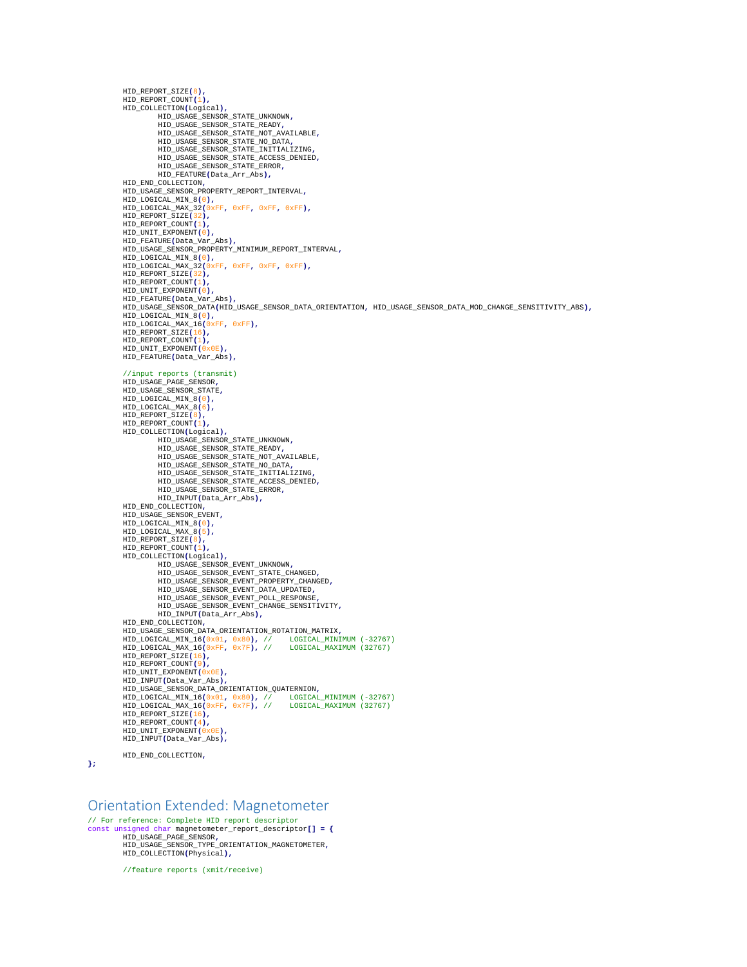```
 HID_REPORT_SIZE(8),
          HID_REPORT_COUNT(1),
 HID_COLLECTION(Logical),
 HID_USAGE_SENSOR_STATE_UNKNOWN,
 HID_USAGE_SENSOR_STATE_READY,
 HID_USAGE_SENSOR_STATE_NOT_AVAILABLE,
                    HID_USAGE_SENSOR_STATE_NO_DATA,
                    HID_USAGE_SENSOR_STATE_INITIALIZING,
                    HID_USAGE_SENSOR_STATE_ACCESS_DENIED,
                    HID_USAGE_SENSOR_STATE_ERROR,
                    HID_FEATURE(Data_Arr_Abs),
 HID_END_COLLECTION,
 HID_USAGE_SENSOR_PROPERTY_REPORT_INTERVAL,
          HID_LOGICAL_MIN_8(0),
 HID_LOGICAL_MAX_32(0xFF, 0xFF, 0xFF, 0xFF),
 HID_REPORT_SIZE(32),
 HID_REPORT_COUNT(1),
 HID_UNIT_EXPONENT(0),
          HID_FEATURE(Data_Var_Abs),
          HID_USAGE_SENSOR_PROPERTY_MINIMUM_REPORT_INTERVAL,
          HID_LOGICAL_MIN_8(0),
 HID_LOGICAL_MAX_32(0xFF, 0xFF, 0xFF, 0xFF),
 HID_REPORT_SIZE(32),
          HID_REPORT_COUNT(1),
          HID_UNIT_EXPONENT(0),
 HID_FEATURE(Data_Var_Abs),
 HID_USAGE_SENSOR_DATA(HID_USAGE_SENSOR_DATA_ORIENTATION, HID_USAGE_SENSOR_DATA_MOD_CHANGE_SENSITIVITY_ABS),
          HID_LOGICAL_MIN_8(0),
          HID_LOGICAL_MAX_16(0xFF, 0xFF),
          HID_REPORT_SIZE(16),
          HID_REPORT_COUNT(1),
          HID_UNIT_EXPONENT(0x0E), 
          HID_FEATURE(Data_Var_Abs),
            //input reports (transmit) 
 HID_USAGE_PAGE_SENSOR,
 HID_USAGE_SENSOR_STATE,
 HID_LOGICAL_MIN_8(0),
 HID_LOGICAL_MAX_8(6),
 HID_REPORT_SIZE(8),
 HID_REPORT_COUNT(1),
          HID_COLLECTION(Logical),
                    HID_USAGE_SENSOR_STATE_UNKNOWN,
                    HID_USAGE_SENSOR_STATE_READY,
 HID_USAGE_SENSOR_STATE_NOT_AVAILABLE,
 HID_USAGE_SENSOR_STATE_NO_DATA,
                    HID_USAGE_SENSOR_STATE_INITIALIZING,
                    HID_USAGE_SENSOR_STATE_ACCESS_DENIED,
                    HID_USAGE_SENSOR_STATE_ERROR,
 HID_INPUT(Data_Arr_Abs),
 HID_END_COLLECTION,
 HID_USAGE_SENSOR_EVENT,
 HID_LOGICAL_MIN_8(0),
          HID_LOGICAL_MAX_8(5),
          HID_REPORT_SIZE(8),
          HID_REPORT_COUNT(1),
 HID_COLLECTION(Logical),
 HID_USAGE_SENSOR_EVENT_UNKNOWN,
 HID_USAGE_SENSOR_EVENT_STATE_CHANGED,
 HID_USAGE_SENSOR_EVENT_PROPERTY_CHANGED,
 HID_USAGE_SENSOR_EVENT_DATA_UPDATED,
 HID_USAGE_SENSOR_EVENT_POLL_RESPONSE,
                    HID_USAGE_SENSOR_EVENT_CHANGE_SENSITIVITY,
 HID_INPUT(Data_Arr_Abs),
 HID_END_COLLECTION,
          HID_USAGE_SENSOR_DATA_ORIENTATION_ROTATION_MATRIX,
 HID_LOGICAL_MIN_16(0x01, 0x80), // LOGICAL_MINIMUM (-32767) 
 HID_LOGICAL_MAX_16(0xFF, 0x7F), // LOGICAL_MAXIMUM (32767) 
          HID_REPORT_SIZE(16),
          HID_REPORT_COUNT(9),
 HID_UNIT_EXPONENT(0x0E), 
 HID_INPUT(Data_Var_Abs),
 HID_USAGE_SENSOR_DATA_ORIENTATION_QUATERNION,
 HID_LOGICAL_MIN_16(0x01, 0x80), // LOGICAL_MINIMUM (-32767) 
 HID_LOGICAL_MAX_16(0xFF, 0x7F), // LOGICAL_MAXIMUM (32767) 
          HID_REPORT_SIZE(16),
          HID_REPORT_COUNT(4),
          HID_UNIT_EXPONENT(0x0E),
          HID_INPUT(Data_Var_Abs),
```

```
};
```
# Orientation Extended: Magnetometer

// For reference: Complete HID report descriptor const unsigned char magnetometer\_report\_descriptor**[] = {** HID\_USAGE\_PAGE\_SENSOR**,** HID\_USAGE\_SENSOR\_TYPE\_ORIENTATION\_MAGNETOMETER**,** HID\_COLLECTION**(**Physical**),**

//feature reports (xmit/receive)

HID\_END\_COLLECTION**,**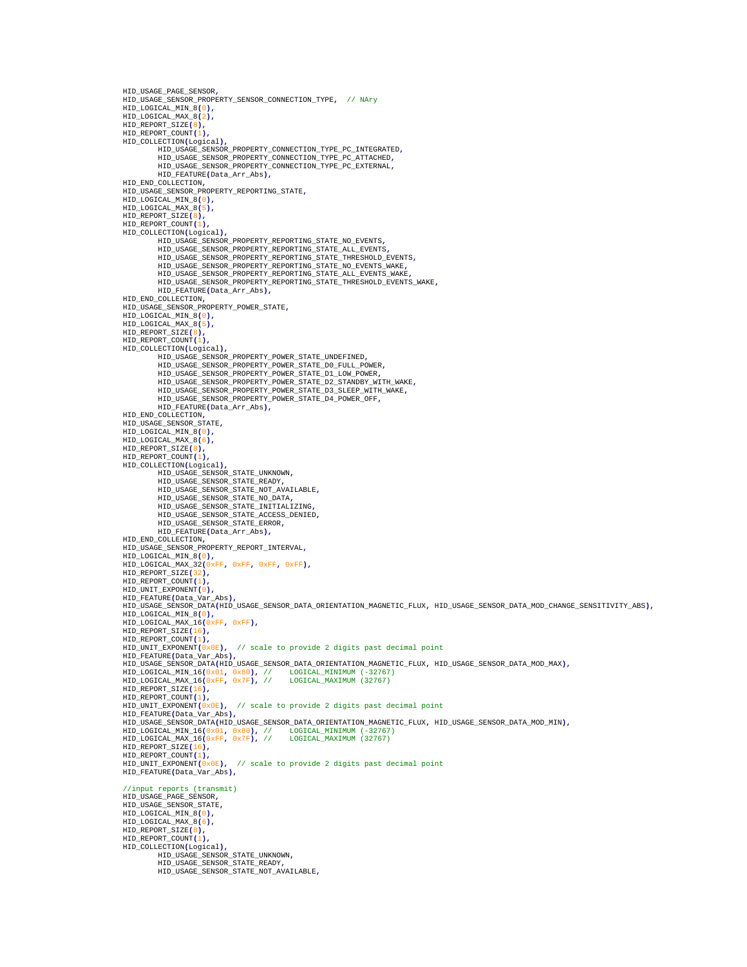```
 HID_USAGE_PAGE_SENSOR,
          HID_USAGE_SENSOR_PROPERTY_SENSOR_CONNECTION_TYPE, // NAry 
          HID_LOGICAL_MIN_8(0),
          HID_LOGICAL_MAX_8(2),
 HID_REPORT_SIZE(8),
 HID_REPORT_COUNT(1),
          HID_COLLECTION(Logical),
                   HID_USAGE_SENSOR_PROPERTY_CONNECTION_TYPE_PC_INTEGRATED,
                    HID_USAGE_SENSOR_PROPERTY_CONNECTION_TYPE_PC_ATTACHED,
                   HID_USAGE_SENSOR_PROPERTY_CONNECTION_TYPE_PC_EXTERNAL,
                    HID_FEATURE(Data_Arr_Abs),
 HID_END_COLLECTION,
 HID_USAGE_SENSOR_PROPERTY_REPORTING_STATE,
          HID_LOGICAL_MIN_8(0),
 HID_LOGICAL_MAX_8(5),
 HID_REPORT_SIZE(8),
 HID_REPORT_COUNT(1),
 HID_COLLECTION(Logical),
                   HID_USAGE_SENSOR_PROPERTY_REPORTING_STATE_NO_EVENTS,
                   HID_USAGE_SENSOR_PROPERTY_REPORTING_STATE_ALL_EVENTS,
                    HID_USAGE_SENSOR_PROPERTY_REPORTING_STATE_THRESHOLD_EVENTS,
 HID_USAGE_SENSOR_PROPERTY_REPORTING_STATE_NO_EVENTS_WAKE,
 HID_USAGE_SENSOR_PROPERTY_REPORTING_STATE_ALL_EVENTS_WAKE,
                   HID_USAGE_SENSOR_PROPERTY_REPORTING_STATE_THRESHOLD_EVENTS_WAKE,
                   HID_FEATURE(Data_Arr_Abs),
 HID_END_COLLECTION,
 HID_USAGE_SENSOR_PROPERTY_POWER_STATE,
          HID_LOGICAL_MIN_8(0),
          HID_LOGICAL_MAX_8(5),
          HID_REPORT_SIZE(8),
          HID_REPORT_COUNT(1),
          HID_COLLECTION(Logical),
                   HID_USAGE_SENSOR_PROPERTY_POWER_STATE_UNDEFINED,
                   HID_USAGE_SENSOR_PROPERTY_POWER_STATE_D0_FULL_POWER,
                    HID_USAGE_SENSOR_PROPERTY_POWER_STATE_D1_LOW_POWER,
 HID_USAGE_SENSOR_PROPERTY_POWER_STATE_D2_STANDBY_WITH_WAKE,
 HID_USAGE_SENSOR_PROPERTY_POWER_STATE_D3_SLEEP_WITH_WAKE,
                   HID_USAGE_SENSOR_PROPERTY_POWER_STATE_D4_POWER_OFF,
                   HID_FEATURE(Data_Arr_Abs),
 HID_END_COLLECTION,
 HID_USAGE_SENSOR_STATE,
          HID_LOGICAL_MIN_8(0),
          HID_LOGICAL_MAX_8(6),
          HID_REPORT_SIZE(8),
          HID_REPORT_COUNT(1),
          HID_COLLECTION(Logical),
                   HID_USAGE_SENSOR_STATE_UNKNOWN,
 HID_USAGE_SENSOR_STATE_READY,
 HID_USAGE_SENSOR_STATE_NOT_AVAILABLE,
 HID_USAGE_SENSOR_STATE_NO_DATA,
 HID_USAGE_SENSOR_STATE_INITIALIZING,
 HID_USAGE_SENSOR_STATE_ACCESS_DENIED,
 HID_USAGE_SENSOR_STATE_ERROR,
                    HID_FEATURE(Data_Arr_Abs),
          HID_END_COLLECTION,
          HID_USAGE_SENSOR_PROPERTY_REPORT_INTERVAL,
 HID_LOGICAL_MIN_8(0),
 HID_LOGICAL_MAX_32(0xFF, 0xFF, 0xFF, 0xFF),
 HID_REPORT_SIZE(32),
 HID_REPORT_COUNT(1),
          HID_UNIT_EXPONENT(0),
          HID_FEATURE(Data_Var_Abs),
          HID_USAGE_SENSOR_DATA(HID_USAGE_SENSOR_DATA_ORIENTATION_MAGNETIC_FLUX, HID_USAGE_SENSOR_DATA_MOD_CHANGE_SENSITIVITY_ABS),
 HID_LOGICAL_MIN_8(0),
 HID_LOGICAL_MAX_16(0xFF, 0xFF),
          HID_REPORT_SIZE(16),
          HID_REPORT_COUNT(1),
          HID_UNIT_EXPONENT(0x0E), // scale to provide 2 digits past decimal point 
          HID_FEATURE(Data_Var_Abs),
          HID_USAGE_SENSOR_DATA(HID_USAGE_SENSOR_DATA_ORIENTATION_MAGNETIC_FLUX, HID_USAGE_SENSOR_DATA_MOD_MAX),
 HID_LOGICAL_MIN_16(0x01, 0x80), // LOGICAL_MINIMUM (-32767) 
 HID_LOGICAL_MAX_16(0xFF, 0x7F), // LOGICAL_MAXIMUM (32767) 
 HID_REPORT_SIZE(16),
 HID_REPORT_COUNT(1),
          HID_UNIT_EXPONENT(0x0E), // scale to provide 2 digits past decimal point 
          HID_FEATURE(Data_Var_Abs),
         HID_USAGE_SENSOR_DATA(HID_USAGE_SENSOR_DATA_ORIENTATION_MAGNETIC_FLUX, HID_USAGE_SENSOR_DATA_MOD_MIN),<br>HID_LOGICAL_MIN_16(0x01, 0x80), //   LOGICAL_MINIMUM (-32767)<br>HID_LOGICAL_MAX_16(0xFF, 0x7F), //   LOGICAL_MAXIMUM (3
 HID_LOGICAL_MIN_16(0x01, 0x80), // LOGICAL_MINIMUM (-32767) 
 HID_LOGICAL_MAX_16(0xFF, 0x7F), // LOGICAL_MAXIMUM (32767) 
          HID_REPORT_SIZE(16),
          HID_REPORT_COUNT(1),
          HID_UNIT_EXPONENT(0x0E), // scale to provide 2 digits past decimal point 
          HID_FEATURE(Data_Var_Abs),
 //input reports (transmit) 
 HID_USAGE_PAGE_SENSOR,
          HID_USAGE_SENSOR_STATE,
          HID_LOGICAL_MIN_8(0),
          HID_LOGICAL_MAX_8(6),
          HID_REPORT_SIZE(8),
          HID_REPORT_COUNT(1),
 HID_COLLECTION(Logical),
 HID_USAGE_SENSOR_STATE_UNKNOWN,
 HID_USAGE_SENSOR_STATE_READY,
 HID_USAGE_SENSOR_STATE_NOT_AVAILABLE,
```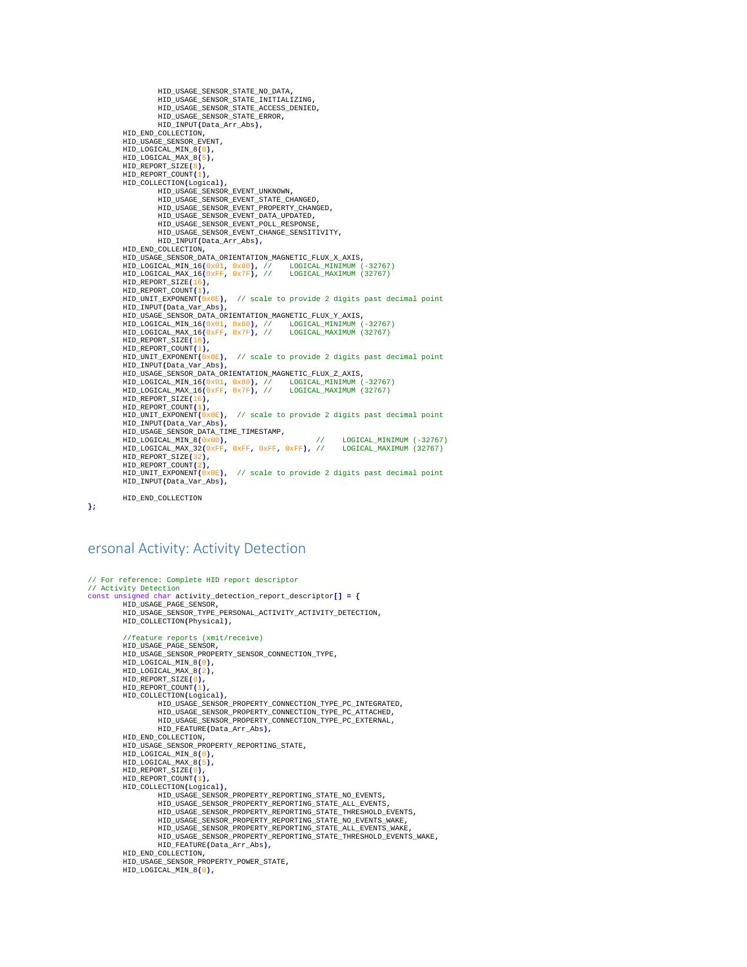```
 HID_USAGE_SENSOR_STATE_NO_DATA,
                    HID_USAGE_SENSOR_STATE_INITIALIZING,
 HID_USAGE_SENSOR_STATE_ACCESS_DENIED,
 HID_USAGE_SENSOR_STATE_ERROR,
 HID_INPUT(Data_Arr_Abs),
 HID_END_COLLECTION,
          HID_USAGE_SENSOR_EVENT,
          HID_LOGICAL_MIN_8(0),
          HID_LOGICAL_MAX_8(5),
          HID_REPORT_SIZE(8),
          HID_REPORT_COUNT(1),
 HID_COLLECTION(Logical),
 HID_USAGE_SENSOR_EVENT_UNKNOWN,
                    HID_USAGE_SENSOR_EVENT_STATE_CHANGED,
 HID_USAGE_SENSOR_EVENT_PROPERTY_CHANGED,
 HID_USAGE_SENSOR_EVENT_DATA_UPDATED,
 HID_USAGE_SENSOR_EVENT_POLL_RESPONSE,
 HID_USAGE_SENSOR_EVENT_CHANGE_SENSITIVITY,
                    HID_INPUT(Data_Arr_Abs),
          HID_END_COLLECTION,
          HID_USAGE_SENSOR_DATA_ORIENTATION_MAGNETIC_FLUX_X_AXIS,
 HID_LOGICAL_MIN_16(0x01, 0x80), // LOGICAL_MINIMUM (-32767) 
 HID_LOGICAL_MAX_16(0xFF, 0x7F), // LOGICAL_MAXIMUM (32767) 
 HID_REPORT_SIZE(16),
 HID_REPORT_COUNT(1),
 HID_UNIT_EXPONENT(0x0E), // scale to provide 2 digits past decimal point 
 HID_INPUT(Data_Var_Abs),
          HID_USAGE_SENSOR_DATA_ORIENTATION_MAGNETIC_FLUX_Y_AXIS,
 HID_LOGICAL_MIN_16(0x01, 0x80), // LOGICAL_MINIMUM (-32767) 
 HID_LOGICAL_MAX_16(0xFF, 0x7F), // LOGICAL_MAXIMUM (32767) 
          HID_REPORT_SIZE(16),
          HID_REPORT_COUNT(1),
          HID_UNIT_EXPONENT(0x0E), // scale to provide 2 digits past decimal point 
          HID_INPUT(Data_Var_Abs),
          HID_USAGE_SENSOR_DATA_ORIENTATION_MAGNETIC_FLUX_Z_AXIS,
 HID_LOGICAL_MIN_16(0x01, 0x80), // LOGICAL_MINIMUM (-32767) 
 HID_LOGICAL_MAX_16(0xFF, 0x7F), // LOGICAL_MAXIMUM (32767) 
 HID_REPORT_SIZE(16),
 HID_REPORT_COUNT(1),
 HID_UNIT_EXPONENT(0x0E), // scale to provide 2 digits past decimal point 
 HID_INPUT(Data_Var_Abs),
          HID_USAGE_SENSOR_DATA_TIME_TIMESTAMP,
 HID_LOGICAL_MIN_8(0x00), // LOGICAL_MINIMUM (-32767) 
 HID_LOGICAL_MAX_32(0xFF, 0xFF, 0xFF, 0xFF), // LOGICAL_MAXIMUM (32767) 
          HID_REPORT_SIZE(32),
          HID_REPORT_COUNT(2),
          HID_UNIT_EXPONENT(0x0E), // scale to provide 2 digits past decimal point 
          HID_INPUT(Data_Var_Abs),
          HID_END_COLLECTION
```

```
};
```
# ersonal Activity: Activity Detection

```
// For reference: Complete HID report descriptor 
// Activity Detection 
const unsigned char activity_detection_report_descriptor[] = {
 HID_USAGE_PAGE_SENSOR,
 HID_USAGE_SENSOR_TYPE_PERSONAL_ACTIVITY_ACTIVITY_DETECTION,
          HID_COLLECTION(Physical),
 //feature reports (xmit/receive) 
 HID_USAGE_PAGE_SENSOR,
          HID_USAGE_SENSOR_PROPERTY_SENSOR_CONNECTION_TYPE,
          HID_LOGICAL_MIN_8(0),
          HID_LOGICAL_MAX_8(2),
 HID_REPORT_SIZE(8),
 HID_REPORT_COUNT(1),
          HID_COLLECTION(Logical),
 HID_USAGE_SENSOR_PROPERTY_CONNECTION_TYPE_PC_INTEGRATED,
 HID_USAGE_SENSOR_PROPERTY_CONNECTION_TYPE_PC_ATTACHED,
                    HID_USAGE_SENSOR_PROPERTY_CONNECTION_TYPE_PC_EXTERNAL,
                    HID_FEATURE(Data_Arr_Abs),
 HID_END_COLLECTION,
 HID_USAGE_SENSOR_PROPERTY_REPORTING_STATE,
          HID_LOGICAL_MIN_8(0),
          HID_LOGICAL_MAX_8(5),
          HID_REPORT_SIZE(8),
          HID_REPORT_COUNT(1),
          HID_COLLECTION(Logical),
 HID_USAGE_SENSOR_PROPERTY_REPORTING_STATE_NO_EVENTS,
 HID_USAGE_SENSOR_PROPERTY_REPORTING_STATE_ALL_EVENTS,
                    HID_USAGE_SENSOR_PROPERTY_REPORTING_STATE_THRESHOLD_EVENTS,
 HID_USAGE_SENSOR_PROPERTY_REPORTING_STATE_NO_EVENTS_WAKE,
 HID_USAGE_SENSOR_PROPERTY_REPORTING_STATE_ALL_EVENTS_WAKE,
                    HID_USAGE_SENSOR_PROPERTY_REPORTING_STATE_THRESHOLD_EVENTS_WAKE,
                    HID_FEATURE(Data_Arr_Abs),
 HID_END_COLLECTION,
 HID_USAGE_SENSOR_PROPERTY_POWER_STATE,
          HID_LOGICAL_MIN_8(0),
```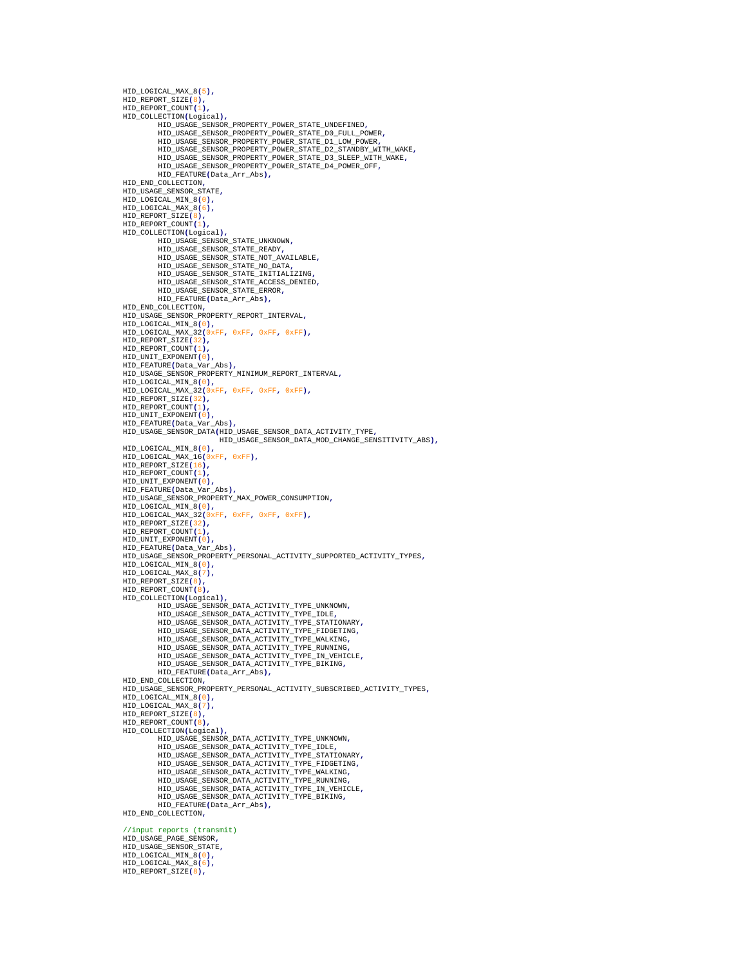HID\_LOGICAL\_MAX\_8**(**5**),** HID\_REPORT\_SIZE**(**8**),** HID\_REPORT\_COUNT**(**1**),** HID\_COLLECTION**(**Logical**),** HID\_USAGE\_SENSOR\_PROPERTY\_POWER\_STATE\_UNDEFINED**,** HID\_USAGE\_SENSOR\_PROPERTY\_POWER\_STATE\_D0\_FULL\_POWER**,** HID\_USAGE\_SENSOR\_PROPERTY\_POWER\_STATE\_D1\_LOW\_POWER**,** HID\_USAGE\_SENSOR\_PROPERTY\_POWER\_STATE\_D2\_STANDBY\_WITH\_WAKE**,** HID\_USAGE\_SENSOR\_PROPERTY\_POWER\_STATE\_D3\_SLEEP\_WITH\_WAKE**,** HID\_USAGE\_SENSOR\_PROPERTY\_POWER\_STATE\_D4\_POWER\_OFF**,** HID\_FEATURE**(**Data\_Arr\_Abs**),** HID\_END\_COLLECTION**,** HID\_USAGE\_SENSOR\_STATE**,** HID\_LOGICAL\_MIN\_8**(**0**),** HID\_LOGICAL\_MAX\_8**(**6**),** HID\_REPORT\_SIZE**(**8**),** HID\_REPORT\_COUNT**(**1**),** HID\_COLLECTION**(**Logical**),** HID\_USAGE\_SENSOR\_STATE\_UNKNOWN**,** HID\_USAGE\_SENSOR\_STATE\_READY**,** HID\_USAGE\_SENSOR\_STATE\_NOT\_AVAILABLE**,** HID\_USAGE\_SENSOR\_STATE\_NO\_DATA**,** HID\_USAGE\_SENSOR\_STATE\_INITIALIZING**,** HID\_USAGE\_SENSOR\_STATE\_ACCESS\_DENIED**,** HID\_USAGE\_SENSOR\_STATE\_ERROR**,** HID\_FEATURE**(**Data\_Arr\_Abs**),** HID\_END\_COLLECTION**,** HID\_USAGE\_SENSOR\_PROPERTY\_REPORT\_INTERVAL**,** HID\_LOGICAL\_MIN\_8**(**0**),** HID\_LOGICAL\_MAX\_32**(**0xFF**,** 0xFF**,** 0xFF**,** 0xFF**),** HID\_REPORT\_SIZE**(**32**),** HID\_REPORT\_COUNT**(**1**),** HID\_UNIT\_EXPONENT**(**0**),** HID\_FEATURE**(**Data\_Var\_Abs**),** HID\_USAGE\_SENSOR\_PROPERTY\_MINIMUM\_REPORT\_INTERVAL**,** HID\_LOGICAL\_MIN\_8**(**0**),** HID\_LOGICAL\_MAX\_32**(**0xFF**,** 0xFF**,** 0xFF**,** 0xFF**),** HID\_REPORT\_SIZE**(**32**),** HID\_REPORT\_COUNT**(**1**),** HID\_UNIT\_EXPONENT**(**0**),** HID\_FEATURE**(**Data\_Var\_Abs**),** HID\_USAGE\_SENSOR\_DATA**(**HID\_USAGE\_SENSOR\_DATA\_ACTIVITY\_TYPE**,** HID\_USAGE\_SENSOR\_DATA\_MOD\_CHANGE\_SENSITIVITY\_ABS**),** HID\_LOGICAL\_MIN\_8**(**0**),** HID\_LOGICAL\_MAX\_16**(**0xFF**,** 0xFF**),** HID\_REPORT\_SIZE**(**16**),** HID\_REPORT\_COUNT**(**1**),** HID\_UNIT\_EXPONENT**(**0**),** HID\_FEATURE**(**Data\_Var\_Abs**),** HID\_USAGE\_SENSOR\_PROPERTY\_MAX\_POWER\_CONSUMPTION**,** HID\_LOGICAL\_MIN\_8**(**0**),** HID\_LOGICAL\_MAX\_32**(**0xFF**,** 0xFF**,** 0xFF**,** 0xFF**),** HID\_REPORT\_SIZE**(**32**),** HID\_REPORT\_COUNT**(**1**),** HID\_UNIT\_EXPONENT**(**0**),** HID\_FEATURE**(**Data\_Var\_Abs**),** HID\_USAGE\_SENSOR\_PROPERTY\_PERSONAL\_ACTIVITY\_SUPPORTED\_ACTIVITY\_TYPES**,** HID\_LOGICAL\_MIN\_8**(**0**),** HID\_LOGICAL\_MAX\_8**(**7**),** HID\_REPORT\_SIZE**(**8**),** HID\_REPORT\_COUNT**(**8**),** HID\_COLLECTION**(**Logical**),** HID\_USAGE\_SENSOR\_DATA\_ACTIVITY\_TYPE\_UNKNOWN**,** HID\_USAGE\_SENSOR\_DATA\_ACTIVITY\_TYPE\_IDLE**,** HID\_USAGE\_SENSOR\_DATA\_ACTIVITY\_TYPE\_STATIONARY**,** HID\_USAGE\_SENSOR\_DATA\_ACTIVITY\_TYPE\_FIDGETING**,** HID\_USAGE\_SENSOR\_DATA\_ACTIVITY\_TYPE\_WALKING**,** HID\_USAGE\_SENSOR\_DATA\_ACTIVITY\_TYPE\_RUNNING**,** HID\_USAGE\_SENSOR\_DATA\_ACTIVITY\_TYPE\_IN\_VEHICLE**,** HID\_USAGE\_SENSOR\_DATA\_ACTIVITY\_TYPE\_BIKING**,** HID\_FEATURE**(**Data\_Arr\_Abs**),** HID\_END\_COLLECTION**,** HID\_USAGE\_SENSOR\_PROPERTY\_PERSONAL\_ACTIVITY\_SUBSCRIBED\_ACTIVITY\_TYPES**,** HID\_LOGICAL\_MIN\_8**(**0**),** HID\_LOGICAL\_MAX\_8**(**7**),** HID\_REPORT\_SIZE**(**8**),** HID\_REPORT\_COUNT**(**8**),** HID\_COLLECTION**(**Logical**),** HID\_USAGE\_SENSOR\_DATA\_ACTIVITY\_TYPE\_UNKNOWN**,** HID\_USAGE\_SENSOR\_DATA\_ACTIVITY\_TYPE\_IDLE**,** HID\_USAGE\_SENSOR\_DATA\_ACTIVITY\_TYPE\_STATIONARY**,** HID\_USAGE\_SENSOR\_DATA\_ACTIVITY\_TYPE\_FIDGETING**,** HID\_USAGE\_SENSOR\_DATA\_ACTIVITY\_TYPE\_WALKING**,** HID\_USAGE\_SENSOR\_DATA\_ACTIVITY\_TYPE\_RUNNING**,** HID\_USAGE\_SENSOR\_DATA\_ACTIVITY\_TYPE\_IN\_VEHICLE**,** HID\_USAGE\_SENSOR\_DATA\_ACTIVITY\_TYPE\_BIKING**,** HID\_FEATURE**(**Data\_Arr\_Abs**),** HID\_END\_COLLECTION**,** //input reports (transmit) HID\_USAGE\_PAGE\_SENSOR**,** HID\_USAGE\_SENSOR\_STATE**,** HID\_LOGICAL\_MIN\_8**(**0**),**

HID\_LOGICAL\_MAX\_8**(**6**),** HID\_REPORT\_SIZE**(**8**),**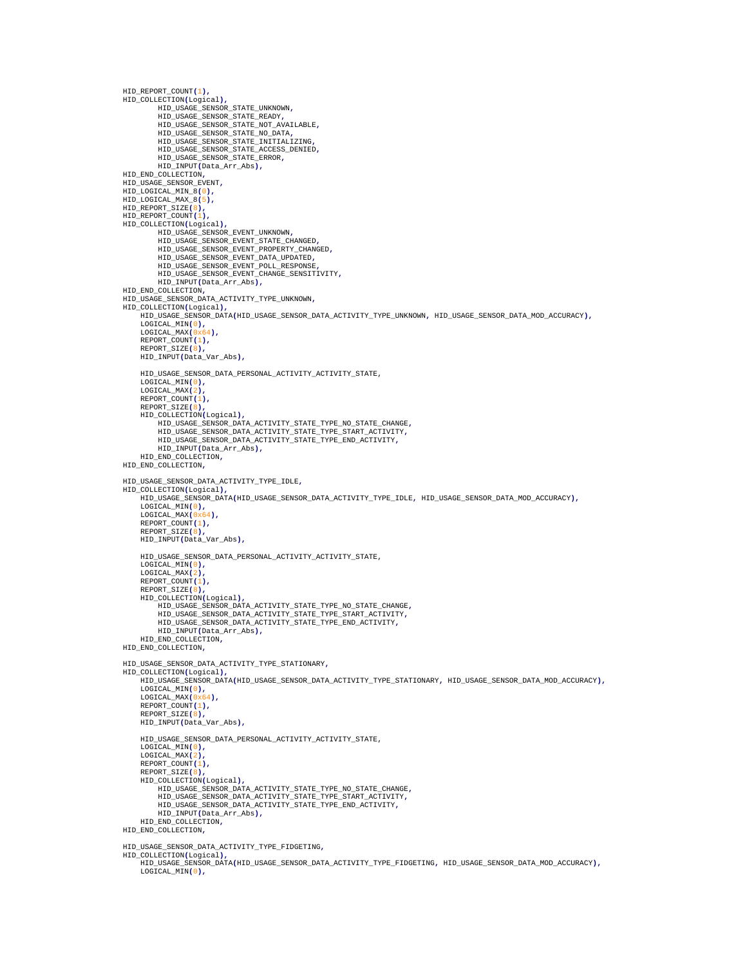```
 HID_REPORT_COUNT(1),
         HID_COLLECTION(Logical),
 HID_USAGE_SENSOR_STATE_UNKNOWN,
 HID_USAGE_SENSOR_STATE_READY,
                  HID_USAGE_SENSOR_STATE_NOT_AVAILABLE,
                  HID_USAGE_SENSOR_STATE_NO_DATA,
                  HID_USAGE_SENSOR_STATE_INITIALIZING,
                  HID_USAGE_SENSOR_STATE_ACCESS_DENIED,
                  HID_USAGE_SENSOR_STATE_ERROR,
                  HID_INPUT(Data_Arr_Abs),
         HID_END_COLLECTION,
 HID_USAGE_SENSOR_EVENT,
 HID_LOGICAL_MIN_8(0),
         HID_LOGICAL_MAX_8(5),
 HID_REPORT_SIZE(8),
 HID_REPORT_COUNT(1),
 HID_COLLECTION(Logical),
 HID_USAGE_SENSOR_EVENT_UNKNOWN,
                  HID_USAGE_SENSOR_EVENT_STATE_CHANGED,
                  HID_USAGE_SENSOR_EVENT_PROPERTY_CHANGED,
                  HID_USAGE_SENSOR_EVENT_DATA_UPDATED,
 HID_USAGE_SENSOR_EVENT_POLL_RESPONSE,
 HID_USAGE_SENSOR_EVENT_CHANGE_SENSITIVITY,
                  HID_INPUT(Data_Arr_Abs),
         HID_END_COLLECTION,
         HID_USAGE_SENSOR_DATA_ACTIVITY_TYPE_UNKNOWN,
         HID_COLLECTION(Logical),
              HID_USAGE_SENSOR_DATA(HID_USAGE_SENSOR_DATA_ACTIVITY_TYPE_UNKNOWN, HID_USAGE_SENSOR_DATA_MOD_ACCURACY),
             LOGICAL_MIN(0),
              LOGICAL_MAX(0x64),
             REPORT_COUNT(1),
             REPORT_SIZE(8),
             HID_INPUT(Data_Var_Abs),
              HID_USAGE_SENSOR_DATA_PERSONAL_ACTIVITY_ACTIVITY_STATE, 
 LOGICAL_MIN(0),
 LOGICAL_MAX(2),
 REPORT_COUNT(1),
 REPORT_SIZE(8),
 HID_COLLECTION(Logical),
 HID_USAGE_SENSOR_DATA_ACTIVITY_STATE_TYPE_NO_STATE_CHANGE,
                  HID_USAGE_SENSOR_DATA_ACTIVITY_STATE_TYPE_START_ACTIVITY,
                  HID_USAGE_SENSOR_DATA_ACTIVITY_STATE_TYPE_END_ACTIVITY,
                  HID_INPUT(Data_Arr_Abs),
             HID_END_COLLECTION,
         HID_END_COLLECTION,
         HID_USAGE_SENSOR_DATA_ACTIVITY_TYPE_IDLE,
         HID_COLLECTION(Logical),
             HID_USAGE_SENSOR_DATA(HID_USAGE_SENSOR_DATA_ACTIVITY_TYPE_IDLE, HID_USAGE_SENSOR_DATA_MOD_ACCURACY),
            LOGICAL_MIN(0),<br>LOGICAL_MAX(0x64)
 LOGICAL_MAX(0x64),
 REPORT_COUNT(1),
             REPORT_SIZE(8),
             HID_INPUT(Data_Var_Abs),
            HID_USAGE_SENSOR_DATA_PERSONAL_ACTIVITY_ACTIVITY_STATE,
             LOGICAL_MIN(0),
 LOGICAL_MAX(2),
 REPORT_COUNT(1),
 REPORT_SIZE(8),
 HID_COLLECTION(Logical),
                  HID_USAGE_SENSOR_DATA_ACTIVITY_STATE_TYPE_NO_STATE_CHANGE,
 HID_USAGE_SENSOR_DATA_ACTIVITY_STATE_TYPE_START_ACTIVITY,
 HID_USAGE_SENSOR_DATA_ACTIVITY_STATE_TYPE_END_ACTIVITY,
                  HID_INPUT(Data_Arr_Abs),
             HID_END_COLLECTION,
         HID_END_COLLECTION,
         HID_USAGE_SENSOR_DATA_ACTIVITY_TYPE_STATIONARY, 
 HID_COLLECTION(Logical),
 HID_USAGE_SENSOR_DATA(HID_USAGE_SENSOR_DATA_ACTIVITY_TYPE_STATIONARY, HID_USAGE_SENSOR_DATA_MOD_ACCURACY),
             LOGICAL_MIN(0),
             LOGICAL_MAX(0x64),
             REPORT_COUNT(1),
             REPORT_SIZE(8),
              HID_INPUT(Data_Var_Abs),
            HID_USAGE_SENSOR_DATA_PERSONAL_ACTIVITY_ACTIVITY_STATE,
              LOGICAL_MIN(0),
             LOGICAL_MAX(2),
             REPORT_COUNT(1),
             REPORT_SIZE(8),
             HID_COLLECTION(Logical),
 HID_USAGE_SENSOR_DATA_ACTIVITY_STATE_TYPE_NO_STATE_CHANGE,
 HID_USAGE_SENSOR_DATA_ACTIVITY_STATE_TYPE_START_ACTIVITY,
                  HID_USAGE_SENSOR_DATA_ACTIVITY_STATE_TYPE_END_ACTIVITY,
                  HID_INPUT(Data_Arr_Abs),
             HID_END_COLLECTION,
         HID_END_COLLECTION,
         HID_USAGE_SENSOR_DATA_ACTIVITY_TYPE_FIDGETING,
         HID_COLLECTION(Logical),
             HID_USAGE_SENSOR_DATA(HID_USAGE_SENSOR_DATA_ACTIVITY_TYPE_FIDGETING, HID_USAGE_SENSOR_DATA_MOD_ACCURACY),
```
LOGICAL\_MIN**(**0**),**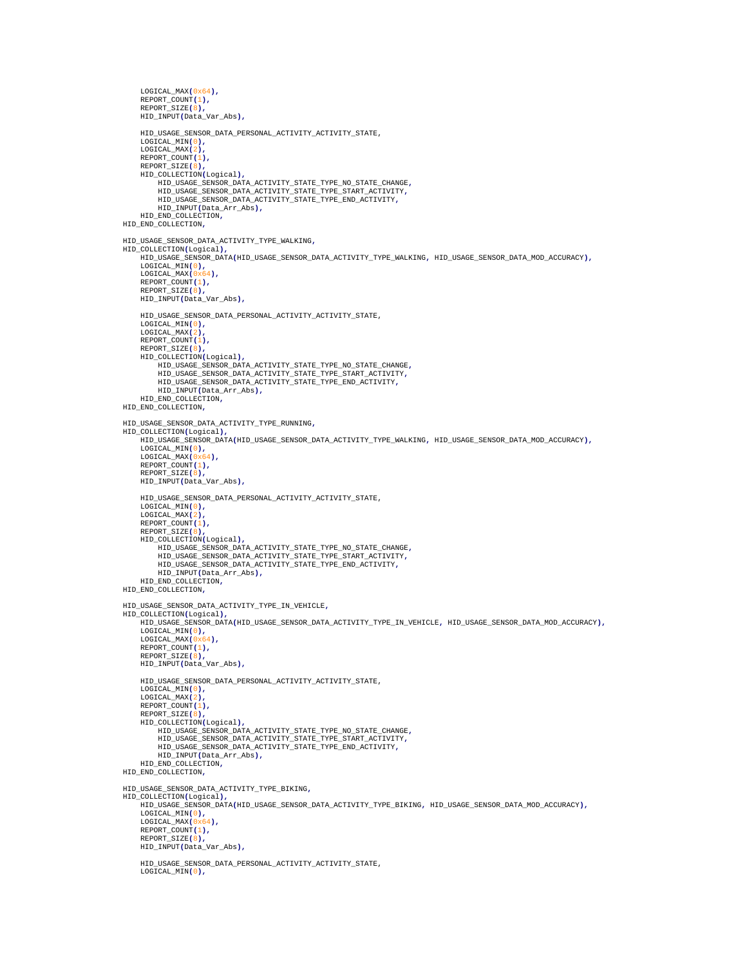```
 LOGICAL_MAX(0x64),
             REPORT_COUNT(1),
             REPORT_SIZE(8),
             HID_INPUT(Data_Var_Abs),
             HID_USAGE_SENSOR_DATA_PERSONAL_ACTIVITY_ACTIVITY_STATE, 
              LOGICAL_MIN(0),
             LOGICAL_MAX(2),
             REPORT_COUNT(1),
             REPORT_SIZE(8),
             HID_COLLECTION(Logical),
 HID_USAGE_SENSOR_DATA_ACTIVITY_STATE_TYPE_NO_STATE_CHANGE,
 HID_USAGE_SENSOR_DATA_ACTIVITY_STATE_TYPE_START_ACTIVITY,
                  HID_USAGE_SENSOR_DATA_ACTIVITY_STATE_TYPE_END_ACTIVITY,
 HID_INPUT(Data_Arr_Abs),
 HID_END_COLLECTION,
         HID_END_COLLECTION,
         HID_USAGE_SENSOR_DATA_ACTIVITY_TYPE_WALKING,
         HID_COLLECTION(Logical),
             HID_USAGE_SENSOR_DATA(HID_USAGE_SENSOR_DATA_ACTIVITY_TYPE_WALKING, HID_USAGE_SENSOR_DATA_MOD_ACCURACY),
             LOGICAL_MIN(0),
              LOGICAL_MAX(0x64),
 REPORT_COUNT(1),
 REPORT_SIZE(8),
             HID_INPUT(Data_Var_Abs),
             HID_USAGE_SENSOR_DATA_PERSONAL_ACTIVITY_ACTIVITY_STATE, 
              LOGICAL_MIN(0),
              LOGICAL_MAX(2),
             REPORT_COUNT(1),
             REPORT_SIZE(8),
              HID_COLLECTION(Logical),
 HID_USAGE_SENSOR_DATA_ACTIVITY_STATE_TYPE_NO_STATE_CHANGE,
 HID_USAGE_SENSOR_DATA_ACTIVITY_STATE_TYPE_START_ACTIVITY,
 HID_USAGE_SENSOR_DATA_ACTIVITY_STATE_TYPE_END_ACTIVITY,
 HID_INPUT(Data_Arr_Abs),
             HID_END_COLLECTION,
         HID_END_COLLECTION,
         HID_USAGE_SENSOR_DATA_ACTIVITY_TYPE_RUNNING,
         HID_COLLECTION(Logical),
             HID_USAGE_SENSOR_DATA(HID_USAGE_SENSOR_DATA_ACTIVITY_TYPE_WALKING, HID_USAGE_SENSOR_DATA_MOD_ACCURACY),
              LOGICAL_MIN(0),
 LOGICAL_MAX(0x64),
 REPORT_COUNT(1),
             REPORT_SIZE(8),
             HID_INPUT(Data_Var_Abs),
             HID_USAGE_SENSOR_DATA_PERSONAL_ACTIVITY_ACTIVITY_STATE, 
             LOGICAL_MIN(0),
 LOGICAL_MAX(2),
 REPORT_COUNT(1),
              REPORT_SIZE(8),
             HID_COLLECTION(Logical),
                  HID_USAGE_SENSOR_DATA_ACTIVITY_STATE_TYPE_NO_STATE_CHANGE,
 HID_USAGE_SENSOR_DATA_ACTIVITY_STATE_TYPE_START_ACTIVITY,
 HID_USAGE_SENSOR_DATA_ACTIVITY_STATE_TYPE_END_ACTIVITY,
 HID_INPUT(Data_Arr_Abs),
 HID_END_COLLECTION,
         HID_END_COLLECTION,
         HID_USAGE_SENSOR_DATA_ACTIVITY_TYPE_IN_VEHICLE,
 HID_COLLECTION(Logical),
 HID_USAGE_SENSOR_DATA(HID_USAGE_SENSOR_DATA_ACTIVITY_TYPE_IN_VEHICLE, HID_USAGE_SENSOR_DATA_MOD_ACCURACY),
              LOGICAL_MIN(0),
             LOGICAL_MAX(0x64),
             REPORT_COUNT(1),
             REPORT_SIZE(8),
             HID_INPUT(Data_Var_Abs),
             HID_USAGE_SENSOR_DATA_PERSONAL_ACTIVITY_ACTIVITY_STATE, 
 LOGICAL_MIN(0),
 LOGICAL_MAX(2),
              REPORT_COUNT(1),
             REPORT_SIZE(8),
              HID_COLLECTION(Logical),
                  HID_USAGE_SENSOR_DATA_ACTIVITY_STATE_TYPE_NO_STATE_CHANGE,
                  HID_USAGE_SENSOR_DATA_ACTIVITY_STATE_TYPE_START_ACTIVITY,
                  HID_USAGE_SENSOR_DATA_ACTIVITY_STATE_TYPE_END_ACTIVITY,
 HID_INPUT(Data_Arr_Abs),
 HID_END_COLLECTION,
         HID_END_COLLECTION,
         HID_USAGE_SENSOR_DATA_ACTIVITY_TYPE_BIKING,
         HID_COLLECTION(Logical),
              HID_USAGE_SENSOR_DATA(HID_USAGE_SENSOR_DATA_ACTIVITY_TYPE_BIKING, HID_USAGE_SENSOR_DATA_MOD_ACCURACY),
             LOGICAL_MIN(0),
              LOGICAL_MAX(0x64),
             REPORT_COUNT(1),
             REPORT_SIZE(8),
             HID_INPUT(Data_Var_Abs),
 HID_USAGE_SENSOR_DATA_PERSONAL_ACTIVITY_ACTIVITY_STATE, 
 LOGICAL_MIN(0),
```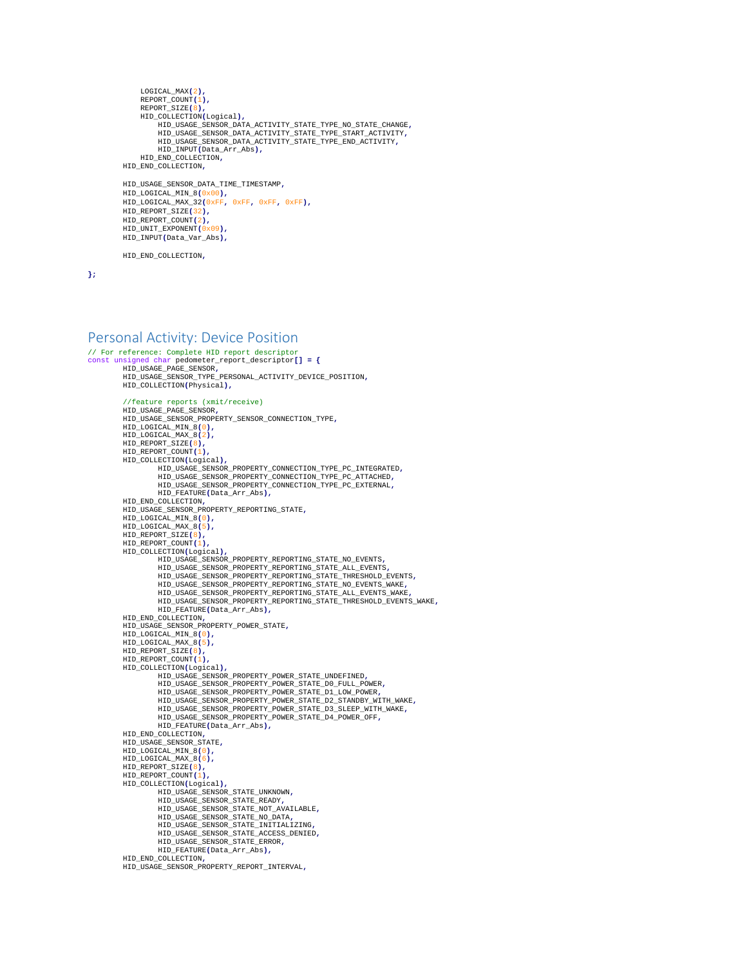```
 LOGICAL_MAX(2),
              REPORT_COUNT(1),
              REPORT_SIZE(8),
              HID_COLLECTION(Logical),
 HID_USAGE_SENSOR_DATA_ACTIVITY_STATE_TYPE_NO_STATE_CHANGE,
 HID_USAGE_SENSOR_DATA_ACTIVITY_STATE_TYPE_START_ACTIVITY,
                   HID_USAGE_SENSOR_DATA_ACTIVITY_STATE_TYPE_END_ACTIVITY,
                   HID_INPUT(Data_Arr_Abs),
              HID_END_COLLECTION,
         HID_END_COLLECTION, 
         HID_USAGE_SENSOR_DATA_TIME_TIMESTAMP, 
          HID_LOGICAL_MIN_8(0x00),
         HID_LOGICAL_MAX_32(0xFF, 0xFF, 0xFF, 0xFF),
```

```
 HID_UNIT_EXPONENT(0x09),
 HID_INPUT(Data_Var_Abs),
```
 HID\_REPORT\_SIZE**(**32**),** HID\_REPORT\_COUNT**(**2**),**

HID\_END\_COLLECTION**,**

**};**

# Personal Activity: Device Position

```
// For reference: Complete HID report descriptor 
const unsigned char pedometer_report_descriptor[] = {
 HID_USAGE_PAGE_SENSOR,
            HID_USAGE_SENSOR_TYPE_PERSONAL_ACTIVITY_DEVICE_POSITION,
            HID_COLLECTION(Physical),
 //feature reports (xmit/receive) 
 HID_USAGE_PAGE_SENSOR,
            HID_USAGE_SENSOR_PROPERTY_SENSOR_CONNECTION_TYPE,
 HID_LOGICAL_MIN_8(0),
 HID_LOGICAL_MAX_8(2),
 HID_REPORT_SIZE(8),
 HID_REPORT_COUNT(1),
HID_COLLECTION(Logical),<br>HID_USAGE_SENSOR_PROPERTY_CONNECTION_TYPE_PC_INTEGRATED,<br>HID_USAGE_SENSOR_PROPERTY_CONNECTION_TYPE_PC_ATTACHED,<br>HID_USAGE_SENSOR_PROPERTY_CONNECTION_TYPE_PC_EXTERNAL,
                        HID_FEATURE(Data_Arr_Abs),
            HID_END_COLLECTION,
            HID_USAGE_SENSOR_PROPERTY_REPORTING_STATE,
            HID_LOGICAL_MIN_8(0),
            HID_LOGICAL_MAX_8(5),
            HID_REPORT_SIZE(8),
 HID_REPORT_COUNT(1),
 HID_COLLECTION(Logical),
HID_USAGE_SENSOR_PROPERTY_REPORTING_STATE_NO_EVENTS,<br>HID_USAGE_SENSOR_PROPERTY_REPORTING_STATE_ALL_EVENTS,<br>HID_USAGE_SENSOR_PROPERTY_REPORTING_STATE_THRESHOLD_EVENTS,<br>HID_USAGE_SENSOR_PROPERTY_REPORTING_STATE_NO_EVENTS_WAK
                        HID_USAGE_SENSOR_PROPERTY_REPORTING_STATE_ALL_EVENTS_WAKE,
                        HID_USAGE_SENSOR_PROPERTY_REPORTING_STATE_THRESHOLD_EVENTS_WAKE,
                        HID_FEATURE(Data_Arr_Abs),
 HID_END_COLLECTION,
 HID_USAGE_SENSOR_PROPERTY_POWER_STATE,
 HID_LOGICAL_MIN_8(0),
 HID_LOGICAL_MAX_8(5),
            HID_REPORT_SIZE(8),
 HID_REPORT_COUNT(1),
 HID_COLLECTION(Logical),
 HID_USAGE_SENSOR_PROPERTY_POWER_STATE_UNDEFINED,
 HID_USAGE_SENSOR_PROPERTY_POWER_STATE_D0_FULL_POWER,
 HID_USAGE_SENSOR_PROPERTY_POWER_STATE_D1_LOW_POWER,
 HID_USAGE_SENSOR_PROPERTY_POWER_STATE_D2_STANDBY_WITH_WAKE,
 HID_USAGE_SENSOR_PROPERTY_POWER_STATE_D3_SLEEP_WITH_WAKE,
 HID_USAGE_SENSOR_PROPERTY_POWER_STATE_D4_POWER_OFF,
 HID_FEATURE(Data_Arr_Abs),
 HID_END_COLLECTION,
 HID_USAGE_SENSOR_STATE,
 HID_LOGICAL_MIN_8(0),
 HID_LOGICAL_MAX_8(6),
            HID_REPORT_SIZE(8),
 HID_REPORT_COUNT(1),
 HID_COLLECTION(Logical),
                        HID_USAGE_SENSOR_STATE_UNKNOWN,
                        HID_USAGE_SENSOR_STATE_READY,
                        HID_USAGE_SENSOR_STATE_NOT_AVAILABLE,
 HID_USAGE_SENSOR_STATE_NO_DATA,
 HID_USAGE_SENSOR_STATE_INITIALIZING,
 HID_USAGE_SENSOR_STATE_ACCESS_DENIED,
 HID_USAGE_SENSOR_STATE_ERROR,
                        HID_FEATURE(Data_Arr_Abs),
            HID_END_COLLECTION,
            HID_USAGE_SENSOR_PROPERTY_REPORT_INTERVAL,
```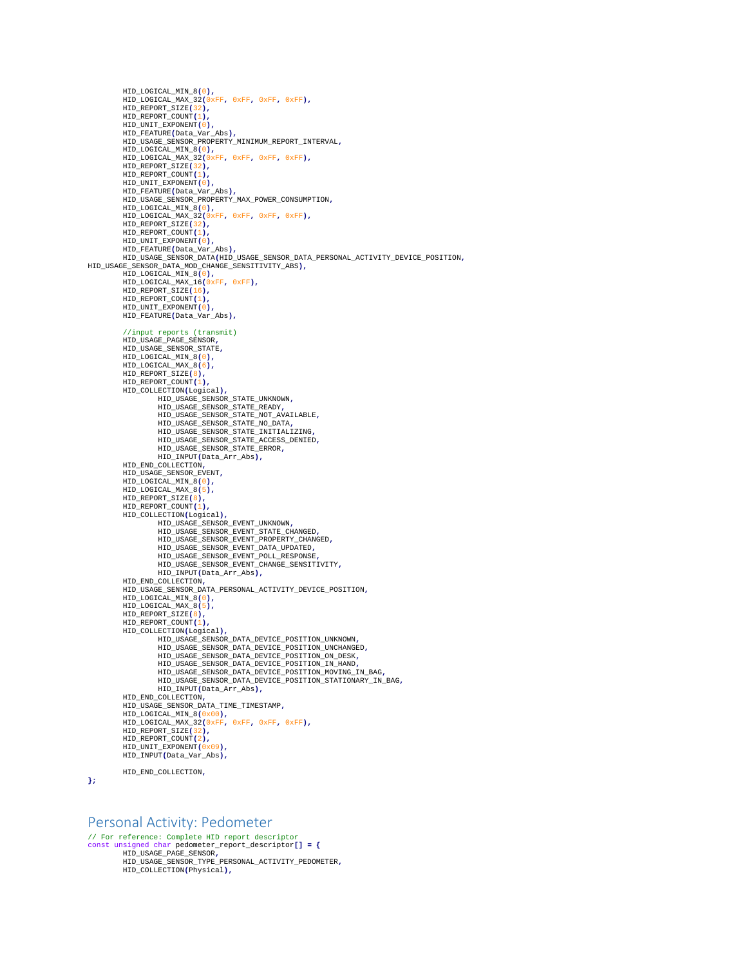```
 HID_LOGICAL_MIN_8(0),
 HID_LOGICAL_MAX_32(0xFF, 0xFF, 0xFF, 0xFF),
 HID_REPORT_SIZE(32),
 HID_REPORT_COUNT(1),
 HID_UNIT_EXPONENT(0),
 HID_FEATURE(Data_Var_Abs),
          HID_USAGE_SENSOR_PROPERTY_MINIMUM_REPORT_INTERVAL,
          HID_LOGICAL_MIN_8(0),
          HID_LOGICAL_MAX_32(0xFF, 0xFF, 0xFF, 0xFF),
          HID_REPORT_SIZE(32),
          HID_REPORT_COUNT(1),
 HID_UNIT_EXPONENT(0),
 HID_FEATURE(Data_Var_Abs),
          HID_USAGE_SENSOR_PROPERTY_MAX_POWER_CONSUMPTION,
 HID_LOGICAL_MIN_8(0),
 HID_LOGICAL_MAX_32(0xFF, 0xFF, 0xFF, 0xFF),
 HID_REPORT_SIZE(32),
 HID_REPORT_COUNT(1),
          HID_UNIT_EXPONENT(0),
          HID_FEATURE(Data_Var_Abs),
          HID_USAGE_SENSOR_DATA(HID_USAGE_SENSOR_DATA_PERSONAL_ACTIVITY_DEVICE_POSITION,
HID_USAGE_SENSOR_DATA_MOD_CHANGE_SENSITIVITY_ABS),
          HID_LOGICAL_MIN_8(0),
 HID_LOGICAL_MAX_16(0xFF, 0xFF),
 HID_REPORT_SIZE(16),
 HID_REPORT_COUNT(1),
 HID_UNIT_EXPONENT(0),
          HID_FEATURE(Data_Var_Abs),
 //input reports (transmit) 
 HID_USAGE_PAGE_SENSOR,
          HID_USAGE_SENSOR_STATE,
          HID_LOGICAL_MIN_8(0),
          HID_LOGICAL_MAX_8(6),
          HID_REPORT_SIZE(8),
 HID_REPORT_COUNT(1),
 HID_COLLECTION(Logical),
 HID_USAGE_SENSOR_STATE_UNKNOWN,
 HID_USAGE_SENSOR_STATE_READY,
 HID_USAGE_SENSOR_STATE_NOT_AVAILABLE,
 HID_USAGE_SENSOR_STATE_NO_DATA,
                    HID_USAGE_SENSOR_STATE_INITIALIZING,
 HID_USAGE_SENSOR_STATE_ACCESS_DENIED,
 HID_USAGE_SENSOR_STATE_ERROR,
                    HID_INPUT(Data_Arr_Abs),
          HID_END_COLLECTION,
          HID_USAGE_SENSOR_EVENT,
          HID_LOGICAL_MIN_8(0),
          HID_LOGICAL_MAX_8(5),
 HID_REPORT_SIZE(8),
 HID_REPORT_COUNT(1),
 HID_COLLECTION(Logical),
 HID_USAGE_SENSOR_EVENT_UNKNOWN,
                    HID_USAGE_SENSOR_EVENT_STATE_CHANGED,
                    HID_USAGE_SENSOR_EVENT_PROPERTY_CHANGED,
                    HID_USAGE_SENSOR_EVENT_DATA_UPDATED,
 HID_USAGE_SENSOR_EVENT_POLL_RESPONSE,
 HID_USAGE_SENSOR_EVENT_CHANGE_SENSITIVITY,
                    HID_INPUT(Data_Arr_Abs),
          HID_END_COLLECTION,
          HID_USAGE_SENSOR_DATA_PERSONAL_ACTIVITY_DEVICE_POSITION,
          HID_LOGICAL_MIN_8(0),
          HID_LOGICAL_MAX_8(5),
 HID_REPORT_SIZE(8),
 HID_REPORT_COUNT(1),
          HID_COLLECTION(Logical),
                    HID_USAGE_SENSOR_DATA_DEVICE_POSITION_UNKNOWN,
                    HID_USAGE_SENSOR_DATA_DEVICE_POSITION_UNCHANGED,
                    HID_USAGE_SENSOR_DATA_DEVICE_POSITION_ON_DESK,
                    HID_USAGE_SENSOR_DATA_DEVICE_POSITION_IN_HAND,
 HID_USAGE_SENSOR_DATA_DEVICE_POSITION_MOVING_IN_BAG,
 HID_USAGE_SENSOR_DATA_DEVICE_POSITION_STATIONARY_IN_BAG,
                    HID_INPUT(Data_Arr_Abs),
          HID_END_COLLECTION,
          HID_USAGE_SENSOR_DATA_TIME_TIMESTAMP,
 HID_LOGICAL_MIN_8(0x00),
 HID_LOGICAL_MAX_32(0xFF, 0xFF, 0xFF, 0xFF),
 HID_REPORT_SIZE(32),
 HID_REPORT_COUNT(2),
          HID_UNIT_EXPONENT(0x09),
          HID_INPUT(Data_Var_Abs),
          HID_END_COLLECTION,
```

```
};
```
## Personal Activity: Pedometer

```
// For reference: Complete HID report descriptor 
const unsigned char pedometer_report_descriptor[] = {
 HID_USAGE_PAGE_SENSOR,
 HID_USAGE_SENSOR_TYPE_PERSONAL_ACTIVITY_PEDOMETER,
                    HID_COLLECTION(Physical),
```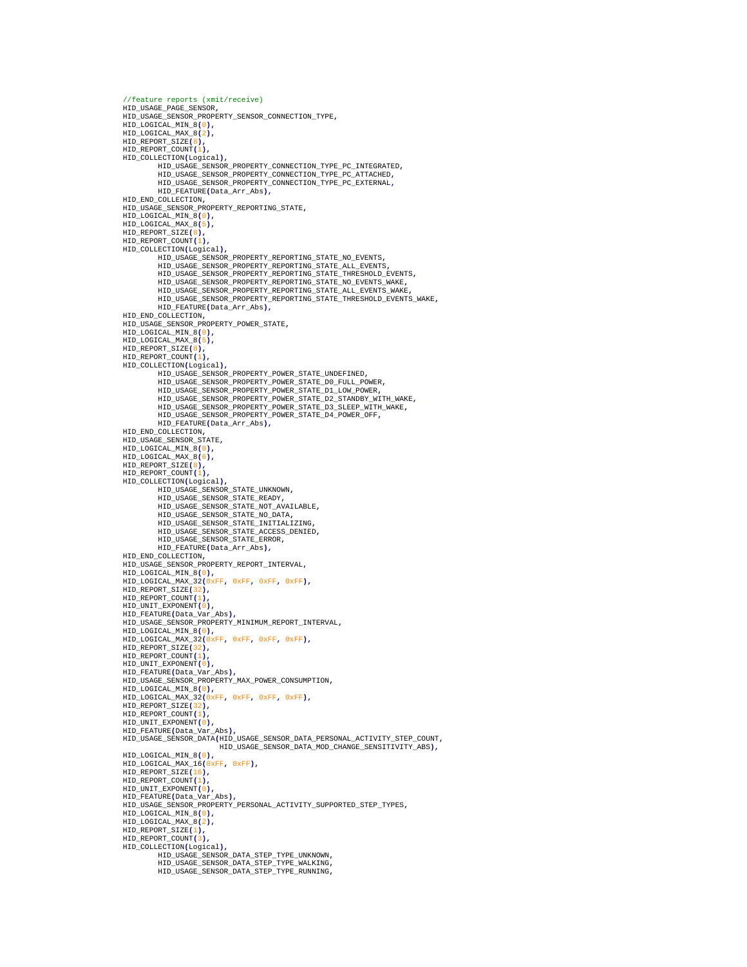//feature reports (xmit/receive) HID\_USAGE\_PAGE\_SENSOR**,** HID\_USAGE\_SENSOR\_PROPERTY\_SENSOR\_CONNECTION\_TYPE**,** HID\_LOGICAL\_MIN\_8**(**0**),** HID\_LOGICAL\_MAX\_8**(**2**),** HID\_REPORT\_SIZE**(**8**),** HID\_REPORT\_COUNT**(**1**),** HID\_COLLECTION**(**Logical**),** HID\_USAGE\_SENSOR\_PROPERTY\_CONNECTION\_TYPE\_PC\_INTEGRATED**,** HID\_USAGE\_SENSOR\_PROPERTY\_CONNECTION\_TYPE\_PC\_ATTACHED**,** HID\_USAGE\_SENSOR\_PROPERTY\_CONNECTION\_TYPE\_PC\_EXTERNAL**,** HID\_FEATURE**(**Data\_Arr\_Abs**),** HID\_END\_COLLECTION**,** HID\_USAGE\_SENSOR\_PROPERTY\_REPORTING\_STATE**,** HID\_LOGICAL\_MIN\_8**(**0**),** HID\_LOGICAL\_MAX\_8**(**5**),** HID\_REPORT\_SIZE**(**8**),** HID\_REPORT\_COUNT**(**1**),** HID\_COLLECTION**(**Logical**),** HID\_USAGE\_SENSOR\_PROPERTY\_REPORTING\_STATE\_NO\_EVENTS**,** HID\_USAGE\_SENSOR\_PROPERTY\_REPORTING\_STATE\_ALL\_EVENTS**,** HID\_USAGE\_SENSOR\_PROPERTY\_REPORTING\_STATE\_THRESHOLD\_EVENTS**,** HID\_USAGE\_SENSOR\_PROPERTY\_REPORTING\_STATE\_NO\_EVENTS\_WAKE**,** HID\_USAGE\_SENSOR\_PROPERTY\_REPORTING\_STATE\_ALL\_EVENTS\_WAKE**,** HID\_USAGE\_SENSOR\_PROPERTY\_REPORTING\_STATE\_THRESHOLD\_EVENTS\_WAKE**,** HID\_FEATURE**(**Data\_Arr\_Abs**),** HID\_END\_COLLECTION**,** HID\_USAGE\_SENSOR\_PROPERTY\_POWER\_STATE**,** HID\_LOGICAL\_MIN\_8**(**0**),** HID\_LOGICAL\_MAX\_8**(**5**),** HID\_REPORT\_SIZE**(**8**),** HID\_REPORT\_COUNT**(**1**),** HID\_COLLECTION**(**Logical**),** HID\_USAGE\_SENSOR\_PROPERTY\_POWER\_STATE\_UNDEFINED**,** HID\_USAGE\_SENSOR\_PROPERTY\_POWER\_STATE\_D0\_FULL\_POWER**,** HID\_USAGE\_SENSOR\_PROPERTY\_POWER\_STATE\_D1\_LOW\_POWER**,** HID\_USAGE\_SENSOR\_PROPERTY\_POWER\_STATE\_D2\_STANDBY\_WITH\_WAKE**,** HID\_USAGE\_SENSOR\_PROPERTY\_POWER\_STATE\_D3\_SLEEP\_WITH\_WAKE**,** HID\_USAGE\_SENSOR\_PROPERTY\_POWER\_STATE\_D4\_POWER\_OFF**,** HID\_FEATURE**(**Data\_Arr\_Abs**),** HID\_END\_COLLECTION**,** HID\_USAGE\_SENSOR\_STATE**,** HID\_LOGICAL\_MIN\_8**(**0**),** HID\_LOGICAL\_MAX\_8**(**6**),** HID\_REPORT\_SIZE**(**8**),** HID\_REPORT\_COUNT**(**1**),** HID\_COLLECTION**(**Logical**),** HID\_USAGE\_SENSOR\_STATE\_UNKNOWN**,** HID\_USAGE\_SENSOR\_STATE\_READY**,** HID\_USAGE\_SENSOR\_STATE\_NOT\_AVAILABLE**,** HID\_USAGE\_SENSOR\_STATE\_NO\_DATA**,** HID\_USAGE\_SENSOR\_STATE\_INITIALIZING**,** HID\_USAGE\_SENSOR\_STATE\_ACCESS\_DENIED**,** HID\_USAGE\_SENSOR\_STATE\_ERROR**,** HID\_FEATURE**(**Data\_Arr\_Abs**),** HID\_END\_COLLECTION**,** HID\_USAGE\_SENSOR\_PROPERTY\_REPORT\_INTERVAL**,** HID\_LOGICAL\_MIN\_8**(**0**),** HID\_LOGICAL\_MAX\_32**(**0xFF**,** 0xFF**,** 0xFF**,** 0xFF**),** HID\_REPORT\_SIZE**(**32**),** HID\_REPORT\_COUNT**(**1**),** HID\_UNIT\_EXPONENT**(**0**),** HID\_FEATURE**(**Data\_Var\_Abs**),** HID\_USAGE\_SENSOR\_PROPERTY\_MINIMUM\_REPORT\_INTERVAL**,** HID\_LOGICAL\_MIN\_8**(**0**),** HID\_LOGICAL\_MAX\_32**(**0xFF**,** 0xFF**,** 0xFF**,** 0xFF**),** HID\_REPORT\_SIZE**(**32**),** HID\_REPORT\_COUNT**(**1**),** HID\_UNIT\_EXPONENT**(**0**),** HID\_FEATURE**(**Data\_Var\_Abs**),** HID\_USAGE\_SENSOR\_PROPERTY\_MAX\_POWER\_CONSUMPTION**,** HID\_LOGICAL\_MIN\_8**(**0**),** HID\_LOGICAL\_MAX\_32**(**0xFF**,** 0xFF**,** 0xFF**,** 0xFF**),** HID\_REPORT\_SIZE**(**32**),** HID\_REPORT\_COUNT**(**1**),** HID\_UNIT\_EXPONENT**(**0**),** HID\_FEATURE**(**Data\_Var\_Abs**),** HID\_USAGE\_SENSOR\_DATA**(**HID\_USAGE\_SENSOR\_DATA\_PERSONAL\_ACTIVITY\_STEP\_COUNT**,** HID\_USAGE\_SENSOR\_DATA\_MOD\_CHANGE\_SENSITIVITY\_ABS**),** HID\_LOGICAL\_MIN\_8**(**0**),** HID\_LOGICAL\_MAX\_16**(**0xFF**,** 0xFF**),** HID\_REPORT\_SIZE**(**16**),** HID\_REPORT\_COUNT**(**1**),** HID\_UNIT\_EXPONENT**(**0**),** HID\_FEATURE**(**Data\_Var\_Abs**),** HID\_USAGE\_SENSOR\_PROPERTY\_PERSONAL\_ACTIVITY\_SUPPORTED\_STEP\_TYPES**,** HID\_LOGICAL\_MIN\_8**(**0**),** HID\_LOGICAL\_MAX\_8**(**2**),** HID\_REPORT\_SIZE**(**1**),** HID\_REPORT\_COUNT**(**3**),** HID\_COLLECTION**(**Logical**),** HID\_USAGE\_SENSOR\_DATA\_STEP\_TYPE\_UNKNOWN**,** HID\_USAGE\_SENSOR\_DATA\_STEP\_TYPE\_WALKING**,** HID\_USAGE\_SENSOR\_DATA\_STEP\_TYPE\_RUNNING**,**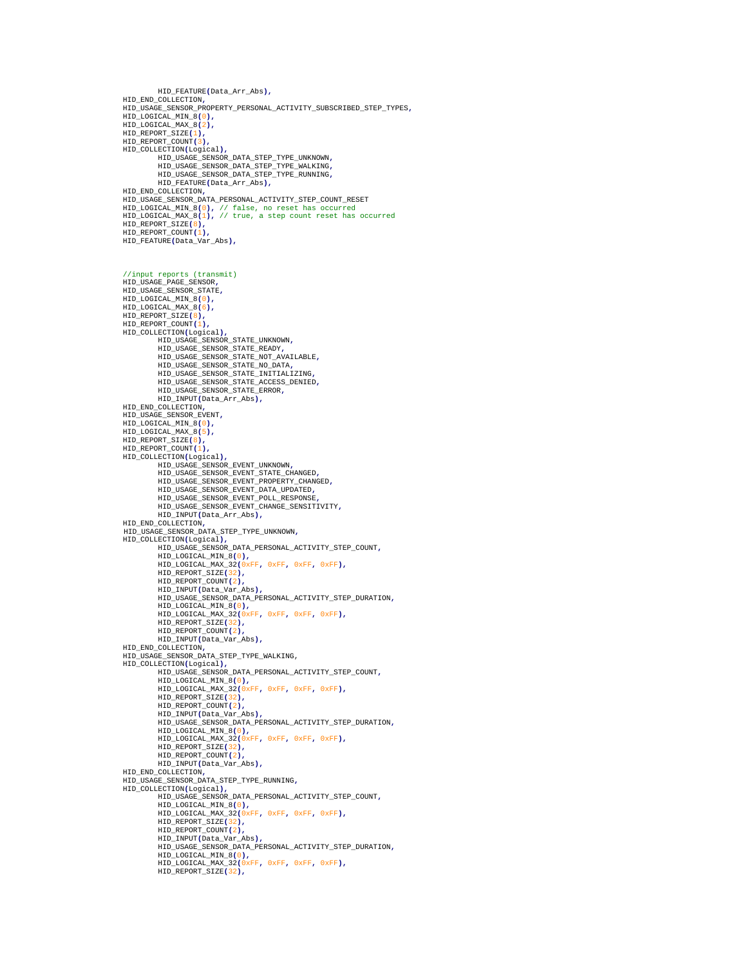```
 HID_FEATURE(Data_Arr_Abs),
          HID_END_COLLECTION, 
          HID_USAGE_SENSOR_PROPERTY_PERSONAL_ACTIVITY_SUBSCRIBED_STEP_TYPES,
          HID_LOGICAL_MIN_8(0),
 HID_LOGICAL_MAX_8(2),
 HID_REPORT_SIZE(1),
 HID_REPORT_COUNT(3),
 HID_COLLECTION(Logical),
                   HID_USAGE_SENSOR_DATA_STEP_TYPE_UNKNOWN,
 HID_USAGE_SENSOR_DATA_STEP_TYPE_WALKING,
 HID_USAGE_SENSOR_DATA_STEP_TYPE_RUNNING,
 HID_FEATURE(Data_Arr_Abs),
 HID_END_COLLECTION, 
          HID_USAGE_SENSOR_DATA_PERSONAL_ACTIVITY_STEP_COUNT_RESET 
 HID_LOGICAL_MIN_8(0), // false, no reset has occurred
 HID_LOGICAL_MAX_8(1), // true, a step count reset has occurred
 HID_REPORT_SIZE(8),
 HID_REPORT_COUNT(1), 
          HID_FEATURE(Data_Var_Abs),
          //input reports (transmit) 
 HID_USAGE_PAGE_SENSOR,
 HID_USAGE_SENSOR_STATE,
 HID_LOGICAL_MIN_8(0),
 HID_LOGICAL_MAX_8(6),
 HID_REPORT_SIZE(8),
 HID_REPORT_COUNT(1),
          HID_COLLECTION(Logical),
                   HID_USAGE_SENSOR_STATE_UNKNOWN,
                   HID_USAGE_SENSOR_STATE_READY,
                    HID_USAGE_SENSOR_STATE_NOT_AVAILABLE,
                   HID_USAGE_SENSOR_STATE_NO_DATA,
                    HID_USAGE_SENSOR_STATE_INITIALIZING,
 HID_USAGE_SENSOR_STATE_ACCESS_DENIED,
 HID_USAGE_SENSOR_STATE_ERROR,
                   HID_INPUT(Data_Arr_Abs),
          HID_END_COLLECTION,
 HID_USAGE_SENSOR_EVENT,
 HID_LOGICAL_MIN_8(0),
          HID_LOGICAL_MAX_8(5),
 HID_REPORT_SIZE(8),
 HID_REPORT_COUNT(1),
 HID_COLLECTION(Logical),
 HID_USAGE_SENSOR_EVENT_UNKNOWN,
                    HID_USAGE_SENSOR_EVENT_STATE_CHANGED,
 HID_USAGE_SENSOR_EVENT_PROPERTY_CHANGED,
 HID_USAGE_SENSOR_EVENT_DATA_UPDATED,
 HID_USAGE_SENSOR_EVENT_POLL_RESPONSE,
 HID_USAGE_SENSOR_EVENT_CHANGE_SENSITIVITY,
                   HID_INPUT(Data_Arr_Abs),
         HID_END_COLLECTION.
          HID_USAGE_SENSOR_DATA_STEP_TYPE_UNKNOWN,
 HID_COLLECTION(Logical),
 HID_USAGE_SENSOR_DATA_PERSONAL_ACTIVITY_STEP_COUNT, 
 HID_LOGICAL_MIN_8(0),
 HID_LOGICAL_MAX_32(0xFF, 0xFF, 0xFF, 0xFF),
 HID_REPORT_SIZE(32),
 HID_REPORT_COUNT(2), 
 HID_INPUT(Data_Var_Abs), 
 HID_USAGE_SENSOR_DATA_PERSONAL_ACTIVITY_STEP_DURATION, 
                    HID_LOGICAL_MIN_8(0),
 HID_LOGICAL_MAX_32(0xFF, 0xFF, 0xFF, 0xFF),
 HID_REPORT_SIZE(32),
                    HID_REPORT_COUNT(2), 
                   HID_INPUT(Data_Var_Abs),
 HID_END_COLLECTION,
 HID_USAGE_SENSOR_DATA_STEP_TYPE_WALKING, 
          HID_COLLECTION(Logical),
 HID_USAGE_SENSOR_DATA_PERSONAL_ACTIVITY_STEP_COUNT, 
 HID_LOGICAL_MIN_8(0),
 HID_LOGICAL_MAX_32(0xFF, 0xFF, 0xFF, 0xFF),
 HID_REPORT_SIZE(32),
                    HID_REPORT_COUNT(2), 
                   HID_INPUT(Data_Var_Abs), 
                    HID_USAGE_SENSOR_DATA_PERSONAL_ACTIVITY_STEP_DURATION, 
                   HID_LOGICAL_MIN_8(0),
                   HID_LOGICAL_MAX_32(0xFF, 0xFF, 0xFF, 0xFF),
 HID_REPORT_SIZE(32),
 HID_REPORT_COUNT(2), 
 HID_INPUT(Data_Var_Abs),
 HID_END_COLLECTION,
 HID_USAGE_SENSOR_DATA_STEP_TYPE_RUNNING,
 HID_COLLECTION(Logical),
 HID_USAGE_SENSOR_DATA_PERSONAL_ACTIVITY_STEP_COUNT, 
 HID_LOGICAL_MIN_8(0),
 HID_LOGICAL_MAX_32(0xFF, 0xFF, 0xFF, 0xFF),
 HID_REPORT_SIZE(32),
 HID_REPORT_COUNT(2), 
                    HID_INPUT(Data_Var_Abs), 
 HID_USAGE_SENSOR_DATA_PERSONAL_ACTIVITY_STEP_DURATION, 
 HID_LOGICAL_MIN_8(0),
 HID_LOGICAL_MAX_32(0xFF, 0xFF, 0xFF, 0xFF),
 HID_REPORT_SIZE(32),
```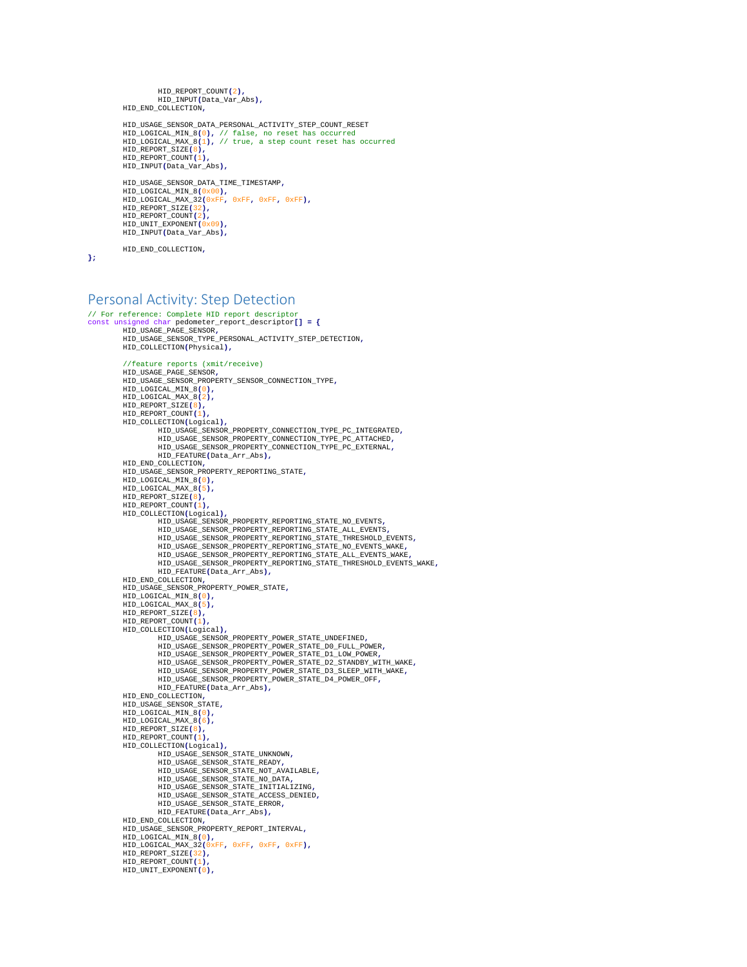```
 HID_REPORT_COUNT(2), 
                    HID_INPUT(Data_Var_Abs),
          HID_END_COLLECTION,
          HID_USAGE_SENSOR_DATA_PERSONAL_ACTIVITY_STEP_COUNT_RESET 
 HID_LOGICAL_MIN_8(0), // false, no reset has occurred
 HID_LOGICAL_MAX_8(1), // true, a step count reset has occurred
          HID_REPORT_SIZE(8),
          HID_REPORT_COUNT(1), 
          HID_INPUT(Data_Var_Abs),
          HID_USAGE_SENSOR_DATA_TIME_TIMESTAMP,
 HID_LOGICAL_MIN_8(0x00),
 HID_LOGICAL_MAX_32(0xFF, 0xFF, 0xFF, 0xFF),
 HID_REPORT_SIZE(32),
 HID_REPORT_COUNT(2),
          HID_UNIT_EXPONENT(0x09),
          HID_INPUT(Data_Var_Abs),
          HID_END_COLLECTION,
```
**};**

## Personal Activity: Step Detection

```
// For reference: Complete HID report descriptor 
const unsigned char pedometer_report_descriptor[] = {
 HID_USAGE_PAGE_SENSOR,
 HID_USAGE_SENSOR_TYPE_PERSONAL_ACTIVITY_STEP_DETECTION,
           HID_COLLECTION(Physical),
            //feature reports (xmit/receive) 
           HID_USAGE_PAGE_SENSOR,
            HID_USAGE_SENSOR_PROPERTY_SENSOR_CONNECTION_TYPE,
 HID_LOGICAL_MIN_8(0),
 HID_LOGICAL_MAX_8(2),
           HID_REPORT_SIZE(8),
           HID_REPORT_COUNT(1),
           HID_COLLECTION(Logical),
 HID_USAGE_SENSOR_PROPERTY_CONNECTION_TYPE_PC_INTEGRATED,
 HID_USAGE_SENSOR_PROPERTY_CONNECTION_TYPE_PC_ATTACHED,
 HID_USAGE_SENSOR_PROPERTY_CONNECTION_TYPE_PC_EXTERNAL,
 HID_FEATURE(Data_Arr_Abs),
 HID_END_COLLECTION,
 HID_USAGE_SENSOR_PROPERTY_REPORTING_STATE,
            HID_LOGICAL_MIN_8(0),
 HID_LOGICAL_MAX_8(5),
 HID_REPORT_SIZE(8),
 HID_REPORT_COUNT(1),
 HID_COLLECTION(Logical),
HID_USAGE_SENSOR_PROPERTY_REPORTING_STATE_NO_EVENTS,<br>HID_USAGE_SENSOR_PROPERTY_REPORTING_STATE_ALL_EVENTS,<br>HID_USAGE_SENSOR_PROPERTY_REPORTING_STATE_THRESHOLD_EVENTS,
 HID_USAGE_SENSOR_PROPERTY_REPORTING_STATE_NO_EVENTS_WAKE,
 HID_USAGE_SENSOR_PROPERTY_REPORTING_STATE_ALL_EVENTS_WAKE,
 HID_USAGE_SENSOR_PROPERTY_REPORTING_STATE_THRESHOLD_EVENTS_WAKE,
                       HID_FEATURE(Data_Arr_Abs),
            HID_END_COLLECTION,
 HID_USAGE_SENSOR_PROPERTY_POWER_STATE,
 HID_LOGICAL_MIN_8(0),
 HID_LOGICAL_MAX_8(5),
 HID_REPORT_SIZE(8),
 HID_REPORT_COUNT(1),
 HID_COLLECTION(Logical),
 HID_USAGE_SENSOR_PROPERTY_POWER_STATE_UNDEFINED,
 HID_USAGE_SENSOR_PROPERTY_POWER_STATE_D0_FULL_POWER,
 HID_USAGE_SENSOR_PROPERTY_POWER_STATE_D1_LOW_POWER,
 HID_USAGE_SENSOR_PROPERTY_POWER_STATE_D2_STANDBY_WITH_WAKE,
 HID_USAGE_SENSOR_PROPERTY_POWER_STATE_D3_SLEEP_WITH_WAKE,
                       HID_USAGE_SENSOR_PROPERTY_POWER_STATE_D4_POWER_OFF,
                       HID_FEATURE(Data_Arr_Abs),
            HID_END_COLLECTION,
 HID_USAGE_SENSOR_STATE,
 HID_LOGICAL_MIN_8(0),
 HID_LOGICAL_MAX_8(6),
 HID_REPORT_SIZE(8),
 HID_REPORT_COUNT(1),
 HID_COLLECTION(Logical),
                       HID_USAGE_SENSOR_STATE_UNKNOWN,
 HID_USAGE_SENSOR_STATE_READY,
 HID_USAGE_SENSOR_STATE_NOT_AVAILABLE,
 HID_USAGE_SENSOR_STATE_NO_DATA,
 HID_USAGE_SENSOR_STATE_INITIALIZING,
 HID_USAGE_SENSOR_STATE_ACCESS_DENIED,
 HID_USAGE_SENSOR_STATE_ERROR,
                       HID_FEATURE(Data_Arr_Abs),
 HID_END_COLLECTION,
 HID_USAGE_SENSOR_PROPERTY_REPORT_INTERVAL,
 HID_LOGICAL_MIN_8(0),
 HID_LOGICAL_MAX_32(0xFF, 0xFF, 0xFF, 0xFF),
            HID_REPORT_SIZE(32),
           HID_REPORT_COUNT(1),
            HID_UNIT_EXPONENT(0),
```